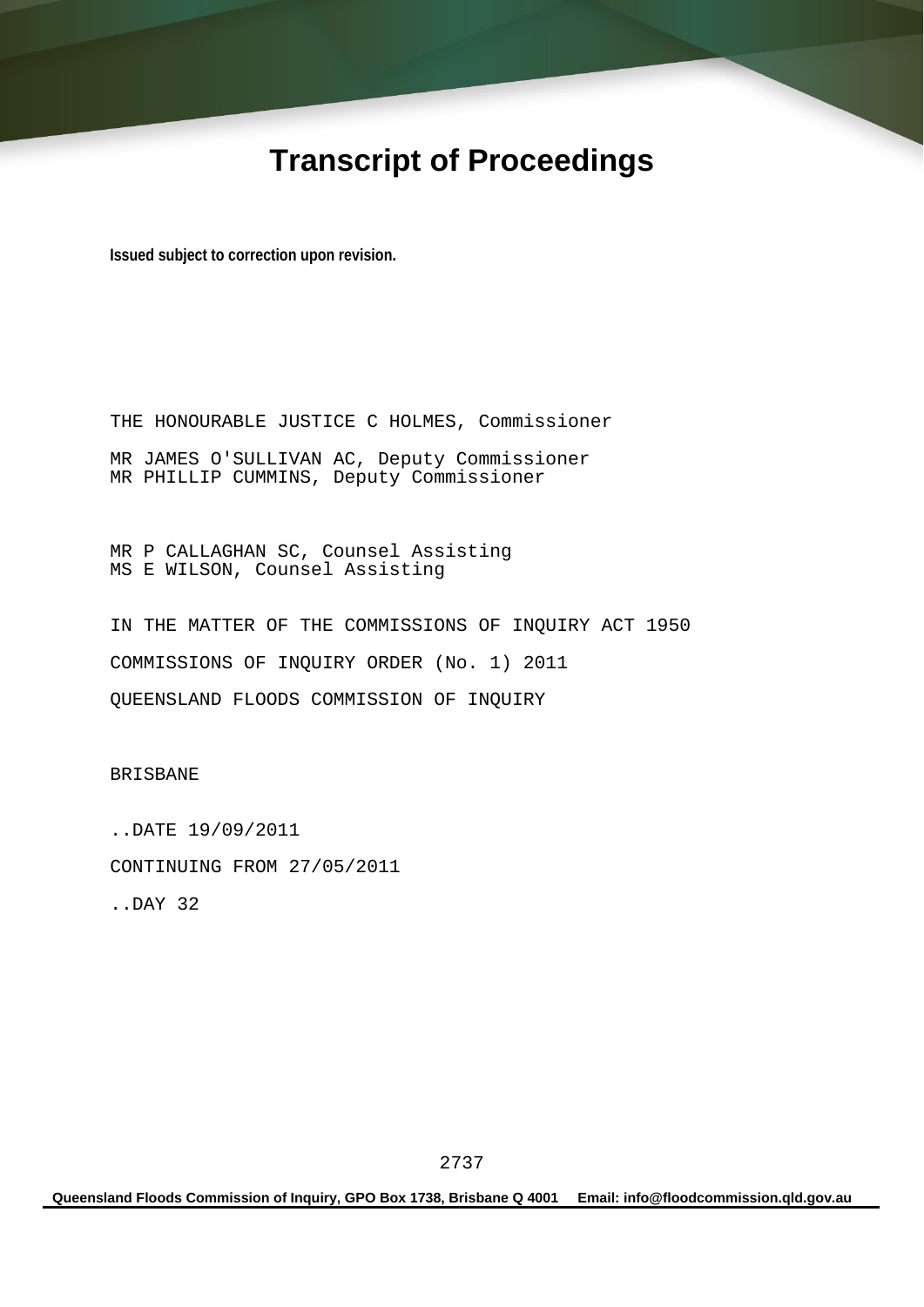# **Transcript of Proceedings**

**Issued subject to correction upon revision.** 

THE HONOURABLE JUSTICE C HOLMES, Commissioner MR JAMES O'SULLIVAN AC, Deputy Commissioner MR PHILLIP CUMMINS, Deputy Commissioner

MR P CALLAGHAN SC, Counsel Assisting MS E WILSON, Counsel Assisting

IN THE MATTER OF THE COMMISSIONS OF INQUIRY ACT 1950 COMMISSIONS OF INQUIRY ORDER (No. 1) 2011 QUEENSLAND FLOODS COMMISSION OF INQUIRY

BRISBANE

..DATE 19/09/2011 CONTINUING FROM 27/05/2011

..DAY 32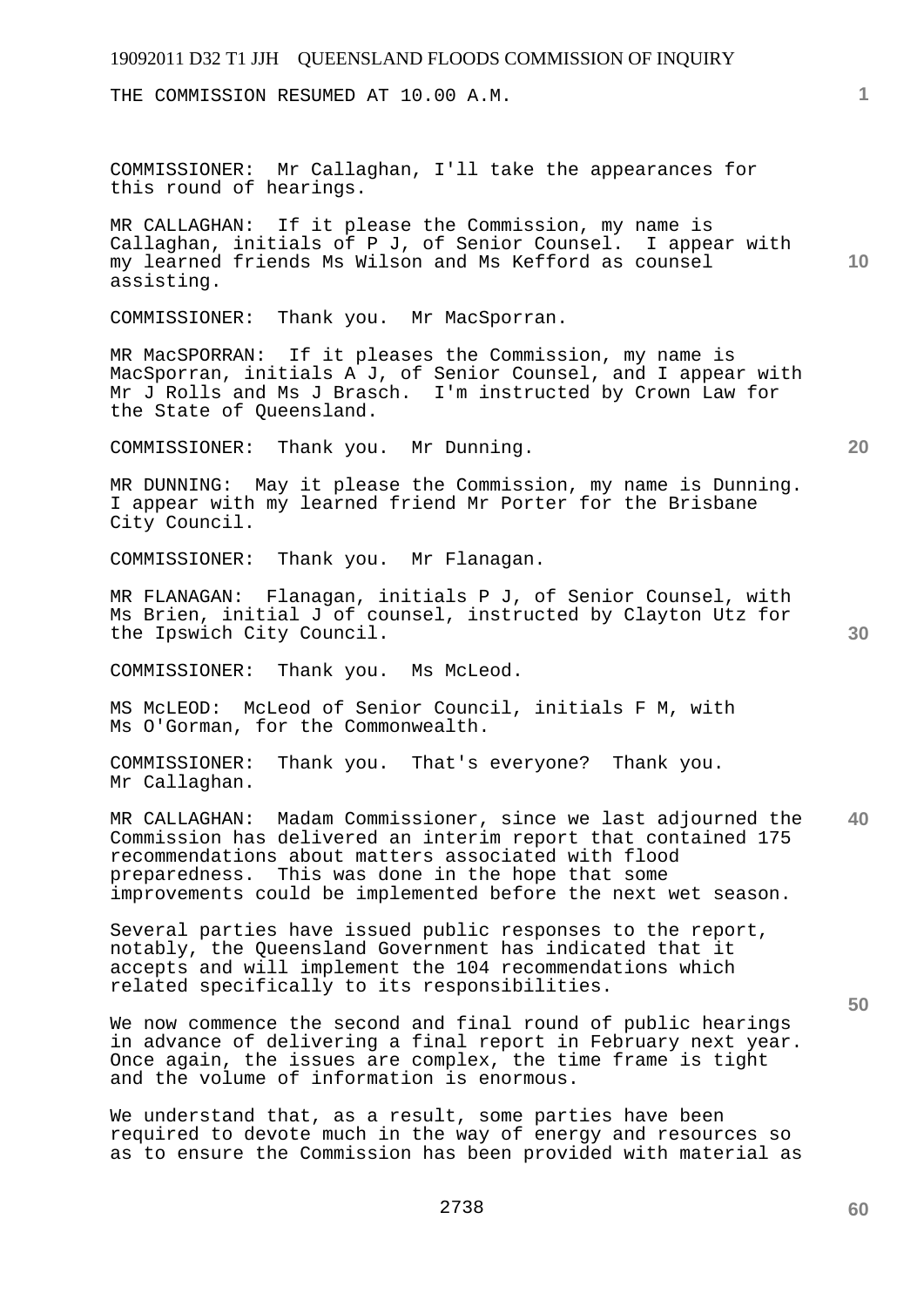# 19092011 D32 T1 JJH QUEENSLAND FLOODS COMMISSION OF INQUIRY **1 10 20 30 40 50**  THE COMMISSION RESUMED AT 10.00 A.M. COMMISSIONER: Mr Callaghan, I'll take the appearances for this round of hearings. MR CALLAGHAN: If it please the Commission, my name is Callaghan, initials of P J, of Senior Counsel. I appear with my learned friends Ms Wilson and Ms Kefford as counsel assisting. COMMISSIONER: Thank you. Mr MacSporran. MR MacSPORRAN: If it pleases the Commission, my name is MacSporran, initials A J, of Senior Counsel, and I appear with Mr J Rolls and Ms J Brasch. I'm instructed by Crown Law for the State of Queensland. COMMISSIONER: Thank you. Mr Dunning. MR DUNNING: May it please the Commission, my name is Dunning. I appear with my learned friend Mr Porter for the Brisbane City Council. COMMISSIONER: Thank you. Mr Flanagan. MR FLANAGAN: Flanagan, initials P J, of Senior Counsel, with Ms Brien, initial J of counsel, instructed by Clayton Utz for the Ipswich City Council. COMMISSIONER: Thank you. Ms McLeod. MS McLEOD: McLeod of Senior Council, initials F M, with Ms O'Gorman, for the Commonwealth. COMMISSIONER: Thank you. That's everyone? Thank you. Mr Callaghan. MR CALLAGHAN: Madam Commissioner, since we last adjourned the Commission has delivered an interim report that contained 175 recommendations about matters associated with flood preparedness. This was done in the hope that some improvements could be implemented before the next wet season. Several parties have issued public responses to the report, notably, the Queensland Government has indicated that it accepts and will implement the 104 recommendations which related specifically to its responsibilities. We now commence the second and final round of public hearings in advance of delivering a final report in February next year. Once again, the issues are complex, the time frame is tight and the volume of information is enormous. We understand that, as a result, some parties have been required to devote much in the way of energy and resources so

2738

as to ensure the Commission has been provided with material as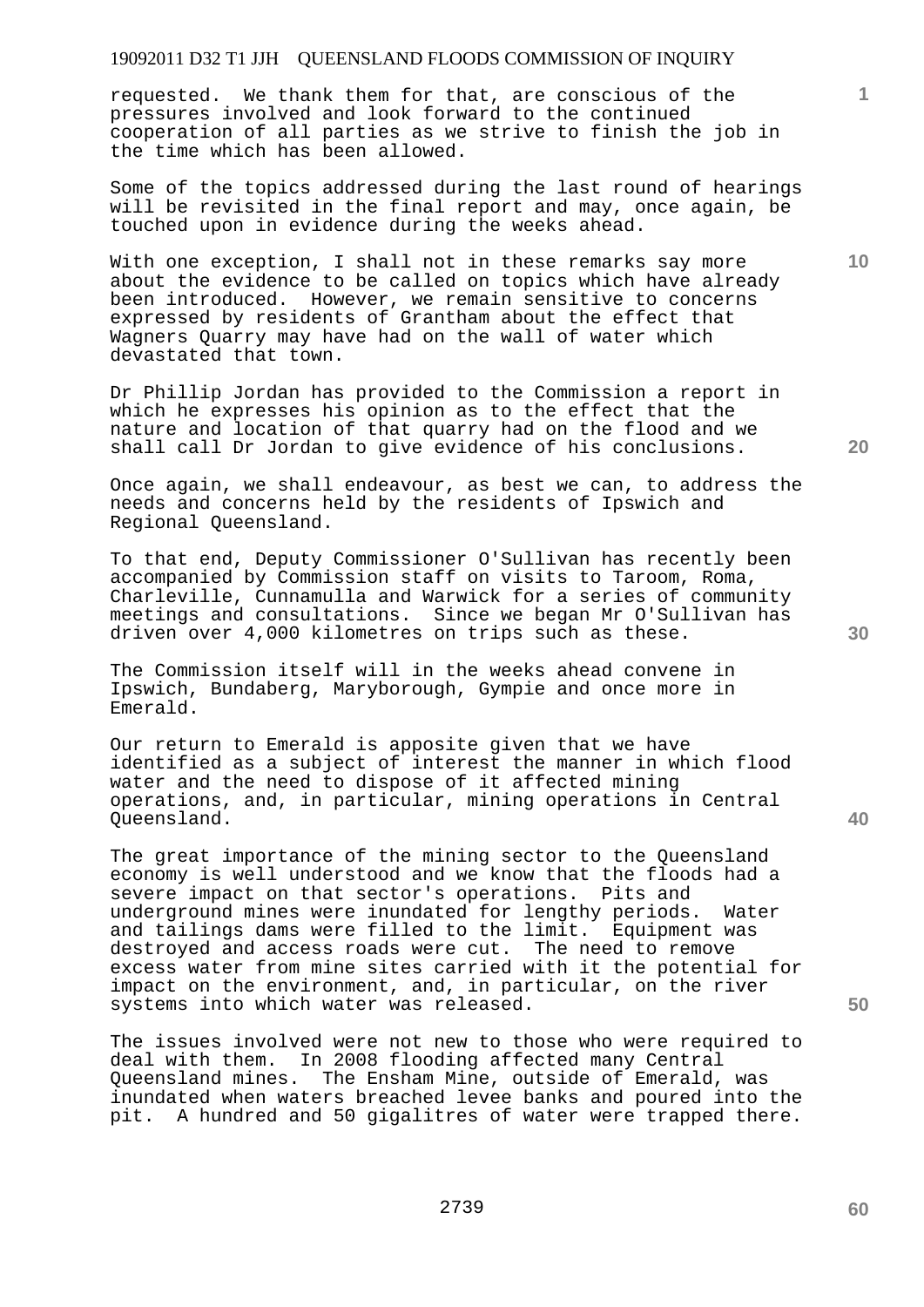requested. We thank them for that, are conscious of the pressures involved and look forward to the continued cooperation of all parties as we strive to finish the job in the time which has been allowed.

Some of the topics addressed during the last round of hearings will be revisited in the final report and may, once again, be touched upon in evidence during the weeks ahead.

With one exception, I shall not in these remarks say more about the evidence to be called on topics which have already been introduced. However, we remain sensitive to concerns expressed by residents of Grantham about the effect that Wagners Quarry may have had on the wall of water which devastated that town.

Dr Phillip Jordan has provided to the Commission a report in which he expresses his opinion as to the effect that the nature and location of that quarry had on the flood and we shall call Dr Jordan to give evidence of his conclusions.

Once again, we shall endeavour, as best we can, to address the needs and concerns held by the residents of Ipswich and Regional Queensland.

To that end, Deputy Commissioner O'Sullivan has recently been accompanied by Commission staff on visits to Taroom, Roma, Charleville, Cunnamulla and Warwick for a series of community meetings and consultations. Since we began Mr O'Sullivan has driven over 4,000 kilometres on trips such as these.

The Commission itself will in the weeks ahead convene in Ipswich, Bundaberg, Maryborough, Gympie and once more in Emerald.

Our return to Emerald is apposite given that we have identified as a subject of interest the manner in which flood water and the need to dispose of it affected mining operations, and, in particular, mining operations in Central Queensland.

The great importance of the mining sector to the Queensland economy is well understood and we know that the floods had a severe impact on that sector's operations. Pits and underground mines were inundated for lengthy periods. Water and tailings dams were filled to the limit. Equipment was destroyed and access roads were cut. The need to remove excess water from mine sites carried with it the potential for impact on the environment, and, in particular, on the river systems into which water was released.

The issues involved were not new to those who were required to deal with them. In 2008 flooding affected many Central Queensland mines. The Ensham Mine, outside of Emerald, was inundated when waters breached levee banks and poured into the pit. A hundred and 50 gigalitres of water were trapped there.

**10** 

**1**

**20**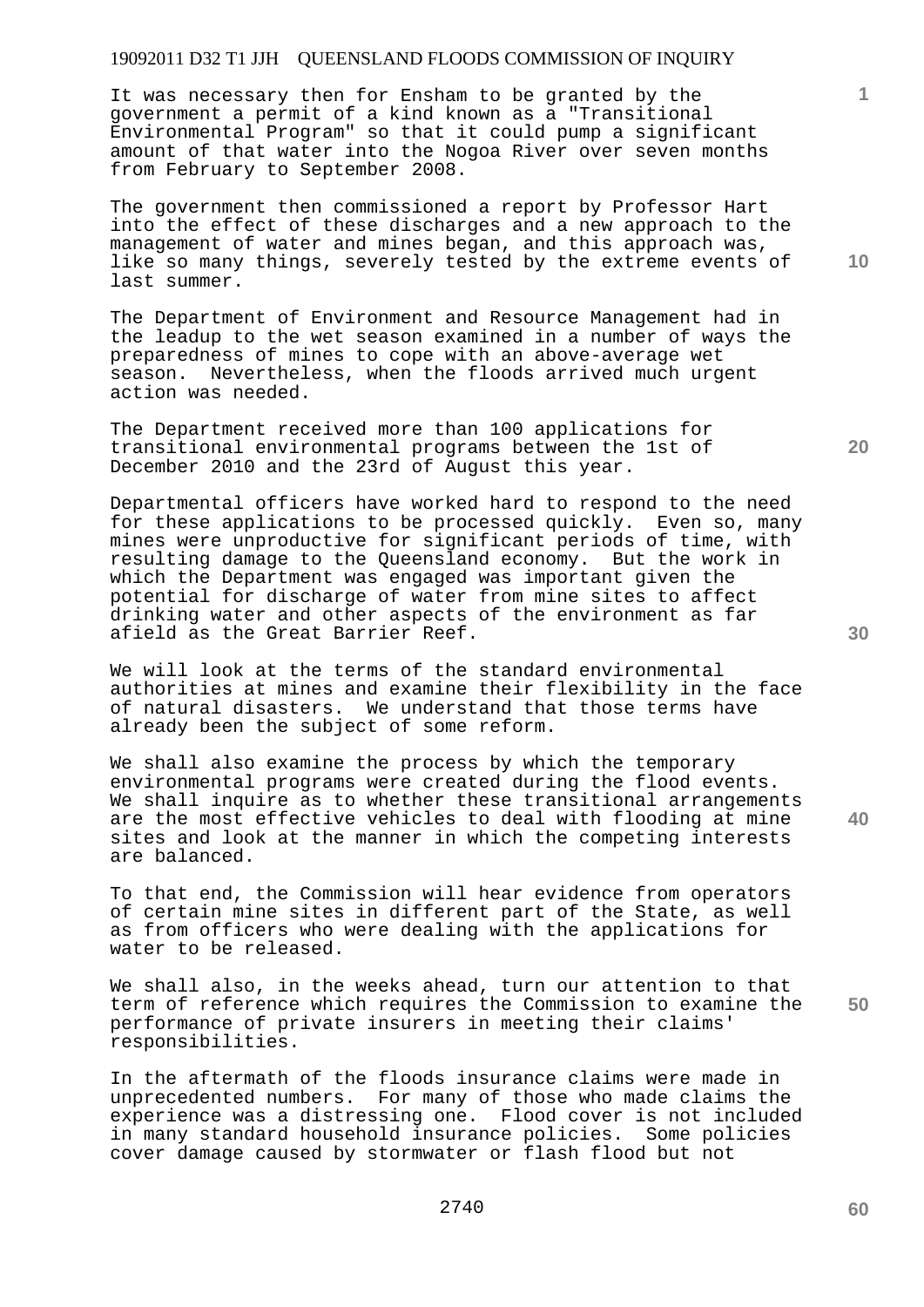It was necessary then for Ensham to be granted by the government a permit of a kind known as a "Transitional Environmental Program" so that it could pump a significant amount of that water into the Nogoa River over seven months from February to September 2008.

The government then commissioned a report by Professor Hart into the effect of these discharges and a new approach to the management of water and mines began, and this approach was, like so many things, severely tested by the extreme events of last summer.

The Department of Environment and Resource Management had in the leadup to the wet season examined in a number of ways the preparedness of mines to cope with an above-average wet season. Nevertheless, when the floods arrived much urgent action was needed.

The Department received more than 100 applications for transitional environmental programs between the 1st of December 2010 and the 23rd of August this year.

Departmental officers have worked hard to respond to the need for these applications to be processed quickly. Even so, many mines were unproductive for significant periods of time, with resulting damage to the Queensland economy. But the work in which the Department was engaged was important given the potential for discharge of water from mine sites to affect drinking water and other aspects of the environment as far afield as the Great Barrier Reef.

We will look at the terms of the standard environmental authorities at mines and examine their flexibility in the face of natural disasters. We understand that those terms have already been the subject of some reform.

We shall also examine the process by which the temporary environmental programs were created during the flood events. We shall inquire as to whether these transitional arrangements are the most effective vehicles to deal with flooding at mine sites and look at the manner in which the competing interests are balanced.

To that end, the Commission will hear evidence from operators of certain mine sites in different part of the State, as well as from officers who were dealing with the applications for water to be released.

We shall also, in the weeks ahead, turn our attention to that term of reference which requires the Commission to examine the performance of private insurers in meeting their claims' responsibilities.

In the aftermath of the floods insurance claims were made in unprecedented numbers. For many of those who made claims the experience was a distressing one. Flood cover is not included in many standard household insurance policies. Some policies cover damage caused by stormwater or flash flood but not

**20** 

**10** 

**40** 

**50**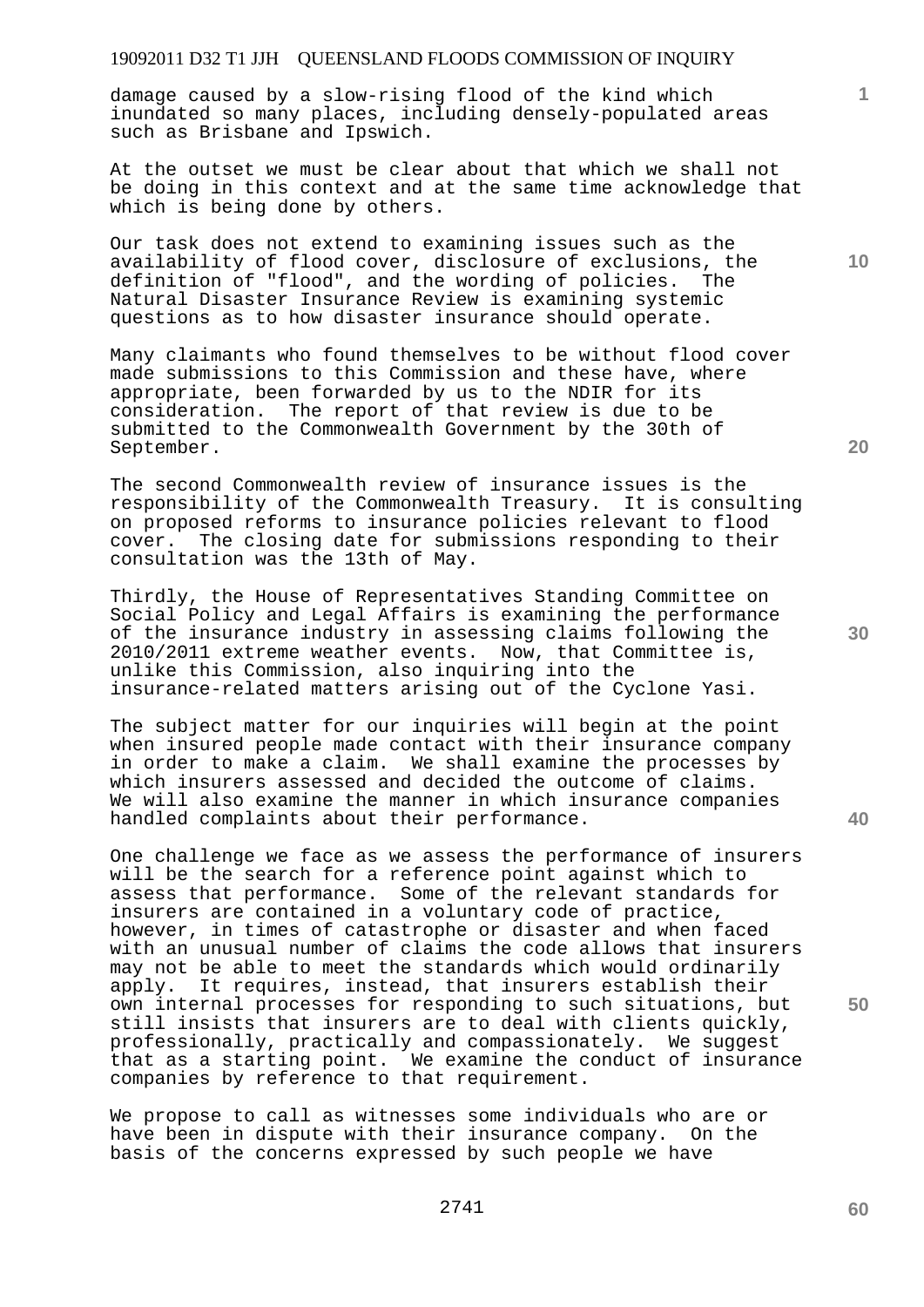damage caused by a slow-rising flood of the kind which inundated so many places, including densely-populated areas such as Brisbane and Ipswich.

At the outset we must be clear about that which we shall not be doing in this context and at the same time acknowledge that which is being done by others.

Our task does not extend to examining issues such as the availability of flood cover, disclosure of exclusions, the definition of "flood", and the wording of policies. The Natural Disaster Insurance Review is examining systemic questions as to how disaster insurance should operate.

Many claimants who found themselves to be without flood cover made submissions to this Commission and these have, where appropriate, been forwarded by us to the NDIR for its consideration. The report of that review is due to be submitted to the Commonwealth Government by the 30th of September.

The second Commonwealth review of insurance issues is the responsibility of the Commonwealth Treasury. It is consulting on proposed reforms to insurance policies relevant to flood cover. The closing date for submissions responding to their consultation was the 13th of May.

Thirdly, the House of Representatives Standing Committee on Social Policy and Legal Affairs is examining the performance of the insurance industry in assessing claims following the 2010/2011 extreme weather events. Now, that Committee is, unlike this Commission, also inquiring into the insurance-related matters arising out of the Cyclone Yasi.

The subject matter for our inquiries will begin at the point when insured people made contact with their insurance company in order to make a claim. We shall examine the processes by which insurers assessed and decided the outcome of claims. We will also examine the manner in which insurance companies handled complaints about their performance.

One challenge we face as we assess the performance of insurers will be the search for a reference point against which to assess that performance. Some of the relevant standards for insurers are contained in a voluntary code of practice, however, in times of catastrophe or disaster and when faced with an unusual number of claims the code allows that insurers may not be able to meet the standards which would ordinarily apply. It requires, instead, that insurers establish their own internal processes for responding to such situations, but still insists that insurers are to deal with clients quickly, professionally, practically and compassionately. We suggest that as a starting point. We examine the conduct of insurance companies by reference to that requirement.

We propose to call as witnesses some individuals who are or have been in dispute with their insurance company. On the basis of the concerns expressed by such people we have

**30** 

**50** 

**60** 

**10** 

**1**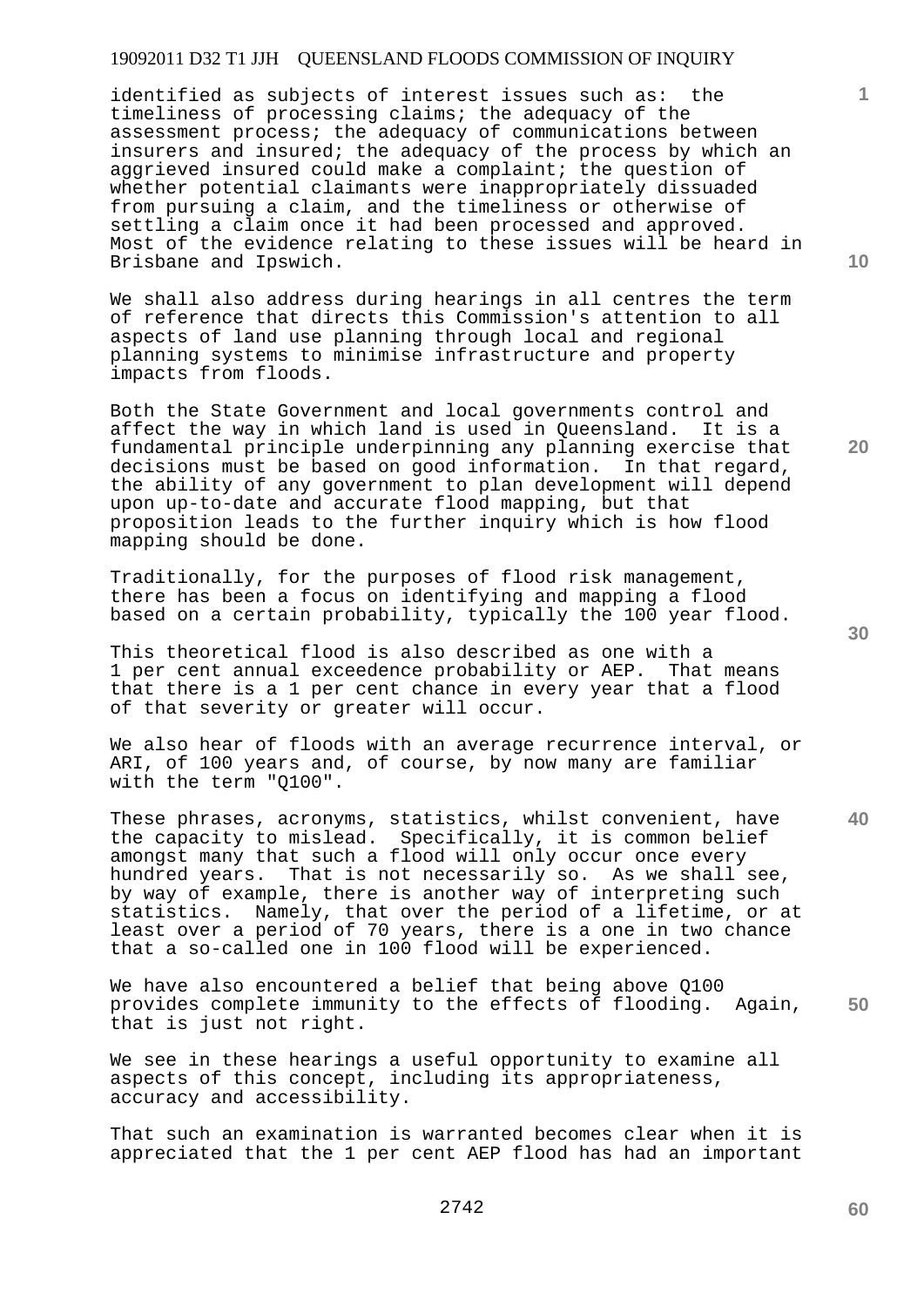identified as subjects of interest issues such as: the timeliness of processing claims; the adequacy of the assessment process; the adequacy of communications between insurers and insured; the adequacy of the process by which an aggrieved insured could make a complaint; the question of whether potential claimants were inappropriately dissuaded from pursuing a claim, and the timeliness or otherwise of settling a claim once it had been processed and approved. Most of the evidence relating to these issues will be heard in Brisbane and Ipswich.

We shall also address during hearings in all centres the term of reference that directs this Commission's attention to all aspects of land use planning through local and regional planning systems to minimise infrastructure and property impacts from floods.

Both the State Government and local governments control and affect the way in which land is used in Queensland. It is a fundamental principle underpinning any planning exercise that decisions must be based on good information. In that regard, the ability of any government to plan development will depend upon up-to-date and accurate flood mapping, but that proposition leads to the further inquiry which is how flood mapping should be done.

Traditionally, for the purposes of flood risk management, there has been a focus on identifying and mapping a flood based on a certain probability, typically the 100 year flood.

This theoretical flood is also described as one with a 1 per cent annual exceedence probability or AEP. That means that there is a 1 per cent chance in every year that a flood of that severity or greater will occur.

We also hear of floods with an average recurrence interval, or ARI, of 100 years and, of course, by now many are familiar with the term "Q100".

These phrases, acronyms, statistics, whilst convenient, have the capacity to mislead. Specifically, it is common belief amongst many that such a flood will only occur once every hundred years. That is not necessarily so. As we shall see, by way of example, there is another way of interpreting such statistics. Namely, that over the period of a lifetime, or at least over a period of 70 years, there is a one in two chance that a so-called one in 100 flood will be experienced.

**50**  We have also encountered a belief that being above Q100 provides complete immunity to the effects of flooding. Again, that is just not right.

We see in these hearings a useful opportunity to examine all aspects of this concept, including its appropriateness, accuracy and accessibility.

That such an examination is warranted becomes clear when it is appreciated that the 1 per cent AEP flood has had an important

**10** 

**1**

**30**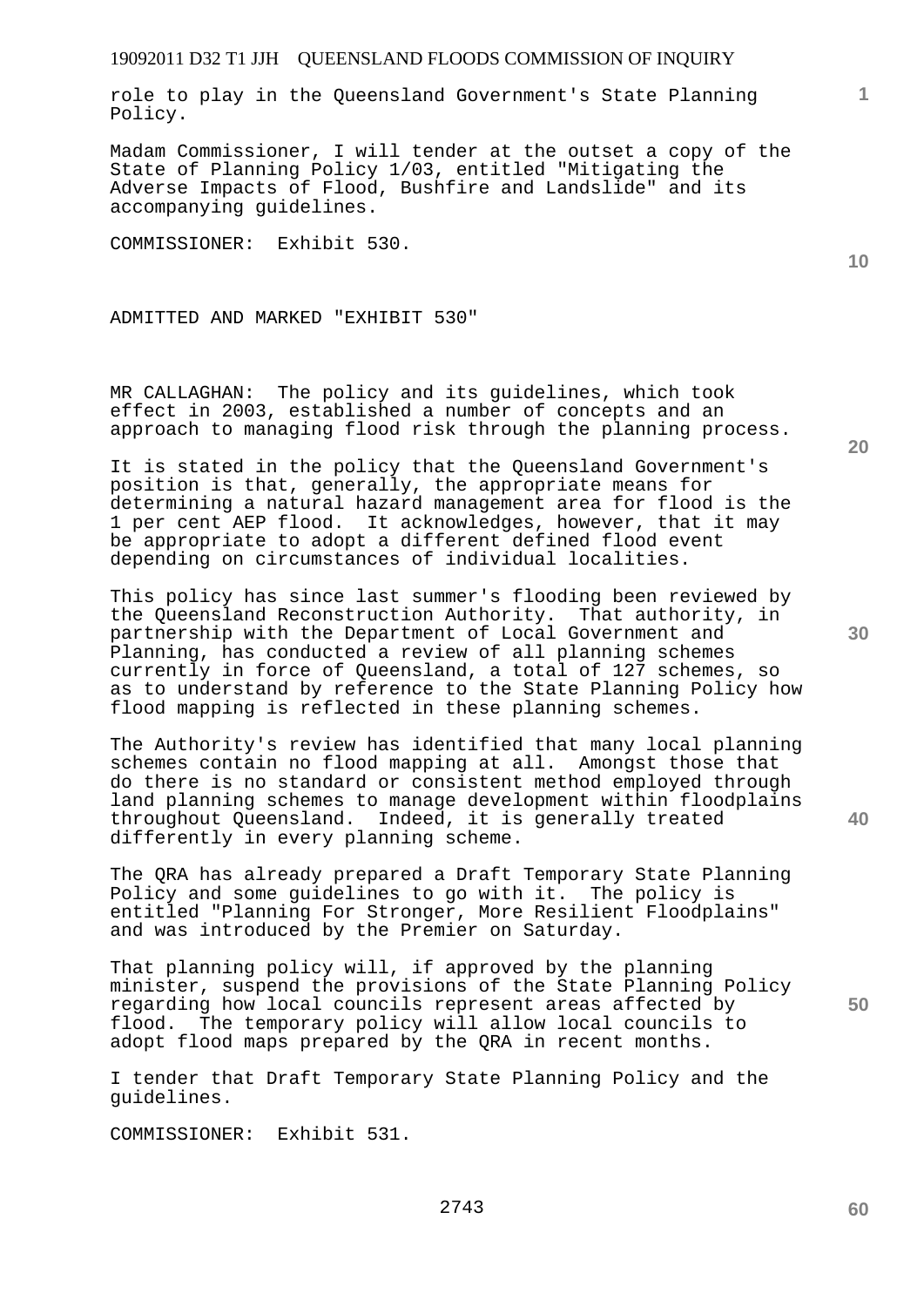role to play in the Queensland Government's State Planning Policy.

Madam Commissioner, I will tender at the outset a copy of the State of Planning Policy 1/03, entitled "Mitigating the Adverse Impacts of Flood, Bushfire and Landslide" and its accompanying guidelines.

COMMISSIONER: Exhibit 530.

ADMITTED AND MARKED "EXHIBIT 530"

MR CALLAGHAN: The policy and its guidelines, which took effect in 2003, established a number of concepts and an approach to managing flood risk through the planning process.

It is stated in the policy that the Queensland Government's position is that, generally, the appropriate means for determining a natural hazard management area for flood is the 1 per cent AEP flood. It acknowledges, however, that it may be appropriate to adopt a different defined flood event depending on circumstances of individual localities.

This policy has since last summer's flooding been reviewed by the Queensland Reconstruction Authority. That authority, in partnership with the Department of Local Government and Planning, has conducted a review of all planning schemes currently in force of Queensland, a total of 127 schemes, so as to understand by reference to the State Planning Policy how flood mapping is reflected in these planning schemes.

The Authority's review has identified that many local planning schemes contain no flood mapping at all. Amongst those that do there is no standard or consistent method employed through land planning schemes to manage development within floodplains throughout Queensland. Indeed, it is generally treated differently in every planning scheme.

The QRA has already prepared a Draft Temporary State Planning Policy and some guidelines to go with it. The policy is entitled "Planning For Stronger, More Resilient Floodplains" and was introduced by the Premier on Saturday.

That planning policy will, if approved by the planning minister, suspend the provisions of the State Planning Policy regarding how local councils represent areas affected by flood. The temporary policy will allow local councils to adopt flood maps prepared by the QRA in recent months.

I tender that Draft Temporary State Planning Policy and the guidelines.

COMMISSIONER: Exhibit 531.

**10** 

**1**

**20** 

**30** 

**40**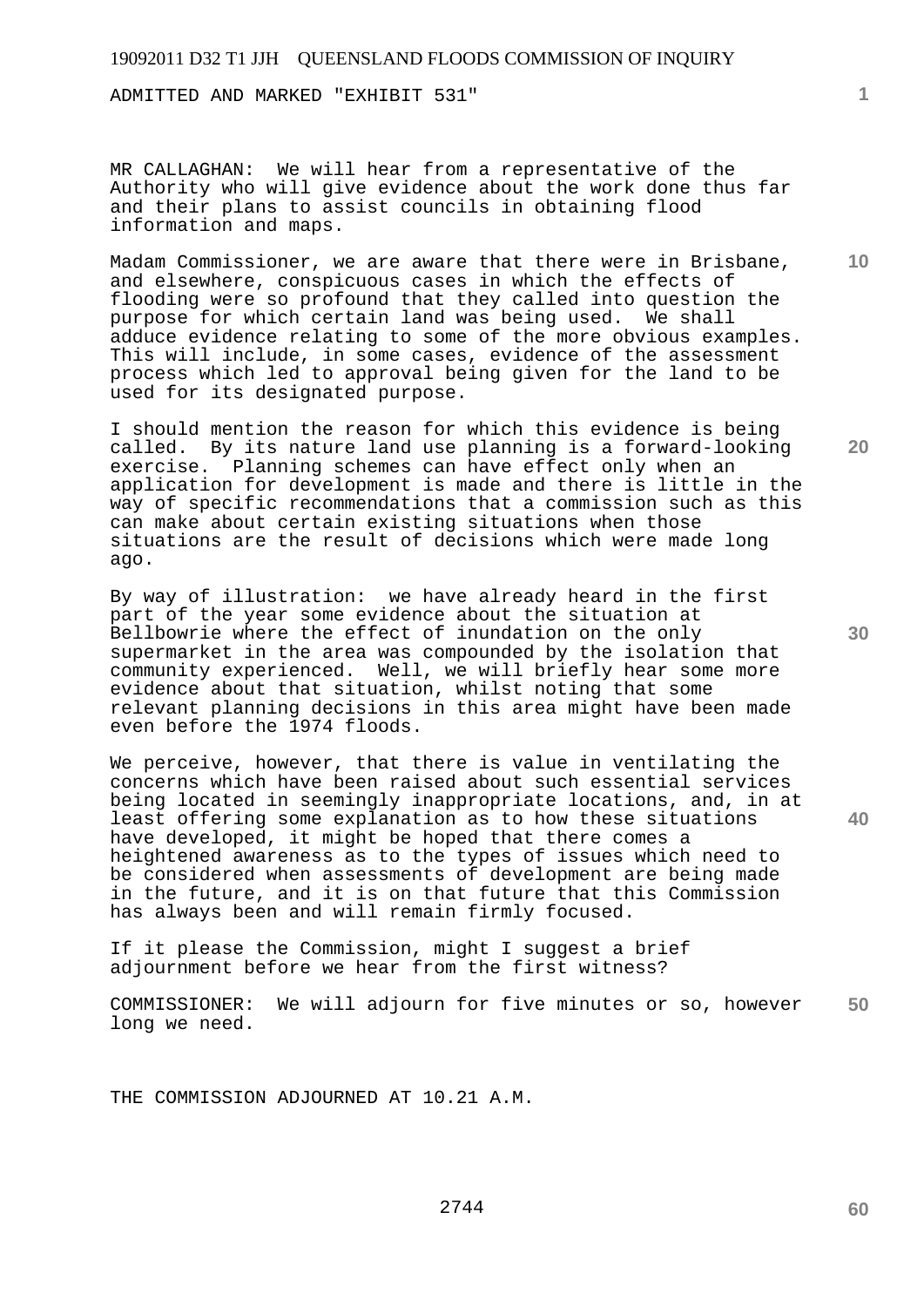ADMITTED AND MARKED "EXHIBIT 531"

MR CALLAGHAN: We will hear from a representative of the Authority who will give evidence about the work done thus far and their plans to assist councils in obtaining flood information and maps.

Madam Commissioner, we are aware that there were in Brisbane, and elsewhere, conspicuous cases in which the effects of flooding were so profound that they called into question the purpose for which certain land was being used. We shall adduce evidence relating to some of the more obvious examples. This will include, in some cases, evidence of the assessment process which led to approval being given for the land to be used for its designated purpose.

I should mention the reason for which this evidence is being called. By its nature land use planning is a forward-looking exercise. Planning schemes can have effect only when an application for development is made and there is little in the way of specific recommendations that a commission such as this can make about certain existing situations when those situations are the result of decisions which were made long ago.

By way of illustration: we have already heard in the first part of the year some evidence about the situation at Bellbowrie where the effect of inundation on the only supermarket in the area was compounded by the isolation that community experienced. Well, we will briefly hear some more evidence about that situation, whilst noting that some relevant planning decisions in this area might have been made even before the 1974 floods.

We perceive, however, that there is value in ventilating the concerns which have been raised about such essential services being located in seemingly inappropriate locations, and, in at least offering some explanation as to how these situations have developed, it might be hoped that there comes a heightened awareness as to the types of issues which need to be considered when assessments of development are being made in the future, and it is on that future that this Commission has always been and will remain firmly focused.

If it please the Commission, might I suggest a brief adjournment before we hear from the first witness?

**50**  COMMISSIONER: We will adjourn for five minutes or so, however long we need.

THE COMMISSION ADJOURNED AT 10.21 A.M.

**30** 

**40** 

**10** 

**20**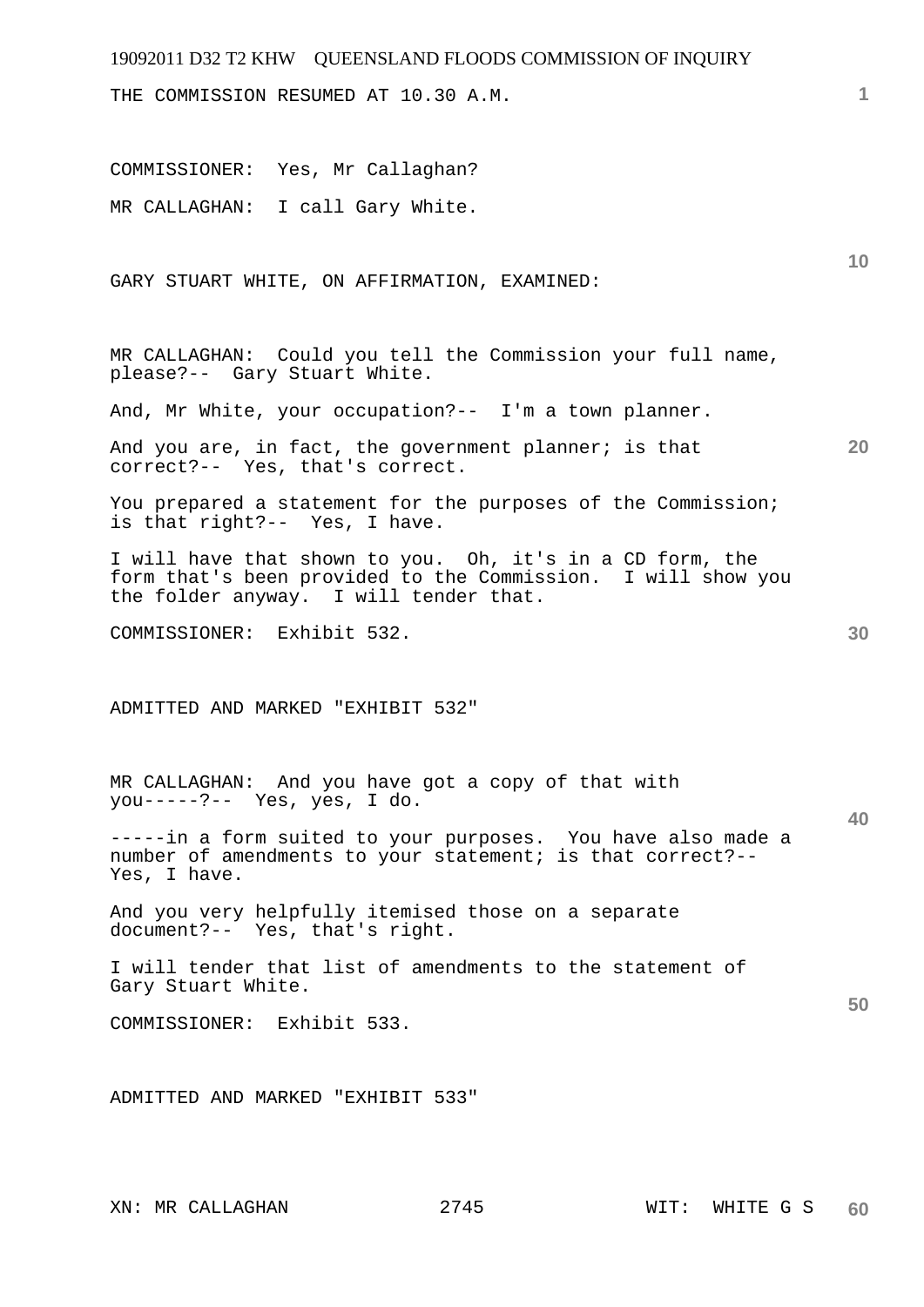# 19092011 D32 T2 KHW QUEENSLAND FLOODS COMMISSION OF INQUIRY **1 10 20 30 40 50**  THE COMMISSION RESUMED AT 10.30 A.M. COMMISSIONER: Yes, Mr Callaghan? MR CALLAGHAN: I call Gary White. GARY STUART WHITE, ON AFFIRMATION, EXAMINED: MR CALLAGHAN: Could you tell the Commission your full name, please?-- Gary Stuart White. And, Mr White, your occupation?-- I'm a town planner. And you are, in fact, the government planner; is that correct?-- Yes, that's correct. You prepared a statement for the purposes of the Commission; is that right?-- Yes, I have. I will have that shown to you. Oh, it's in a CD form, the form that's been provided to the Commission. I will show you the folder anyway. I will tender that. COMMISSIONER: Exhibit 532. ADMITTED AND MARKED "EXHIBIT 532" MR CALLAGHAN: And you have got a copy of that with you-----?-- Yes, yes, I do. -----in a form suited to your purposes. You have also made a number of amendments to your statement; is that correct?-- Yes, I have. And you very helpfully itemised those on a separate document?-- Yes, that's right. I will tender that list of amendments to the statement of Gary Stuart White. COMMISSIONER: Exhibit 533. ADMITTED AND MARKED "EXHIBIT 533"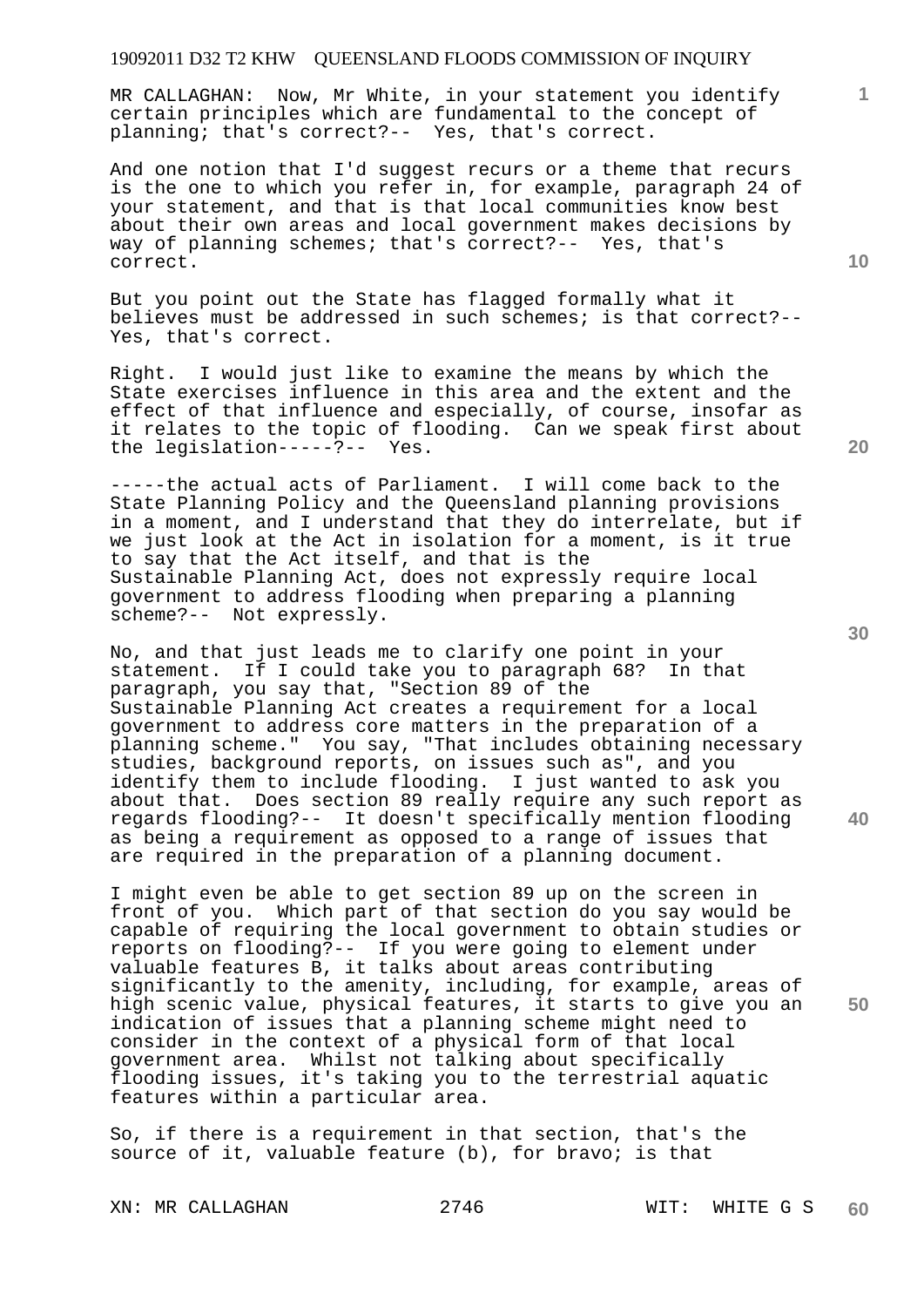MR CALLAGHAN: Now, Mr White, in your statement you identify certain principles which are fundamental to the concept of planning; that's correct?-- Yes, that's correct.

And one notion that I'd suggest recurs or a theme that recurs is the one to which you refer in, for example, paragraph 24 of your statement, and that is that local communities know best about their own areas and local government makes decisions by way of planning schemes; that's correct?-- Yes, that's correct.

But you point out the State has flagged formally what it believes must be addressed in such schemes; is that correct?-- Yes, that's correct.

Right. I would just like to examine the means by which the State exercises influence in this area and the extent and the effect of that influence and especially, of course, insofar as it relates to the topic of flooding. Can we speak first about the legislation-----?-- Yes.

-----the actual acts of Parliament. I will come back to the State Planning Policy and the Queensland planning provisions in a moment, and I understand that they do interrelate, but if we just look at the Act in isolation for a moment, is it true to say that the Act itself, and that is the Sustainable Planning Act, does not expressly require local government to address flooding when preparing a planning scheme?-- Not expressly.

No, and that just leads me to clarify one point in your statement. If I could take you to paragraph 68? In that paragraph, you say that, "Section 89 of the Sustainable Planning Act creates a requirement for a local government to address core matters in the preparation of a planning scheme." You say, "That includes obtaining necessary studies, background reports, on issues such as", and you identify them to include flooding. I just wanted to ask you about that. Does section 89 really require any such report as regards flooding?-- It doesn't specifically mention flooding as being a requirement as opposed to a range of issues that are required in the preparation of a planning document.

I might even be able to get section 89 up on the screen in front of you. Which part of that section do you say would be capable of requiring the local government to obtain studies or reports on flooding?-- If you were going to element under valuable features B, it talks about areas contributing significantly to the amenity, including, for example, areas of high scenic value, physical features, it starts to give you an indication of issues that a planning scheme might need to consider in the context of a physical form of that local government area. Whilst not talking about specifically flooding issues, it's taking you to the terrestrial aquatic features within a particular area.

So, if there is a requirement in that section, that's the source of it, valuable feature (b), for bravo; is that

XN: MR CALLAGHAN 2746 WIT: WHITE G S

**20** 

**10** 

**1**

**40**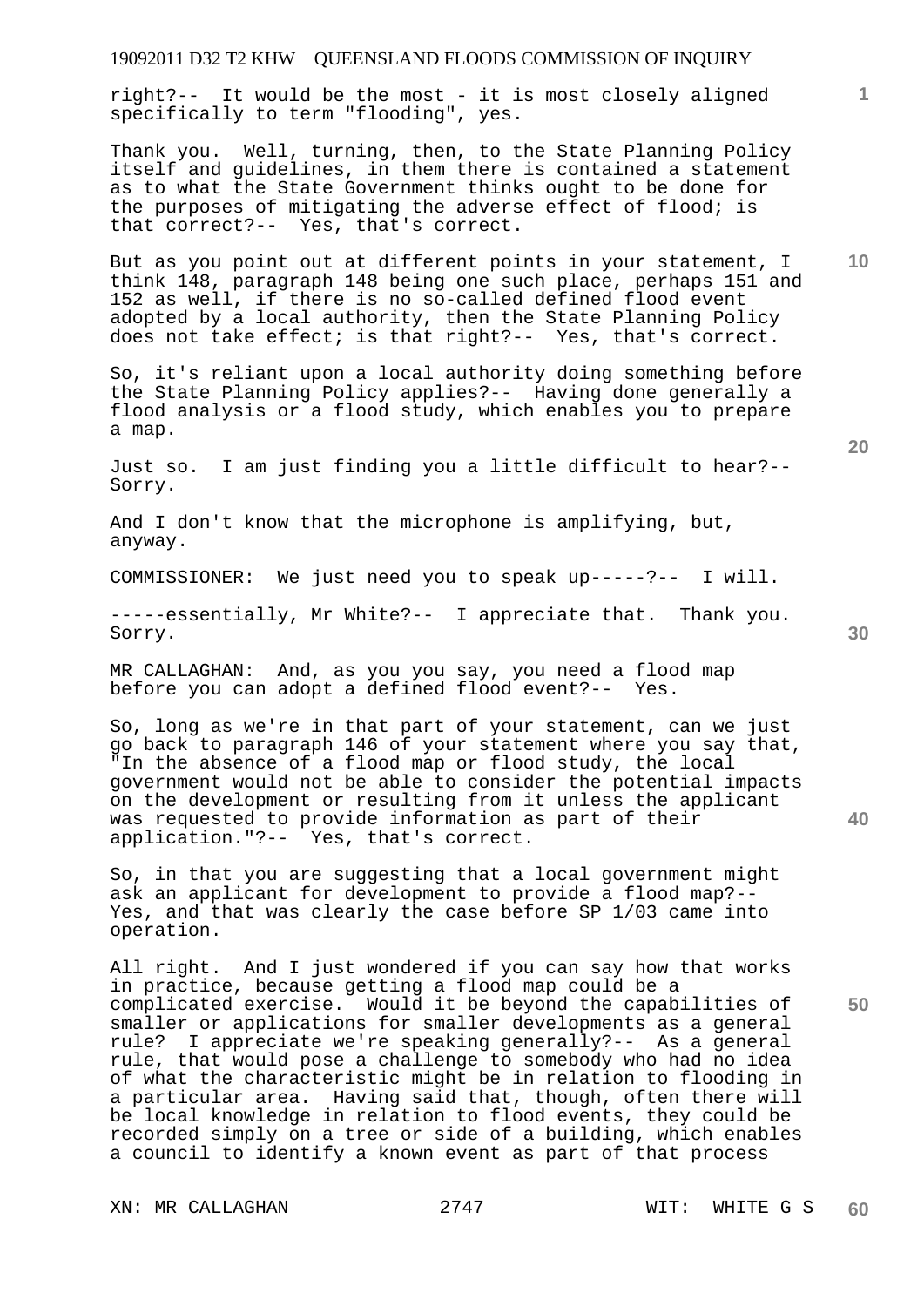right?-- It would be the most - it is most closely aligned specifically to term "flooding", yes.

Thank you. Well, turning, then, to the State Planning Policy itself and guidelines, in them there is contained a statement as to what the State Government thinks ought to be done for the purposes of mitigating the adverse effect of flood; is that correct?-- Yes, that's correct.

But as you point out at different points in your statement, I think 148, paragraph 148 being one such place, perhaps 151 and 152 as well, if there is no so-called defined flood event adopted by a local authority, then the State Planning Policy does not take effect; is that right?-- Yes, that's correct.

So, it's reliant upon a local authority doing something before the State Planning Policy applies?-- Having done generally a flood analysis or a flood study, which enables you to prepare a map.

Just so. I am just finding you a little difficult to hear?-- Sorry.

And I don't know that the microphone is amplifying, but, anyway.

COMMISSIONER: We just need you to speak up-----?-- I will.

-----essentially, Mr White?-- I appreciate that. Thank you. Sorry.

MR CALLAGHAN: And, as you you say, you need a flood map before you can adopt a defined flood event?-- Yes.

So, long as we're in that part of your statement, can we just go back to paragraph 146 of your statement where you say that, "In the absence of a flood map or flood study, the local government would not be able to consider the potential impacts on the development or resulting from it unless the applicant was requested to provide information as part of their application."?-- Yes, that's correct.

So, in that you are suggesting that a local government might ask an applicant for development to provide a flood map?-- Yes, and that was clearly the case before SP 1/03 came into operation.

All right. And I just wondered if you can say how that works in practice, because getting a flood map could be a complicated exercise. Would it be beyond the capabilities of smaller or applications for smaller developments as a general rule? I appreciate we're speaking generally?-- As a general rule, that would pose a challenge to somebody who had no idea of what the characteristic might be in relation to flooding in a particular area. Having said that, though, often there will be local knowledge in relation to flood events, they could be recorded simply on a tree or side of a building, which enables a council to identify a known event as part of that process

**20** 

**10** 

**1**

**40**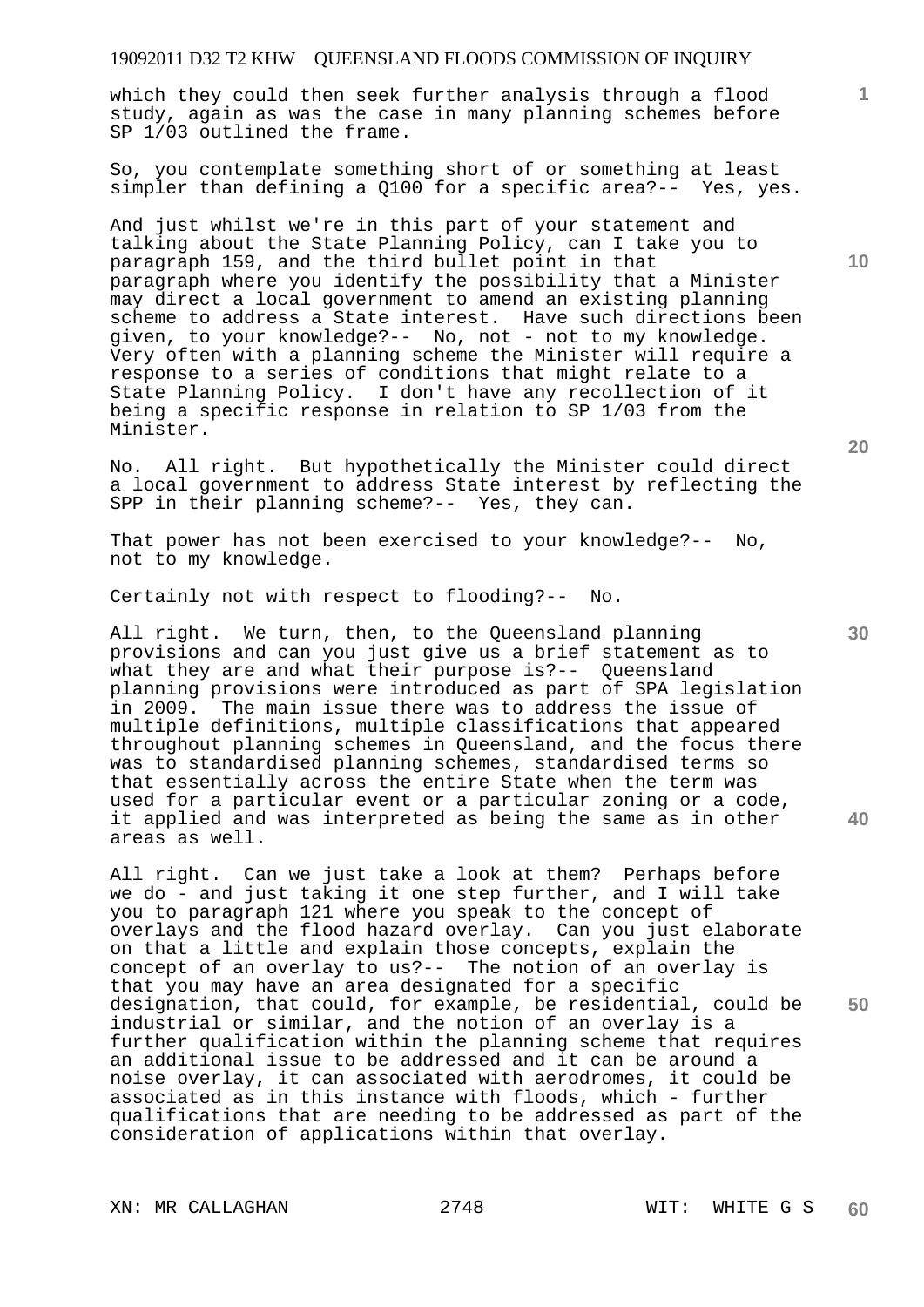which they could then seek further analysis through a flood study, again as was the case in many planning schemes before SP 1/03 outlined the frame.

So, you contemplate something short of or something at least simpler than defining a Q100 for a specific area?-- Yes, yes.

And just whilst we're in this part of your statement and talking about the State Planning Policy, can I take you to paragraph 159, and the third bullet point in that paragraph where you identify the possibility that a Minister may direct a local government to amend an existing planning scheme to address a State interest. Have such directions been given, to your knowledge?-- No, not - not to my knowledge. Very often with a planning scheme the Minister will require a response to a series of conditions that might relate to a State Planning Policy. I don't have any recollection of it being a specific response in relation to SP 1/03 from the Minister.

No. All right. But hypothetically the Minister could direct a local government to address State interest by reflecting the SPP in their planning scheme?-- Yes, they can.

That power has not been exercised to your knowledge?-- No, not to my knowledge.

Certainly not with respect to flooding?-- No.

All right. We turn, then, to the Queensland planning provisions and can you just give us a brief statement as to what they are and what their purpose is?-- Queensland planning provisions were introduced as part of SPA legislation in 2009. The main issue there was to address the issue of multiple definitions, multiple classifications that appeared throughout planning schemes in Queensland, and the focus there was to standardised planning schemes, standardised terms so that essentially across the entire State when the term was used for a particular event or a particular zoning or a code, it applied and was interpreted as being the same as in other areas as well.

All right. Can we just take a look at them? Perhaps before we do - and just taking it one step further, and I will take you to paragraph 121 where you speak to the concept of overlays and the flood hazard overlay. Can you just elaborate on that a little and explain those concepts, explain the concept of an overlay to us?-- The notion of an overlay is that you may have an area designated for a specific designation, that could, for example, be residential, could be industrial or similar, and the notion of an overlay is a further qualification within the planning scheme that requires an additional issue to be addressed and it can be around a noise overlay, it can associated with aerodromes, it could be associated as in this instance with floods, which - further qualifications that are needing to be addressed as part of the consideration of applications within that overlay.

XN: MR CALLAGHAN 2748 WIT: WHITE G S

**10** 

**20** 

**1**

**40**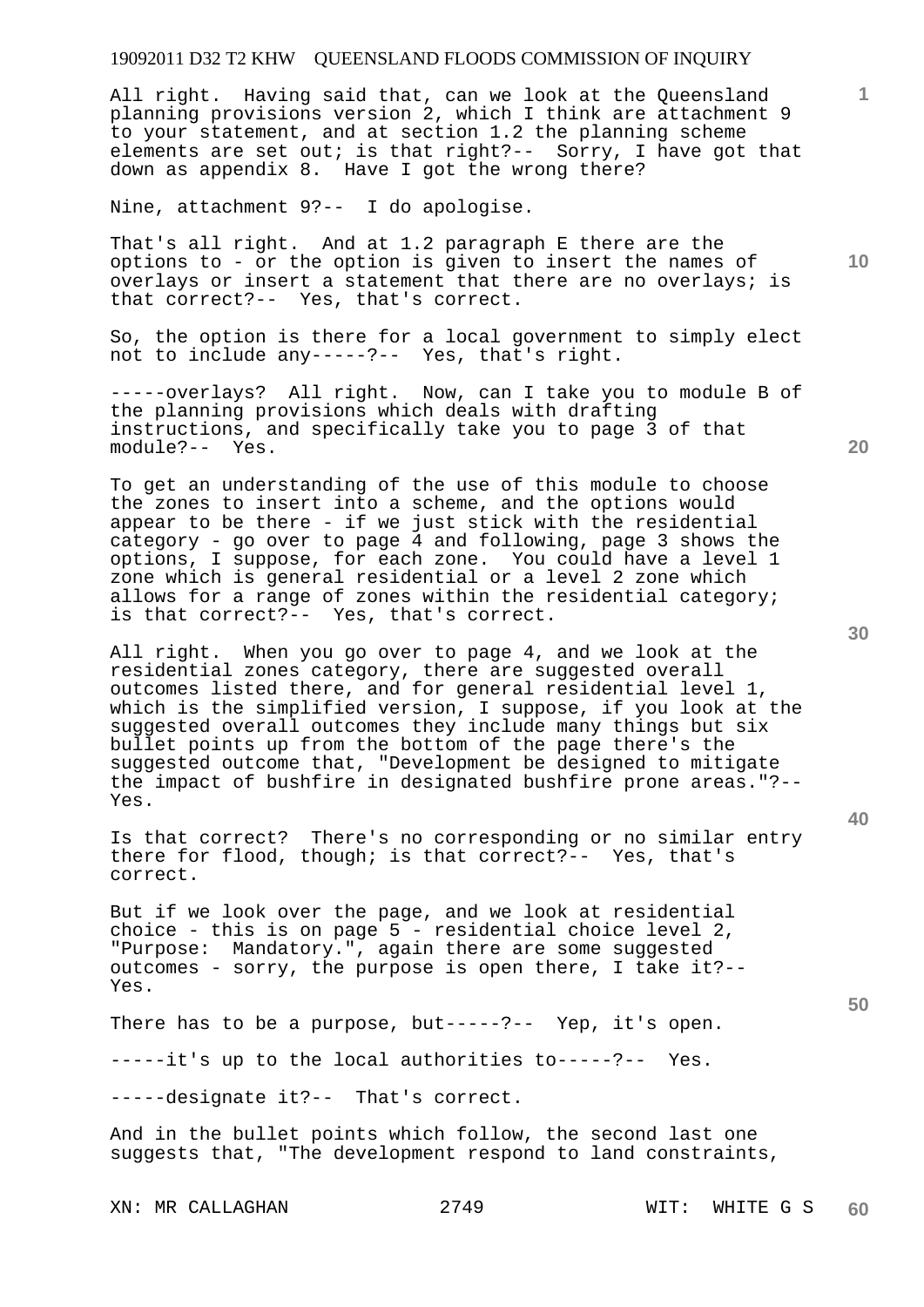All right. Having said that, can we look at the Queensland planning provisions version 2, which I think are attachment 9 to your statement, and at section 1.2 the planning scheme elements are set out; is that right?-- Sorry, I have got that down as appendix 8. Have I got the wrong there?

Nine, attachment 9?-- I do apologise.

**10**  That's all right. And at 1.2 paragraph E there are the options to - or the option is given to insert the names of overlays or insert a statement that there are no overlays; is that correct?-- Yes, that's correct.

So, the option is there for a local government to simply elect not to include any-----?-- Yes, that's right.

-----overlays? All right. Now, can I take you to module B of the planning provisions which deals with drafting instructions, and specifically take you to page 3 of that module?-- Yes.

To get an understanding of the use of this module to choose the zones to insert into a scheme, and the options would appear to be there - if we just stick with the residential category - go over to page 4 and following, page 3 shows the options, I suppose, for each zone. You could have a level 1 zone which is general residential or a level 2 zone which allows for a range of zones within the residential category; is that correct?-- Yes, that's correct.

All right. When you go over to page 4, and we look at the residential zones category, there are suggested overall outcomes listed there, and for general residential level 1, which is the simplified version, I suppose, if you look at the suggested overall outcomes they include many things but six bullet points up from the bottom of the page there's the suggested outcome that, "Development be designed to mitigate the impact of bushfire in designated bushfire prone areas."?-- Yes.

Is that correct? There's no corresponding or no similar entry there for flood, though; is that correct?-- Yes, that's correct.

But if we look over the page, and we look at residential choice - this is on page  $5$  - residential choice level 2, "Purpose: Mandatory.", again there are some suggested outcomes - sorry, the purpose is open there, I take it?-- Yes.

There has to be a purpose, but-----?-- Yep, it's open.

-----it's up to the local authorities to-----?-- Yes.

-----designate it?-- That's correct.

And in the bullet points which follow, the second last one suggests that, "The development respond to land constraints,

XN: MR CALLAGHAN 2749 WIT: WHITE G S

**20** 

**30** 

**50**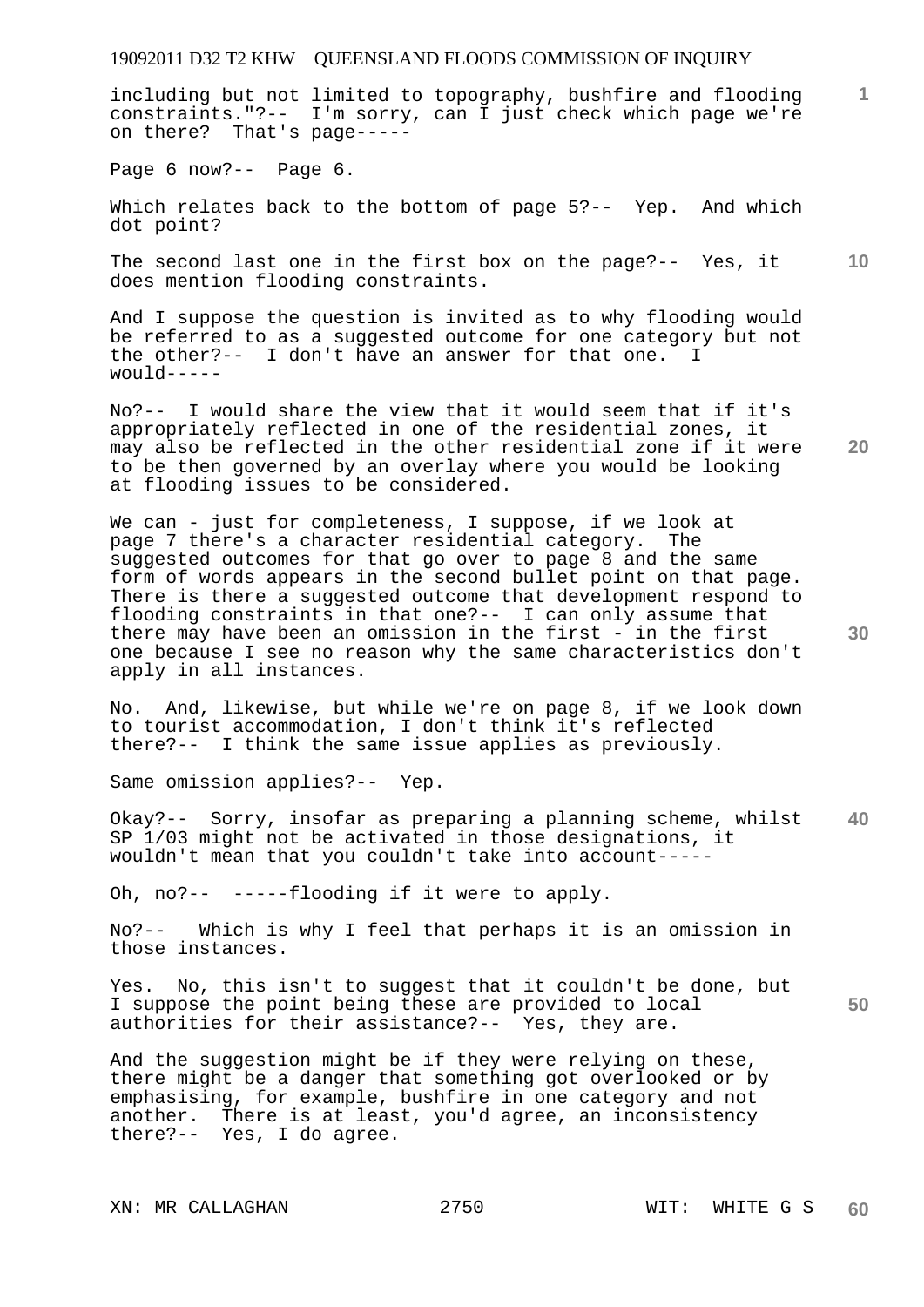including but not limited to topography, bushfire and flooding constraints."?-- I'm sorry, can I just check which page we're on there? That's page-----

Page 6 now?-- Page 6.

Which relates back to the bottom of page 5?-- Yep. And which dot point?

**10**  The second last one in the first box on the page?-- Yes, it does mention flooding constraints.

And I suppose the question is invited as to why flooding would be referred to as a suggested outcome for one category but not the other?-- I don't have an answer for that one. I  $w$ ould-----

No?-- I would share the view that it would seem that if it's appropriately reflected in one of the residential zones, it may also be reflected in the other residential zone if it were to be then governed by an overlay where you would be looking at flooding issues to be considered.

We can - just for completeness, I suppose, if we look at page 7 there's a character residential category. The suggested outcomes for that go over to page 8 and the same form of words appears in the second bullet point on that page. There is there a suggested outcome that development respond to flooding constraints in that one?-- I can only assume that there may have been an omission in the first - in the first one because I see no reason why the same characteristics don't apply in all instances.

No. And, likewise, but while we're on page 8, if we look down to tourist accommodation, I don't think it's reflected there?-- I think the same issue applies as previously.

Same omission applies?-- Yep.

**40**  Okay?-- Sorry, insofar as preparing a planning scheme, whilst SP 1/03 might not be activated in those designations, it wouldn't mean that you couldn't take into account-----

Oh, no?-- -----flooding if it were to apply.

No?-- Which is why I feel that perhaps it is an omission in those instances.

**50**  Yes. No, this isn't to suggest that it couldn't be done, but I suppose the point being these are provided to local authorities for their assistance?-- Yes, they are.

And the suggestion might be if they were relying on these, there might be a danger that something got overlooked or by emphasising, for example, bushfire in one category and not another. There is at least, you'd agree, an inconsistency there?-- Yes, I do agree.

XN: MR CALLAGHAN 2750 WIT: WHITE G S

**20** 

**1**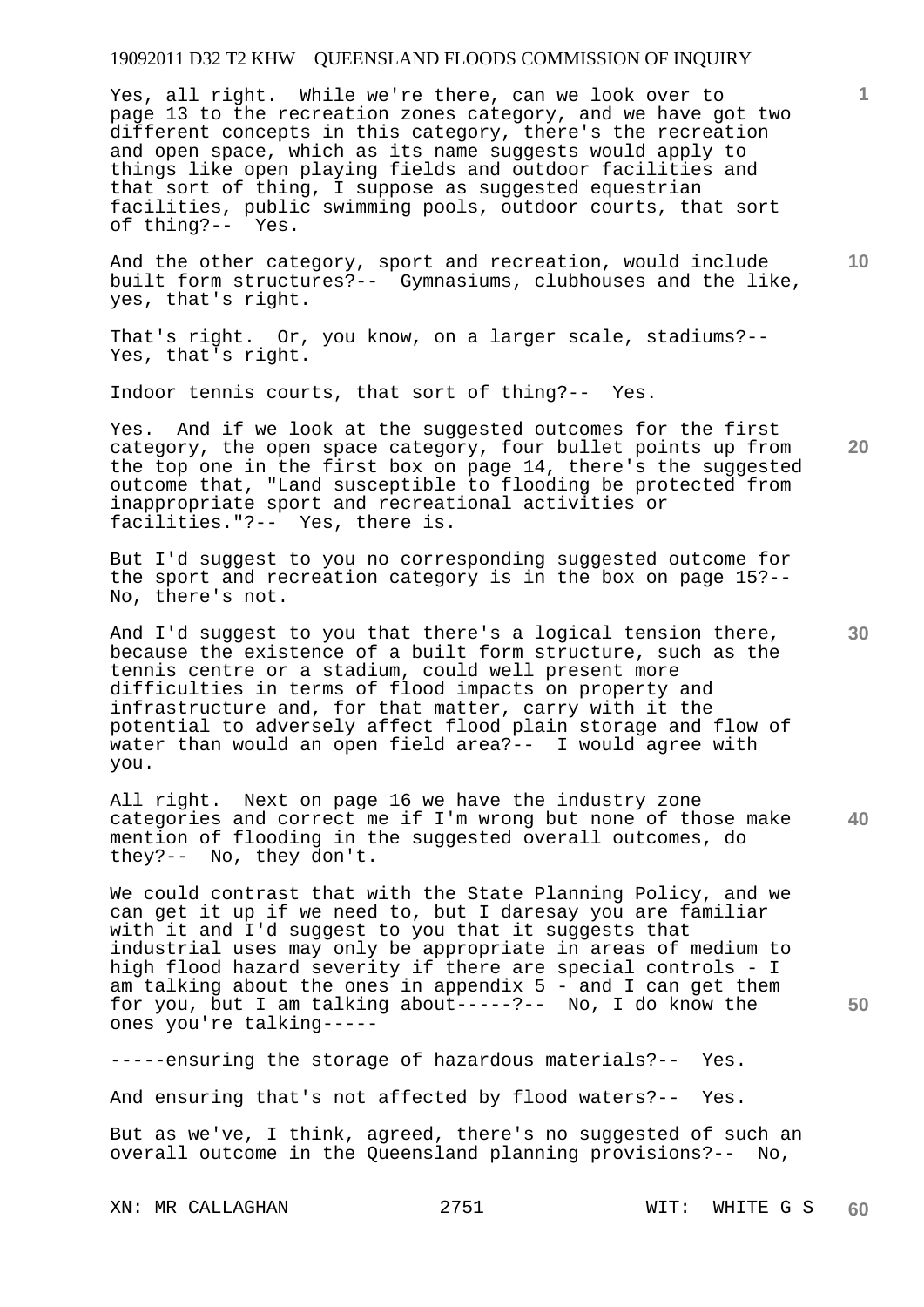Yes, all right. While we're there, can we look over to page 13 to the recreation zones category, and we have got two different concepts in this category, there's the recreation and open space, which as its name suggests would apply to things like open playing fields and outdoor facilities and that sort of thing, I suppose as suggested equestrian facilities, public swimming pools, outdoor courts, that sort of thing?-- Yes.

And the other category, sport and recreation, would include built form structures?-- Gymnasiums, clubhouses and the like, yes, that's right.

That's right. Or, you know, on a larger scale, stadiums?-- Yes, that's right.

Indoor tennis courts, that sort of thing?-- Yes.

Yes. And if we look at the suggested outcomes for the first category, the open space category, four bullet points up from the top one in the first box on page 14, there's the suggested outcome that, "Land susceptible to flooding be protected from inappropriate sport and recreational activities or facilities."?-- Yes, there is.

But I'd suggest to you no corresponding suggested outcome for the sport and recreation category is in the box on page 15?-- No, there's not.

And I'd suggest to you that there's a logical tension there, because the existence of a built form structure, such as the tennis centre or a stadium, could well present more difficulties in terms of flood impacts on property and infrastructure and, for that matter, carry with it the potential to adversely affect flood plain storage and flow of water than would an open field area?-- I would agree with you.

**40**  All right. Next on page 16 we have the industry zone categories and correct me if I'm wrong but none of those make mention of flooding in the suggested overall outcomes, do they?-- No, they don't.

We could contrast that with the State Planning Policy, and we can get it up if we need to, but I daresay you are familiar with it and I'd suggest to you that it suggests that industrial uses may only be appropriate in areas of medium to high flood hazard severity if there are special controls - I am talking about the ones in appendix 5 - and I can get them for you, but I am talking about-----?-- No, I do know the ones you're talking-----

-----ensuring the storage of hazardous materials?-- Yes.

And ensuring that's not affected by flood waters?-- Yes.

But as we've, I think, agreed, there's no suggested of such an overall outcome in the Queensland planning provisions?-- No,

**20** 

**50** 

**1**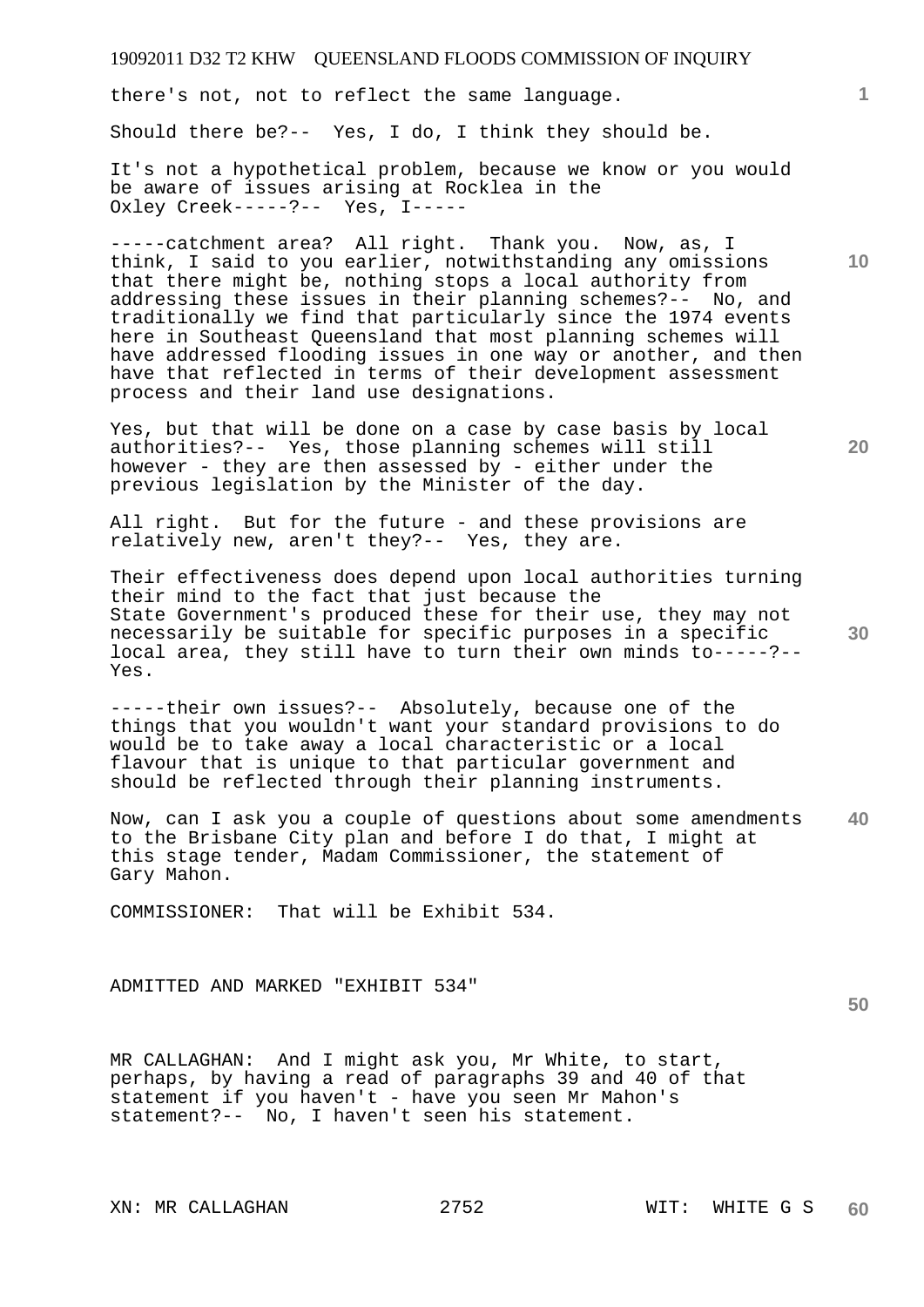there's not, not to reflect the same language.

Should there be?-- Yes, I do, I think they should be.

It's not a hypothetical problem, because we know or you would be aware of issues arising at Rocklea in the Oxley Creek-----?-- Yes, I-----

-----catchment area? All right. Thank you. Now, as, I think, I said to you earlier, notwithstanding any omissions that there might be, nothing stops a local authority from addressing these issues in their planning schemes?-- No, and traditionally we find that particularly since the 1974 events here in Southeast Queensland that most planning schemes will have addressed flooding issues in one way or another, and then have that reflected in terms of their development assessment process and their land use designations.

Yes, but that will be done on a case by case basis by local authorities?-- Yes, those planning schemes will still however - they are then assessed by - either under the previous legislation by the Minister of the day.

All right. But for the future - and these provisions are relatively new, aren't they?-- Yes, they are.

Their effectiveness does depend upon local authorities turning their mind to the fact that just because the State Government's produced these for their use, they may not necessarily be suitable for specific purposes in a specific local area, they still have to turn their own minds to-----?-- Yes.

-----their own issues?-- Absolutely, because one of the things that you wouldn't want your standard provisions to do would be to take away a local characteristic or a local flavour that is unique to that particular government and should be reflected through their planning instruments.

**40**  Now, can I ask you a couple of questions about some amendments to the Brisbane City plan and before I do that, I might at this stage tender, Madam Commissioner, the statement of Gary Mahon.

COMMISSIONER: That will be Exhibit 534.

ADMITTED AND MARKED "EXHIBIT 534"

**50** 

MR CALLAGHAN: And I might ask you, Mr White, to start, perhaps, by having a read of paragraphs 39 and 40 of that statement if you haven't - have you seen Mr Mahon's statement?-- No, I haven't seen his statement.

**1**

**10** 

**20**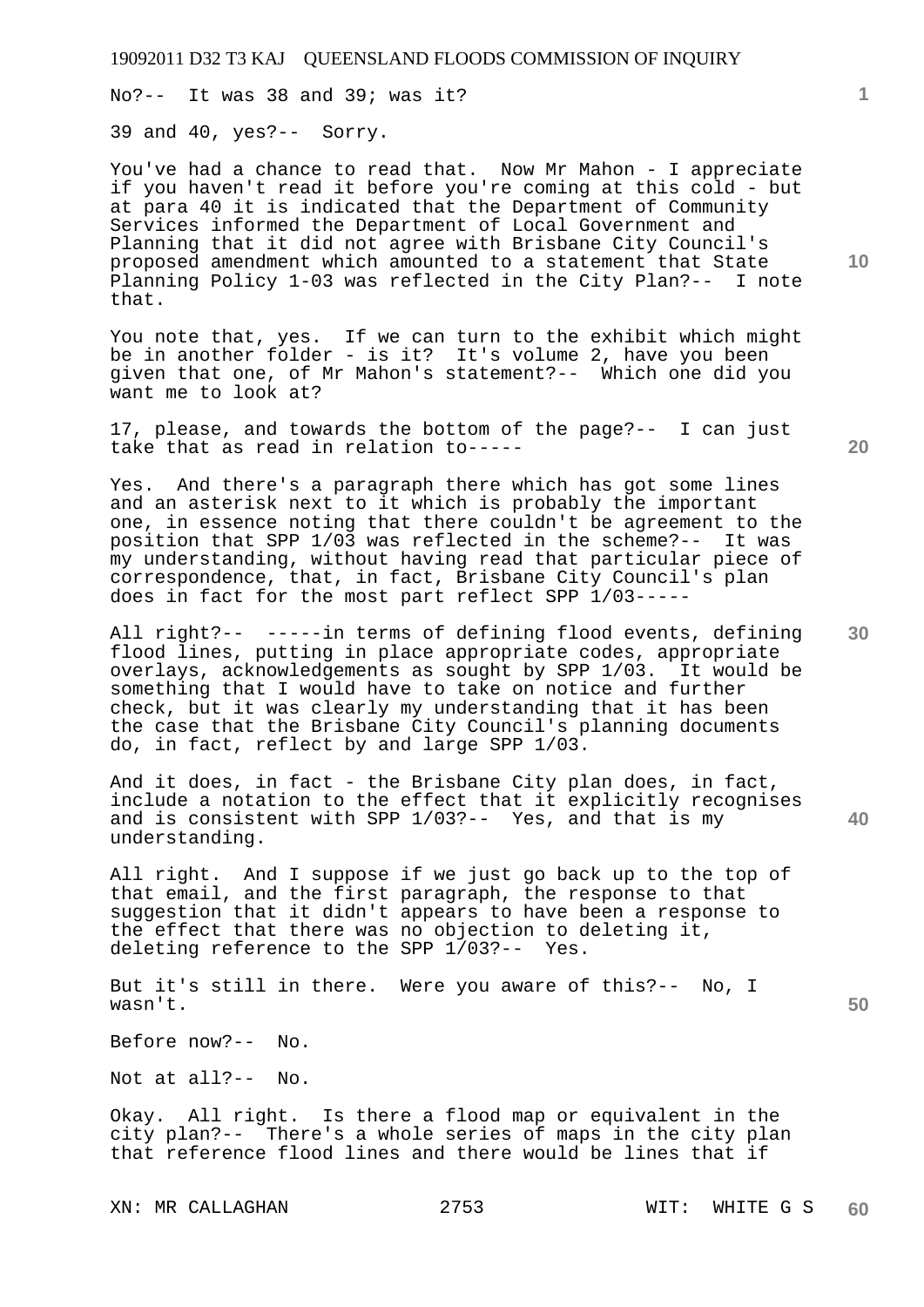No?-- It was 38 and 39; was it?

39 and 40, yes?-- Sorry.

You've had a chance to read that. Now Mr Mahon - I appreciate if you haven't read it before you're coming at this cold - but at para 40 it is indicated that the Department of Community Services informed the Department of Local Government and Planning that it did not agree with Brisbane City Council's proposed amendment which amounted to a statement that State Planning Policy 1-03 was reflected in the City Plan?-- I note that.

You note that, yes. If we can turn to the exhibit which might be in another folder - is it? It's volume 2, have you been given that one, of Mr Mahon's statement?-- Which one did you want me to look at?

17, please, and towards the bottom of the page?-- I can just take that as read in relation to-----

Yes. And there's a paragraph there which has got some lines and an asterisk next to it which is probably the important one, in essence noting that there couldn't be agreement to the position that SPP 1/03 was reflected in the scheme?-- It was my understanding, without having read that particular piece of correspondence, that, in fact, Brisbane City Council's plan does in fact for the most part reflect SPP 1/03-----

All right?-- -----in terms of defining flood events, defining flood lines, putting in place appropriate codes, appropriate overlays, acknowledgements as sought by SPP 1/03. It would be something that I would have to take on notice and further check, but it was clearly my understanding that it has been the case that the Brisbane City Council's planning documents do, in fact, reflect by and large SPP 1/03.

And it does, in fact - the Brisbane City plan does, in fact, include a notation to the effect that it explicitly recognises and is consistent with SPP 1/03?-- Yes, and that is my understanding.

All right. And I suppose if we just go back up to the top of that email, and the first paragraph, the response to that suggestion that it didn't appears to have been a response to the effect that there was no objection to deleting it, deleting reference to the SPP 1/03?-- Yes.

But it's still in there. Were you aware of this?-- No, I wasn't.

Before now?-- No.

Not at all?-- No.

Okay. All right. Is there a flood map or equivalent in the city plan?-- There's a whole series of maps in the city plan that reference flood lines and there would be lines that if

XN: MR CALLAGHAN 2753 WIT: WHITE G S

**1**

**10** 

**20** 

**30** 

**40**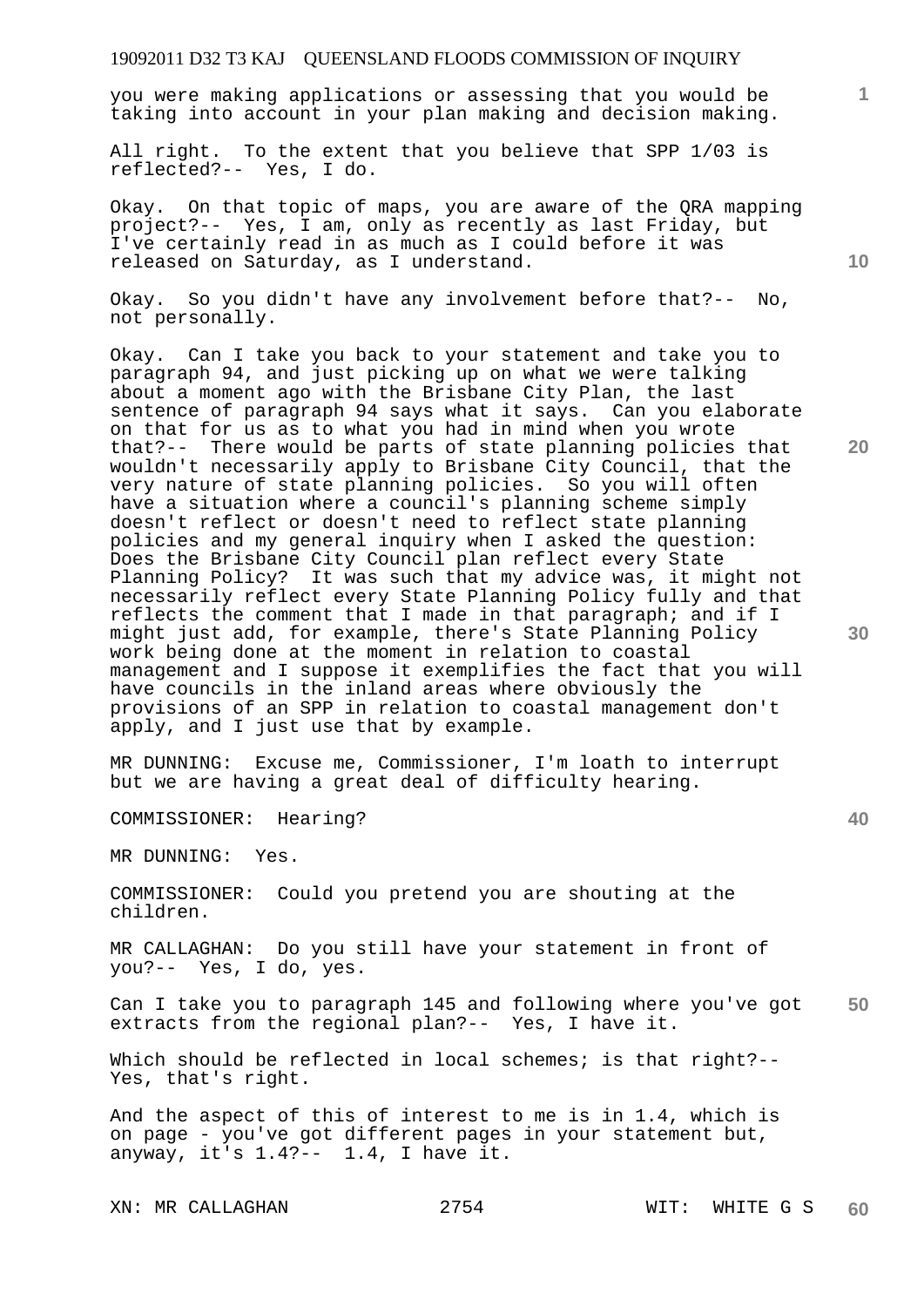you were making applications or assessing that you would be taking into account in your plan making and decision making.

All right. To the extent that you believe that SPP 1/03 is reflected?-- Yes, I do.

Okay. On that topic of maps, you are aware of the QRA mapping project?-- Yes, I am, only as recently as last Friday, but I've certainly read in as much as I could before it was released on Saturday, as I understand.

Okay. So you didn't have any involvement before that?-- No, not personally.

Okay. Can I take you back to your statement and take you to paragraph 94, and just picking up on what we were talking about a moment ago with the Brisbane City Plan, the last sentence of paragraph 94 says what it says. Can you elaborate on that for us as to what you had in mind when you wrote that?-- There would be parts of state planning policies that wouldn't necessarily apply to Brisbane City Council, that the very nature of state planning policies. So you will often have a situation where a council's planning scheme simply doesn't reflect or doesn't need to reflect state planning policies and my general inquiry when I asked the question: Does the Brisbane City Council plan reflect every State Planning Policy? It was such that my advice was, it might not necessarily reflect every State Planning Policy fully and that reflects the comment that I made in that paragraph; and if I might just add, for example, there's State Planning Policy work being done at the moment in relation to coastal management and I suppose it exemplifies the fact that you will have councils in the inland areas where obviously the provisions of an SPP in relation to coastal management don't apply, and I just use that by example.

MR DUNNING: Excuse me, Commissioner, I'm loath to interrupt but we are having a great deal of difficulty hearing.

COMMISSIONER: Hearing?

MR DUNNING: Yes.

COMMISSIONER: Could you pretend you are shouting at the children.

MR CALLAGHAN: Do you still have your statement in front of you?-- Yes, I do, yes.

**50**  Can I take you to paragraph 145 and following where you've got extracts from the regional plan?-- Yes, I have it.

Which should be reflected in local schemes; is that right?--Yes, that's right.

And the aspect of this of interest to me is in 1.4, which is on page - you've got different pages in your statement but, anyway, it's 1.4?-- 1.4, I have it.

XN: MR CALLAGHAN 2754 WIT: WHITE G S

**10** 

**20** 

**40** 

**30**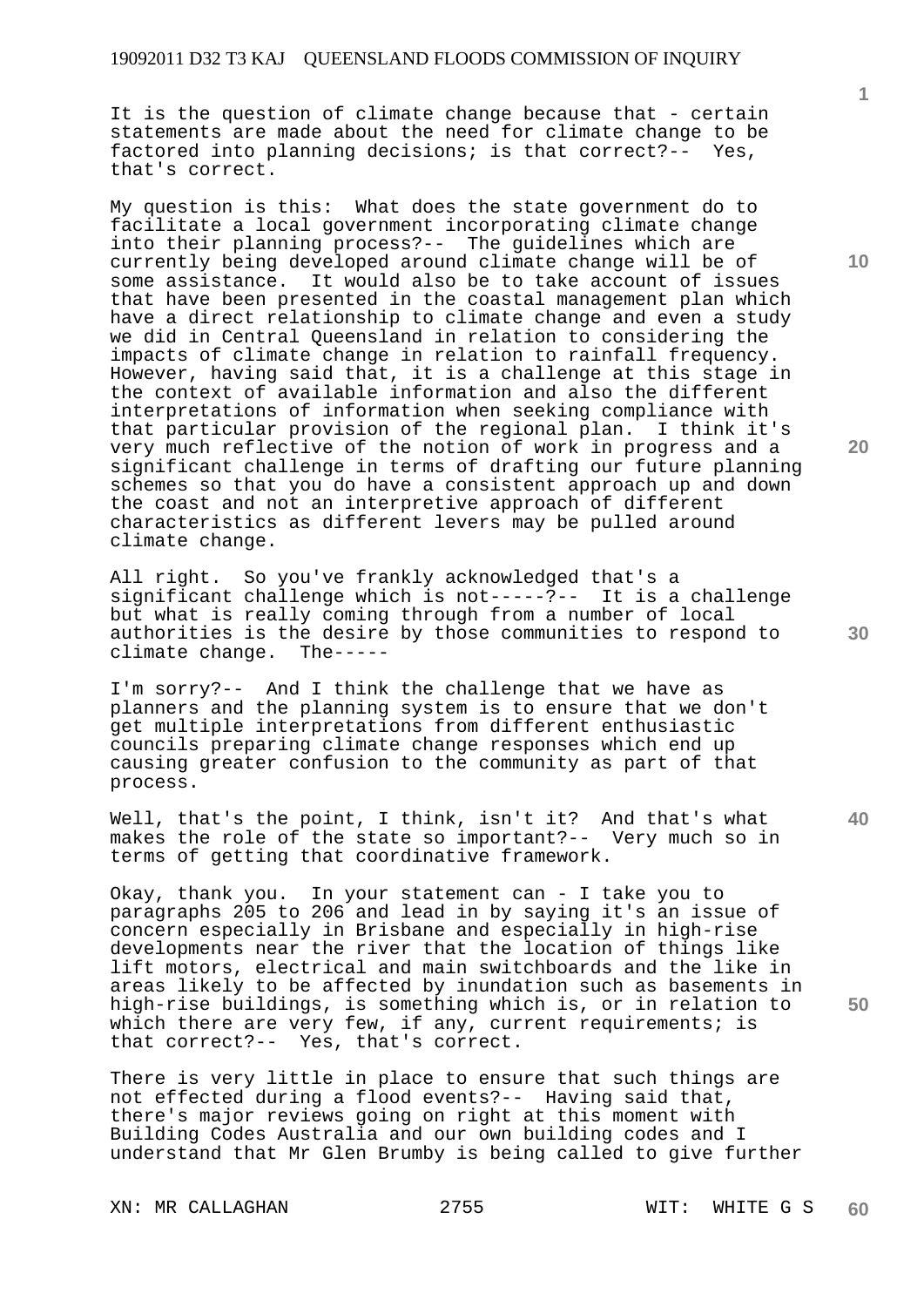It is the question of climate change because that - certain statements are made about the need for climate change to be factored into planning decisions; is that correct?-- Yes, that's correct.

My question is this: What does the state government do to facilitate a local government incorporating climate change into their planning process?-- The guidelines which are currently being developed around climate change will be of some assistance. It would also be to take account of issues that have been presented in the coastal management plan which have a direct relationship to climate change and even a study we did in Central Queensland in relation to considering the impacts of climate change in relation to rainfall frequency. However, having said that, it is a challenge at this stage in the context of available information and also the different interpretations of information when seeking compliance with that particular provision of the regional plan. I think it's very much reflective of the notion of work in progress and a significant challenge in terms of drafting our future planning schemes so that you do have a consistent approach up and down the coast and not an interpretive approach of different characteristics as different levers may be pulled around climate change.

All right. So you've frankly acknowledged that's a significant challenge which is not-----?-- It is a challenge but what is really coming through from a number of local authorities is the desire by those communities to respond to climate change. The-----

I'm sorry?-- And I think the challenge that we have as planners and the planning system is to ensure that we don't get multiple interpretations from different enthusiastic councils preparing climate change responses which end up causing greater confusion to the community as part of that process.

Well, that's the point, I think, isn't it? And that's what makes the role of the state so important?-- Very much so in terms of getting that coordinative framework.

Okay, thank you. In your statement can - I take you to paragraphs 205 to 206 and lead in by saying it's an issue of concern especially in Brisbane and especially in high-rise developments near the river that the location of things like lift motors, electrical and main switchboards and the like in areas likely to be affected by inundation such as basements in high-rise buildings, is something which is, or in relation to which there are very few, if any, current requirements; is that correct?-- Yes, that's correct.

There is very little in place to ensure that such things are not effected during a flood events?-- Having said that, there's major reviews going on right at this moment with Building Codes Australia and our own building codes and I understand that Mr Glen Brumby is being called to give further

XN: MR CALLAGHAN 2755 WIT: WHITE G S

**10** 

**1**

**20** 

**30** 

**40**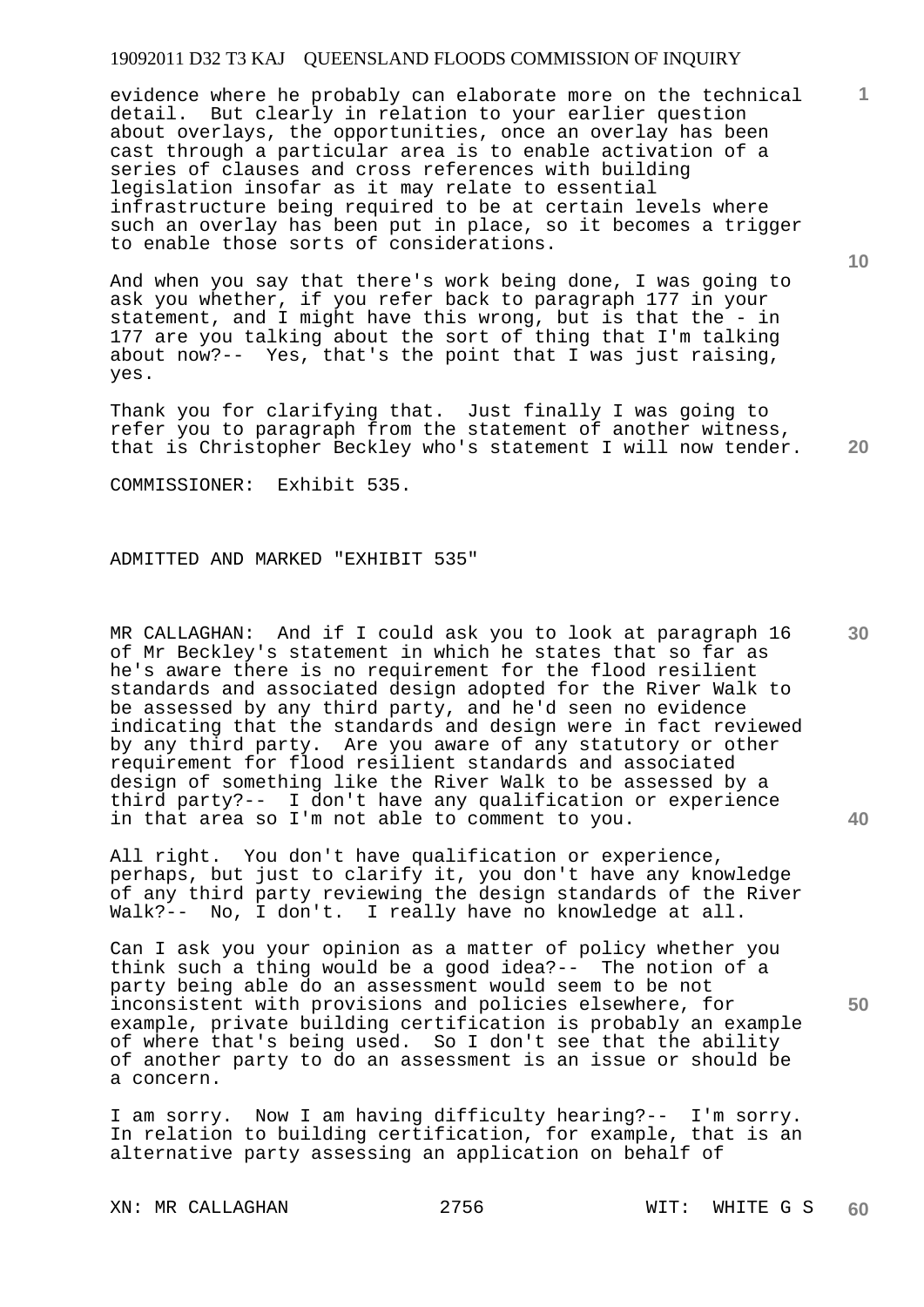evidence where he probably can elaborate more on the technical detail. But clearly in relation to your earlier question about overlays, the opportunities, once an overlay has been cast through a particular area is to enable activation of a series of clauses and cross references with building legislation insofar as it may relate to essential infrastructure being required to be at certain levels where such an overlay has been put in place, so it becomes a trigger to enable those sorts of considerations.

And when you say that there's work being done, I was going to ask you whether, if you refer back to paragraph 177 in your statement, and I might have this wrong, but is that the - in 177 are you talking about the sort of thing that I'm talking about now?-- Yes, that's the point that I was just raising, yes.

**20**  Thank you for clarifying that. Just finally I was going to refer you to paragraph from the statement of another witness, that is Christopher Beckley who's statement I will now tender.

COMMISSIONER: Exhibit 535.

ADMITTED AND MARKED "EXHIBIT 535"

MR CALLAGHAN: And if I could ask you to look at paragraph 16 of Mr Beckley's statement in which he states that so far as he's aware there is no requirement for the flood resilient standards and associated design adopted for the River Walk to be assessed by any third party, and he'd seen no evidence indicating that the standards and design were in fact reviewed by any third party. Are you aware of any statutory or other requirement for flood resilient standards and associated design of something like the River Walk to be assessed by a third party?-- I don't have any qualification or experience in that area so I'm not able to comment to you.

All right. You don't have qualification or experience, perhaps, but just to clarify it, you don't have any knowledge of any third party reviewing the design standards of the River Walk?-- No, I don't. I really have no knowledge at all.

Can I ask you your opinion as a matter of policy whether you think such a thing would be a good idea?-- The notion of a party being able do an assessment would seem to be not inconsistent with provisions and policies elsewhere, for example, private building certification is probably an example of where that's being used. So I don't see that the ability of another party to do an assessment is an issue or should be a concern.

I am sorry. Now I am having difficulty hearing?-- I'm sorry. In relation to building certification, for example, that is an alternative party assessing an application on behalf of

XN: MR CALLAGHAN 2756 WIT: WHITE G S

**10** 

**1**

**30**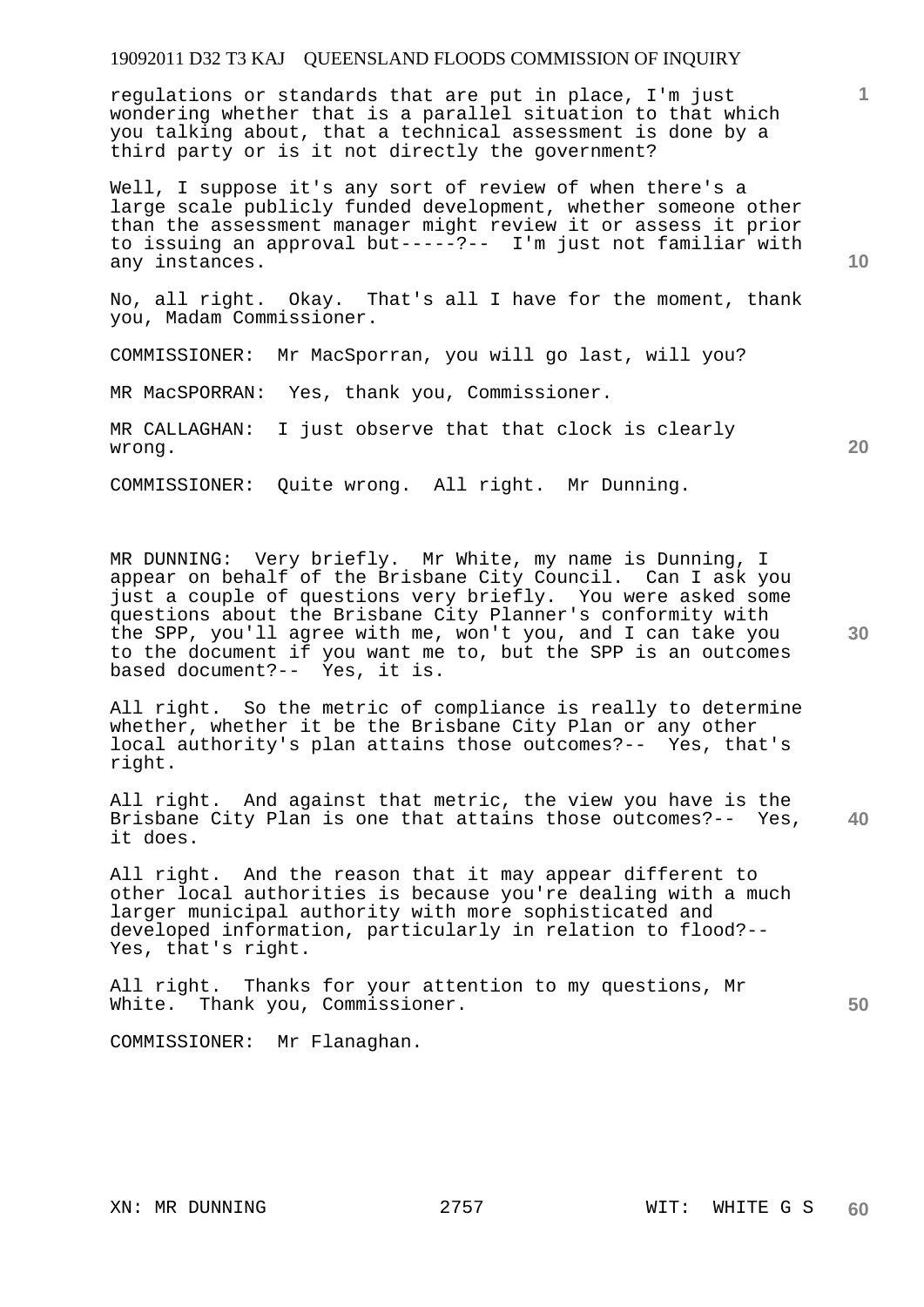regulations or standards that are put in place, I'm just wondering whether that is a parallel situation to that which you talking about, that a technical assessment is done by a third party or is it not directly the government?

Well, I suppose it's any sort of review of when there's a large scale publicly funded development, whether someone other than the assessment manager might review it or assess it prior to issuing an approval but-----?-- I'm just not familiar with any instances.

No, all right. Okay. That's all I have for the moment, thank you, Madam Commissioner.

COMMISSIONER: Mr MacSporran, you will go last, will you?

MR MacSPORRAN: Yes, thank you, Commissioner.

MR CALLAGHAN: I just observe that that clock is clearly wrong.

COMMISSIONER: Quite wrong. All right. Mr Dunning.

MR DUNNING: Very briefly. Mr White, my name is Dunning, I appear on behalf of the Brisbane City Council. Can I ask you just a couple of questions very briefly. You were asked some questions about the Brisbane City Planner's conformity with the SPP, you'll agree with me, won't you, and I can take you to the document if you want me to, but the SPP is an outcomes based document?-- Yes, it is.

All right. So the metric of compliance is really to determine whether, whether it be the Brisbane City Plan or any other local authority's plan attains those outcomes?-- Yes, that's right.

**40**  All right. And against that metric, the view you have is the Brisbane City Plan is one that attains those outcomes?-- Yes, it does.

All right. And the reason that it may appear different to other local authorities is because you're dealing with a much larger municipal authority with more sophisticated and developed information, particularly in relation to flood?-- Yes, that's right.

All right. Thanks for your attention to my questions, Mr White. Thank you, Commissioner.

COMMISSIONER: Mr Flanaghan.

**10** 

**1**

**20**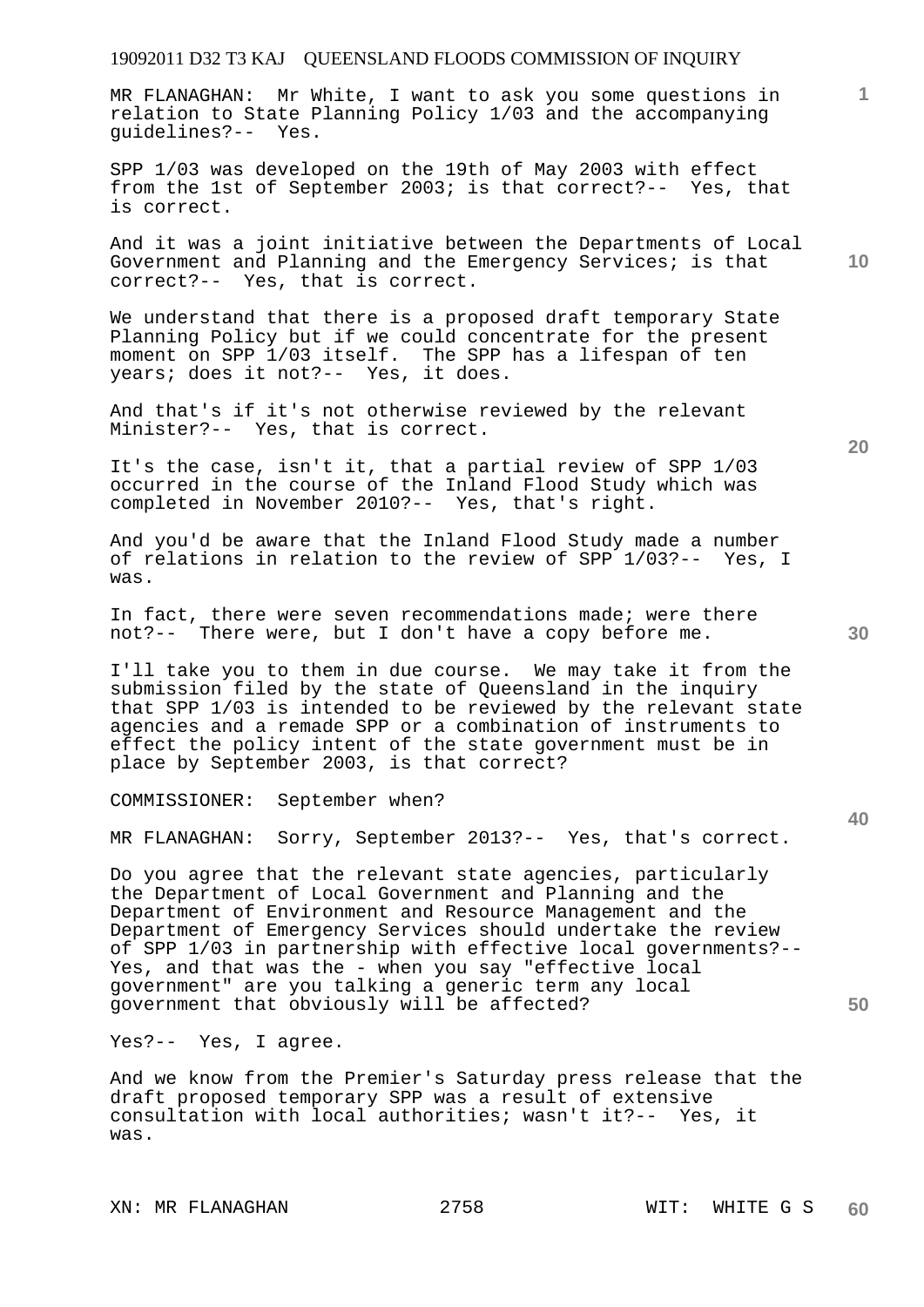MR FLANAGHAN: Mr White, I want to ask you some questions in relation to State Planning Policy 1/03 and the accompanying guidelines?-- Yes.

SPP 1/03 was developed on the 19th of May 2003 with effect from the 1st of September 2003; is that correct?-- Yes, that is correct.

And it was a joint initiative between the Departments of Local Government and Planning and the Emergency Services; is that correct?-- Yes, that is correct.

We understand that there is a proposed draft temporary State Planning Policy but if we could concentrate for the present moment on SPP 1/03 itself. The SPP has a lifespan of ten years; does it not?-- Yes, it does.

And that's if it's not otherwise reviewed by the relevant Minister?-- Yes, that is correct.

It's the case, isn't it, that a partial review of SPP 1/03 occurred in the course of the Inland Flood Study which was completed in November 2010?-- Yes, that's right.

And you'd be aware that the Inland Flood Study made a number of relations in relation to the review of SPP 1/03?-- Yes, I was.

In fact, there were seven recommendations made; were there not?-- There were, but I don't have a copy before me.

I'll take you to them in due course. We may take it from the submission filed by the state of Queensland in the inquiry that SPP 1/03 is intended to be reviewed by the relevant state agencies and a remade SPP or a combination of instruments to effect the policy intent of the state government must be in place by September 2003, is that correct?

COMMISSIONER: September when?

MR FLANAGHAN: Sorry, September 2013?-- Yes, that's correct.

Do you agree that the relevant state agencies, particularly the Department of Local Government and Planning and the Department of Environment and Resource Management and the Department of Emergency Services should undertake the review of SPP 1/03 in partnership with effective local governments?-- Yes, and that was the - when you say "effective local government" are you talking a generic term any local government that obviously will be affected?

Yes?-- Yes, I agree.

And we know from the Premier's Saturday press release that the draft proposed temporary SPP was a result of extensive consultation with local authorities; wasn't it?-- Yes, it was.

XN: MR FLANAGHAN 2758 WIT: WHITE G S

**20** 

**1**

**10** 

**30**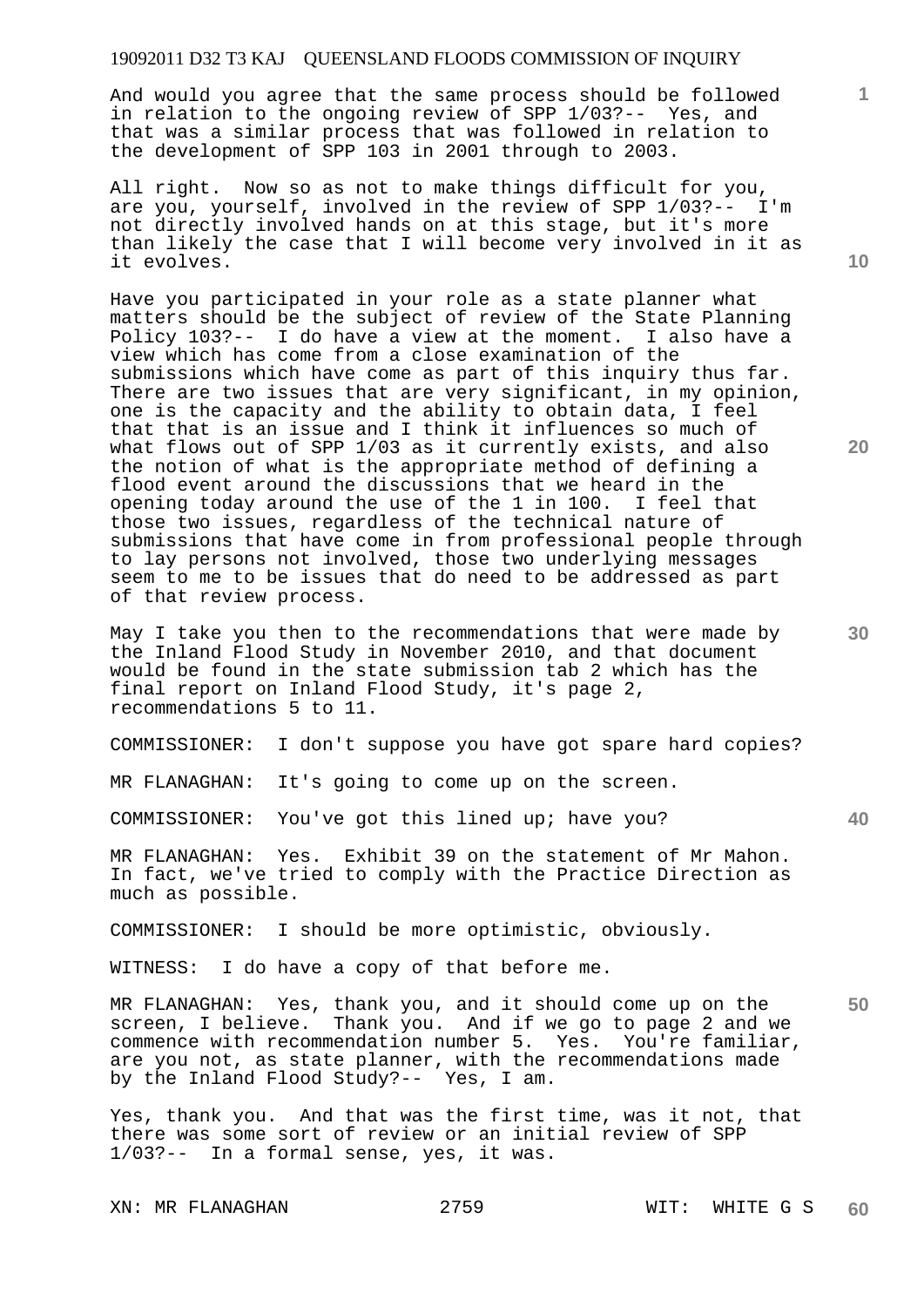And would you agree that the same process should be followed in relation to the ongoing review of SPP 1/03?-- Yes, and that was a similar process that was followed in relation to the development of SPP 103 in 2001 through to 2003.

All right. Now so as not to make things difficult for you, are you, yourself, involved in the review of SPP 1/03?-- I'm not directly involved hands on at this stage, but it's more than likely the case that I will become very involved in it as it evolves.

Have you participated in your role as a state planner what matters should be the subject of review of the State Planning Policy 103?-- I do have a view at the moment. I also have a view which has come from a close examination of the submissions which have come as part of this inquiry thus far. There are two issues that are very significant, in my opinion, one is the capacity and the ability to obtain data, I feel that that is an issue and I think it influences so much of what flows out of SPP 1/03 as it currently exists, and also the notion of what is the appropriate method of defining a flood event around the discussions that we heard in the opening today around the use of the 1 in 100. I feel that those two issues, regardless of the technical nature of submissions that have come in from professional people through to lay persons not involved, those two underlying messages seem to me to be issues that do need to be addressed as part of that review process.

May I take you then to the recommendations that were made by the Inland Flood Study in November 2010, and that document would be found in the state submission tab 2 which has the final report on Inland Flood Study, it's page 2, recommendations 5 to 11.

COMMISSIONER: I don't suppose you have got spare hard copies?

MR FLANAGHAN: It's going to come up on the screen.

COMMISSIONER: You've got this lined up; have you?

MR FLANAGHAN: Yes. Exhibit 39 on the statement of Mr Mahon. In fact, we've tried to comply with the Practice Direction as much as possible.

COMMISSIONER: I should be more optimistic, obviously.

WITNESS: I do have a copy of that before me.

**50**  MR FLANAGHAN: Yes, thank you, and it should come up on the screen, I believe. Thank you. And if we go to page 2 and we commence with recommendation number 5. Yes. You're familiar, are you not, as state planner, with the recommendations made by the Inland Flood Study?-- Yes, I am.

Yes, thank you. And that was the first time, was it not, that there was some sort of review or an initial review of SPP 1/03?-- In a formal sense, yes, it was.

XN: MR FLANAGHAN 2759 WIT: WHITE G S

**10** 

**1**

**20** 

**40**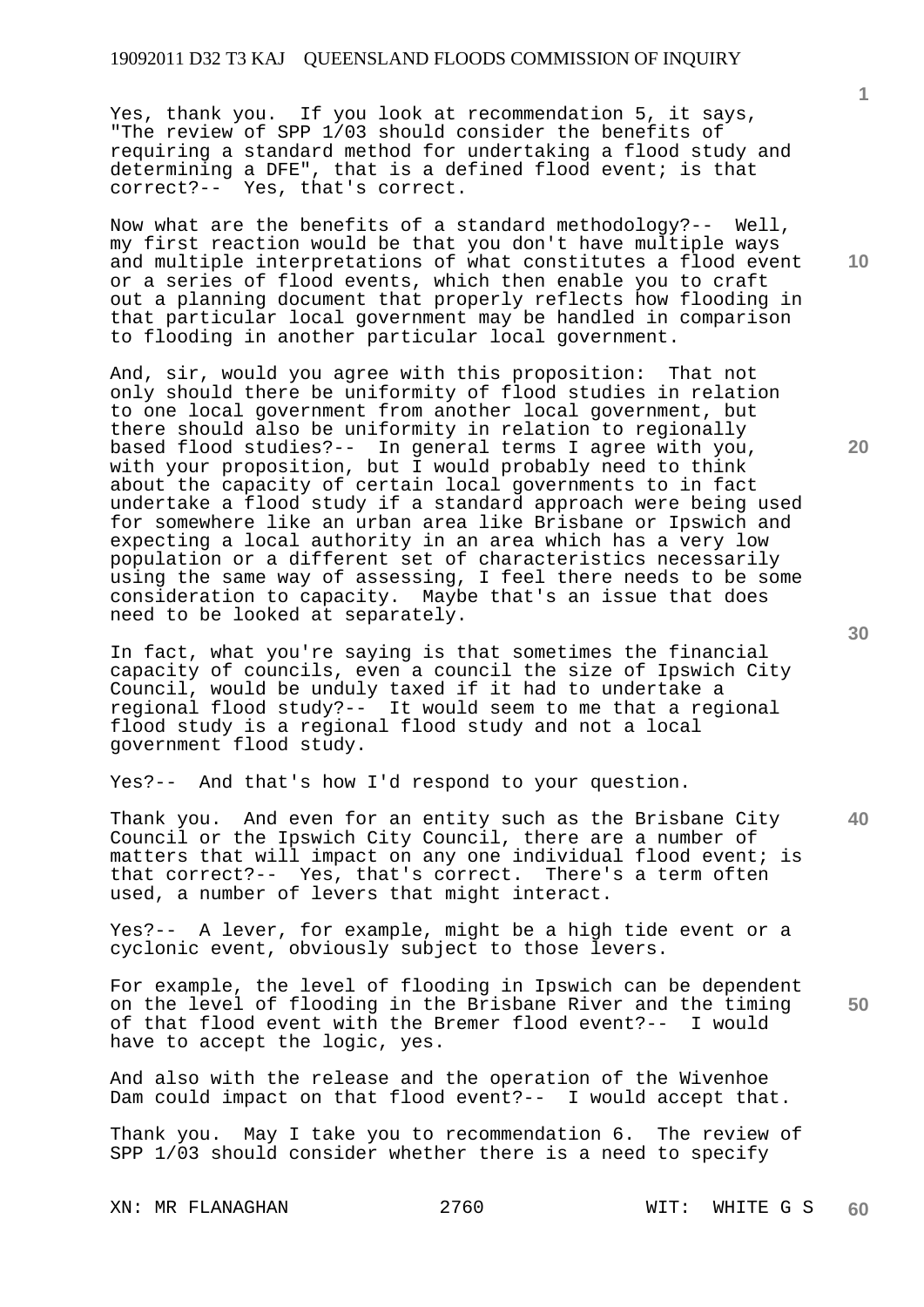Yes, thank you. If you look at recommendation 5, it says, "The review of SPP 1/03 should consider the benefits of requiring a standard method for undertaking a flood study and determining a DFE", that is a defined flood event; is that correct?-- Yes, that's correct.

Now what are the benefits of a standard methodology?-- Well, my first reaction would be that you don't have multiple ways and multiple interpretations of what constitutes a flood event or a series of flood events, which then enable you to craft out a planning document that properly reflects how flooding in that particular local government may be handled in comparison to flooding in another particular local government.

And, sir, would you agree with this proposition: That not only should there be uniformity of flood studies in relation to one local government from another local government, but there should also be uniformity in relation to regionally based flood studies?-- In general terms I agree with you, with your proposition, but I would probably need to think about the capacity of certain local governments to in fact undertake a flood study if a standard approach were being used for somewhere like an urban area like Brisbane or Ipswich and expecting a local authority in an area which has a very low population or a different set of characteristics necessarily using the same way of assessing, I feel there needs to be some consideration to capacity. Maybe that's an issue that does need to be looked at separately.

In fact, what you're saying is that sometimes the financial capacity of councils, even a council the size of Ipswich City Council, would be unduly taxed if it had to undertake a regional flood study?-- It would seem to me that a regional flood study is a regional flood study and not a local government flood study.

Yes?-- And that's how I'd respond to your question.

Thank you. And even for an entity such as the Brisbane City Council or the Ipswich City Council, there are a number of matters that will impact on any one individual flood event; is that correct?-- Yes, that's correct. There's a term often used, a number of levers that might interact.

Yes?-- A lever, for example, might be a high tide event or a cyclonic event, obviously subject to those levers.

**50**  For example, the level of flooding in Ipswich can be dependent on the level of flooding in the Brisbane River and the timing of that flood event with the Bremer flood event?-- I would have to accept the logic, yes.

And also with the release and the operation of the Wivenhoe Dam could impact on that flood event?-- I would accept that.

Thank you. May I take you to recommendation 6. The review of SPP 1/03 should consider whether there is a need to specify

XN: MR FLANAGHAN 2760 WIT: WHITE G S

**10** 

**1**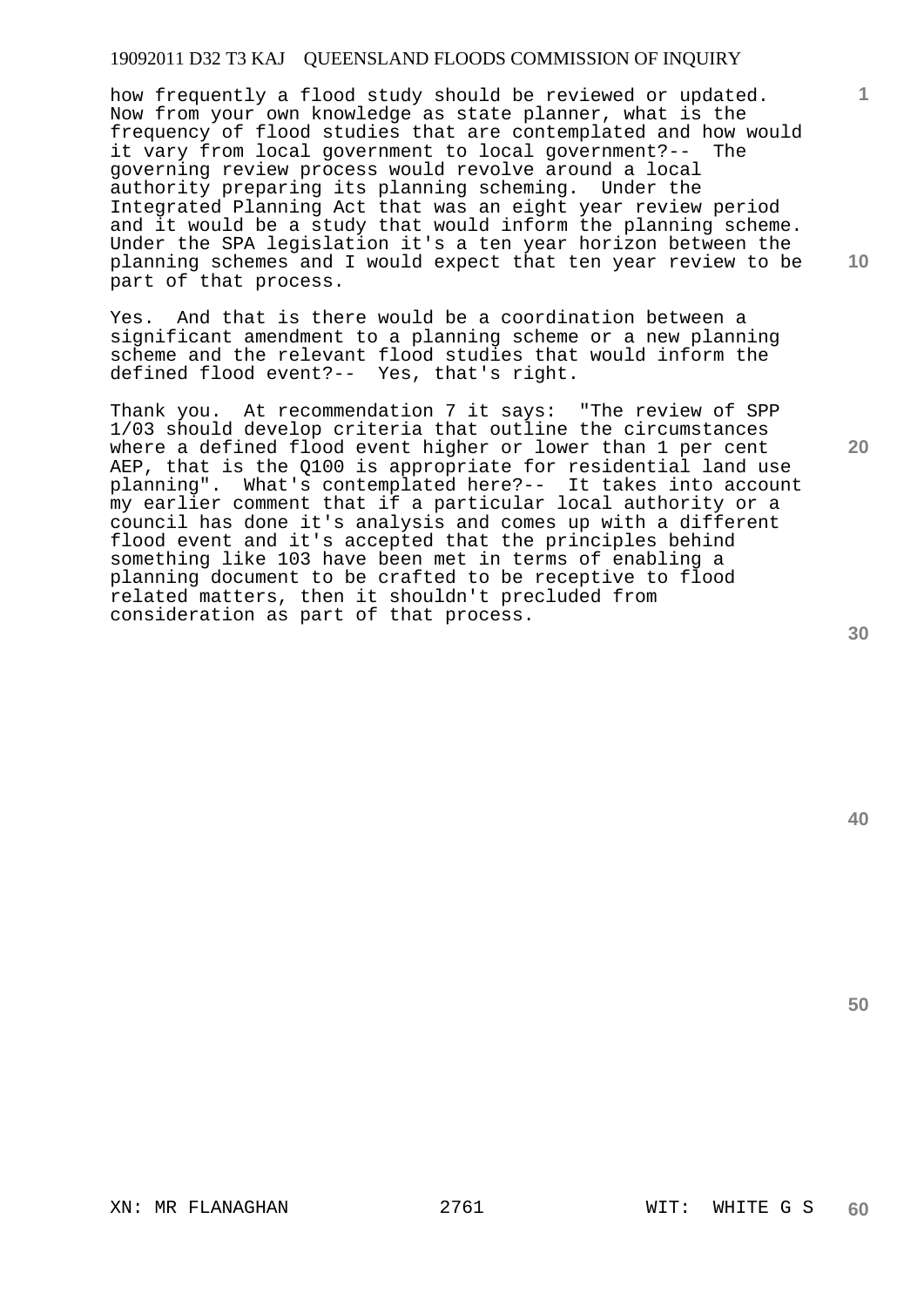how frequently a flood study should be reviewed or updated. Now from your own knowledge as state planner, what is the frequency of flood studies that are contemplated and how would it vary from local government to local government?-- The governing review process would revolve around a local authority preparing its planning scheming. Under the Integrated Planning Act that was an eight year review period and it would be a study that would inform the planning scheme. Under the SPA legislation it's a ten year horizon between the planning schemes and I would expect that ten year review to be part of that process.

Yes. And that is there would be a coordination between a significant amendment to a planning scheme or a new planning scheme and the relevant flood studies that would inform the defined flood event?-- Yes, that's right.

Thank you. At recommendation 7 it says: "The review of SPP 1/03 should develop criteria that outline the circumstances where a defined flood event higher or lower than 1 per cent AEP, that is the Q100 is appropriate for residential land use planning". What's contemplated here?-- It takes into account my earlier comment that if a particular local authority or a council has done it's analysis and comes up with a different flood event and it's accepted that the principles behind something like 103 have been met in terms of enabling a planning document to be crafted to be receptive to flood related matters, then it shouldn't precluded from consideration as part of that process.

**30** 

**20** 

**1**

**10** 

**40**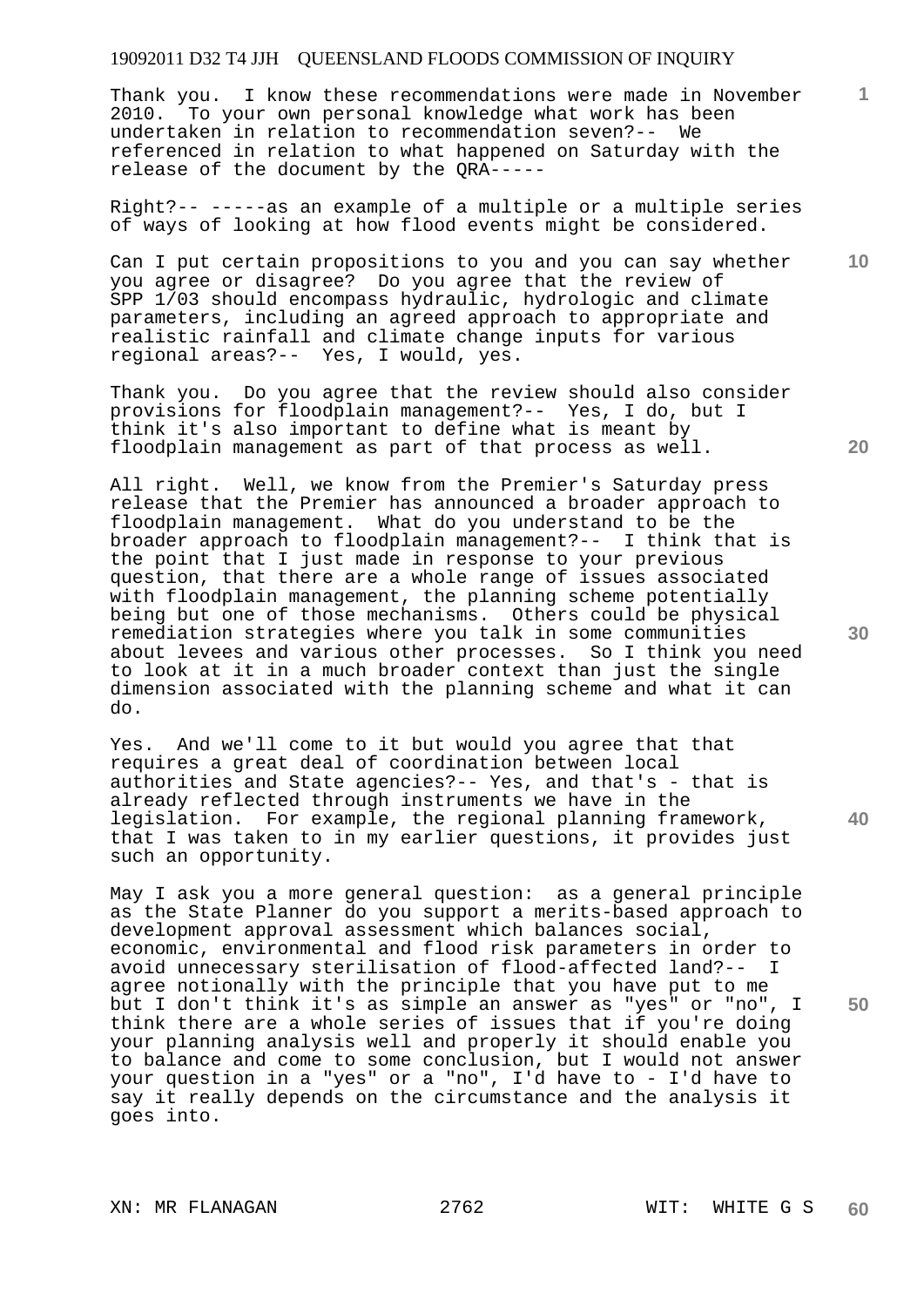Thank you. I know these recommendations were made in November 2010. To your own personal knowledge what work has been undertaken in relation to recommendation seven?-- We referenced in relation to what happened on Saturday with the release of the document by the QRA-----

Right?-- -----as an example of a multiple or a multiple series of ways of looking at how flood events might be considered.

Can I put certain propositions to you and you can say whether you agree or disagree? Do you agree that the review of SPP 1/03 should encompass hydraulic, hydrologic and climate parameters, including an agreed approach to appropriate and realistic rainfall and climate change inputs for various regional areas?-- Yes, I would, yes.

Thank you. Do you agree that the review should also consider provisions for floodplain management?-- Yes, I do, but I think it's also important to define what is meant by floodplain management as part of that process as well.

All right. Well, we know from the Premier's Saturday press release that the Premier has announced a broader approach to floodplain management. What do you understand to be the broader approach to floodplain management?-- I think that is the point that I just made in response to your previous question, that there are a whole range of issues associated with floodplain management, the planning scheme potentially being but one of those mechanisms. Others could be physical remediation strategies where you talk in some communities about levees and various other processes. So I think you need to look at it in a much broader context than just the single dimension associated with the planning scheme and what it can do.

Yes. And we'll come to it but would you agree that that requires a great deal of coordination between local authorities and State agencies?-- Yes, and that's - that is already reflected through instruments we have in the legislation. For example, the regional planning framework, that I was taken to in my earlier questions, it provides just such an opportunity.

May I ask you a more general question: as a general principle as the State Planner do you support a merits-based approach to development approval assessment which balances social, economic, environmental and flood risk parameters in order to avoid unnecessary sterilisation of flood-affected land?-- I agree notionally with the principle that you have put to me but I don't think it's as simple an answer as "yes" or "no", I think there are a whole series of issues that if you're doing your planning analysis well and properly it should enable you to balance and come to some conclusion, but I would not answer your question in a "yes" or a "no", I'd have to - I'd have to say it really depends on the circumstance and the analysis it goes into.

XN: MR FLANAGAN 2762 WIT: WHITE G S

**20** 

**40** 

**50** 

**30** 

**10**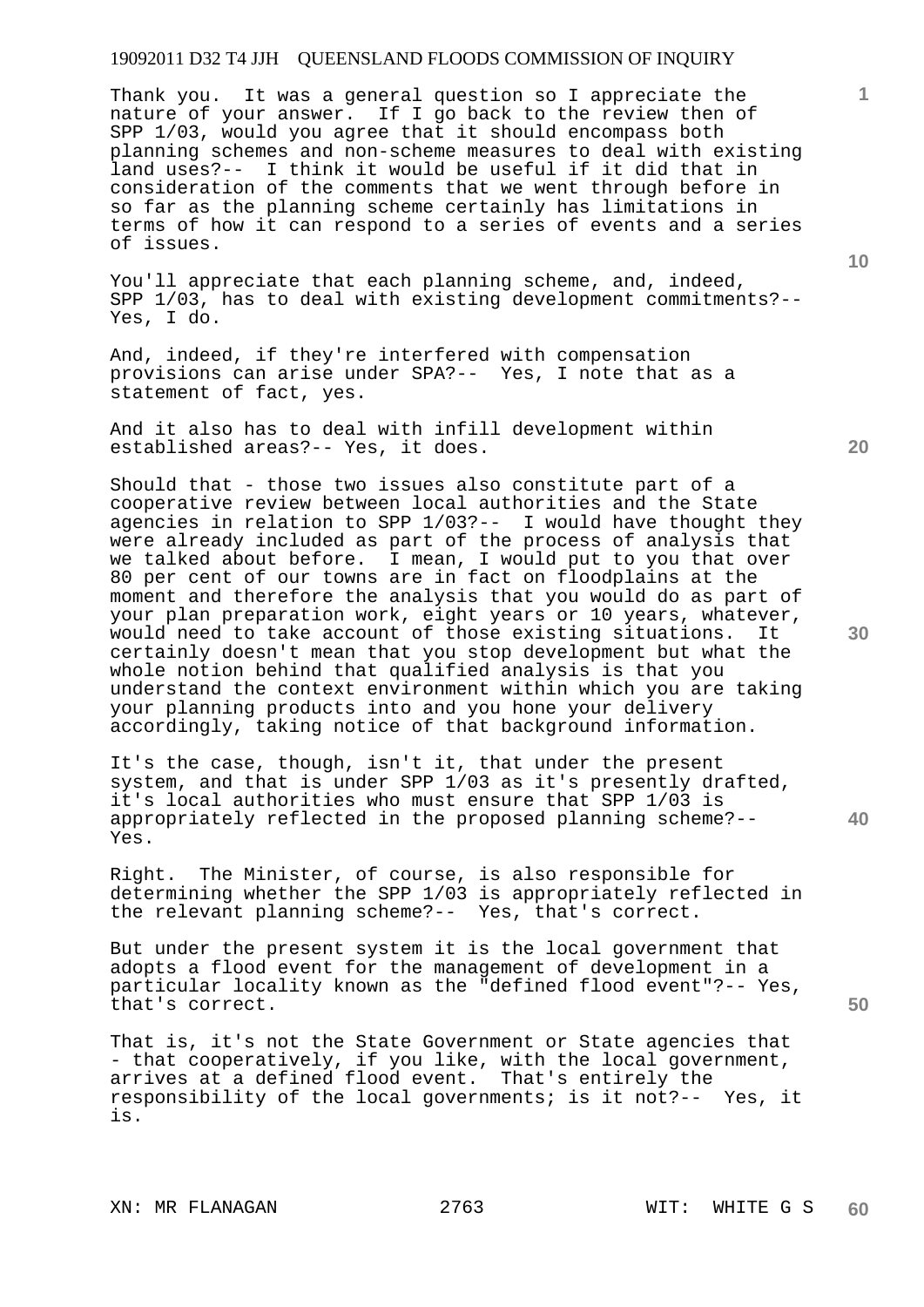Thank you. It was a general question so I appreciate the nature of your answer. If I go back to the review then of SPP 1/03, would you agree that it should encompass both planning schemes and non-scheme measures to deal with existing land uses?-- I think it would be useful if it did that in consideration of the comments that we went through before in so far as the planning scheme certainly has limitations in terms of how it can respond to a series of events and a series of issues.

You'll appreciate that each planning scheme, and, indeed, SPP 1/03, has to deal with existing development commitments?-- Yes, I do.

And, indeed, if they're interfered with compensation provisions can arise under SPA?-- Yes, I note that as a statement of fact, yes.

And it also has to deal with infill development within established areas?-- Yes, it does.

Should that - those two issues also constitute part of a cooperative review between local authorities and the State agencies in relation to SPP 1/03?-- I would have thought they were already included as part of the process of analysis that we talked about before. I mean, I would put to you that over 80 per cent of our towns are in fact on floodplains at the moment and therefore the analysis that you would do as part of your plan preparation work, eight years or 10 years, whatever, would need to take account of those existing situations. It certainly doesn't mean that you stop development but what the whole notion behind that qualified analysis is that you understand the context environment within which you are taking your planning products into and you hone your delivery accordingly, taking notice of that background information.

It's the case, though, isn't it, that under the present system, and that is under SPP 1/03 as it's presently drafted, it's local authorities who must ensure that SPP 1/03 is appropriately reflected in the proposed planning scheme?-- Yes.

Right. The Minister, of course, is also responsible for determining whether the SPP 1/03 is appropriately reflected in the relevant planning scheme?-- Yes, that's correct.

But under the present system it is the local government that adopts a flood event for the management of development in a particular locality known as the "defined flood event"?-- Yes, that's correct.

That is, it's not the State Government or State agencies that - that cooperatively, if you like, with the local government, arrives at a defined flood event. That's entirely the responsibility of the local governments; is it not?-- Yes, it is.

XN: MR FLANAGAN 2763 WIT: WHITE G S

**20** 

**10** 

**1**

**40**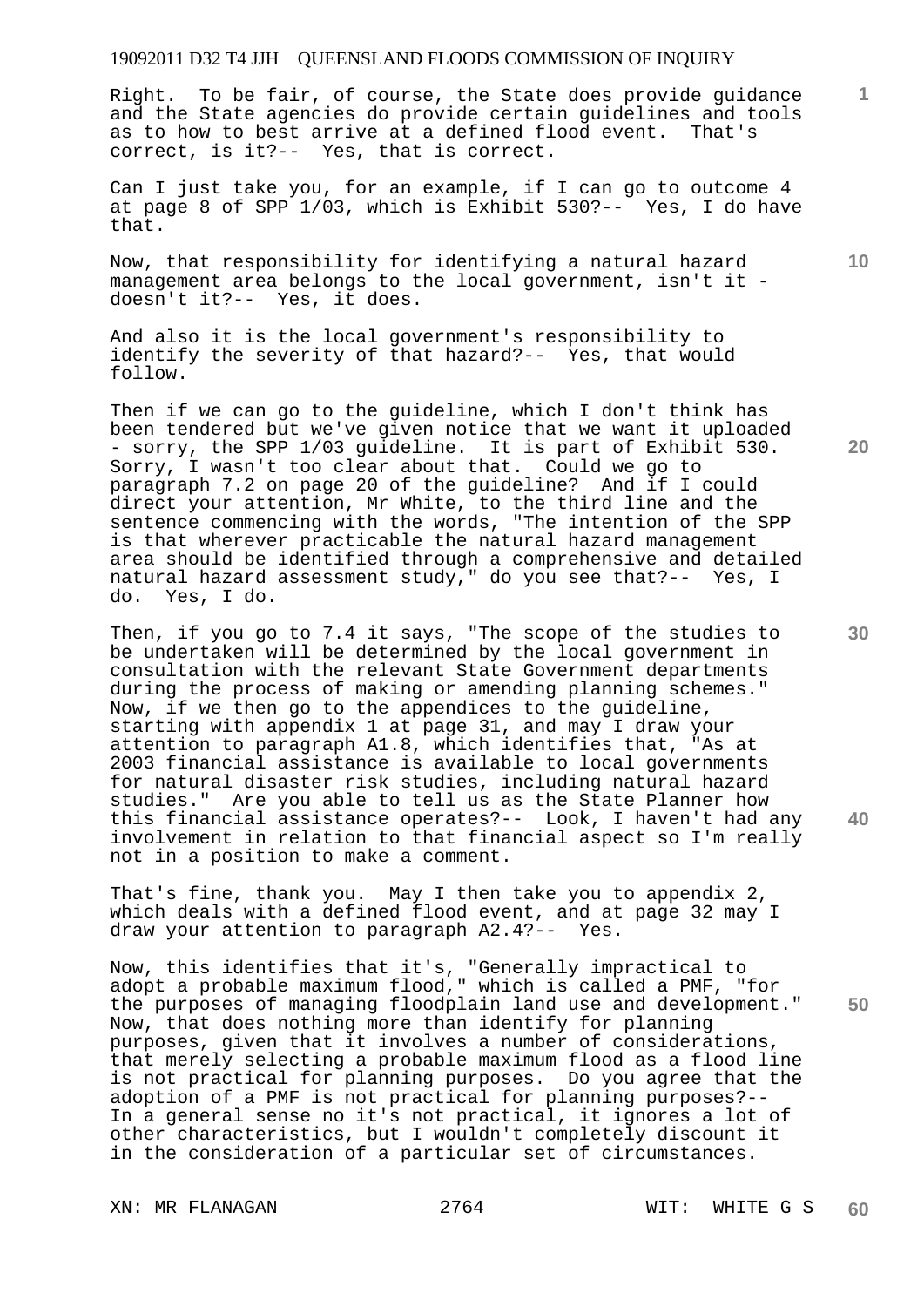Right. To be fair, of course, the State does provide guidance and the State agencies do provide certain guidelines and tools as to how to best arrive at a defined flood event. That's correct, is it?-- Yes, that is correct.

Can I just take you, for an example, if I can go to outcome 4 at page 8 of SPP 1/03, which is Exhibit 530?-- Yes, I do have that.

Now, that responsibility for identifying a natural hazard management area belongs to the local government, isn't it doesn't it?-- Yes, it does.

And also it is the local government's responsibility to identify the severity of that hazard?-- Yes, that would follow.

Then if we can go to the guideline, which I don't think has been tendered but we've given notice that we want it uploaded - sorry, the SPP 1/03 guideline. It is part of Exhibit 530. Sorry, I wasn't too clear about that. Could we go to paragraph 7.2 on page 20 of the guideline? And if I could direct your attention, Mr White, to the third line and the sentence commencing with the words, "The intention of the SPP is that wherever practicable the natural hazard management area should be identified through a comprehensive and detailed natural hazard assessment study," do you see that?-- Yes, I do. Yes, I do.

Then, if you go to 7.4 it says, "The scope of the studies to be undertaken will be determined by the local government in consultation with the relevant State Government departments during the process of making or amending planning schemes." Now, if we then go to the appendices to the guideline, starting with appendix 1 at page 31, and may I draw your attention to paragraph A1.8, which identifies that, "As at 2003 financial assistance is available to local governments for natural disaster risk studies, including natural hazard studies." Are you able to tell us as the State Planner how this financial assistance operates?-- Look, I haven't had any involvement in relation to that financial aspect so I'm really not in a position to make a comment.

That's fine, thank you. May I then take you to appendix 2, which deals with a defined flood event, and at page 32 may I draw your attention to paragraph A2.4?-- Yes.

Now, this identifies that it's, "Generally impractical to adopt a probable maximum flood," which is called a PMF, "for the purposes of managing floodplain land use and development." Now, that does nothing more than identify for planning purposes, given that it involves a number of considerations, that merely selecting a probable maximum flood as a flood line is not practical for planning purposes. Do you agree that the adoption of a PMF is not practical for planning purposes?-- In a general sense no it's not practical, it ignores a lot of other characteristics, but I wouldn't completely discount it in the consideration of a particular set of circumstances.

**10** 

**20** 

**1**

**40**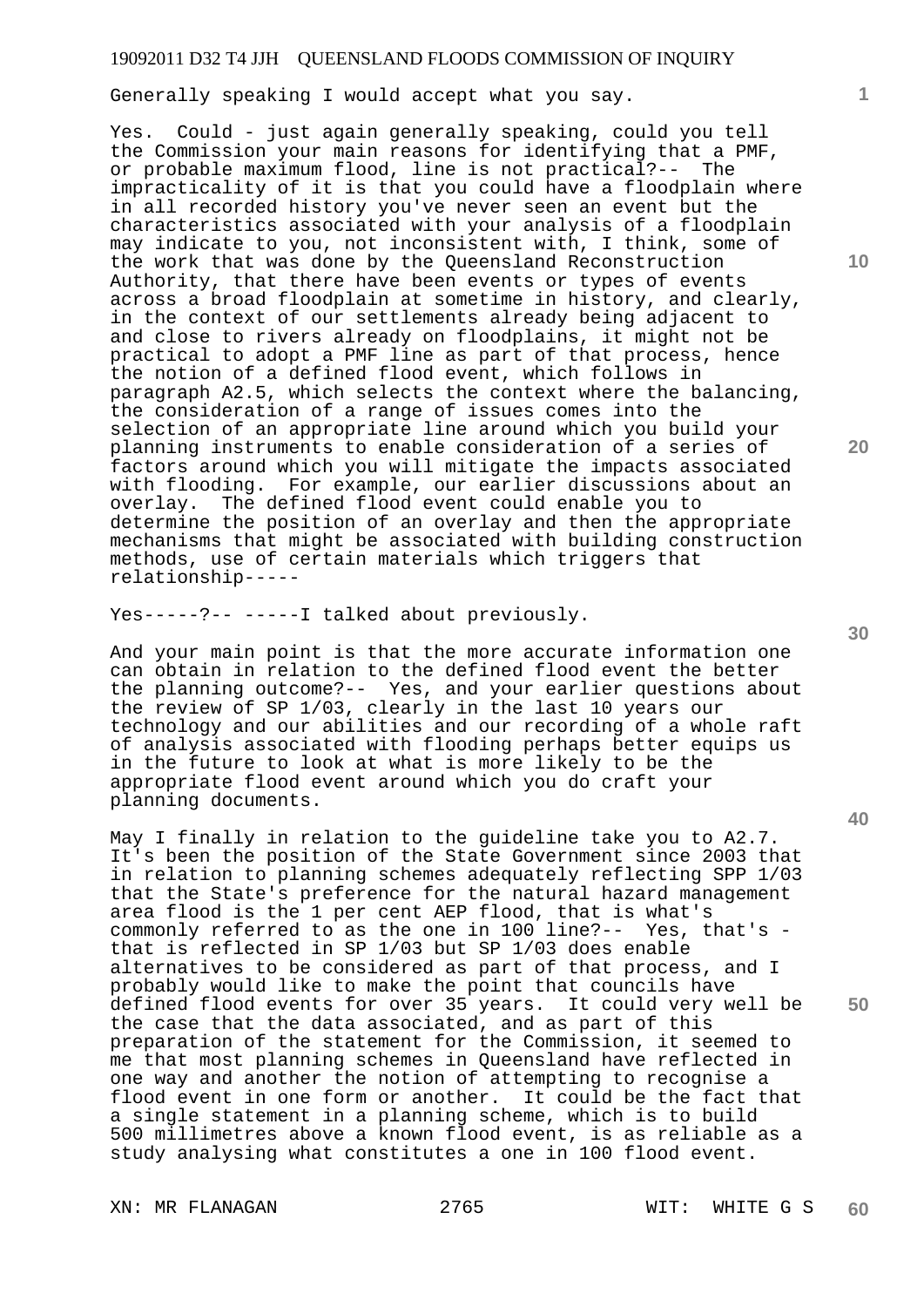Generally speaking I would accept what you say.

Yes. Could - just again generally speaking, could you tell the Commission your main reasons for identifying that a PMF, or probable maximum flood, line is not practical?-- The impracticality of it is that you could have a floodplain where in all recorded history you've never seen an event but the characteristics associated with your analysis of a floodplain may indicate to you, not inconsistent with, I think, some of the work that was done by the Queensland Reconstruction Authority, that there have been events or types of events across a broad floodplain at sometime in history, and clearly, in the context of our settlements already being adjacent to and close to rivers already on floodplains, it might not be practical to adopt a PMF line as part of that process, hence the notion of a defined flood event, which follows in paragraph A2.5, which selects the context where the balancing, the consideration of a range of issues comes into the selection of an appropriate line around which you build your planning instruments to enable consideration of a series of factors around which you will mitigate the impacts associated with flooding. For example, our earlier discussions about an overlay. The defined flood event could enable you to determine the position of an overlay and then the appropriate mechanisms that might be associated with building construction methods, use of certain materials which triggers that relationship-----

Yes-----?-- -----I talked about previously.

And your main point is that the more accurate information one can obtain in relation to the defined flood event the better the planning outcome?-- Yes, and your earlier questions about the review of SP 1/03, clearly in the last 10 years our technology and our abilities and our recording of a whole raft of analysis associated with flooding perhaps better equips us in the future to look at what is more likely to be the appropriate flood event around which you do craft your planning documents.

May I finally in relation to the guideline take you to A2.7. It's been the position of the State Government since 2003 that in relation to planning schemes adequately reflecting SPP 1/03 that the State's preference for the natural hazard management area flood is the 1 per cent AEP flood, that is what's commonly referred to as the one in 100 line?-- Yes, that's that is reflected in SP 1/03 but SP 1/03 does enable alternatives to be considered as part of that process, and I probably would like to make the point that councils have defined flood events for over 35 years. It could very well be the case that the data associated, and as part of this preparation of the statement for the Commission, it seemed to me that most planning schemes in Queensland have reflected in one way and another the notion of attempting to recognise a flood event in one form or another. It could be the fact that a single statement in a planning scheme, which is to build 500 millimetres above a known flood event, is as reliable as a study analysing what constitutes a one in 100 flood event.

XN: MR FLANAGAN 2765 WIT: WHITE G S

**10** 

**1**

**20** 

**30** 

**40**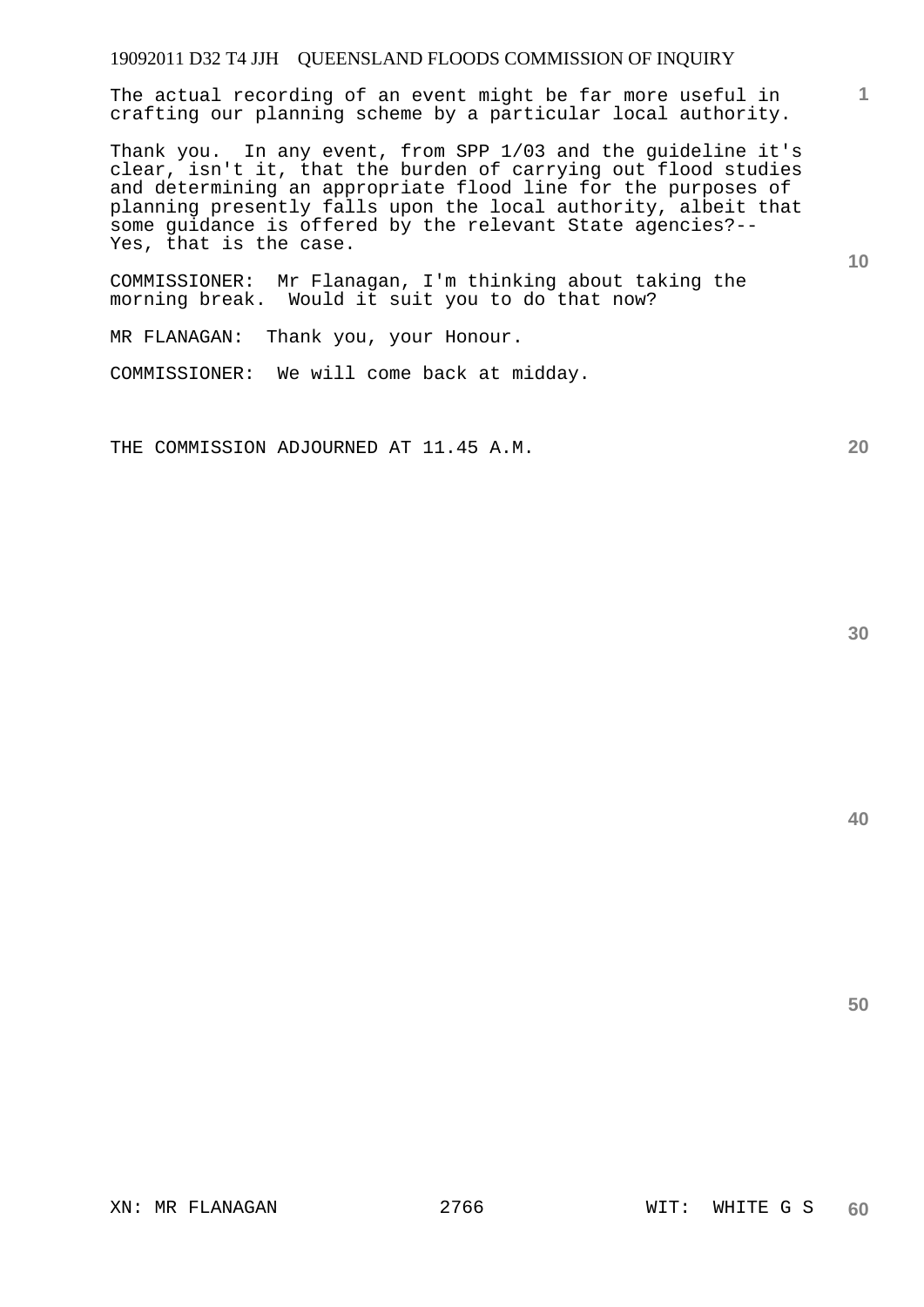The actual recording of an event might be far more useful in crafting our planning scheme by a particular local authority.

Thank you. In any event, from SPP 1/03 and the guideline it's clear, isn't it, that the burden of carrying out flood studies and determining an appropriate flood line for the purposes of planning presently falls upon the local authority, albeit that some guidance is offered by the relevant State agencies?-- Yes, that is the case.

COMMISSIONER: Mr Flanagan, I'm thinking about taking the morning break. Would it suit you to do that now?

MR FLANAGAN: Thank you, your Honour.

COMMISSIONER: We will come back at midday.

THE COMMISSION ADJOURNED AT 11.45 A.M.

**30** 

**50** 

**1**

**10**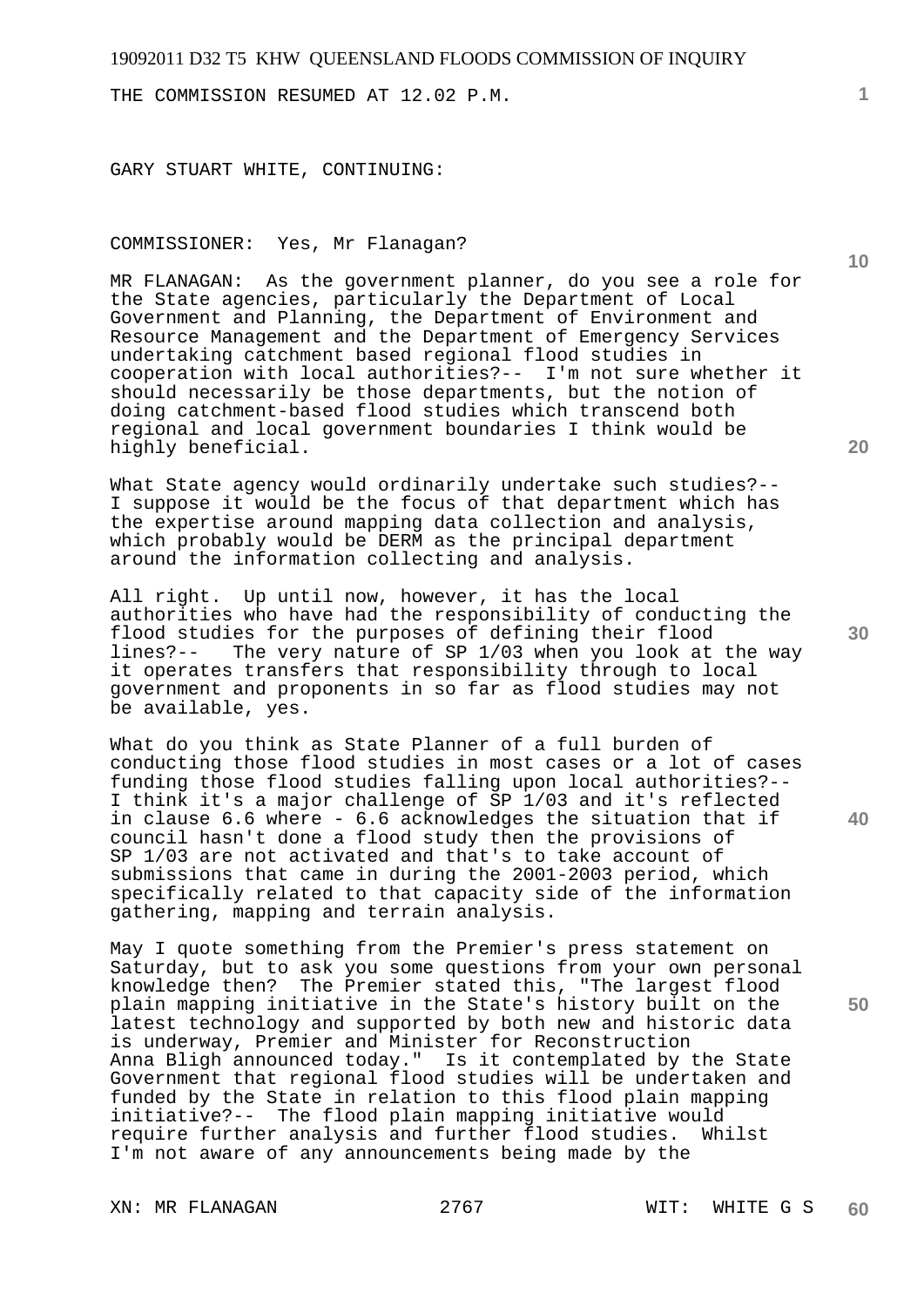THE COMMISSION RESUMED AT 12.02 P.M.

GARY STUART WHITE, CONTINUING:

COMMISSIONER: Yes, Mr Flanagan?

MR FLANAGAN: As the government planner, do you see a role for the State agencies, particularly the Department of Local Government and Planning, the Department of Environment and Resource Management and the Department of Emergency Services undertaking catchment based regional flood studies in cooperation with local authorities?-- I'm not sure whether it should necessarily be those departments, but the notion of doing catchment-based flood studies which transcend both regional and local government boundaries I think would be highly beneficial.

What State agency would ordinarily undertake such studies?--I suppose it would be the focus of that department which has the expertise around mapping data collection and analysis, which probably would be DERM as the principal department around the information collecting and analysis.

All right. Up until now, however, it has the local authorities who have had the responsibility of conducting the flood studies for the purposes of defining their flood<br>lines?-- The very nature of SP  $1/03$  when you look at The very nature of SP  $1/03$  when you look at the way it operates transfers that responsibility through to local government and proponents in so far as flood studies may not be available, yes.

What do you think as State Planner of a full burden of conducting those flood studies in most cases or a lot of cases funding those flood studies falling upon local authorities?-- I think it's a major challenge of SP 1/03 and it's reflected in clause 6.6 where - 6.6 acknowledges the situation that if council hasn't done a flood study then the provisions of SP 1/03 are not activated and that's to take account of submissions that came in during the 2001-2003 period, which specifically related to that capacity side of the information gathering, mapping and terrain analysis.

May I quote something from the Premier's press statement on Saturday, but to ask you some questions from your own personal knowledge then? The Premier stated this, "The largest flood plain mapping initiative in the State's history built on the latest technology and supported by both new and historic data is underway, Premier and Minister for Reconstruction Anna Bligh announced today." Is it contemplated by the State Government that regional flood studies will be undertaken and funded by the State in relation to this flood plain mapping initiative?-- The flood plain mapping initiative would require further analysis and further flood studies. Whilst I'm not aware of any announcements being made by the

**1**

**10** 

**20** 

**40** 

**50**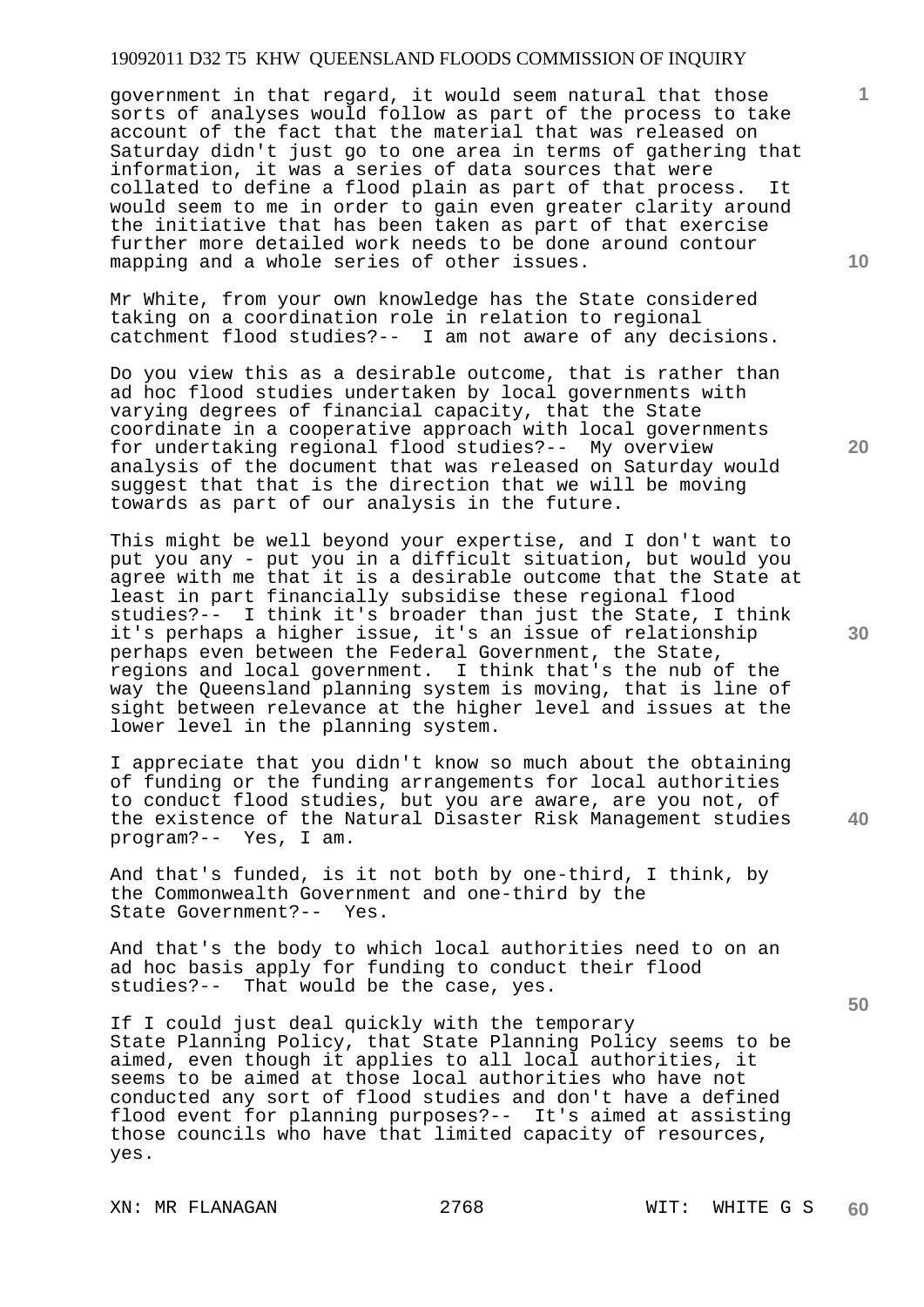government in that regard, it would seem natural that those sorts of analyses would follow as part of the process to take account of the fact that the material that was released on Saturday didn't just go to one area in terms of gathering that information, it was a series of data sources that were collated to define a flood plain as part of that process. It would seem to me in order to gain even greater clarity around the initiative that has been taken as part of that exercise further more detailed work needs to be done around contour mapping and a whole series of other issues.

Mr White, from your own knowledge has the State considered taking on a coordination role in relation to regional catchment flood studies?-- I am not aware of any decisions.

Do you view this as a desirable outcome, that is rather than ad hoc flood studies undertaken by local governments with varying degrees of financial capacity, that the State coordinate in a cooperative approach with local governments for undertaking regional flood studies?-- My overview analysis of the document that was released on Saturday would suggest that that is the direction that we will be moving towards as part of our analysis in the future.

This might be well beyond your expertise, and I don't want to put you any - put you in a difficult situation, but would you agree with me that it is a desirable outcome that the State at least in part financially subsidise these regional flood studies?-- I think it's broader than just the State, I think it's perhaps a higher issue, it's an issue of relationship perhaps even between the Federal Government, the State, regions and local government. I think that's the nub of the way the Queensland planning system is moving, that is line of sight between relevance at the higher level and issues at the lower level in the planning system.

I appreciate that you didn't know so much about the obtaining of funding or the funding arrangements for local authorities to conduct flood studies, but you are aware, are you not, of the existence of the Natural Disaster Risk Management studies program?-- Yes, I am.

And that's funded, is it not both by one-third, I think, by the Commonwealth Government and one-third by the State Government?-- Yes.

And that's the body to which local authorities need to on an ad hoc basis apply for funding to conduct their flood studies?-- That would be the case, yes.

If I could just deal quickly with the temporary State Planning Policy, that State Planning Policy seems to be aimed, even though it applies to all local authorities, it seems to be aimed at those local authorities who have not conducted any sort of flood studies and don't have a defined flood event for planning purposes?-- It's aimed at assisting those councils who have that limited capacity of resources, yes.

**10** 

**1**

**20** 

**30** 

**40**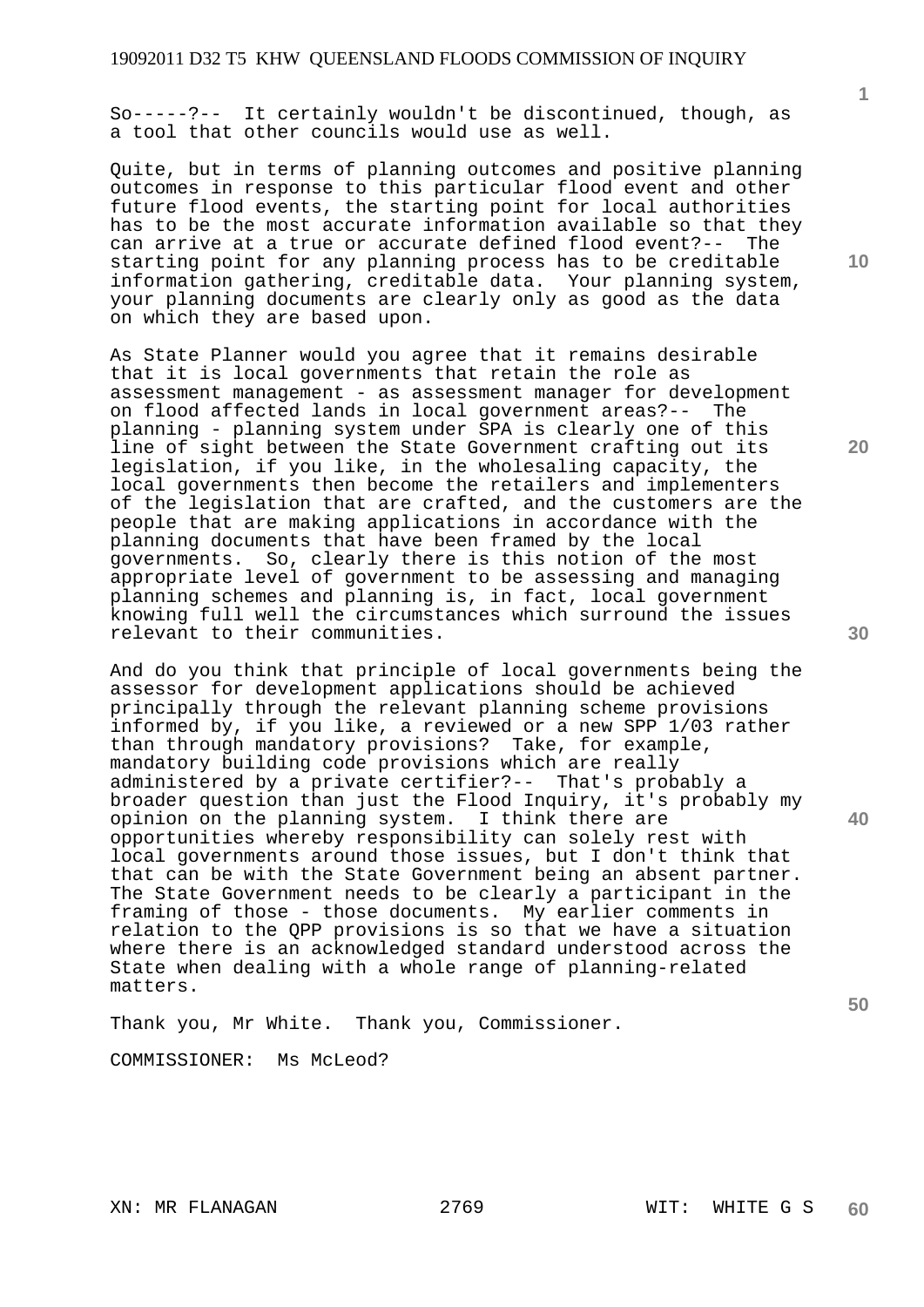So-----?-- It certainly wouldn't be discontinued, though, as a tool that other councils would use as well.

Quite, but in terms of planning outcomes and positive planning outcomes in response to this particular flood event and other future flood events, the starting point for local authorities has to be the most accurate information available so that they can arrive at a true or accurate defined flood event?-- The starting point for any planning process has to be creditable information gathering, creditable data. Your planning system, your planning documents are clearly only as good as the data on which they are based upon.

As State Planner would you agree that it remains desirable that it is local governments that retain the role as assessment management - as assessment manager for development on flood affected lands in local government areas?-- The planning - planning system under SPA is clearly one of this line of sight between the State Government crafting out its legislation, if you like, in the wholesaling capacity, the local governments then become the retailers and implementers of the legislation that are crafted, and the customers are the people that are making applications in accordance with the planning documents that have been framed by the local governments. So, clearly there is this notion of the most appropriate level of government to be assessing and managing planning schemes and planning is, in fact, local government knowing full well the circumstances which surround the issues relevant to their communities.

And do you think that principle of local governments being the assessor for development applications should be achieved principally through the relevant planning scheme provisions informed by, if you like, a reviewed or a new SPP 1/03 rather than through mandatory provisions? Take, for example, mandatory building code provisions which are really administered by a private certifier?-- That's probably a broader question than just the Flood Inquiry, it's probably my opinion on the planning system. I think there are opportunities whereby responsibility can solely rest with local governments around those issues, but I don't think that that can be with the State Government being an absent partner. The State Government needs to be clearly a participant in the framing of those - those documents. My earlier comments in relation to the QPP provisions is so that we have a situation where there is an acknowledged standard understood across the State when dealing with a whole range of planning-related matters.

Thank you, Mr White. Thank you, Commissioner.

COMMISSIONER: Ms McLeod?

**10** 

**20** 

**30** 

**40**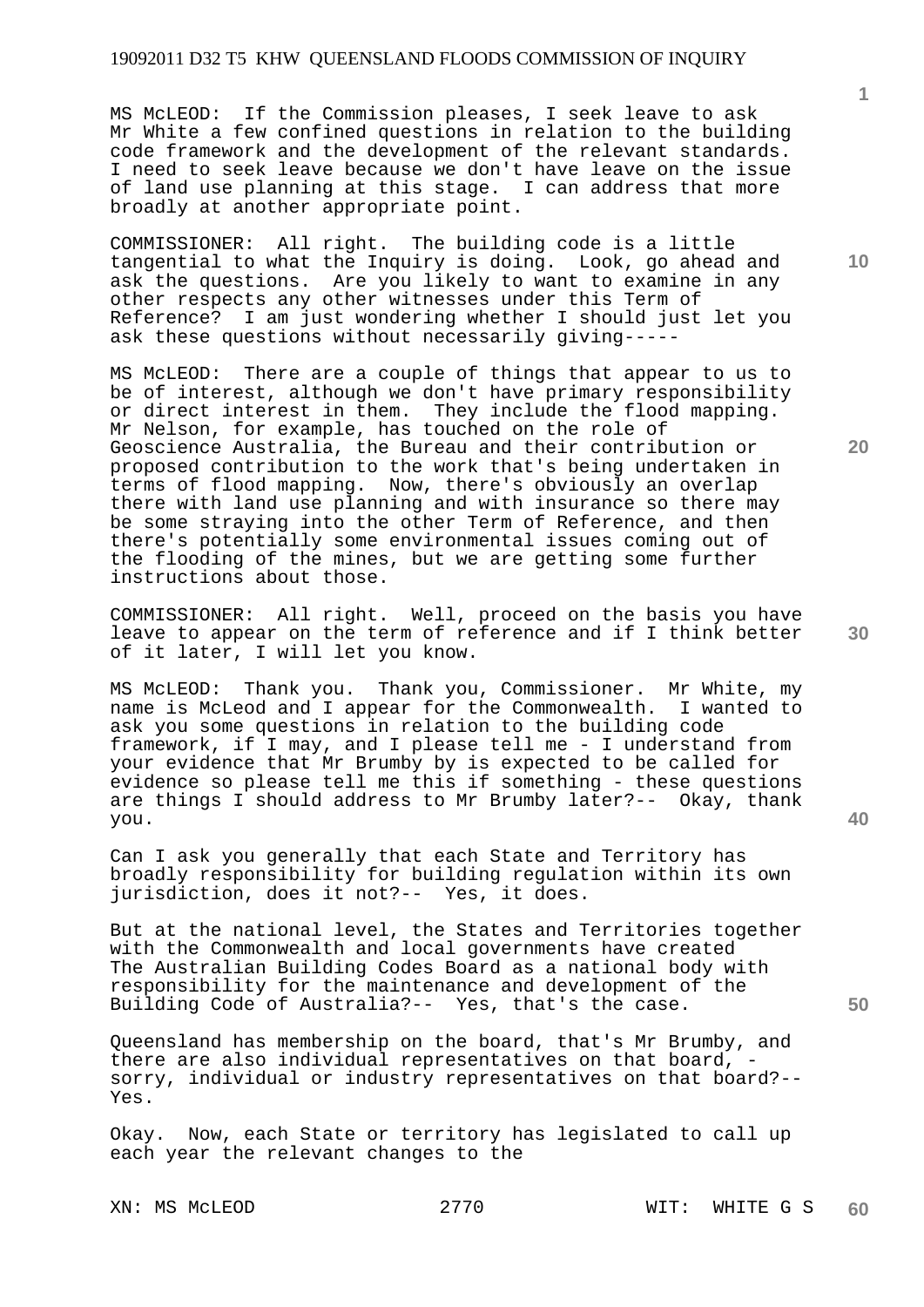MS McLEOD: If the Commission pleases, I seek leave to ask Mr White a few confined questions in relation to the building code framework and the development of the relevant standards. I need to seek leave because we don't have leave on the issue of land use planning at this stage. I can address that more broadly at another appropriate point.

COMMISSIONER: All right. The building code is a little tangential to what the Inquiry is doing. Look, go ahead and ask the questions. Are you likely to want to examine in any other respects any other witnesses under this Term of Reference? I am just wondering whether I should just let you ask these questions without necessarily giving-----

MS McLEOD: There are a couple of things that appear to us to be of interest, although we don't have primary responsibility or direct interest in them. They include the flood mapping. Mr Nelson, for example, has touched on the role of Geoscience Australia, the Bureau and their contribution or proposed contribution to the work that's being undertaken in terms of flood mapping. Now, there's obviously an overlap there with land use planning and with insurance so there may be some straying into the other Term of Reference, and then there's potentially some environmental issues coming out of the flooding of the mines, but we are getting some further instructions about those.

COMMISSIONER: All right. Well, proceed on the basis you have leave to appear on the term of reference and if I think better of it later, I will let you know.

MS McLEOD: Thank you. Thank you, Commissioner. Mr White, my name is McLeod and I appear for the Commonwealth. I wanted to ask you some questions in relation to the building code framework, if I may, and I please tell me - I understand from your evidence that Mr Brumby by is expected to be called for evidence so please tell me this if something - these questions are things I should address to Mr Brumby later?-- Okay, thank you.

Can I ask you generally that each State and Territory has broadly responsibility for building regulation within its own jurisdiction, does it not?-- Yes, it does.

But at the national level, the States and Territories together with the Commonwealth and local governments have created The Australian Building Codes Board as a national body with responsibility for the maintenance and development of the Building Code of Australia?-- Yes, that's the case.

Queensland has membership on the board, that's Mr Brumby, and there are also individual representatives on that board, sorry, individual or industry representatives on that board?-- Yes.

Okay. Now, each State or territory has legislated to call up each year the relevant changes to the

XN: MS McLEOD 2770 WIT: WHITE G S **60** 

**20** 

**10** 

**1**

**30**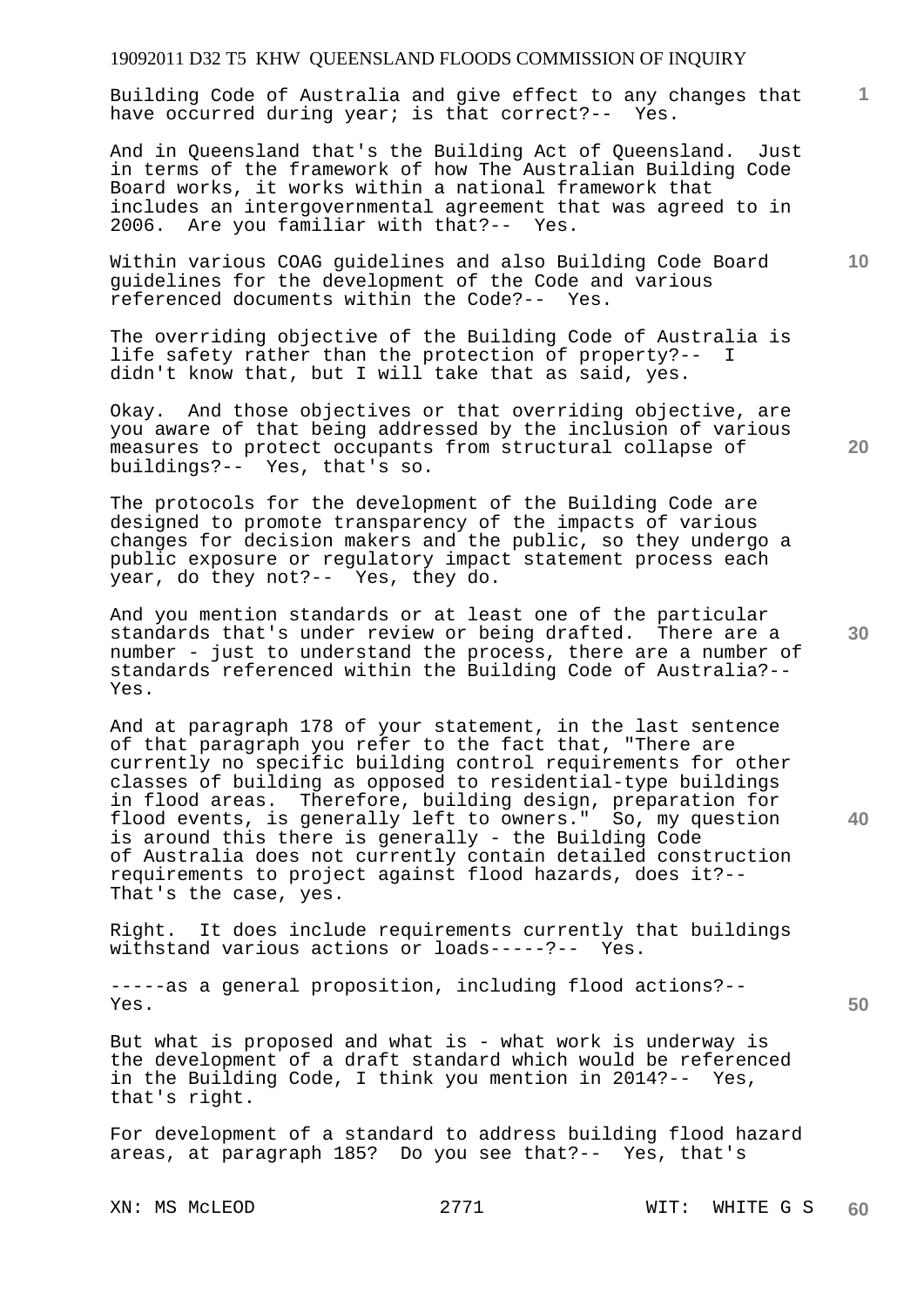Building Code of Australia and give effect to any changes that have occurred during year; is that correct?-- Yes.

And in Queensland that's the Building Act of Queensland. Just in terms of the framework of how The Australian Building Code Board works, it works within a national framework that includes an intergovernmental agreement that was agreed to in 2006. Are you familiar with that?-- Yes.

Within various COAG guidelines and also Building Code Board guidelines for the development of the Code and various referenced documents within the Code?-- Yes.

The overriding objective of the Building Code of Australia is life safety rather than the protection of property?-- I didn't know that, but I will take that as said, yes.

Okay. And those objectives or that overriding objective, are you aware of that being addressed by the inclusion of various measures to protect occupants from structural collapse of buildings?-- Yes, that's so.

The protocols for the development of the Building Code are designed to promote transparency of the impacts of various changes for decision makers and the public, so they undergo a public exposure or regulatory impact statement process each year, do they not?-- Yes, they do.

And you mention standards or at least one of the particular standards that's under review or being drafted. There are a number - just to understand the process, there are a number of standards referenced within the Building Code of Australia?-- Yes.

And at paragraph 178 of your statement, in the last sentence of that paragraph you refer to the fact that, "There are currently no specific building control requirements for other classes of building as opposed to residential-type buildings in flood areas. Therefore, building design, preparation for flood events, is generally left to owners." So, my question is around this there is generally - the Building Code of Australia does not currently contain detailed construction requirements to project against flood hazards, does it?-- That's the case, yes.

Right. It does include requirements currently that buildings withstand various actions or loads-----?-- Yes.

-----as a general proposition, including flood actions?-- Yes.

But what is proposed and what is - what work is underway is the development of a draft standard which would be referenced in the Building Code, I think you mention in 2014?-- Yes, that's right.

For development of a standard to address building flood hazard areas, at paragraph 185? Do you see that?-- Yes, that's

**20** 

**40** 

**50** 

**10**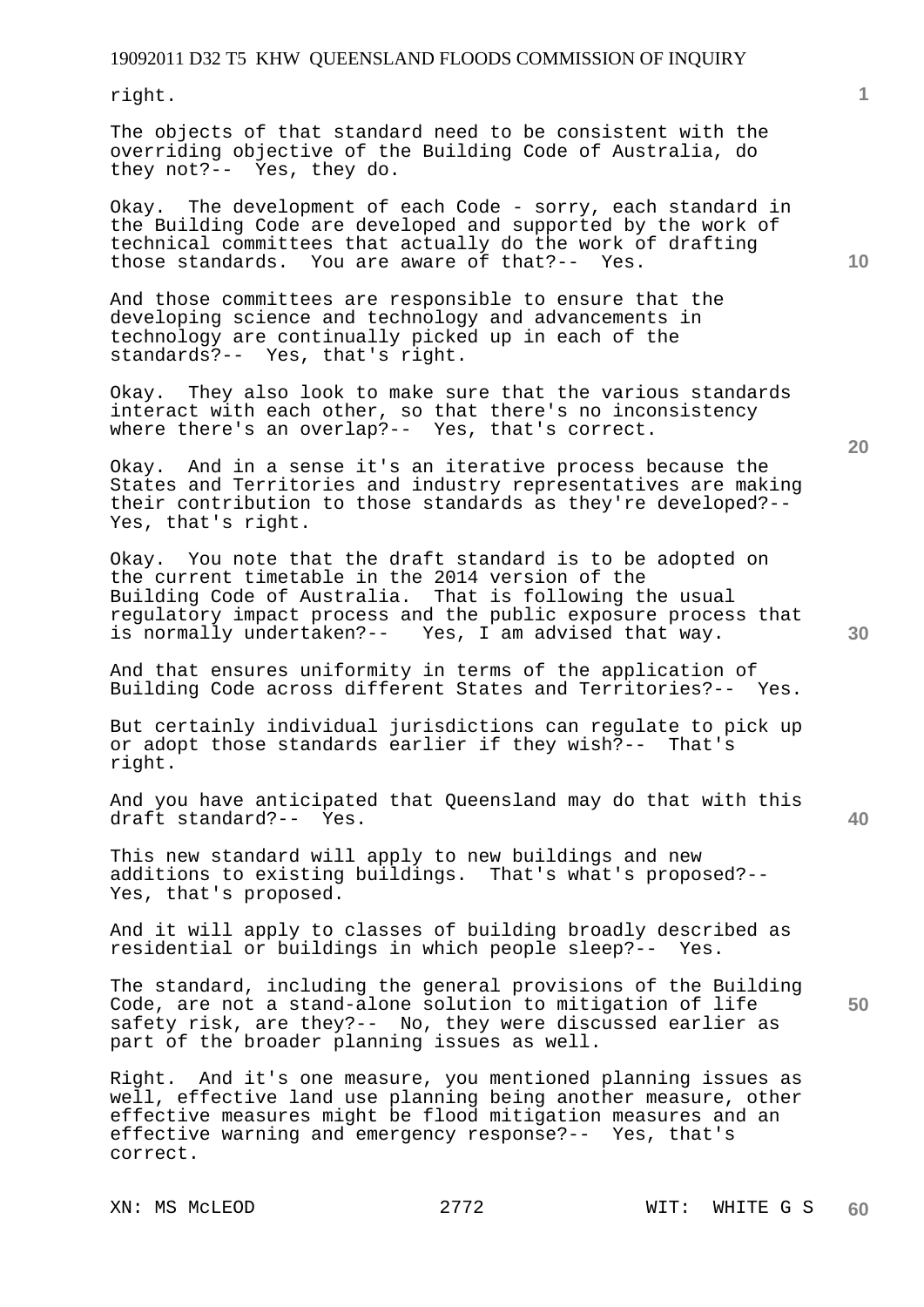right.

The objects of that standard need to be consistent with the overriding objective of the Building Code of Australia, do they not?-- Yes, they do.

Okay. The development of each Code - sorry, each standard in the Building Code are developed and supported by the work of technical committees that actually do the work of drafting<br>those standards. You are aware of that?-- Yes. those standards. You are aware of that?--

And those committees are responsible to ensure that the developing science and technology and advancements in technology are continually picked up in each of the standards?-- Yes, that's right.

Okay. They also look to make sure that the various standards interact with each other, so that there's no inconsistency where there's an overlap?-- Yes, that's correct.

Okay. And in a sense it's an iterative process because the States and Territories and industry representatives are making their contribution to those standards as they're developed?-- Yes, that's right.

Okay. You note that the draft standard is to be adopted on the current timetable in the 2014 version of the Building Code of Australia. That is following the usual regulatory impact process and the public exposure process that is normally undertaken?-- Yes, I am advised that way.

And that ensures uniformity in terms of the application of Building Code across different States and Territories?-- Yes.

But certainly individual jurisdictions can regulate to pick up or adopt those standards earlier if they wish?-- That's right.

And you have anticipated that Queensland may do that with this draft standard?-- Yes.

This new standard will apply to new buildings and new additions to existing buildings. That's what's proposed?-- Yes, that's proposed.

And it will apply to classes of building broadly described as residential or buildings in which people sleep?-- Yes.

**50**  The standard, including the general provisions of the Building Code, are not a stand-alone solution to mitigation of life safety risk, are they?-- No, they were discussed earlier as part of the broader planning issues as well.

Right. And it's one measure, you mentioned planning issues as well, effective land use planning being another measure, other effective measures might be flood mitigation measures and an effective warning and emergency response?-- Yes, that's correct.

**10** 

**1**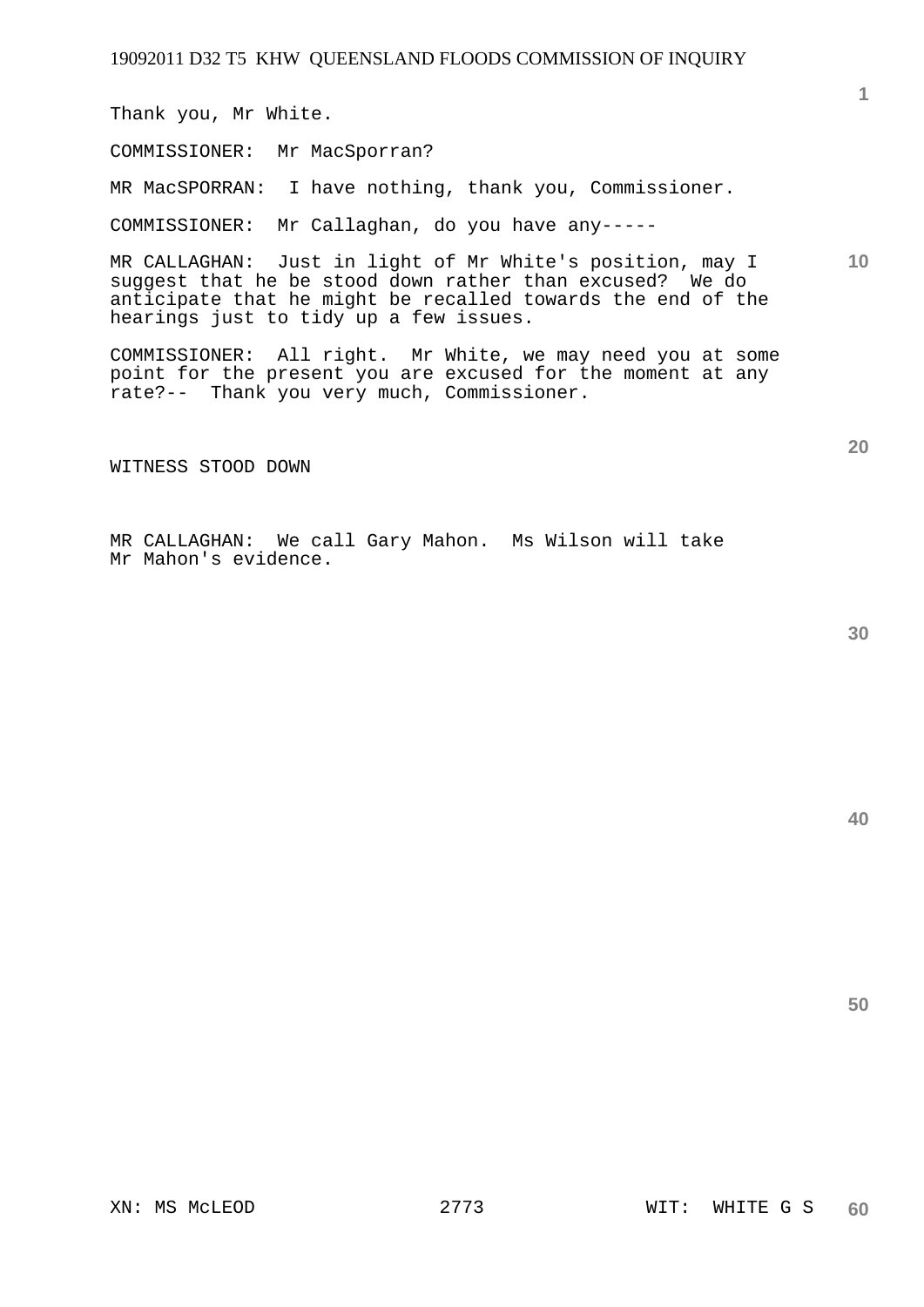Thank you, Mr White.

COMMISSIONER: Mr MacSporran?

MR MacSPORRAN: I have nothing, thank you, Commissioner.

COMMISSIONER: Mr Callaghan, do you have any-----

MR CALLAGHAN: Just in light of Mr White's position, may I suggest that he be stood down rather than excused? We do anticipate that he might be recalled towards the end of the hearings just to tidy up a few issues.

COMMISSIONER: All right. Mr White, we may need you at some point for the present you are excused for the moment at any rate?-- Thank you very much, Commissioner.

WITNESS STOOD DOWN

MR CALLAGHAN: We call Gary Mahon. Ms Wilson will take Mr Mahon's evidence.

**30** 

**1**

**10** 

**20**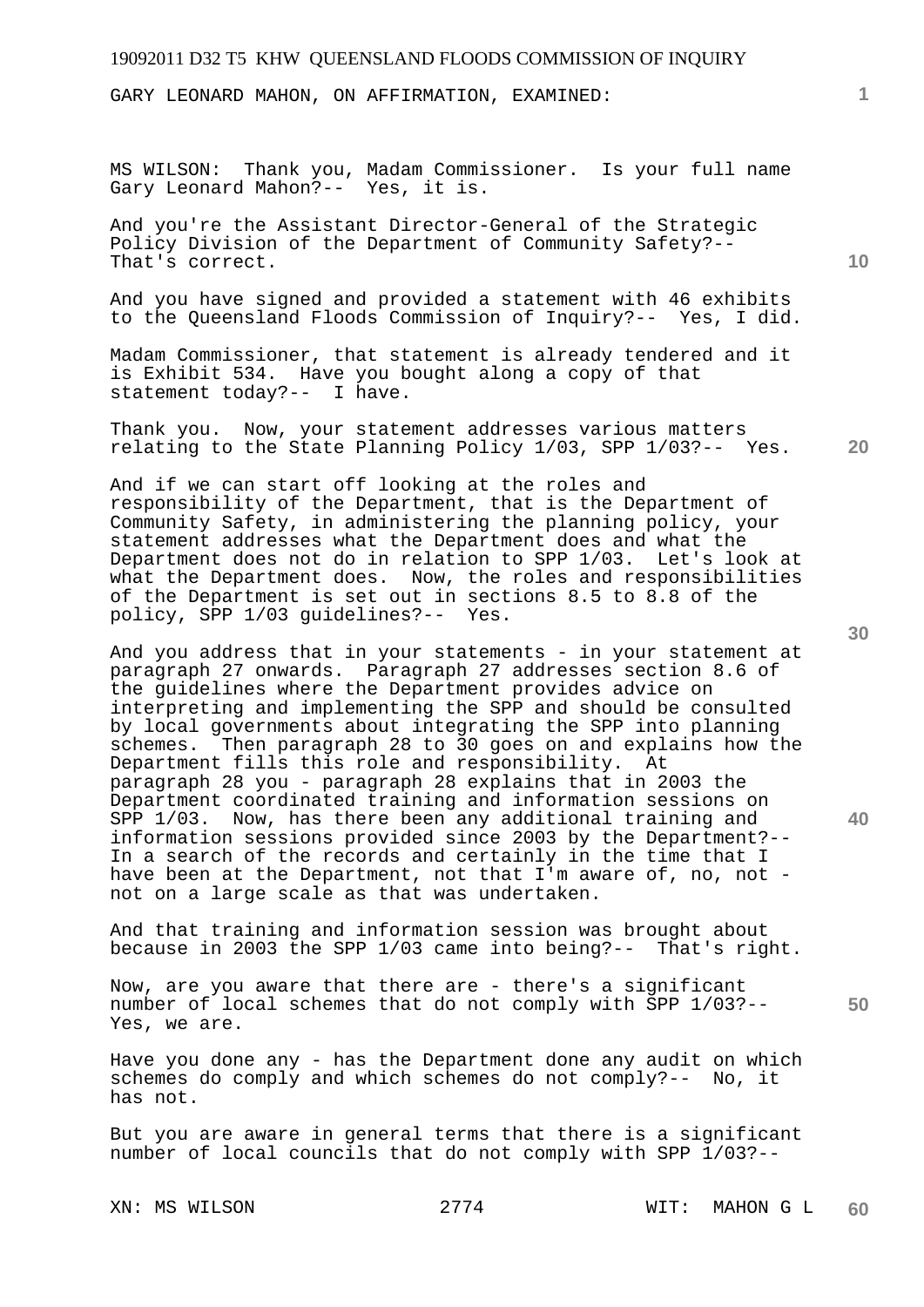GARY LEONARD MAHON, ON AFFIRMATION, EXAMINED:

MS WILSON: Thank you, Madam Commissioner. Is your full name Gary Leonard Mahon?-- Yes, it is.

And you're the Assistant Director-General of the Strategic Policy Division of the Department of Community Safety?-- That's correct.

And you have signed and provided a statement with 46 exhibits to the Queensland Floods Commission of Inquiry?-- Yes, I did.

Madam Commissioner, that statement is already tendered and it is Exhibit 534. Have you bought along a copy of that statement today?-- I have.

**20**  Thank you. Now, your statement addresses various matters relating to the State Planning Policy 1/03, SPP 1/03?-- Yes.

And if we can start off looking at the roles and responsibility of the Department, that is the Department of Community Safety, in administering the planning policy, your statement addresses what the Department does and what the Department does not do in relation to SPP 1/03. Let's look at what the Department does. Now, the roles and responsibilities of the Department is set out in sections 8.5 to 8.8 of the policy, SPP 1/03 guidelines?-- Yes.

And you address that in your statements - in your statement at paragraph 27 onwards. Paragraph 27 addresses section 8.6 of the guidelines where the Department provides advice on interpreting and implementing the SPP and should be consulted by local governments about integrating the SPP into planning schemes. Then paragraph 28 to 30 goes on and explains how the Department fills this role and responsibility. At paragraph 28 you - paragraph 28 explains that in 2003 the Department coordinated training and information sessions on SPP 1/03. Now, has there been any additional training and information sessions provided since 2003 by the Department?-- In a search of the records and certainly in the time that I have been at the Department, not that I'm aware of, no, not not on a large scale as that was undertaken.

And that training and information session was brought about because in 2003 the SPP 1/03 came into being?-- That's right.

**50**  Now, are you aware that there are - there's a significant number of local schemes that do not comply with SPP 1/03?-- Yes, we are.

Have you done any - has the Department done any audit on which schemes do comply and which schemes do not comply?-- No, it has not.

But you are aware in general terms that there is a significant number of local councils that do not comply with SPP 1/03?--

XN: MS WILSON 2774 WIT: MAHON G L **60** 

**30** 

**40** 

**10**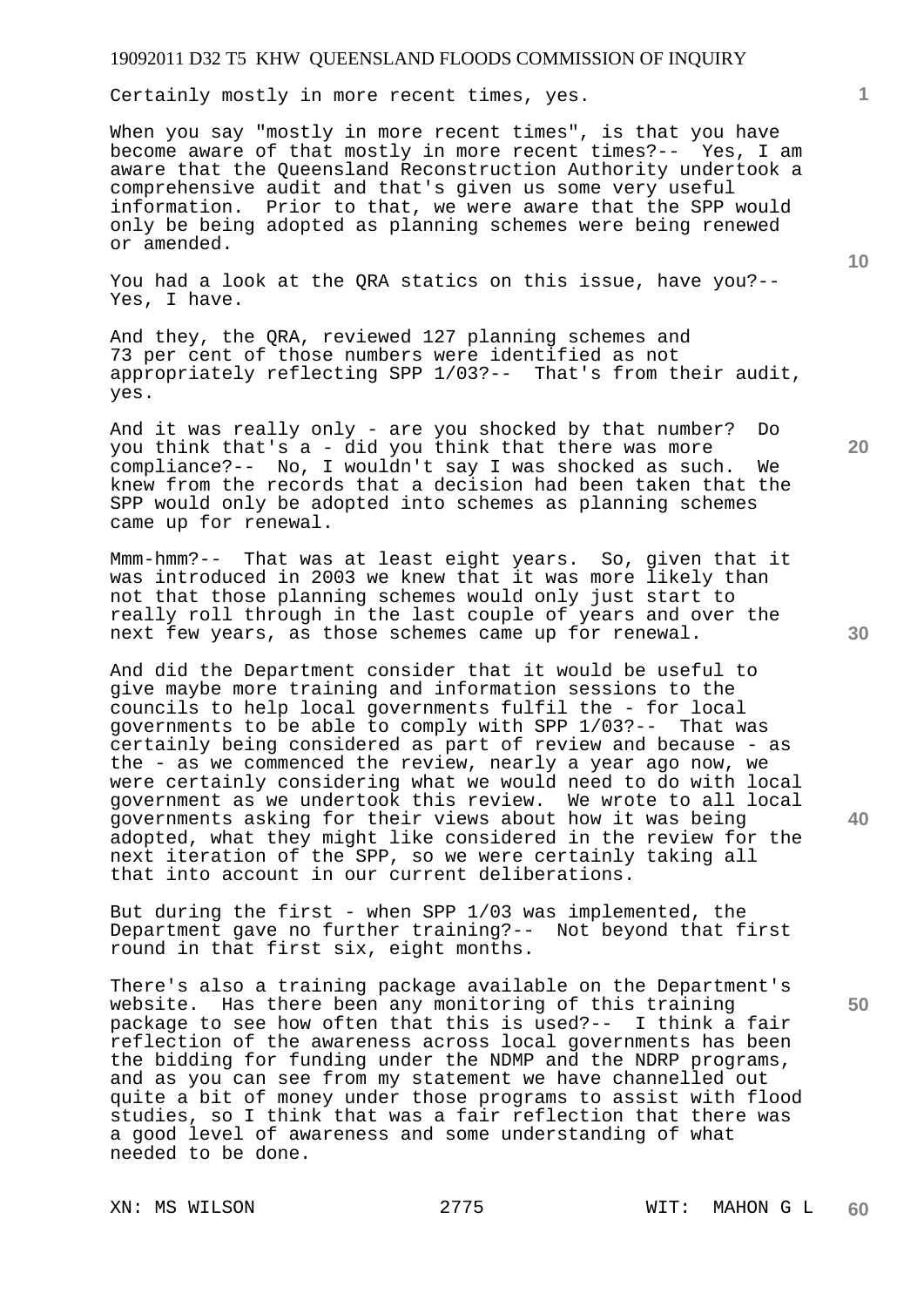Certainly mostly in more recent times, yes.

When you say "mostly in more recent times", is that you have become aware of that mostly in more recent times?-- Yes, I am aware that the Queensland Reconstruction Authority undertook a comprehensive audit and that's given us some very useful information. Prior to that, we were aware that the SPP would only be being adopted as planning schemes were being renewed or amended.

You had a look at the QRA statics on this issue, have you?-- Yes, I have.

And they, the QRA, reviewed 127 planning schemes and 73 per cent of those numbers were identified as not appropriately reflecting SPP 1/03?-- That's from their audit, yes.

And it was really only - are you shocked by that number? Do you think that's a - did you think that there was more compliance?-- No, I wouldn't say I was shocked as such. We knew from the records that a decision had been taken that the SPP would only be adopted into schemes as planning schemes came up for renewal.

Mmm-hmm?-- That was at least eight years. So, given that it was introduced in 2003 we knew that it was more likely than not that those planning schemes would only just start to really roll through in the last couple of years and over the next few years, as those schemes came up for renewal.

And did the Department consider that it would be useful to give maybe more training and information sessions to the councils to help local governments fulfil the - for local governments to be able to comply with SPP 1/03?-- That was certainly being considered as part of review and because - as the - as we commenced the review, nearly a year ago now, we were certainly considering what we would need to do with local government as we undertook this review. We wrote to all local governments asking for their views about how it was being adopted, what they might like considered in the review for the next iteration of the SPP, so we were certainly taking all that into account in our current deliberations.

But during the first - when SPP 1/03 was implemented, the Department gave no further training?-- Not beyond that first round in that first six, eight months.

There's also a training package available on the Department's website. Has there been any monitoring of this training package to see how often that this is used?-- I think a fair reflection of the awareness across local governments has been the bidding for funding under the NDMP and the NDRP programs, and as you can see from my statement we have channelled out quite a bit of money under those programs to assist with flood studies, so I think that was a fair reflection that there was a good level of awareness and some understanding of what needed to be done.

**20** 

**10** 

**40** 

**30** 

**50**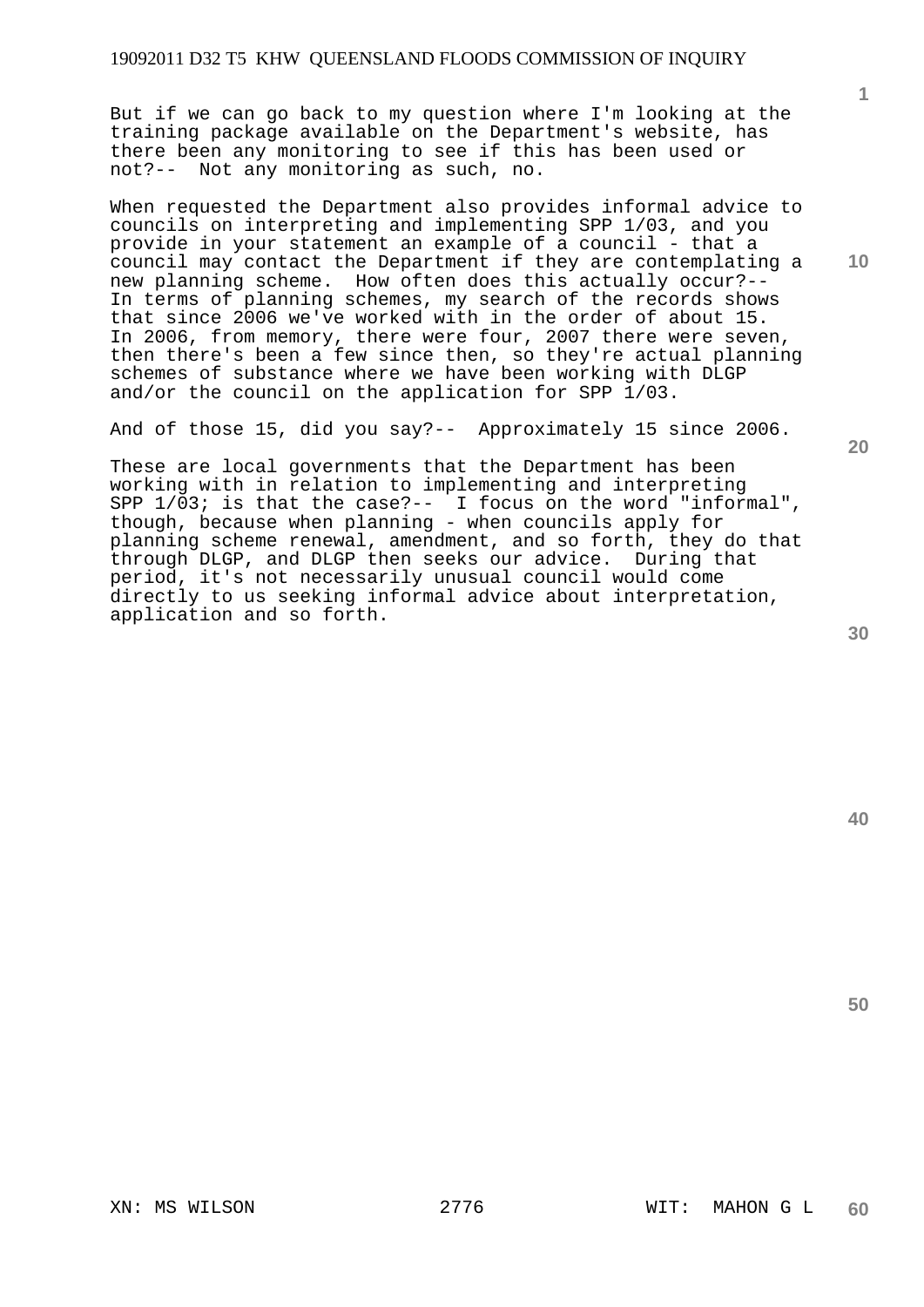But if we can go back to my question where I'm looking at the training package available on the Department's website, has there been any monitoring to see if this has been used or not?-- Not any monitoring as such, no.

When requested the Department also provides informal advice to councils on interpreting and implementing SPP 1/03, and you provide in your statement an example of a council - that a council may contact the Department if they are contemplating a new planning scheme. How often does this actually occur?-- In terms of planning schemes, my search of the records shows that since 2006 we've worked with in the order of about 15. In 2006, from memory, there were four, 2007 there were seven, then there's been a few since then, so they're actual planning schemes of substance where we have been working with DLGP and/or the council on the application for SPP 1/03.

And of those 15, did you say?-- Approximately 15 since 2006.

These are local governments that the Department has been working with in relation to implementing and interpreting SPP 1/03; is that the case?-- I focus on the word "informal", though, because when planning - when councils apply for planning scheme renewal, amendment, and so forth, they do that through DLGP, and DLGP then seeks our advice. During that period, it's not necessarily unusual council would come directly to us seeking informal advice about interpretation, application and so forth.

**20** 

**40** 

**50** 

**1**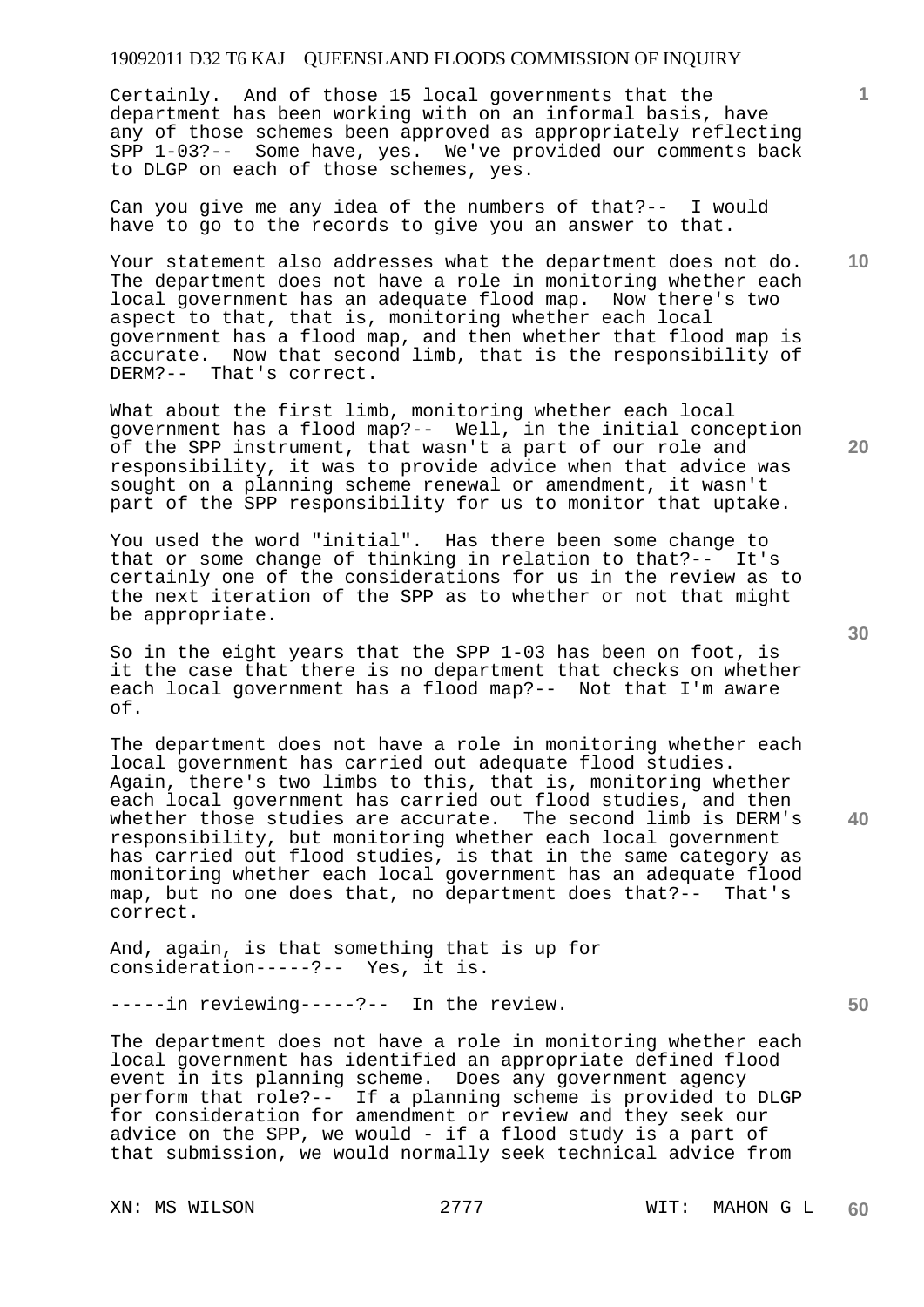Certainly. And of those 15 local governments that the department has been working with on an informal basis, have any of those schemes been approved as appropriately reflecting SPP 1-03?-- Some have, yes. We've provided our comments back to DLGP on each of those schemes, yes.

Can you give me any idea of the numbers of that?-- I would have to go to the records to give you an answer to that.

Your statement also addresses what the department does not do. The department does not have a role in monitoring whether each local government has an adequate flood map. Now there's two aspect to that, that is, monitoring whether each local government has a flood map, and then whether that flood map is accurate. Now that second limb, that is the responsibility of DERM?-- That's correct.

What about the first limb, monitoring whether each local government has a flood map?-- Well, in the initial conception of the SPP instrument, that wasn't a part of our role and responsibility, it was to provide advice when that advice was sought on a planning scheme renewal or amendment, it wasn't part of the SPP responsibility for us to monitor that uptake.

You used the word "initial". Has there been some change to that or some change of thinking in relation to that?-- It's certainly one of the considerations for us in the review as to the next iteration of the SPP as to whether or not that might be appropriate.

So in the eight years that the SPP 1-03 has been on foot, is it the case that there is no department that checks on whether each local government has a flood map?-- Not that I'm aware of.

The department does not have a role in monitoring whether each local government has carried out adequate flood studies. Again, there's two limbs to this, that is, monitoring whether each local government has carried out flood studies, and then whether those studies are accurate. The second limb is DERM's responsibility, but monitoring whether each local government has carried out flood studies, is that in the same category as monitoring whether each local government has an adequate flood map, but no one does that, no department does that?-- That's correct.

And, again, is that something that is up for consideration-----?-- Yes, it is.

-----in reviewing-----?-- In the review.

The department does not have a role in monitoring whether each local government has identified an appropriate defined flood event in its planning scheme. Does any government agency perform that role?-- If a planning scheme is provided to DLGP for consideration for amendment or review and they seek our advice on the SPP, we would - if a flood study is a part of that submission, we would normally seek technical advice from

**30** 

**40** 

**50** 

**1**

**10**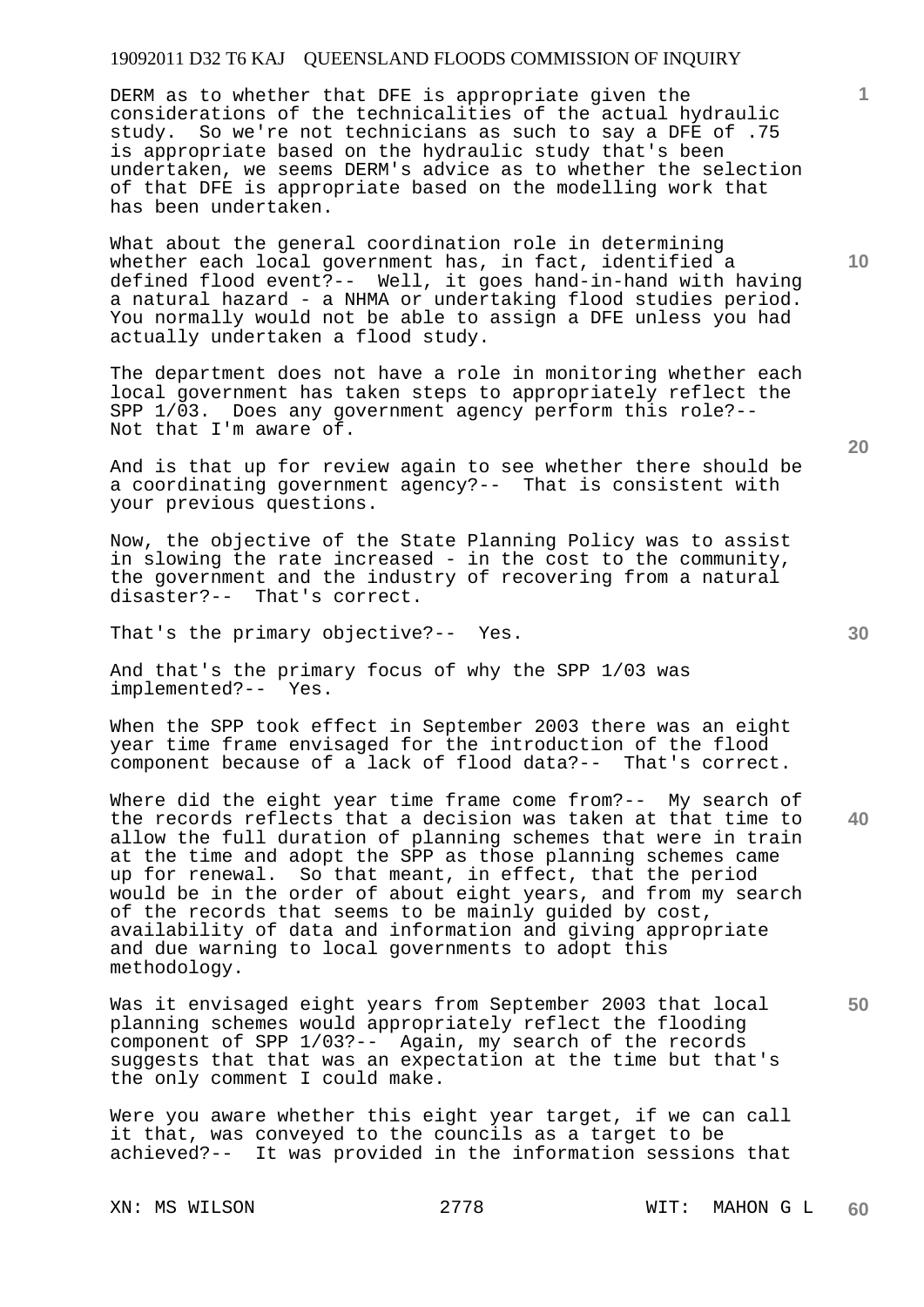DERM as to whether that DFE is appropriate given the considerations of the technicalities of the actual hydraulic study. So we're not technicians as such to say a DFE of .75 is appropriate based on the hydraulic study that's been undertaken, we seems DERM's advice as to whether the selection of that DFE is appropriate based on the modelling work that has been undertaken.

What about the general coordination role in determining whether each local government has, in fact, identified a defined flood event?-- Well, it goes hand-in-hand with having a natural hazard - a NHMA or undertaking flood studies period. You normally would not be able to assign a DFE unless you had actually undertaken a flood study.

The department does not have a role in monitoring whether each local government has taken steps to appropriately reflect the SPP 1/03. Does any government agency perform this role?-- Not that I'm aware of.

And is that up for review again to see whether there should be a coordinating government agency?-- That is consistent with your previous questions.

Now, the objective of the State Planning Policy was to assist in slowing the rate increased - in the cost to the community, the government and the industry of recovering from a natural disaster?-- That's correct.

That's the primary objective?-- Yes.

And that's the primary focus of why the SPP 1/03 was implemented?-- Yes.

When the SPP took effect in September 2003 there was an eight year time frame envisaged for the introduction of the flood component because of a lack of flood data?-- That's correct.

Where did the eight year time frame come from?-- My search of the records reflects that a decision was taken at that time to allow the full duration of planning schemes that were in train at the time and adopt the SPP as those planning schemes came up for renewal. So that meant, in effect, that the period would be in the order of about eight years, and from my search of the records that seems to be mainly guided by cost, availability of data and information and giving appropriate and due warning to local governments to adopt this methodology.

Was it envisaged eight years from September 2003 that local planning schemes would appropriately reflect the flooding component of SPP 1/03?-- Again, my search of the records suggests that that was an expectation at the time but that's the only comment I could make.

Were you aware whether this eight year target, if we can call it that, was conveyed to the councils as a target to be achieved?-- It was provided in the information sessions that

XN: MS WILSON 2778 WIT: MAHON G L **60** 

**20** 

**40** 

**50** 

**10**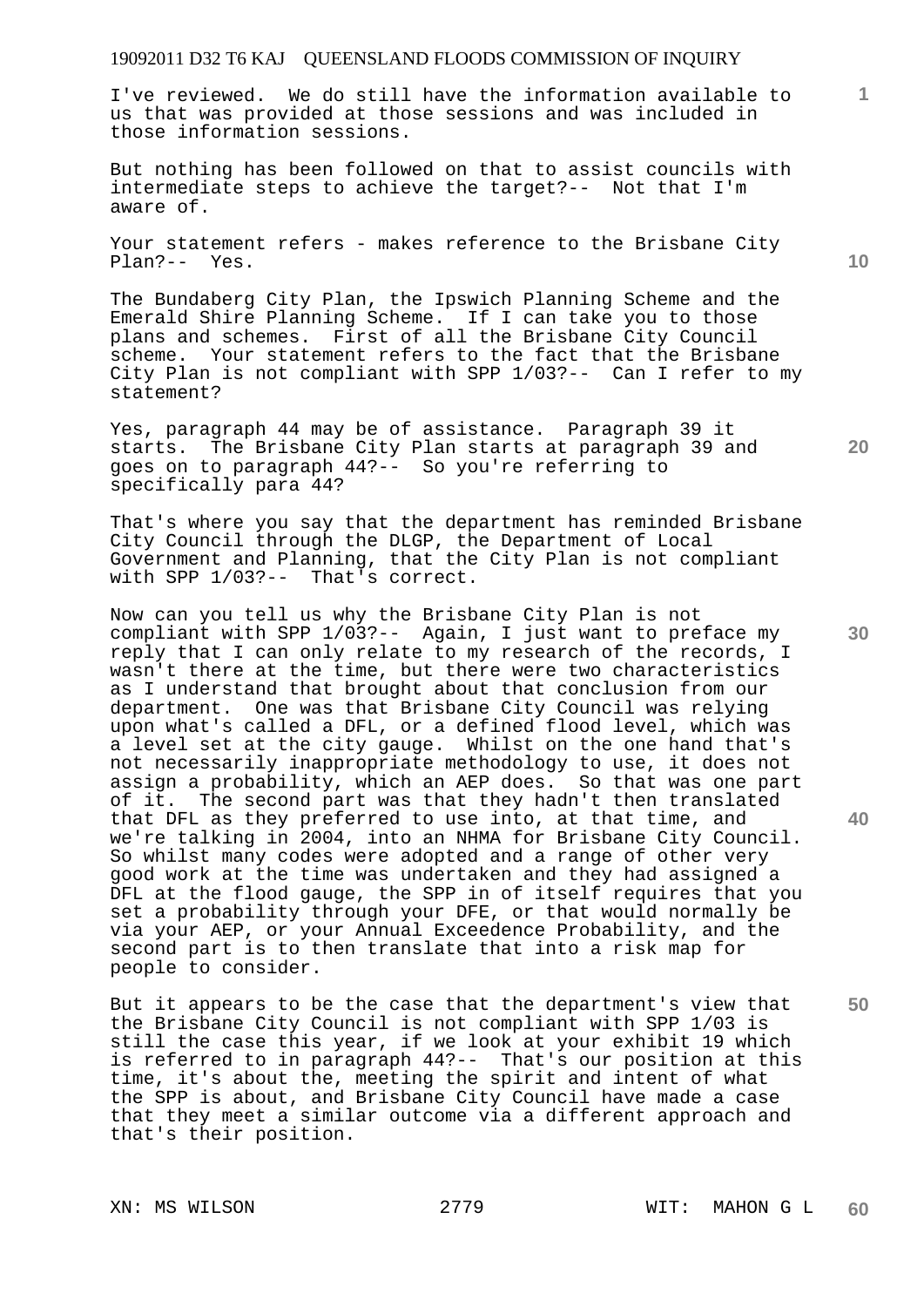I've reviewed. We do still have the information available to us that was provided at those sessions and was included in those information sessions.

But nothing has been followed on that to assist councils with intermediate steps to achieve the target?-- Not that I'm aware of.

Your statement refers - makes reference to the Brisbane City Plan?-- Yes.

The Bundaberg City Plan, the Ipswich Planning Scheme and the Emerald Shire Planning Scheme. If I can take you to those plans and schemes. First of all the Brisbane City Council scheme. Your statement refers to the fact that the Brisbane City Plan is not compliant with SPP 1/03?-- Can I refer to my statement?

Yes, paragraph 44 may be of assistance. Paragraph 39 it starts. The Brisbane City Plan starts at paragraph 39 and goes on to paragraph 44?-- So you're referring to specifically para 44?

That's where you say that the department has reminded Brisbane City Council through the DLGP, the Department of Local Government and Planning, that the City Plan is not compliant with SPP 1/03?-- That's correct.

Now can you tell us why the Brisbane City Plan is not compliant with SPP 1/03?-- Again, I just want to preface my reply that I can only relate to my research of the records, I wasn't there at the time, but there were two characteristics as I understand that brought about that conclusion from our department. One was that Brisbane City Council was relying upon what's called a DFL, or a defined flood level, which was a level set at the city gauge. Whilst on the one hand that's not necessarily inappropriate methodology to use, it does not assign a probability, which an AEP does. So that was one part of it. The second part was that they hadn't then translated that DFL as they preferred to use into, at that time, and we're talking in 2004, into an NHMA for Brisbane City Council. So whilst many codes were adopted and a range of other very good work at the time was undertaken and they had assigned a DFL at the flood gauge, the SPP in of itself requires that you set a probability through your DFE, or that would normally be via your AEP, or your Annual Exceedence Probability, and the second part is to then translate that into a risk map for people to consider.

But it appears to be the case that the department's view that the Brisbane City Council is not compliant with SPP 1/03 is still the case this year, if we look at your exhibit 19 which is referred to in paragraph 44?-- That's our position at this time, it's about the, meeting the spirit and intent of what the SPP is about, and Brisbane City Council have made a case that they meet a similar outcome via a different approach and that's their position.

**10** 

**1**

**30** 

**40**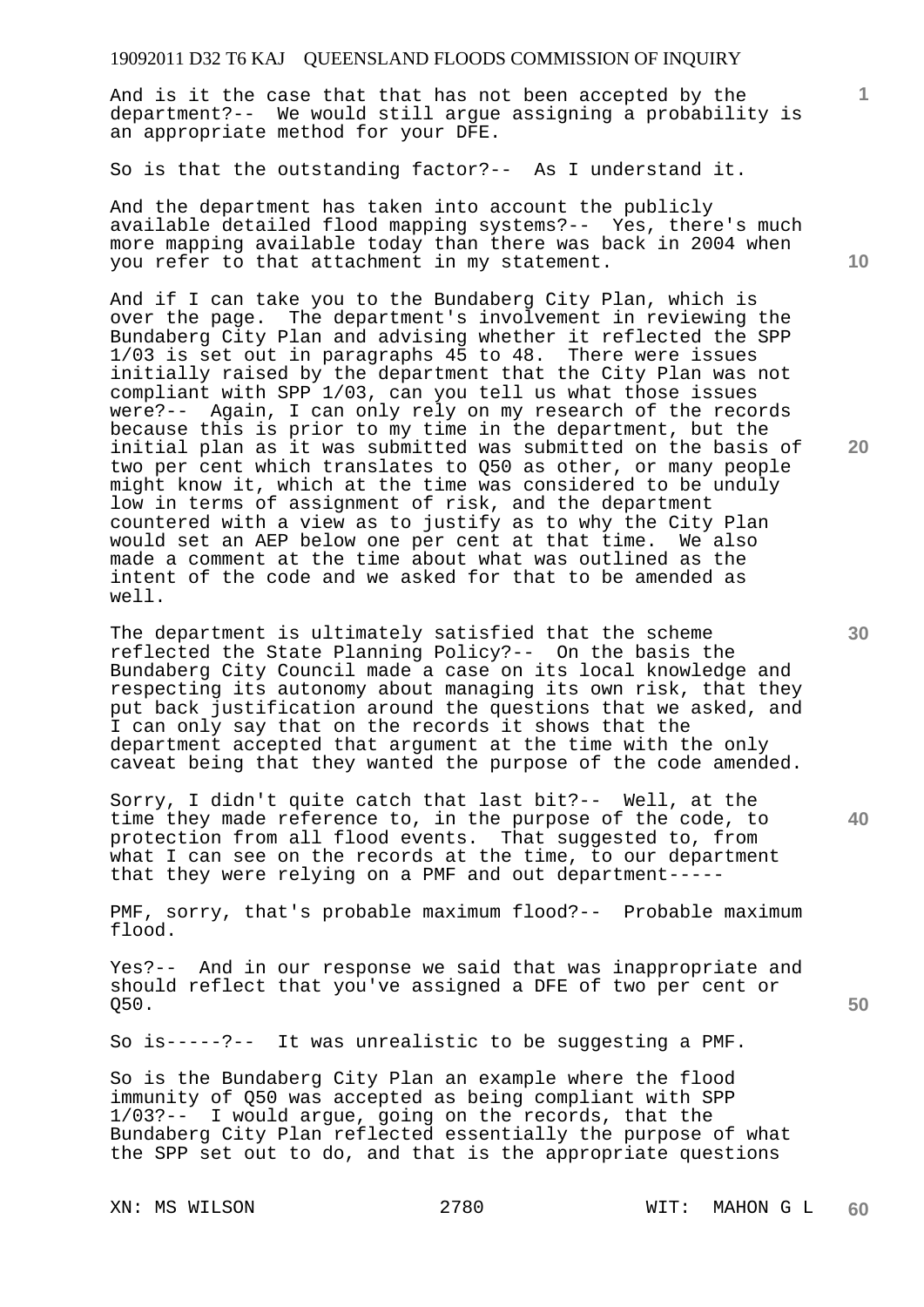And is it the case that that has not been accepted by the department?-- We would still argue assigning a probability is an appropriate method for your DFE.

So is that the outstanding factor?-- As I understand it.

And the department has taken into account the publicly available detailed flood mapping systems?-- Yes, there's much more mapping available today than there was back in 2004 when you refer to that attachment in my statement.

And if I can take you to the Bundaberg City Plan, which is over the page. The department's involvement in reviewing the Bundaberg City Plan and advising whether it reflected the SPP 1/03 is set out in paragraphs 45 to 48. There were issues initially raised by the department that the City Plan was not compliant with SPP 1/03, can you tell us what those issues were?-- Again, I can only rely on my research of the records because this is prior to my time in the department, but the initial plan as it was submitted was submitted on the basis of two per cent which translates to Q50 as other, or many people might know it, which at the time was considered to be unduly low in terms of assignment of risk, and the department countered with a view as to justify as to why the City Plan would set an AEP below one per cent at that time. We also made a comment at the time about what was outlined as the intent of the code and we asked for that to be amended as well.

The department is ultimately satisfied that the scheme reflected the State Planning Policy?-- On the basis the Bundaberg City Council made a case on its local knowledge and respecting its autonomy about managing its own risk, that they put back justification around the questions that we asked, and I can only say that on the records it shows that the department accepted that argument at the time with the only caveat being that they wanted the purpose of the code amended.

Sorry, I didn't quite catch that last bit?-- Well, at the time they made reference to, in the purpose of the code, to protection from all flood events. That suggested to, from what I can see on the records at the time, to our department that they were relying on a PMF and out department-----

PMF, sorry, that's probable maximum flood?-- Probable maximum flood.

Yes?-- And in our response we said that was inappropriate and should reflect that you've assigned a DFE of two per cent or Q50.

So is-----?-- It was unrealistic to be suggesting a PMF.

So is the Bundaberg City Plan an example where the flood immunity of Q50 was accepted as being compliant with SPP 1/03?-- I would argue, going on the records, that the Bundaberg City Plan reflected essentially the purpose of what the SPP set out to do, and that is the appropriate questions

**10** 

**1**

**20** 

**50**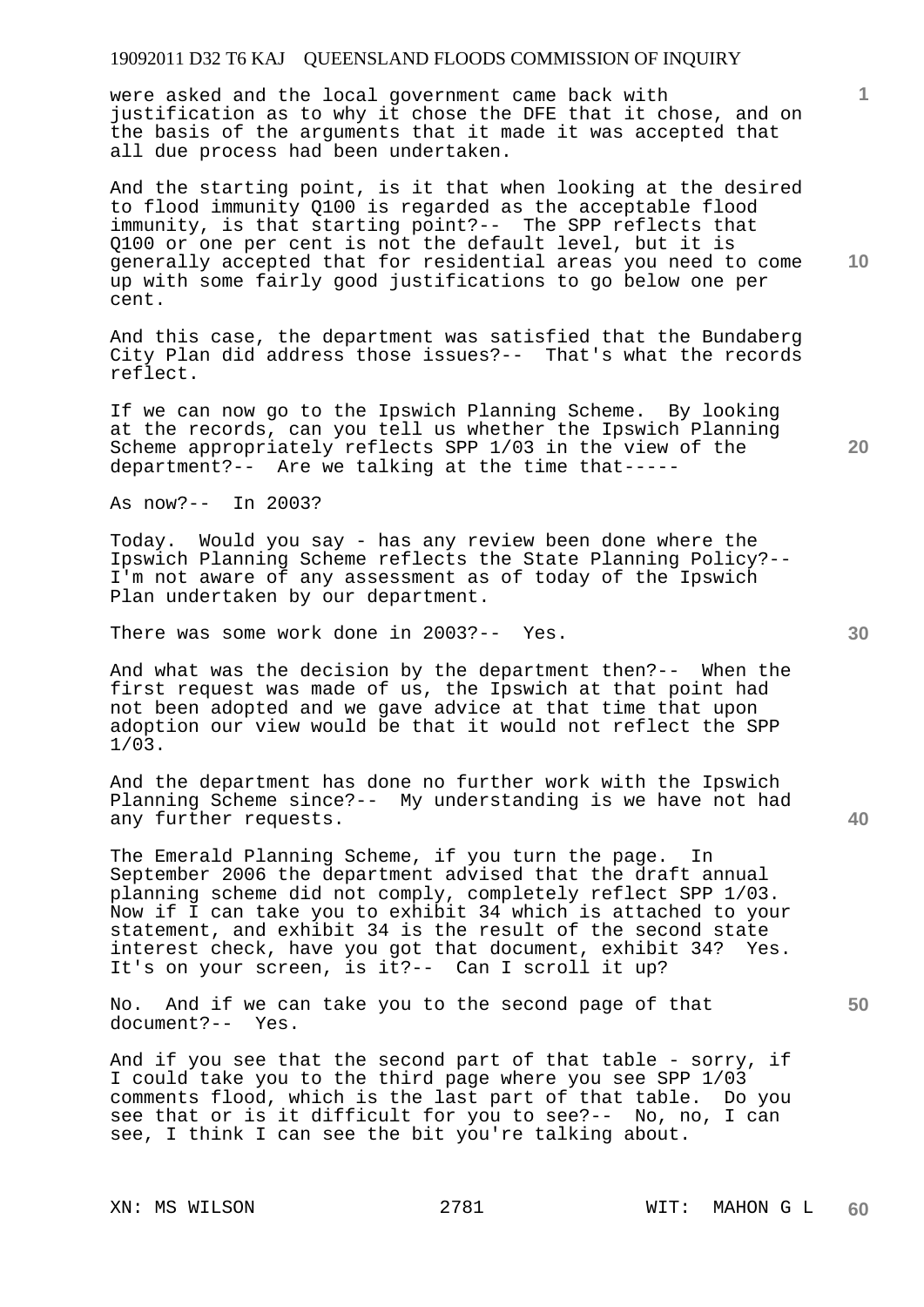were asked and the local government came back with justification as to why it chose the DFE that it chose, and on the basis of the arguments that it made it was accepted that all due process had been undertaken.

And the starting point, is it that when looking at the desired to flood immunity Q100 is regarded as the acceptable flood immunity, is that starting point?-- The SPP reflects that Q100 or one per cent is not the default level, but it is generally accepted that for residential areas you need to come up with some fairly good justifications to go below one per cent.

And this case, the department was satisfied that the Bundaberg City Plan did address those issues?-- That's what the records reflect.

If we can now go to the Ipswich Planning Scheme. By looking at the records, can you tell us whether the Ipswich Planning Scheme appropriately reflects SPP 1/03 in the view of the department?-- Are we talking at the time that-----

As now?-- In 2003?

Today. Would you say - has any review been done where the Ipswich Planning Scheme reflects the State Planning Policy?-- I'm not aware of any assessment as of today of the Ipswich Plan undertaken by our department.

There was some work done in 2003?-- Yes.

And what was the decision by the department then?-- When the first request was made of us, the Ipswich at that point had not been adopted and we gave advice at that time that upon adoption our view would be that it would not reflect the SPP 1/03.

And the department has done no further work with the Ipswich Planning Scheme since?-- My understanding is we have not had any further requests.

The Emerald Planning Scheme, if you turn the page. In September 2006 the department advised that the draft annual planning scheme did not comply, completely reflect SPP 1/03. Now if I can take you to exhibit 34 which is attached to your statement, and exhibit 34 is the result of the second state interest check, have you got that document, exhibit 34? Yes. It's on your screen, is it?-- Can I scroll it up?

No. And if we can take you to the second page of that document?-- Yes.

And if you see that the second part of that table - sorry, if I could take you to the third page where you see SPP 1/03 comments flood, which is the last part of that table. Do you see that or is it difficult for you to see?-- No, no, I can see, I think I can see the bit you're talking about.

**20** 

**10** 

**1**

**30** 

**40**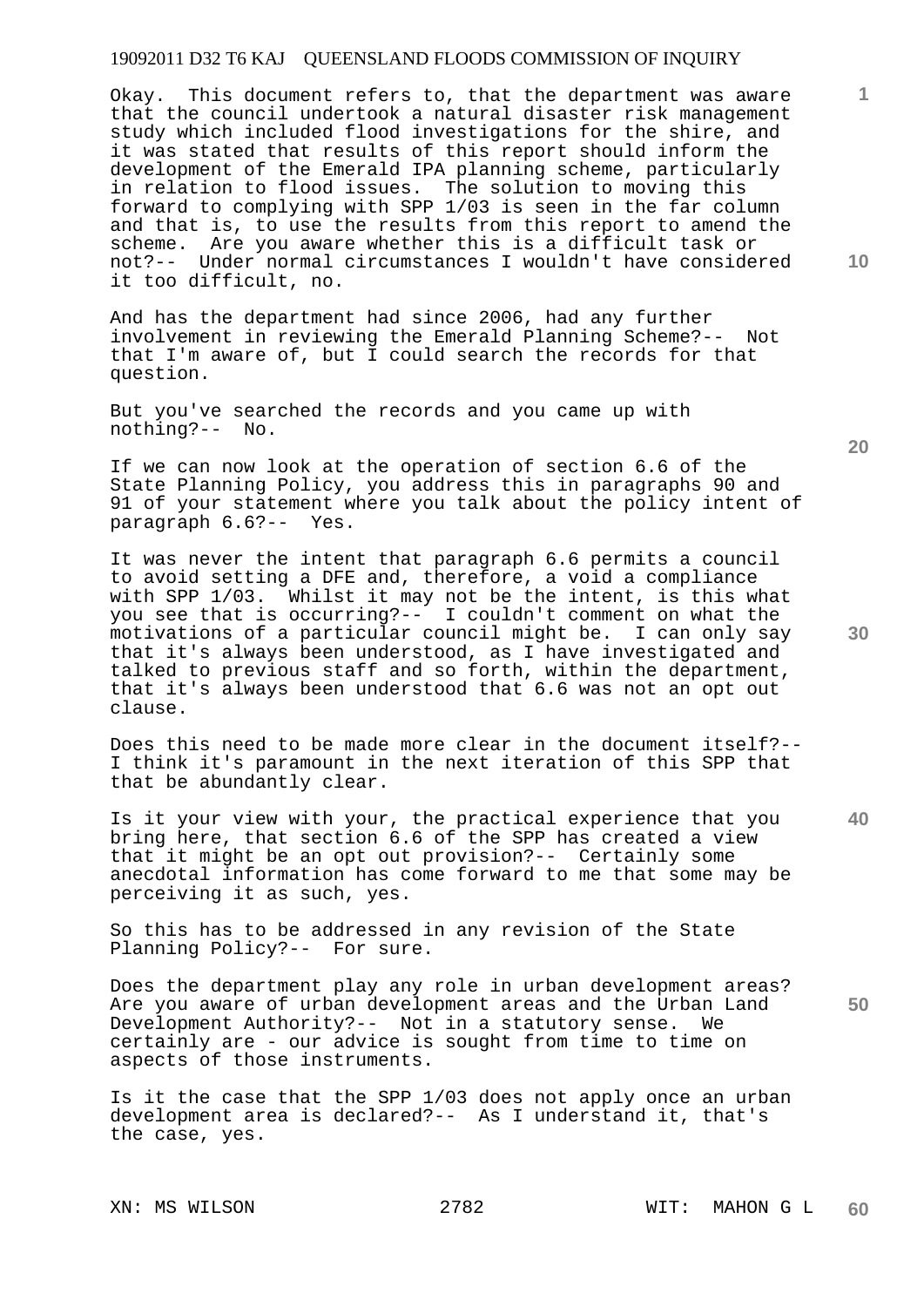Okay. This document refers to, that the department was aware that the council undertook a natural disaster risk management study which included flood investigations for the shire, and it was stated that results of this report should inform the development of the Emerald IPA planning scheme, particularly in relation to flood issues. The solution to moving this forward to complying with SPP 1/03 is seen in the far column and that is, to use the results from this report to amend the scheme. Are you aware whether this is a difficult task or not?-- Under normal circumstances I wouldn't have considered it too difficult, no.

And has the department had since 2006, had any further involvement in reviewing the Emerald Planning Scheme?-- Not that I'm aware of, but I could search the records for that question.

But you've searched the records and you came up with nothing?-- No.

If we can now look at the operation of section 6.6 of the State Planning Policy, you address this in paragraphs 90 and 91 of your statement where you talk about the policy intent of paragraph 6.6?-- Yes.

It was never the intent that paragraph 6.6 permits a council to avoid setting a DFE and, therefore, a void a compliance with SPP 1/03. Whilst it may not be the intent, is this what you see that is occurring?-- I couldn't comment on what the motivations of a particular council might be. I can only say that it's always been understood, as I have investigated and talked to previous staff and so forth, within the department, that it's always been understood that 6.6 was not an opt out clause.

Does this need to be made more clear in the document itself?-- I think it's paramount in the next iteration of this SPP that that be abundantly clear.

Is it your view with your, the practical experience that you bring here, that section 6.6 of the SPP has created a view that it might be an opt out provision?-- Certainly some anecdotal information has come forward to me that some may be perceiving it as such, yes.

So this has to be addressed in any revision of the State Planning Policy?-- For sure.

**50**  Does the department play any role in urban development areas? Are you aware of urban development areas and the Urban Land Development Authority?-- Not in a statutory sense. We certainly are - our advice is sought from time to time on aspects of those instruments.

Is it the case that the SPP 1/03 does not apply once an urban development area is declared?-- As I understand it, that's the case, yes.

**20** 

**1**

**10**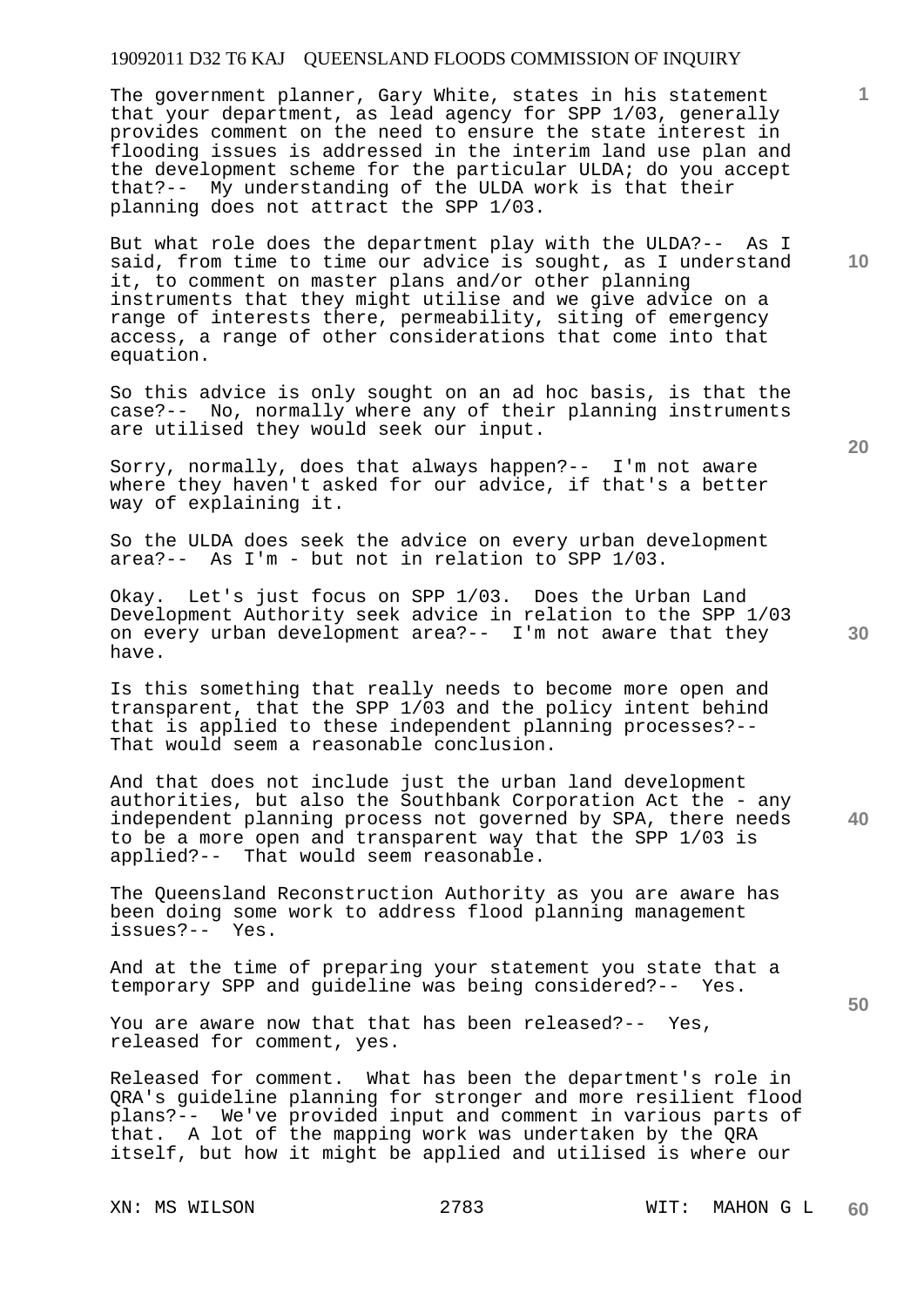The government planner, Gary White, states in his statement that your department, as lead agency for SPP 1/03, generally provides comment on the need to ensure the state interest in flooding issues is addressed in the interim land use plan and the development scheme for the particular ULDA; do you accept that?-- My understanding of the ULDA work is that their planning does not attract the SPP 1/03.

But what role does the department play with the ULDA?-- As I said, from time to time our advice is sought, as I understand it, to comment on master plans and/or other planning instruments that they might utilise and we give advice on a range of interests there, permeability, siting of emergency access, a range of other considerations that come into that equation.

So this advice is only sought on an ad hoc basis, is that the case?-- No, normally where any of their planning instruments are utilised they would seek our input.

Sorry, normally, does that always happen?-- I'm not aware where they haven't asked for our advice, if that's a better way of explaining it.

So the ULDA does seek the advice on every urban development area?-- As I'm - but not in relation to SPP 1/03.

Okay. Let's just focus on SPP 1/03. Does the Urban Land Development Authority seek advice in relation to the SPP 1/03 on every urban development area?-- I'm not aware that they have.

Is this something that really needs to become more open and transparent, that the SPP 1/03 and the policy intent behind that is applied to these independent planning processes?-- That would seem a reasonable conclusion.

And that does not include just the urban land development authorities, but also the Southbank Corporation Act the - any independent planning process not governed by SPA, there needs to be a more open and transparent way that the SPP 1/03 is applied?-- That would seem reasonable.

The Queensland Reconstruction Authority as you are aware has been doing some work to address flood planning management issues?-- Yes.

And at the time of preparing your statement you state that a temporary SPP and guideline was being considered?-- Yes.

You are aware now that that has been released?-- Yes, released for comment, yes.

Released for comment. What has been the department's role in QRA's guideline planning for stronger and more resilient flood plans?-- We've provided input and comment in various parts of that. A lot of the mapping work was undertaken by the QRA itself, but how it might be applied and utilised is where our

**20** 

**40** 

**10** 

**1**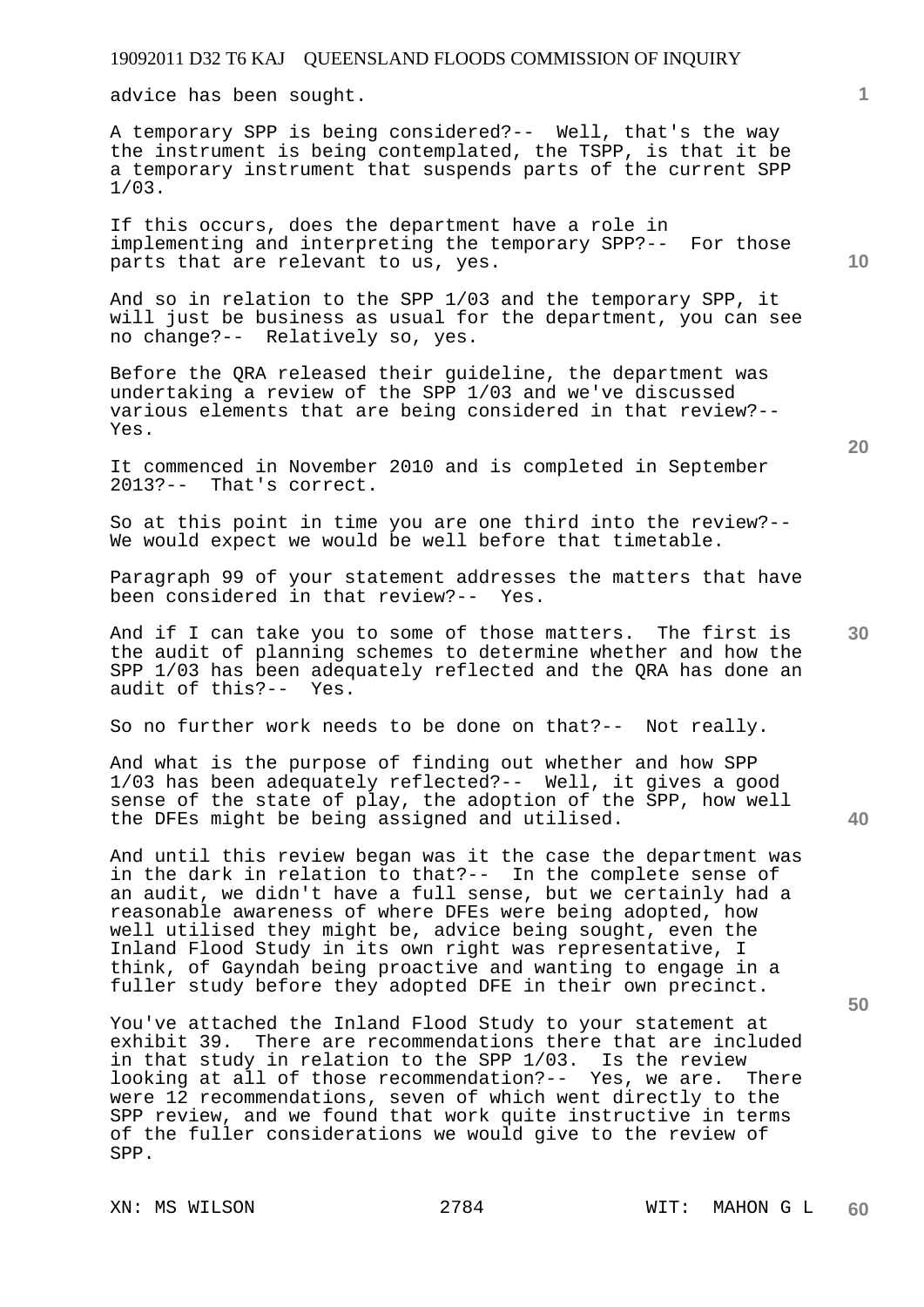advice has been sought.

A temporary SPP is being considered?-- Well, that's the way the instrument is being contemplated, the TSPP, is that it be a temporary instrument that suspends parts of the current SPP 1/03.

If this occurs, does the department have a role in implementing and interpreting the temporary SPP?-- For those parts that are relevant to us, yes.

And so in relation to the SPP 1/03 and the temporary SPP, it will just be business as usual for the department, you can see no change?-- Relatively so, yes.

Before the QRA released their guideline, the department was undertaking a review of the SPP 1/03 and we've discussed various elements that are being considered in that review?-- Yes.

It commenced in November 2010 and is completed in September 2013?-- That's correct.

So at this point in time you are one third into the review?-- We would expect we would be well before that timetable.

Paragraph 99 of your statement addresses the matters that have been considered in that review?-- Yes.

**30**  And if I can take you to some of those matters. The first is the audit of planning schemes to determine whether and how the SPP 1/03 has been adequately reflected and the QRA has done an audit of this?-- Yes.

So no further work needs to be done on that?-- Not really.

And what is the purpose of finding out whether and how SPP 1/03 has been adequately reflected?-- Well, it gives a good sense of the state of play, the adoption of the SPP, how well the DFEs might be being assigned and utilised.

And until this review began was it the case the department was in the dark in relation to that?-- In the complete sense of an audit, we didn't have a full sense, but we certainly had a reasonable awareness of where DFEs were being adopted, how well utilised they might be, advice being sought, even the Inland Flood Study in its own right was representative, I think, of Gayndah being proactive and wanting to engage in a fuller study before they adopted DFE in their own precinct.

You've attached the Inland Flood Study to your statement at exhibit 39. There are recommendations there that are included in that study in relation to the SPP 1/03. Is the review looking at all of those recommendation?-- Yes, we are. There were 12 recommendations, seven of which went directly to the SPP review, and we found that work quite instructive in terms of the fuller considerations we would give to the review of SPP.

**20** 

**10** 

**1**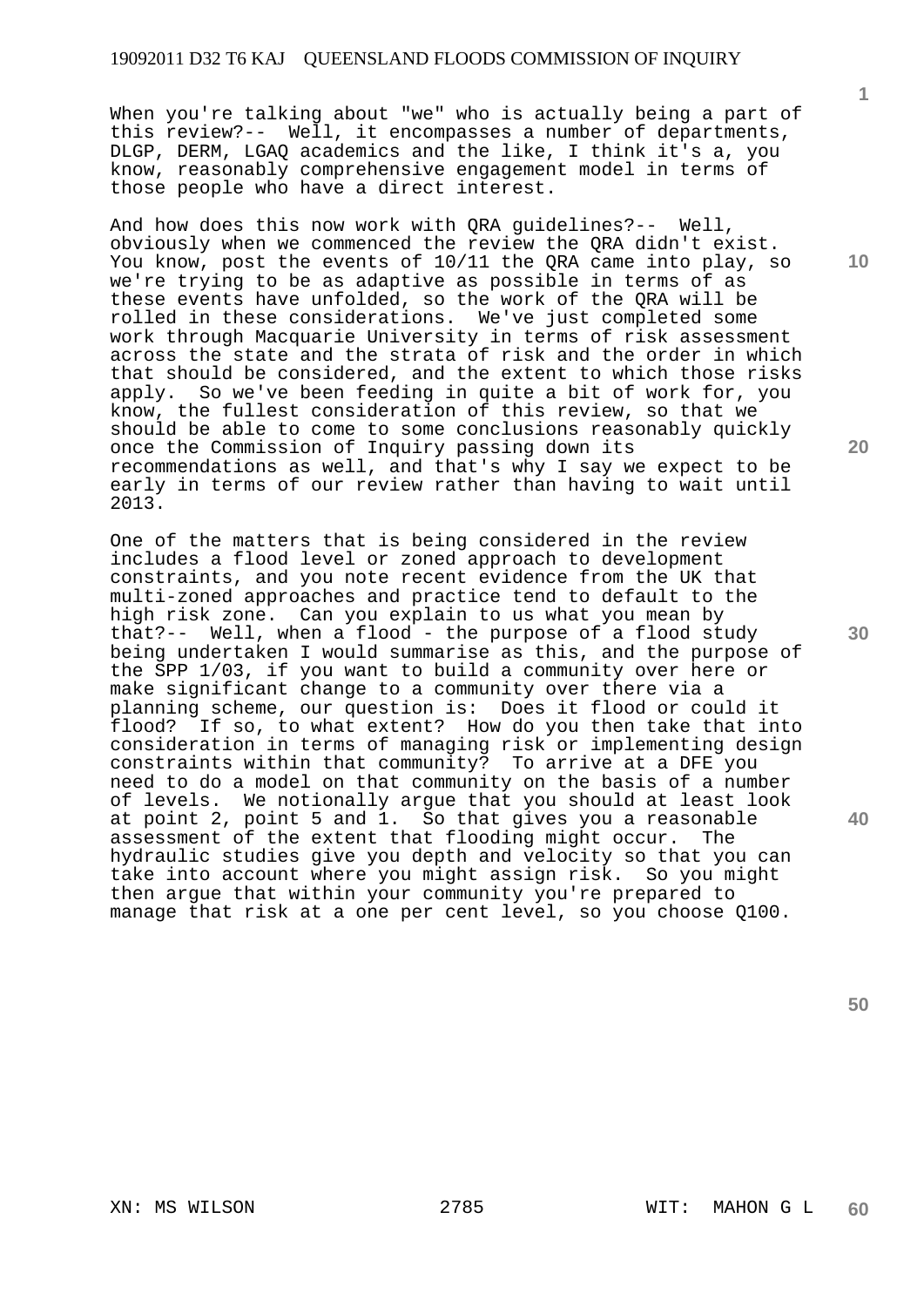When you're talking about "we" who is actually being a part of this review?-- Well, it encompasses a number of departments, DLGP, DERM, LGAQ academics and the like, I think it's a, you know, reasonably comprehensive engagement model in terms of those people who have a direct interest.

And how does this now work with QRA guidelines?-- Well, obviously when we commenced the review the QRA didn't exist. You know, post the events of 10/11 the QRA came into play, so we're trying to be as adaptive as possible in terms of as these events have unfolded, so the work of the QRA will be rolled in these considerations. We've just completed some work through Macquarie University in terms of risk assessment across the state and the strata of risk and the order in which that should be considered, and the extent to which those risks apply. So we've been feeding in quite a bit of work for, you know, the fullest consideration of this review, so that we should be able to come to some conclusions reasonably quickly once the Commission of Inquiry passing down its recommendations as well, and that's why I say we expect to be early in terms of our review rather than having to wait until 2013.

One of the matters that is being considered in the review includes a flood level or zoned approach to development constraints, and you note recent evidence from the UK that multi-zoned approaches and practice tend to default to the high risk zone. Can you explain to us what you mean by that?-- Well, when a flood - the purpose of a flood study being undertaken I would summarise as this, and the purpose of the SPP 1/03, if you want to build a community over here or make significant change to a community over there via a planning scheme, our question is: Does it flood or could it flood? If so, to what extent? How do you then take that into consideration in terms of managing risk or implementing design constraints within that community? To arrive at a DFE you need to do a model on that community on the basis of a number of levels. We notionally argue that you should at least look at point 2, point 5 and 1. So that gives you a reasonable assessment of the extent that flooding might occur. The hydraulic studies give you depth and velocity so that you can take into account where you might assign risk. So you might then argue that within your community you're prepared to manage that risk at a one per cent level, so you choose Q100.

**20** 

**10** 

**1**

**30**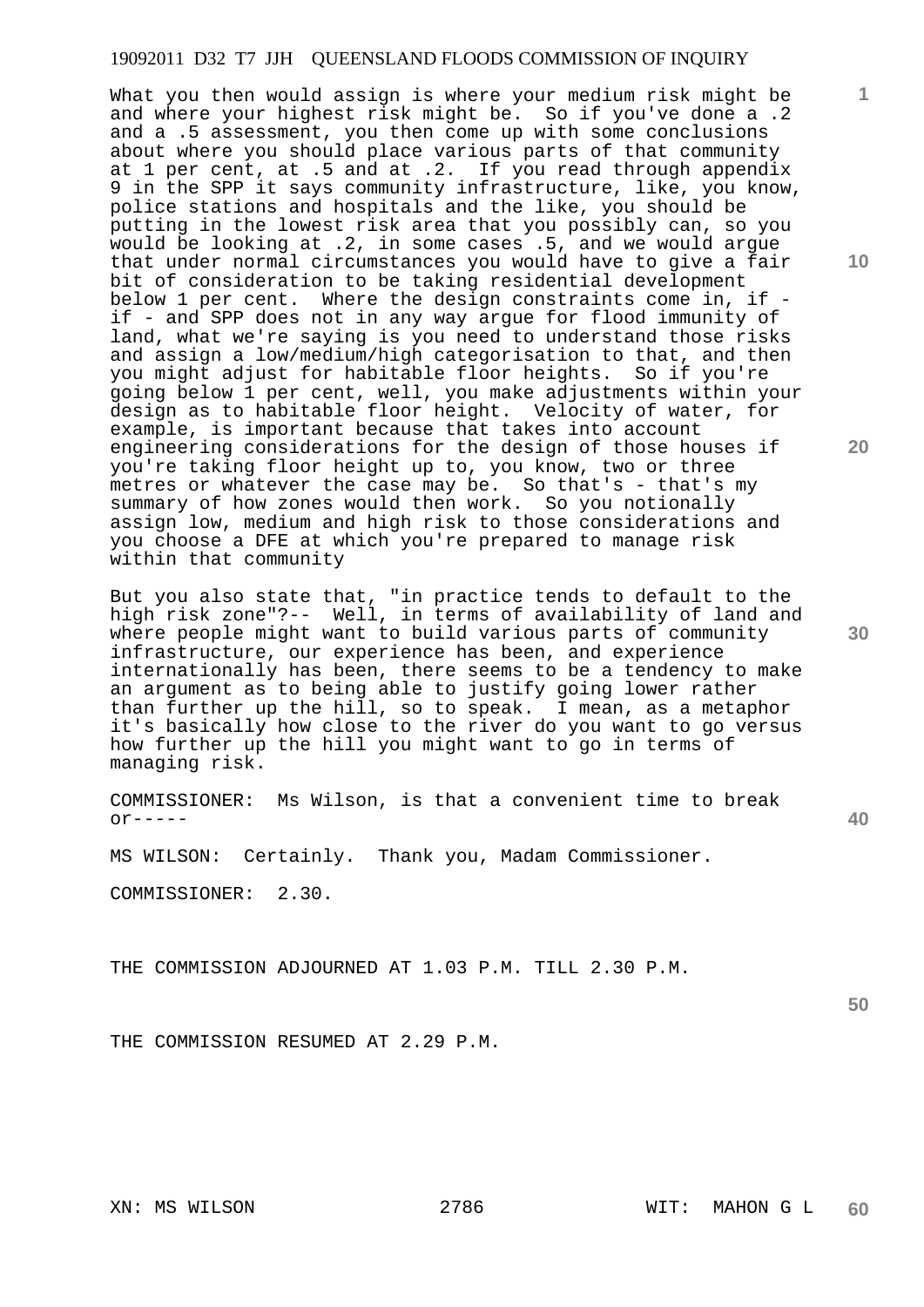What you then would assign is where your medium risk might be and where your highest risk might be. So if you've done a .2 and a .5 assessment, you then come up with some conclusions about where you should place various parts of that community at 1 per cent, at .5 and at .2. If you read through appendix 9 in the SPP it says community infrastructure, like, you know, police stations and hospitals and the like, you should be putting in the lowest risk area that you possibly can, so you would be looking at .2, in some cases .5, and we would argue that under normal circumstances you would have to give a fair bit of consideration to be taking residential development below 1 per cent. Where the design constraints come in, if if - and SPP does not in any way argue for flood immunity of land, what we're saying is you need to understand those risks and assign a low/medium/high categorisation to that, and then you might adjust for habitable floor heights. So if you're going below 1 per cent, well, you make adjustments within your design as to habitable floor height. Velocity of water, for example, is important because that takes into account engineering considerations for the design of those houses if you're taking floor height up to, you know, two or three metres or whatever the case may be. So that's - that's my summary of how zones would then work. So you notionally assign low, medium and high risk to those considerations and you choose a DFE at which you're prepared to manage risk within that community

But you also state that, "in practice tends to default to the high risk zone"?-- Well, in terms of availability of land and where people might want to build various parts of community infrastructure, our experience has been, and experience internationally has been, there seems to be a tendency to make an argument as to being able to justify going lower rather than further up the hill, so to speak. I mean, as a metaphor it's basically how close to the river do you want to go versus how further up the hill you might want to go in terms of managing risk.

COMMISSIONER: Ms Wilson, is that a convenient time to break  $or---$ 

MS WILSON: Certainly. Thank you, Madam Commissioner.

COMMISSIONER: 2.30.

THE COMMISSION ADJOURNED AT 1.03 P.M. TILL 2.30 P.M.

THE COMMISSION RESUMED AT 2.29 P.M.

**10** 

**1**

**20** 

**30** 

**40**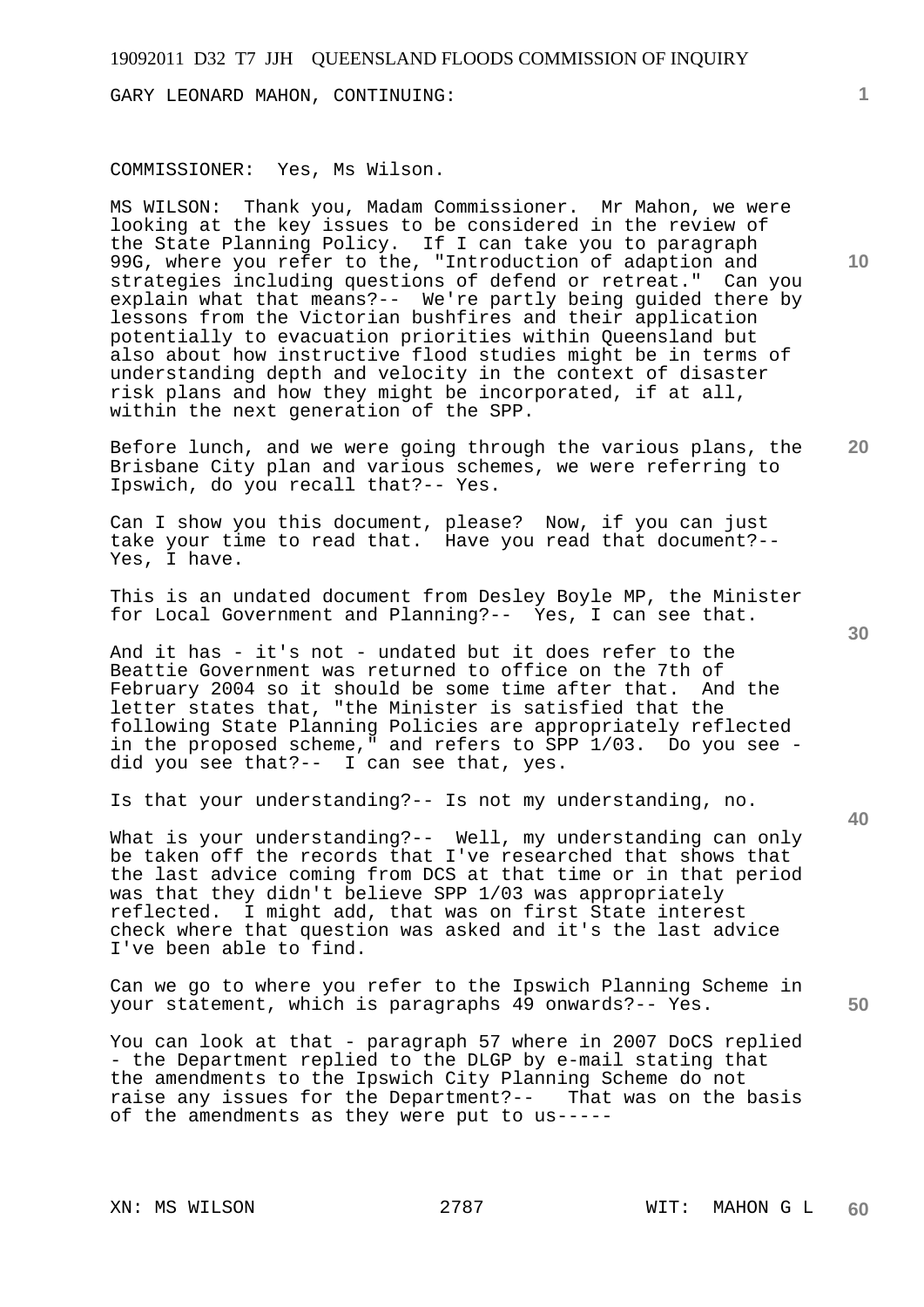GARY LEONARD MAHON, CONTINUING:

#### COMMISSIONER: Yes, Ms Wilson.

MS WILSON: Thank you, Madam Commissioner. Mr Mahon, we were looking at the key issues to be considered in the review of the State Planning Policy. If I can take you to paragraph 99G, where you refer to the, "Introduction of adaption and strategies including questions of defend or retreat." Can you explain what that means?-- We're partly being guided there by lessons from the Victorian bushfires and their application potentially to evacuation priorities within Queensland but also about how instructive flood studies might be in terms of understanding depth and velocity in the context of disaster risk plans and how they might be incorporated, if at all, within the next generation of the SPP.

**20**  Before lunch, and we were going through the various plans, the Brisbane City plan and various schemes, we were referring to Ipswich, do you recall that?-- Yes.

Can I show you this document, please? Now, if you can just take your time to read that. Have you read that document?-- Yes, I have.

This is an undated document from Desley Boyle MP, the Minister for Local Government and Planning?-- Yes, I can see that.

And it has - it's not - undated but it does refer to the Beattie Government was returned to office on the 7th of February 2004 so it should be some time after that. And the letter states that, "the Minister is satisfied that the following State Planning Policies are appropriately reflected in the proposed scheme," and refers to SPP 1/03. Do you see did you see that?-- I can see that, yes.

Is that your understanding?-- Is not my understanding, no.

What is your understanding?-- Well, my understanding can only be taken off the records that I've researched that shows that the last advice coming from DCS at that time or in that period was that they didn't believe SPP 1/03 was appropriately reflected. I might add, that was on first State interest check where that question was asked and it's the last advice I've been able to find.

Can we go to where you refer to the Ipswich Planning Scheme in your statement, which is paragraphs 49 onwards?-- Yes.

You can look at that - paragraph 57 where in 2007 DoCS replied - the Department replied to the DLGP by e-mail stating that the amendments to the Ipswich City Planning Scheme do not raise any issues for the Department?-- That was on the basis of the amendments as they were put to us-----

**10** 

**1**

**30**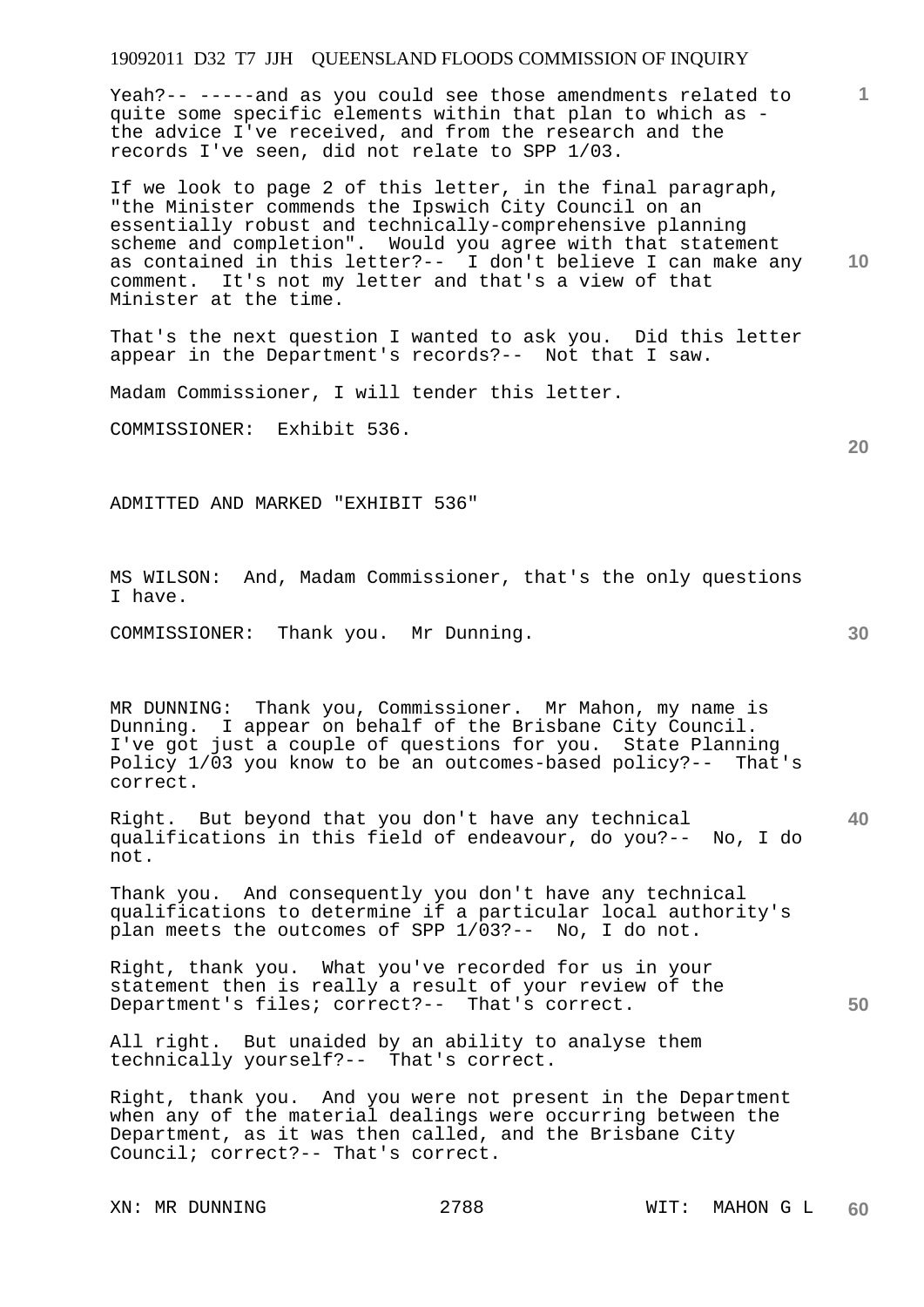Yeah?-- -----and as you could see those amendments related to quite some specific elements within that plan to which as the advice I've received, and from the research and the records I've seen, did not relate to SPP 1/03.

If we look to page 2 of this letter, in the final paragraph, "the Minister commends the Ipswich City Council on an essentially robust and technically-comprehensive planning scheme and completion". Would you agree with that statement as contained in this letter?-- I don't believe I can make any comment. It's not my letter and that's a view of that Minister at the time.

That's the next question I wanted to ask you. Did this letter appear in the Department's records?-- Not that I saw.

Madam Commissioner, I will tender this letter.

COMMISSIONER: Exhibit 536.

ADMITTED AND MARKED "EXHIBIT 536"

MS WILSON: And, Madam Commissioner, that's the only questions I have.

COMMISSIONER: Thank you. Mr Dunning.

MR DUNNING: Thank you, Commissioner. Mr Mahon, my name is Dunning. I appear on behalf of the Brisbane City Council. I've got just a couple of questions for you. State Planning Policy 1/03 you know to be an outcomes-based policy?-- That's correct.

Right. But beyond that you don't have any technical qualifications in this field of endeavour, do you?-- No, I do not.

Thank you. And consequently you don't have any technical qualifications to determine if a particular local authority's plan meets the outcomes of SPP  $1/03$ ?-- No, I do not.

Right, thank you. What you've recorded for us in your statement then is really a result of your review of the Department's files; correct?-- That's correct.

All right. But unaided by an ability to analyse them technically yourself?-- That's correct.

Right, thank you. And you were not present in the Department when any of the material dealings were occurring between the Department, as it was then called, and the Brisbane City Council; correct?-- That's correct.

**1**

**10** 

**20** 

**30** 

**40**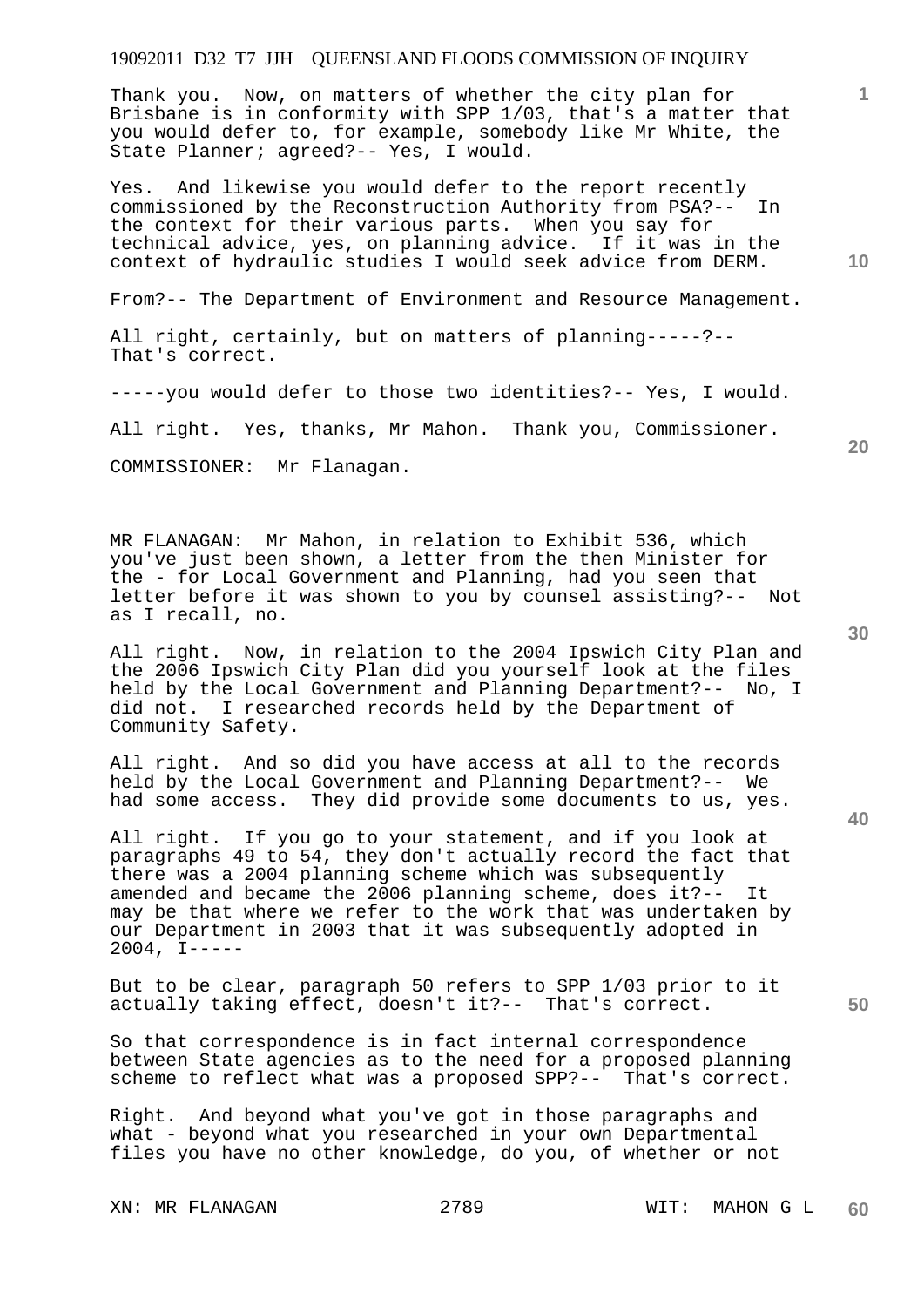Thank you. Now, on matters of whether the city plan for Brisbane is in conformity with SPP 1/03, that's a matter that you would defer to, for example, somebody like Mr White, the State Planner; agreed?-- Yes, I would.

Yes. And likewise you would defer to the report recently commissioned by the Reconstruction Authority from PSA?-- In the context for their various parts. When you say for technical advice, yes, on planning advice. If it was in the context of hydraulic studies I would seek advice from DERM.

From?-- The Department of Environment and Resource Management.

All right, certainly, but on matters of planning-----?-- That's correct.

-----you would defer to those two identities?-- Yes, I would.

All right. Yes, thanks, Mr Mahon. Thank you, Commissioner.

COMMISSIONER: Mr Flanagan.

MR FLANAGAN: Mr Mahon, in relation to Exhibit 536, which you've just been shown, a letter from the then Minister for the - for Local Government and Planning, had you seen that letter before it was shown to you by counsel assisting?-- Not as I recall, no.

All right. Now, in relation to the 2004 Ipswich City Plan and the 2006 Ipswich City Plan did you yourself look at the files held by the Local Government and Planning Department?-- No, I did not. I researched records held by the Department of Community Safety.

All right. And so did you have access at all to the records held by the Local Government and Planning Department?-- We had some access. They did provide some documents to us, yes.

All right. If you go to your statement, and if you look at paragraphs 49 to 54, they don't actually record the fact that there was a 2004 planning scheme which was subsequently amended and became the 2006 planning scheme, does it?-- It may be that where we refer to the work that was undertaken by our Department in 2003 that it was subsequently adopted in  $2004$ , I-----

But to be clear, paragraph 50 refers to SPP 1/03 prior to it actually taking effect, doesn't it?-- That's correct.

So that correspondence is in fact internal correspondence between State agencies as to the need for a proposed planning scheme to reflect what was a proposed SPP?-- That's correct.

Right. And beyond what you've got in those paragraphs and what - beyond what you researched in your own Departmental files you have no other knowledge, do you, of whether or not

**20** 

**40** 

**50** 

**30** 

**10**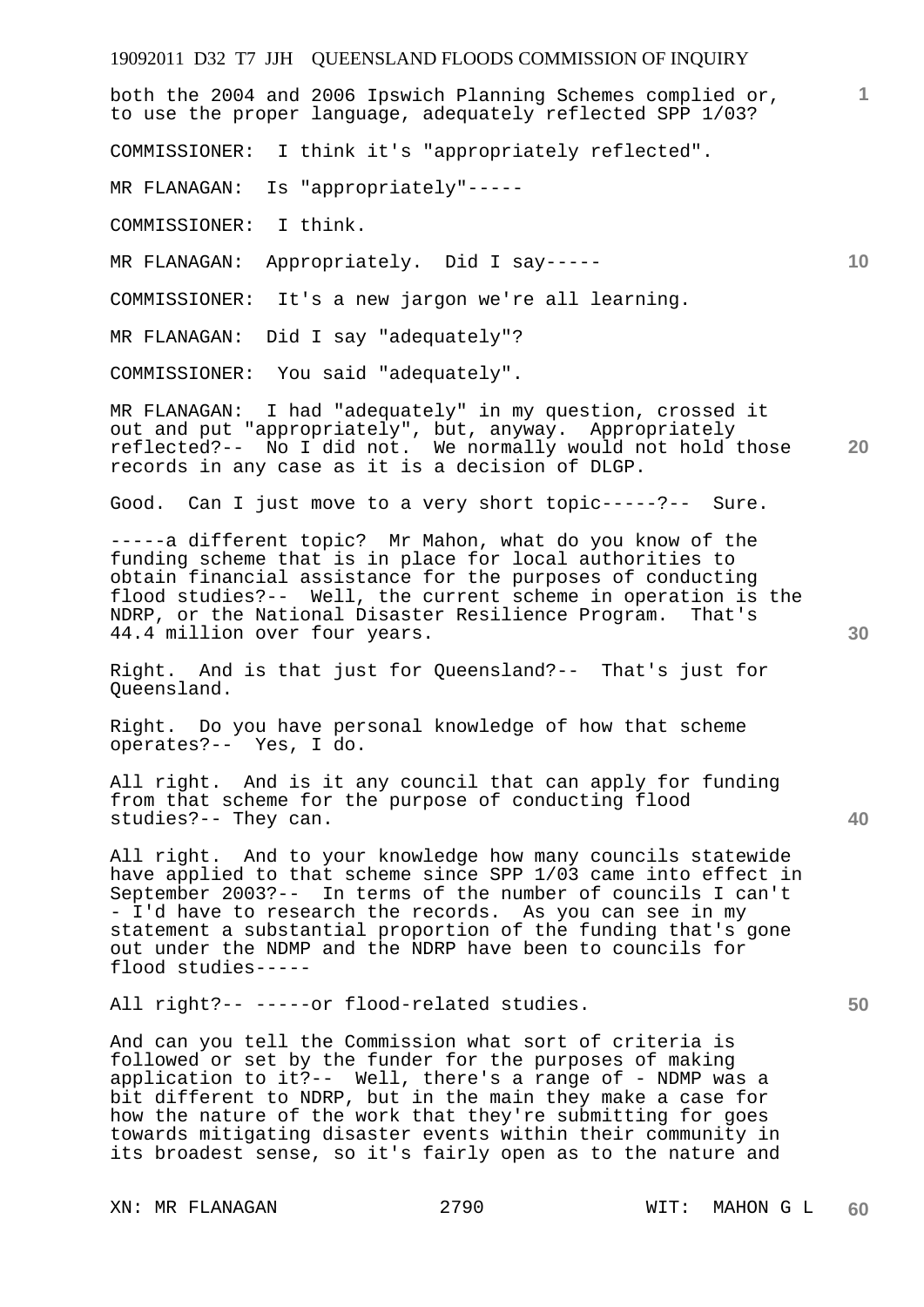both the 2004 and 2006 Ipswich Planning Schemes complied or, to use the proper language, adequately reflected SPP 1/03?

COMMISSIONER: I think it's "appropriately reflected".

MR FLANAGAN: Is "appropriately"-----

COMMISSIONER: I think.

MR FLANAGAN: Appropriately. Did I say-----

COMMISSIONER: It's a new jargon we're all learning.

MR FLANAGAN: Did I say "adequately"?

COMMISSIONER: You said "adequately".

**20**  MR FLANAGAN: I had "adequately" in my question, crossed it out and put "appropriately", but, anyway. Appropriately reflected?-- No I did not. We normally would not hold those records in any case as it is a decision of DLGP.

Good. Can I just move to a very short topic-----?-- Sure.

-----a different topic? Mr Mahon, what do you know of the funding scheme that is in place for local authorities to obtain financial assistance for the purposes of conducting flood studies?-- Well, the current scheme in operation is the NDRP, or the National Disaster Resilience Program. That's 44.4 million over four years.

Right. And is that just for Queensland?-- That's just for Queensland.

Right. Do you have personal knowledge of how that scheme operates?-- Yes, I do.

All right. And is it any council that can apply for funding from that scheme for the purpose of conducting flood studies?-- They can.

All right. And to your knowledge how many councils statewide have applied to that scheme since SPP 1/03 came into effect in September 2003?-- In terms of the number of councils I can't - I'd have to research the records. As you can see in my statement a substantial proportion of the funding that's gone out under the NDMP and the NDRP have been to councils for flood studies-----

All right?-- -----or flood-related studies.

And can you tell the Commission what sort of criteria is followed or set by the funder for the purposes of making application to it?-- Well, there's a range of - NDMP was a bit different to NDRP, but in the main they make a case for how the nature of the work that they're submitting for goes towards mitigating disaster events within their community in its broadest sense, so it's fairly open as to the nature and

**30** 

**1**

**10**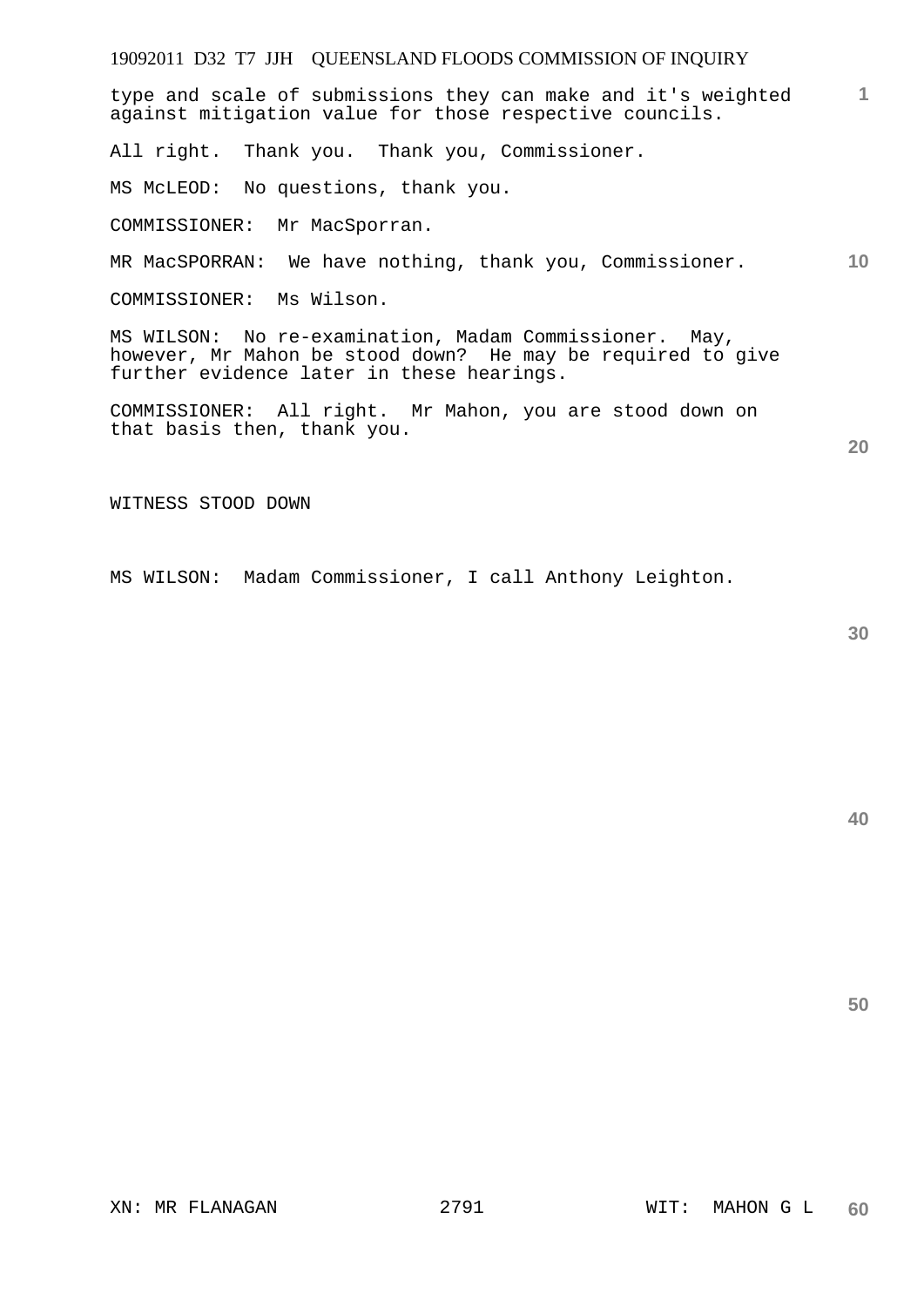**1** type and scale of submissions they can make and it's weighted against mitigation value for those respective councils.

All right. Thank you. Thank you, Commissioner.

MS McLEOD: No questions, thank you.

COMMISSIONER: Mr MacSporran.

**10**  MR MacSPORRAN: We have nothing, thank you, Commissioner.

COMMISSIONER: Ms Wilson.

MS WILSON: No re-examination, Madam Commissioner. May, however, Mr Mahon be stood down? He may be required to give further evidence later in these hearings.

COMMISSIONER: All right. Mr Mahon, you are stood down on that basis then, thank you.

WITNESS STOOD DOWN

MS WILSON: Madam Commissioner, I call Anthony Leighton.

**30** 

**20**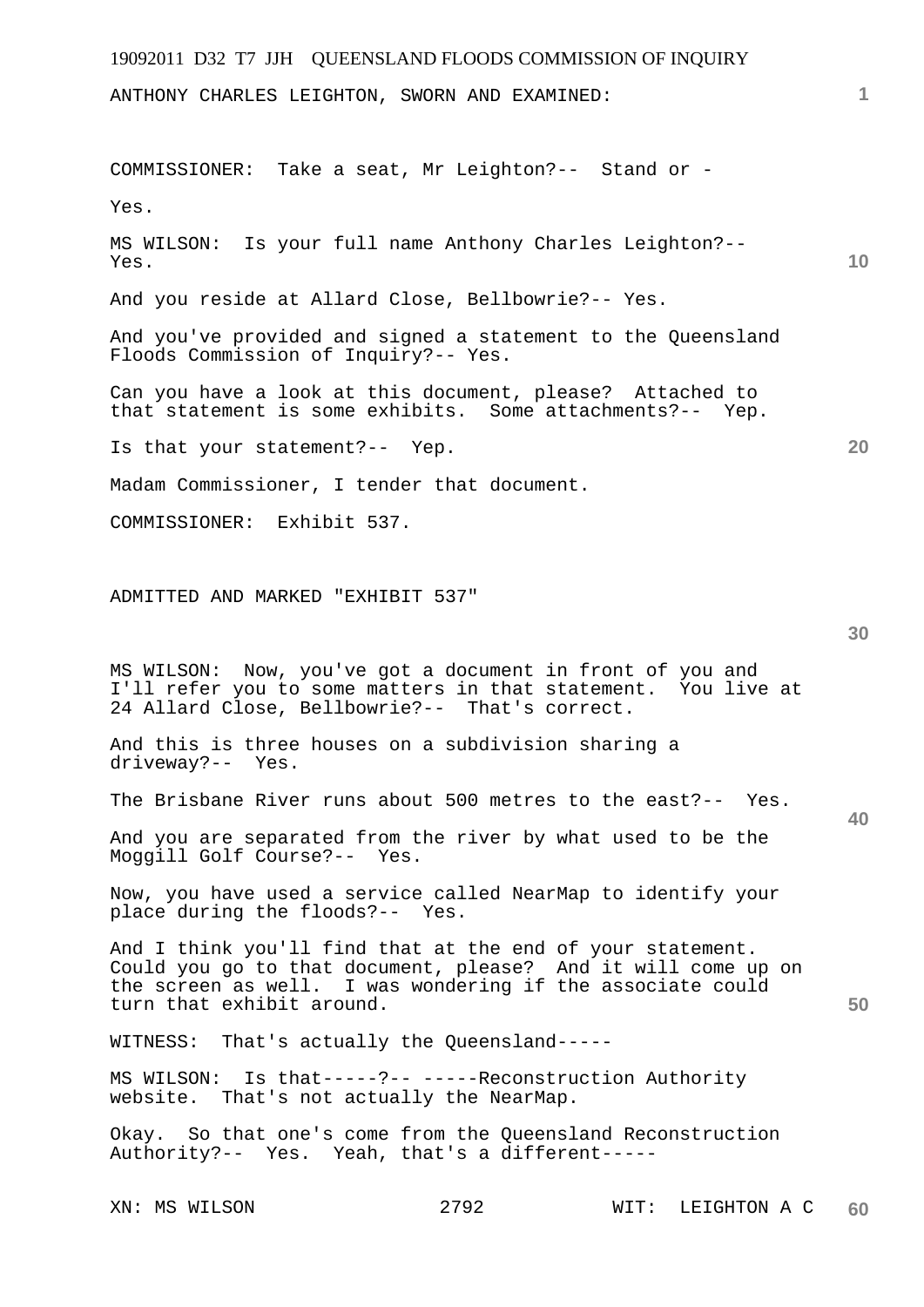| 19092011 D32 T7 JJH QUEENSLAND FLOODS COMMISSION OF INQUIRY                                                                                                                                                            |      |      |              |    |
|------------------------------------------------------------------------------------------------------------------------------------------------------------------------------------------------------------------------|------|------|--------------|----|
| ANTHONY CHARLES LEIGHTON, SWORN AND EXAMINED:                                                                                                                                                                          |      |      |              | 1. |
|                                                                                                                                                                                                                        |      |      |              |    |
| COMMISSIONER: Take a seat, Mr Leighton?-- Stand or -                                                                                                                                                                   |      |      |              |    |
| Yes.                                                                                                                                                                                                                   |      |      |              |    |
| MS WILSON: Is your full name Anthony Charles Leighton?--<br>Yes.                                                                                                                                                       |      |      |              | 10 |
| And you reside at Allard Close, Bellbowrie?-- Yes.                                                                                                                                                                     |      |      |              |    |
| And you've provided and signed a statement to the Queensland<br>Floods Commission of Inquiry?-- Yes.                                                                                                                   |      |      |              |    |
| Can you have a look at this document, please? Attached to<br>that statement is some exhibits. Some attachments?-- Yep.                                                                                                 |      |      |              |    |
| Is that your statement?-- Yep.                                                                                                                                                                                         |      |      |              | 20 |
| Madam Commissioner, I tender that document.                                                                                                                                                                            |      |      |              |    |
| COMMISSIONER: Exhibit 537.                                                                                                                                                                                             |      |      |              |    |
|                                                                                                                                                                                                                        |      |      |              |    |
| ADMITTED AND MARKED "EXHIBIT 537"                                                                                                                                                                                      |      |      |              |    |
|                                                                                                                                                                                                                        |      |      |              | 30 |
| MS WILSON: Now, you've got a document in front of you and<br>I'll refer you to some matters in that statement. You live at<br>24 Allard Close, Bellbowrie?-- That's correct.                                           |      |      |              |    |
| And this is three houses on a subdivision sharing a<br>driveway?-- Yes.                                                                                                                                                |      |      |              |    |
| The Brisbane River runs about 500 metres to the east?-- Yes.                                                                                                                                                           |      |      |              | 40 |
| And you are separated from the river by what used to be the<br>Moggill Golf Course?-- Yes.                                                                                                                             |      |      |              |    |
| Now, you have used a service called NearMap to identify your<br>place during the floods?-- Yes.                                                                                                                        |      |      |              |    |
| And I think you'll find that at the end of your statement.<br>Could you go to that document, please? And it will come up on<br>the screen as well. I was wondering if the associate could<br>turn that exhibit around. |      |      |              | 50 |
| WITNESS: That's actually the Queensland-----                                                                                                                                                                           |      |      |              |    |
| MS WILSON: Is that-----?-- -----Reconstruction Authority<br>website. That's not actually the NearMap.                                                                                                                  |      |      |              |    |
| Okay. So that one's come from the Queensland Reconstruction<br>Authority?-- Yes. Yeah, that's a different-----                                                                                                         |      |      |              |    |
| XN: MS WILSON                                                                                                                                                                                                          | 2792 | WIT: | LEIGHTON A C | 60 |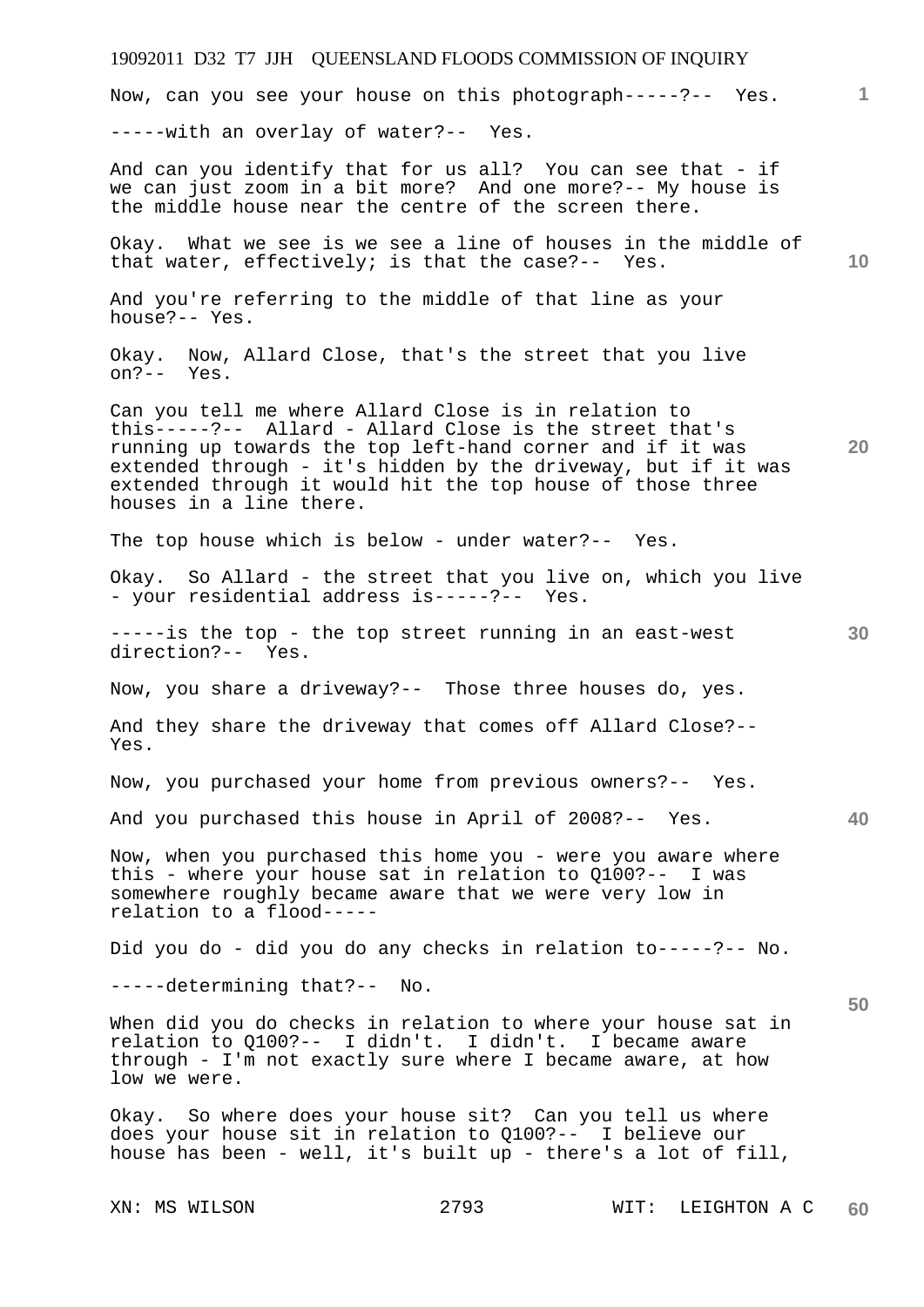# 19092011 D32 T7 JJH QUEENSLAND FLOODS COMMISSION OF INQUIRY XN: MS WILSON 2793 WIT: LEIGHTON A C **1 10 20 30 40 50 60**  Now, can you see your house on this photograph-----?-- Yes. -----with an overlay of water?-- Yes. And can you identify that for us all? You can see that - if we can just zoom in a bit more? And one more?-- My house is the middle house near the centre of the screen there. Okay. What we see is we see a line of houses in the middle of that water, effectively; is that the case?-- Yes. And you're referring to the middle of that line as your house?-- Yes. Okay. Now, Allard Close, that's the street that you live on?-- Yes. Can you tell me where Allard Close is in relation to this-----?-- Allard - Allard Close is the street that's running up towards the top left-hand corner and if it was extended through - it's hidden by the driveway, but if it was extended through it would hit the top house of those three houses in a line there. The top house which is below - under water?-- Yes. Okay. So Allard - the street that you live on, which you live - your residential address is-----?-- Yes. -----is the top - the top street running in an east-west direction?-- Yes. Now, you share a driveway?-- Those three houses do, yes. And they share the driveway that comes off Allard Close?-- Yes. Now, you purchased your home from previous owners?-- Yes. And you purchased this house in April of 2008?-- Yes. Now, when you purchased this home you - were you aware where this - where your house sat in relation to Q100?-- I was somewhere roughly became aware that we were very low in relation to a flood----- Did you do - did you do any checks in relation to-----?-- No. -----determining that?-- No. When did you do checks in relation to where your house sat in relation to Q100?-- I didn't. I didn't. I became aware through - I'm not exactly sure where I became aware, at how low we were. Okay. So where does your house sit? Can you tell us where does your house sit in relation to Q100?-- I believe our house has been - well, it's built up - there's a lot of fill,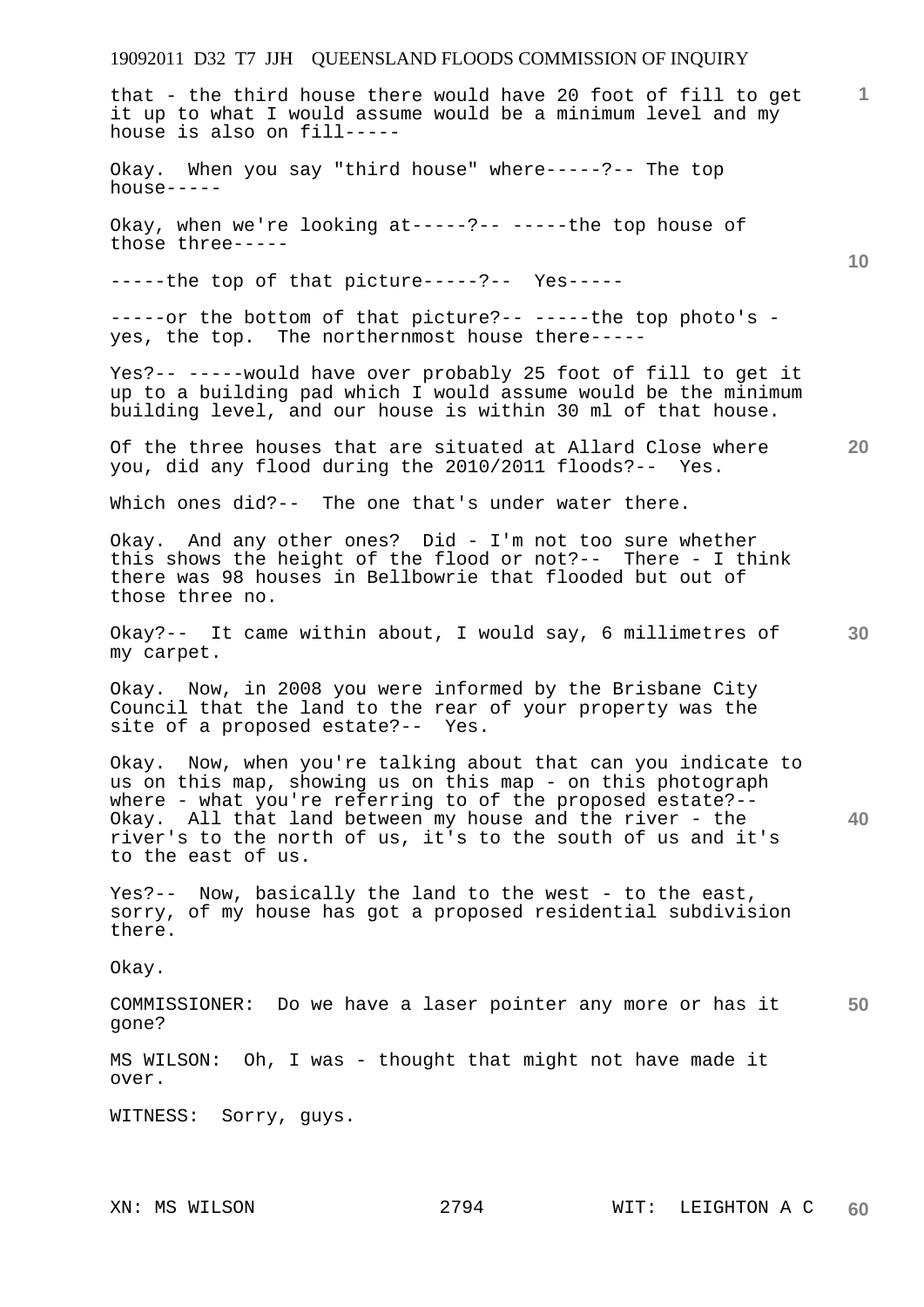**1 10 20**  Okay?-- It came within about, I would say, 6 millimetres of 30 **40 50**  that - the third house there would have 20 foot of fill to get it up to what I would assume would be a minimum level and my house is also on fill----- Okay. When you say "third house" where-----?-- The top house----- Okay, when we're looking at-----?-- -----the top house of those three----- -----the top of that picture-----?-- Yes-----  $---or$  the bottom of that picture? $---the$  top photo's  $$ yes, the top. The northernmost house there----- Yes?-- -----would have over probably 25 foot of fill to get it up to a building pad which  $I$  would assume would be the minimum building level, and our house is within 30 ml of that house. Of the three houses that are situated at Allard Close where you, did any flood during the 2010/2011 floods?-- Yes. Which ones did?-- The one that's under water there. Okay. And any other ones? Did - I'm not too sure whether this shows the height of the flood or not?-- There - I think there was 98 houses in Bellbowrie that flooded but out of those three no. my carpet. Okay. Now, in 2008 you were informed by the Brisbane City Council that the land to the rear of your property was the site of a proposed estate?-- Yes. Okay. Now, when you're talking about that can you indicate to us on this map, showing us on this map - on this photograph where - what you're referring to of the proposed estate?-- Okay. All that land between my house and the river - the river's to the north of us, it's to the south of us and it's to the east of us. Yes?-- Now, basically the land to the west - to the east, sorry, of my house has got a proposed residential subdivision there. Okay. COMMISSIONER: Do we have a laser pointer any more or has it gone? MS WILSON: Oh, I was - thought that might not have made it over. WITNESS: Sorry, guys.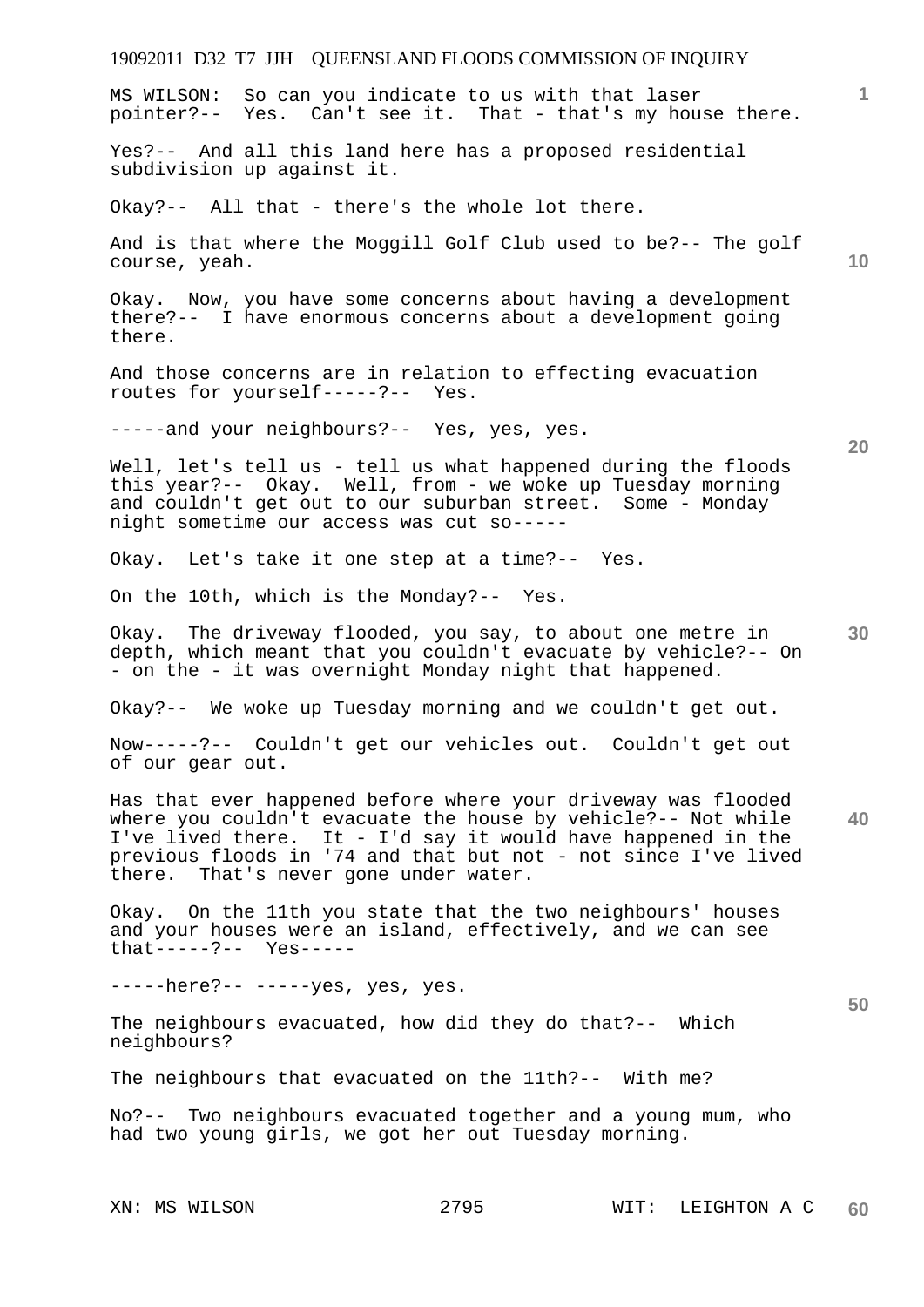MS WILSON: So can you indicate to us with that laser pointer?-- Yes. Can't see it. That - that's my house there.

Yes?-- And all this land here has a proposed residential subdivision up against it.

Okay?-- All that - there's the whole lot there.

And is that where the Moggill Golf Club used to be?-- The golf course, yeah.

Okay. Now, you have some concerns about having a development there?-- I have enormous concerns about a development going there.

And those concerns are in relation to effecting evacuation routes for yourself-----?-- Yes.

-----and your neighbours?-- Yes, yes, yes.

Well, let's tell us - tell us what happened during the floods this year?-- Okay. Well, from - we woke up Tuesday morning and couldn't get out to our suburban street. Some - Monday night sometime our access was cut so-----

Okay. Let's take it one step at a time?-- Yes.

On the 10th, which is the Monday?-- Yes.

Okay. The driveway flooded, you say, to about one metre in depth, which meant that you couldn't evacuate by vehicle?-- On - on the - it was overnight Monday night that happened.

Okay?-- We woke up Tuesday morning and we couldn't get out.

Now-----?-- Couldn't get our vehicles out. Couldn't get out of our gear out.

**40**  Has that ever happened before where your driveway was flooded where you couldn't evacuate the house by vehicle?-- Not while I've lived there. It - I'd say it would have happened in the previous floods in '74 and that but not - not since I've lived there. That's never gone under water.

Okay. On the 11th you state that the two neighbours' houses and your houses were an island, effectively, and we can see that-----?-- Yes-----

-----here?-- -----yes, yes, yes.

The neighbours evacuated, how did they do that?-- Which neighbours?

The neighbours that evacuated on the 11th?-- With me?

No?-- Two neighbours evacuated together and a young mum, who had two young girls, we got her out Tuesday morning.

**20** 

**50** 

**10**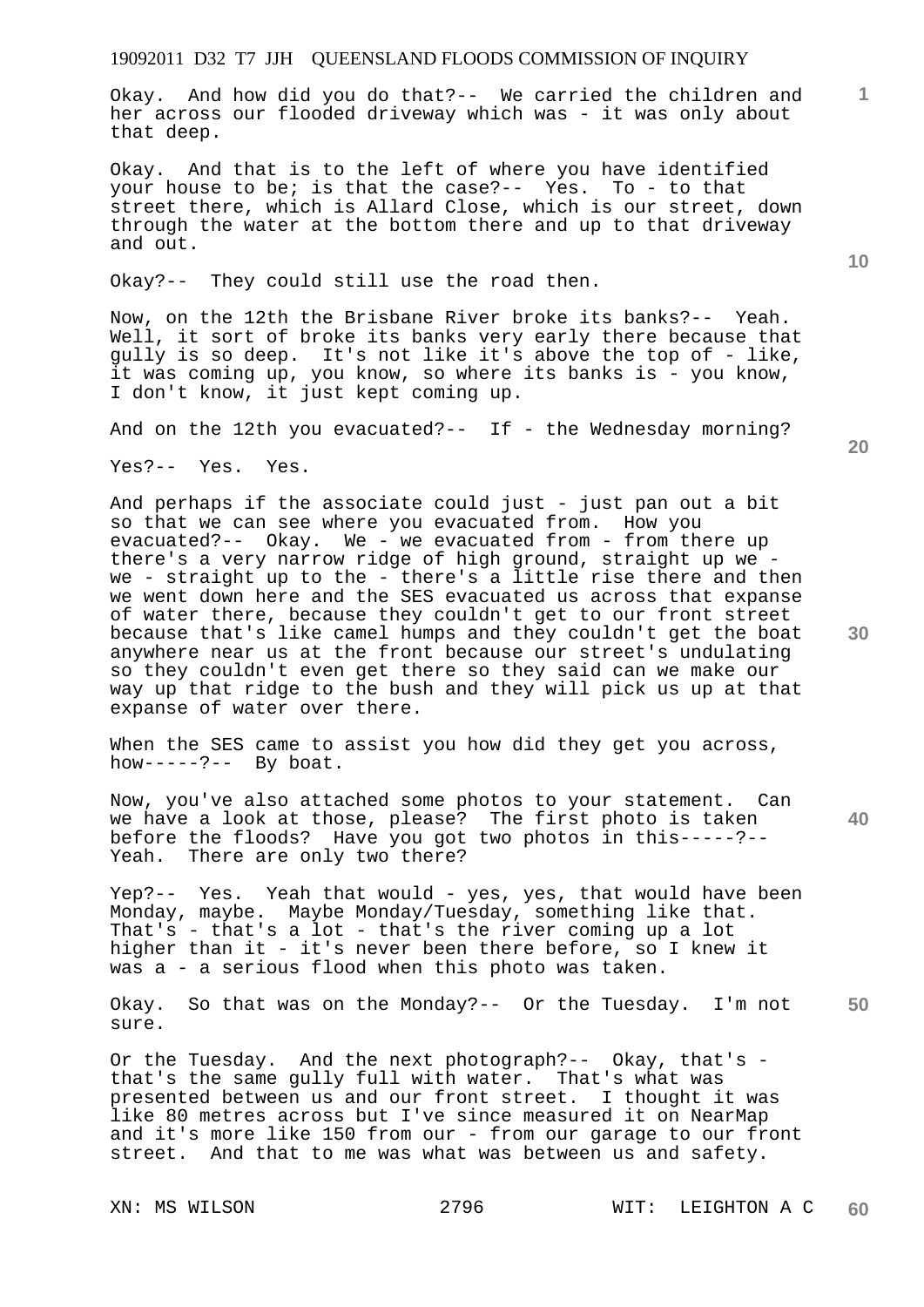Okay. And how did you do that?-- We carried the children and her across our flooded driveway which was - it was only about that deep.

Okay. And that is to the left of where you have identified your house to be; is that the case?-- Yes. To - to that street there, which is Allard Close, which is our street, down through the water at the bottom there and up to that driveway and out.

Okay?-- They could still use the road then.

Now, on the 12th the Brisbane River broke its banks?-- Yeah. Well, it sort of broke its banks very early there because that gully is so deep. It's not like it's above the top of - like, it was coming up, you know, so where its banks is - you know, I don't know, it just kept coming up.

And on the 12th you evacuated?-- If - the Wednesday morning?

**20** 

**30** 

**40** 

**10** 

Yes?-- Yes. Yes.

And perhaps if the associate could just - just pan out a bit so that we can see where you evacuated from. How you evacuated?-- Okay. We - we evacuated from - from there up there's a very narrow ridge of high ground, straight up we we - straight up to the - there's a little rise there and then we went down here and the SES evacuated us across that expanse of water there, because they couldn't get to our front street because that's like camel humps and they couldn't get the boat anywhere near us at the front because our street's undulating so they couldn't even get there so they said can we make our way up that ridge to the bush and they will pick us up at that expanse of water over there.

When the SES came to assist you how did they get you across, how-----?-- By boat.

Now, you've also attached some photos to your statement. Can we have a look at those, please? The first photo is taken before the floods? Have you got two photos in this-----?-- Yeah. There are only two there?

Yep?-- Yes. Yeah that would - yes, yes, that would have been Monday, maybe. Maybe Monday/Tuesday, something like that. That's - that's a lot - that's the river coming up a lot higher than it - it's never been there before, so I knew it was a - a serious flood when this photo was taken.

**50**  Okay. So that was on the Monday?-- Or the Tuesday. I'm not sure.

Or the Tuesday. And the next photograph?-- Okay, that's that's the same gully full with water. That's what was presented between us and our front street. I thought it was like 80 metres across but I've since measured it on NearMap and it's more like 150 from our - from our garage to our front street. And that to me was what was between us and safety.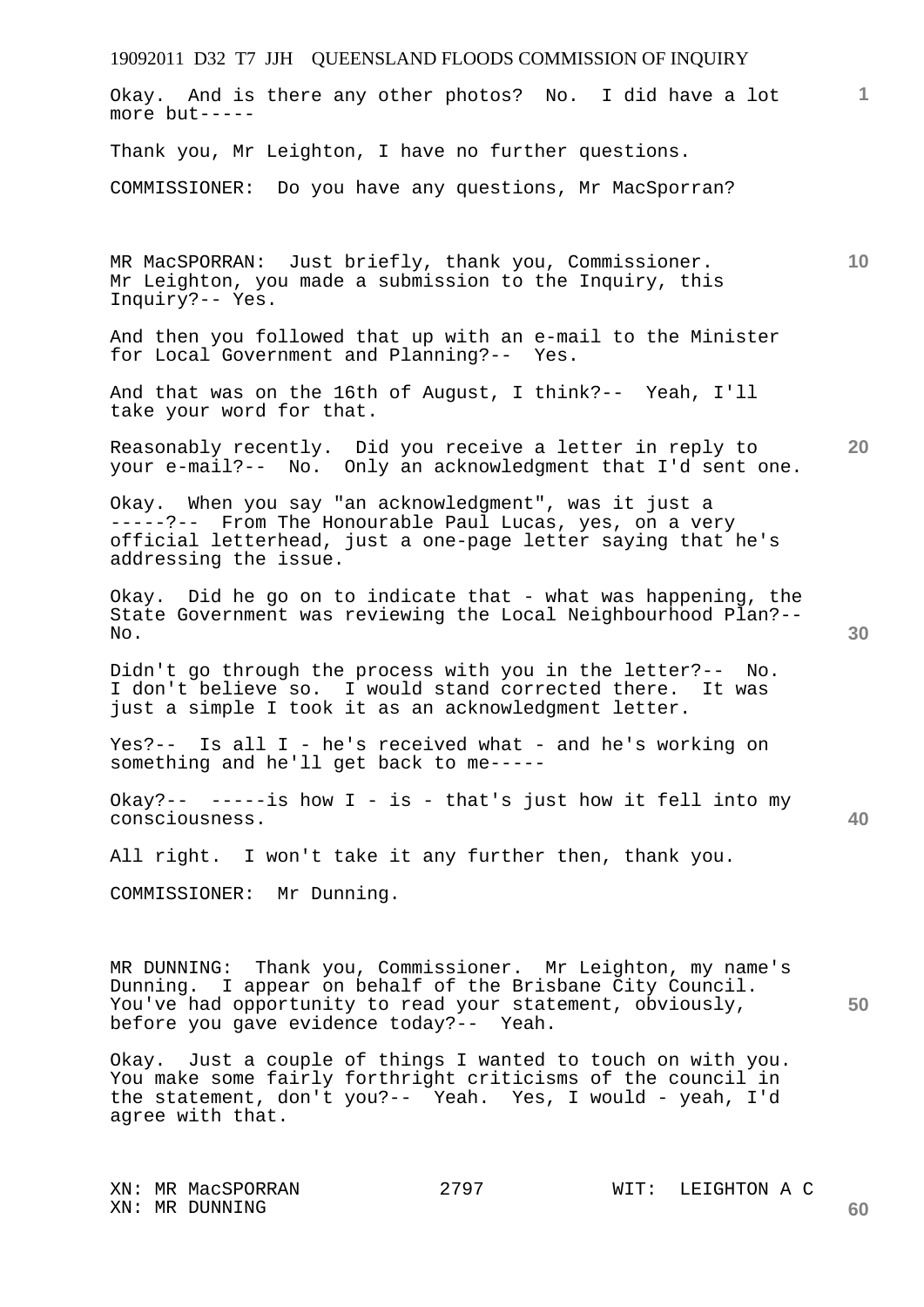| 19092011 D32 T7 JJH QUEENSLAND FLOODS COMMISSION OF INQUIRY                                                                                                                                                                      |      |                   |              |
|----------------------------------------------------------------------------------------------------------------------------------------------------------------------------------------------------------------------------------|------|-------------------|--------------|
| Okay. And is there any other photos? No. I did have a lot<br>more but-----                                                                                                                                                       |      |                   | $\mathbf{1}$ |
| Thank you, Mr Leighton, I have no further questions.                                                                                                                                                                             |      |                   |              |
| COMMISSIONER: Do you have any questions, Mr MacSporran?                                                                                                                                                                          |      |                   |              |
| MR MacSPORRAN: Just briefly, thank you, Commissioner.<br>Mr Leighton, you made a submission to the Inquiry, this<br>Inquiry?-- Yes.                                                                                              |      |                   | 10           |
| And then you followed that up with an e-mail to the Minister<br>for Local Government and Planning?-- Yes.                                                                                                                        |      |                   |              |
| And that was on the 16th of August, I think?-- Yeah, I'll<br>take your word for that.                                                                                                                                            |      |                   |              |
| Reasonably recently. Did you receive a letter in reply to<br>your e-mail?-- No. Only an acknowledgment that I'd sent one.                                                                                                        |      |                   | 20           |
| Okay. When you say "an acknowledgment", was it just a<br>-----?-- From The Honourable Paul Lucas, yes, on a very<br>official letterhead, just a one-page letter saying that he's<br>addressing the issue.                        |      |                   |              |
| Okay. Did he go on to indicate that - what was happening, the<br>State Government was reviewing the Local Neighbourhood Plan?--<br>No.                                                                                           |      |                   | 30           |
| Didn't go through the process with you in the letter?-- No.<br>I don't believe so. I would stand corrected there. It was<br>just a simple I took it as an acknowledgment letter.                                                 |      |                   |              |
| Yes?-- Is all I - he's received what - and he's working on<br>something and he'll get back to me-----                                                                                                                            |      |                   |              |
| Okay?-- -----is how $I - is - that's just how it fell into my$<br>consciousness.                                                                                                                                                 |      |                   | 40           |
| All right. I won't take it any further then, thank you.                                                                                                                                                                          |      |                   |              |
| COMMISSIONER: Mr Dunning.                                                                                                                                                                                                        |      |                   |              |
| MR DUNNING: Thank you, Commissioner. Mr Leighton, my name's<br>Dunning. I appear on behalf of the Brisbane City Council.<br>You've had opportunity to read your statement, obviously,<br>before you gave evidence today?-- Yeah. |      |                   | 50           |
| Okay. Just a couple of things I wanted to touch on with you.<br>You make some fairly forthright criticisms of the council in<br>the statement, don't you?-- Yeah. Yes, I would - yeah, I'd<br>agree with that.                   |      |                   |              |
| XN: MR MacSPORRAN                                                                                                                                                                                                                | 2797 | WIT: LEIGHTON A C |              |

XN: MR DUNNING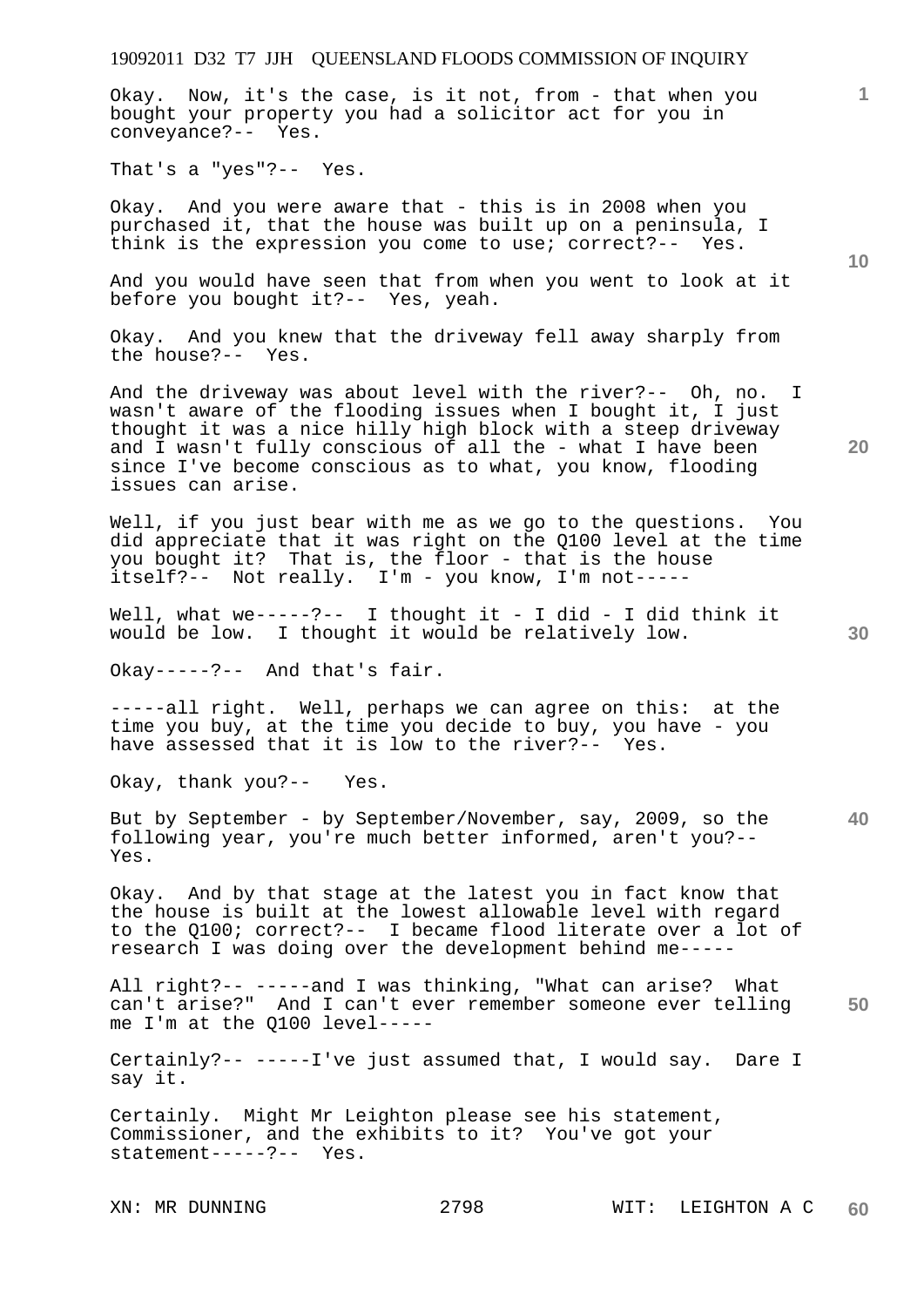Okay. Now, it's the case, is it not, from - that when you bought your property you had a solicitor act for you in conveyance?-- Yes.

That's a "yes"?-- Yes.

Okay. And you were aware that - this is in 2008 when you purchased it, that the house was built up on a peninsula, I think is the expression you come to use; correct?-- Yes.

And you would have seen that from when you went to look at it before you bought it?-- Yes, yeah.

Okay. And you knew that the driveway fell away sharply from the house?-- Yes.

And the driveway was about level with the river?-- Oh, no. I wasn't aware of the flooding issues when I bought it, I just thought it was a nice hilly high block with a steep driveway and I wasn't fully conscious of all the - what I have been since I've become conscious as to what, you know, flooding issues can arise.

Well, if you just bear with me as we go to the questions. You did appreciate that it was right on the Q100 level at the time you bought it? That is, the floor - that is the house itself?-- Not really. I'm - you know, I'm not-----

Well, what we-----?-- I thought it - I did - I did think it would be low. I thought it would be relatively low.

Okay-----?-- And that's fair.

-----all right. Well, perhaps we can agree on this: at the time you buy, at the time you decide to buy, you have - you have assessed that it is low to the river?-- Yes.

Okay, thank you?-- Yes.

**40**  But by September - by September/November, say, 2009, so the following year, you're much better informed, aren't you?-- Yes.

Okay. And by that stage at the latest you in fact know that the house is built at the lowest allowable level with regard to the Q100; correct?-- I became flood literate over a lot of research I was doing over the development behind me-----

**50**  All right?-- -----and I was thinking, "What can arise? What can't arise?" And I can't ever remember someone ever telling me I'm at the Q100 level-----

Certainly?-- -----I've just assumed that, I would say. Dare I say it.

Certainly. Might Mr Leighton please see his statement, Commissioner, and the exhibits to it? You've got your statement-----?-- Yes.

**10** 

**1**

**30**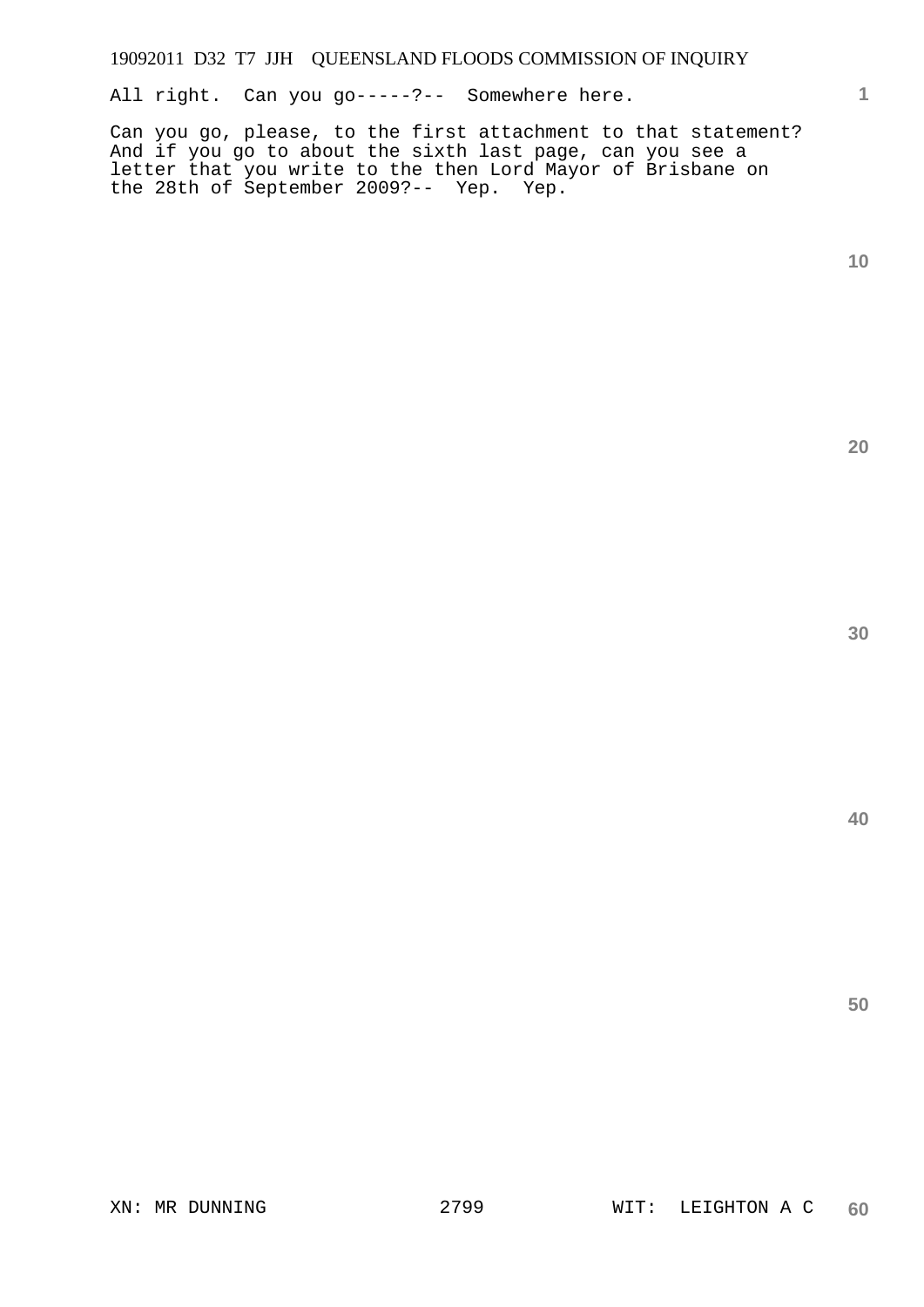All right. Can you go-----?-- Somewhere here.

Can you go, please, to the first attachment to that statement? And if you go to about the sixth last page, can you see a letter that you write to the then Lord Mayor of Brisbane on the 28th of September 2009?-- Yep. Yep.

**1**

**50**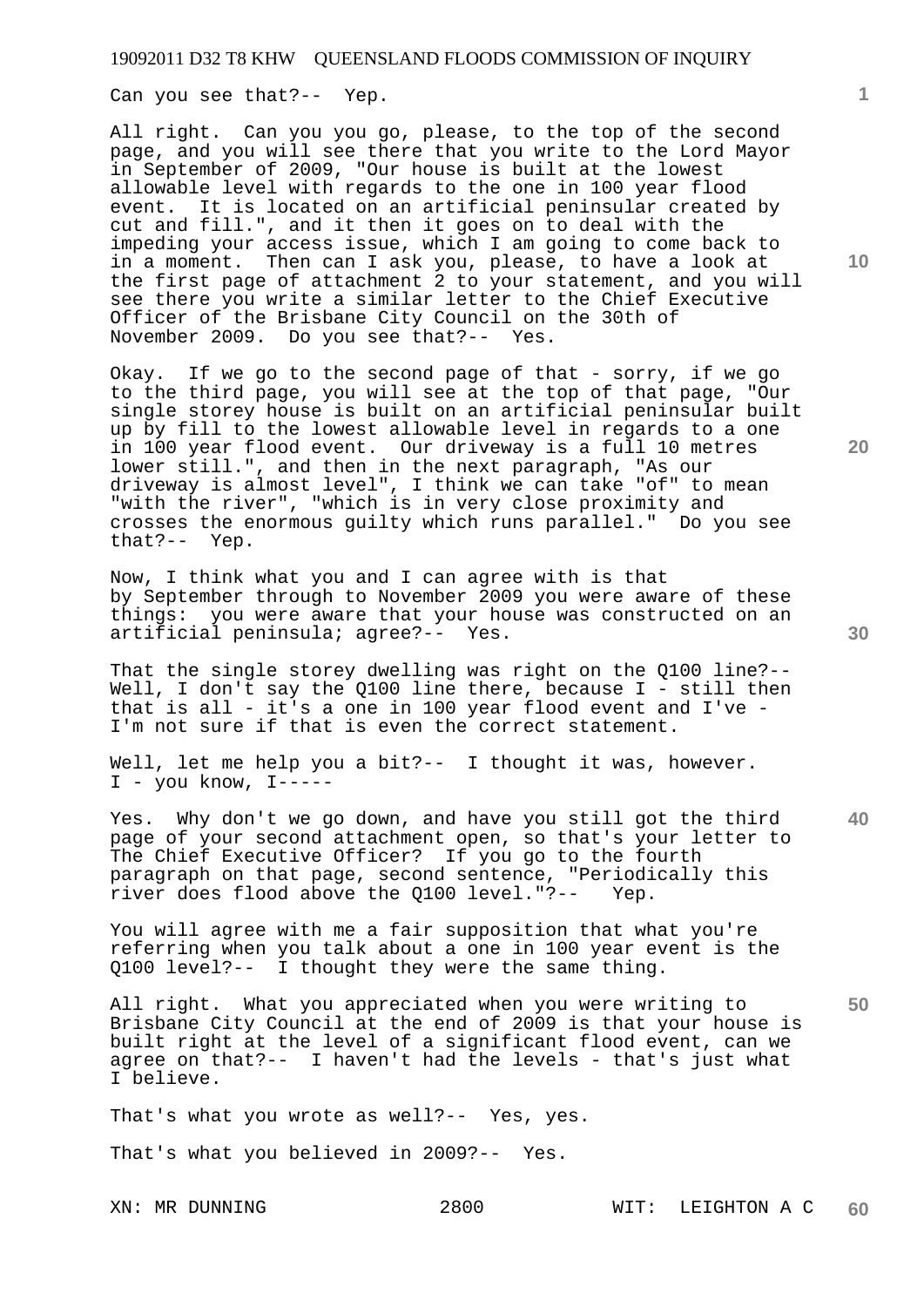Can you see that?-- Yep.

All right. Can you you go, please, to the top of the second page, and you will see there that you write to the Lord Mayor in September of 2009, "Our house is built at the lowest allowable level with regards to the one in 100 year flood event. It is located on an artificial peninsular created by cut and fill.", and it then it goes on to deal with the impeding your access issue, which I am going to come back to in a moment. Then can I ask you, please, to have a look at the first page of attachment 2 to your statement, and you will see there you write a similar letter to the Chief Executive Officer of the Brisbane City Council on the 30th of November 2009. Do you see that?-- Yes.

Okay. If we go to the second page of that - sorry, if we go to the third page, you will see at the top of that page, "Our single storey house is built on an artificial peninsular built up by fill to the lowest allowable level in regards to a one in 100 year flood event. Our driveway is a full 10 metres lower still.", and then in the next paragraph, "As our driveway is almost level", I think we can take "of" to mean "with the river", "which is in very close proximity and crosses the enormous guilty which runs parallel." Do you see that?-- Yep.

Now, I think what you and I can agree with is that by September through to November 2009 you were aware of these things: you were aware that your house was constructed on an artificial peninsula; agree?-- Yes.

That the single storey dwelling was right on the Q100 line?-- Well, I don't say the Q100 line there, because I - still then that is all - it's a one in 100 year flood event and I've - I'm not sure if that is even the correct statement.

Well, let me help you a bit?-- I thought it was, however.  $I - you know, I-----$ 

Yes. Why don't we go down, and have you still got the third page of your second attachment open, so that's your letter to The Chief Executive Officer? If you go to the fourth paragraph on that page, second sentence, "Periodically this river does flood above the Q100 level."?-- Yep.

You will agree with me a fair supposition that what you're referring when you talk about a one in 100 year event is the Q100 level?-- I thought they were the same thing.

**50**  All right. What you appreciated when you were writing to Brisbane City Council at the end of 2009 is that your house is built right at the level of a significant flood event, can we agree on that?-- I haven't had the levels - that's just what I believe.

That's what you wrote as well?-- Yes, yes.

That's what you believed in 2009?-- Yes.

**10** 

**1**

**20**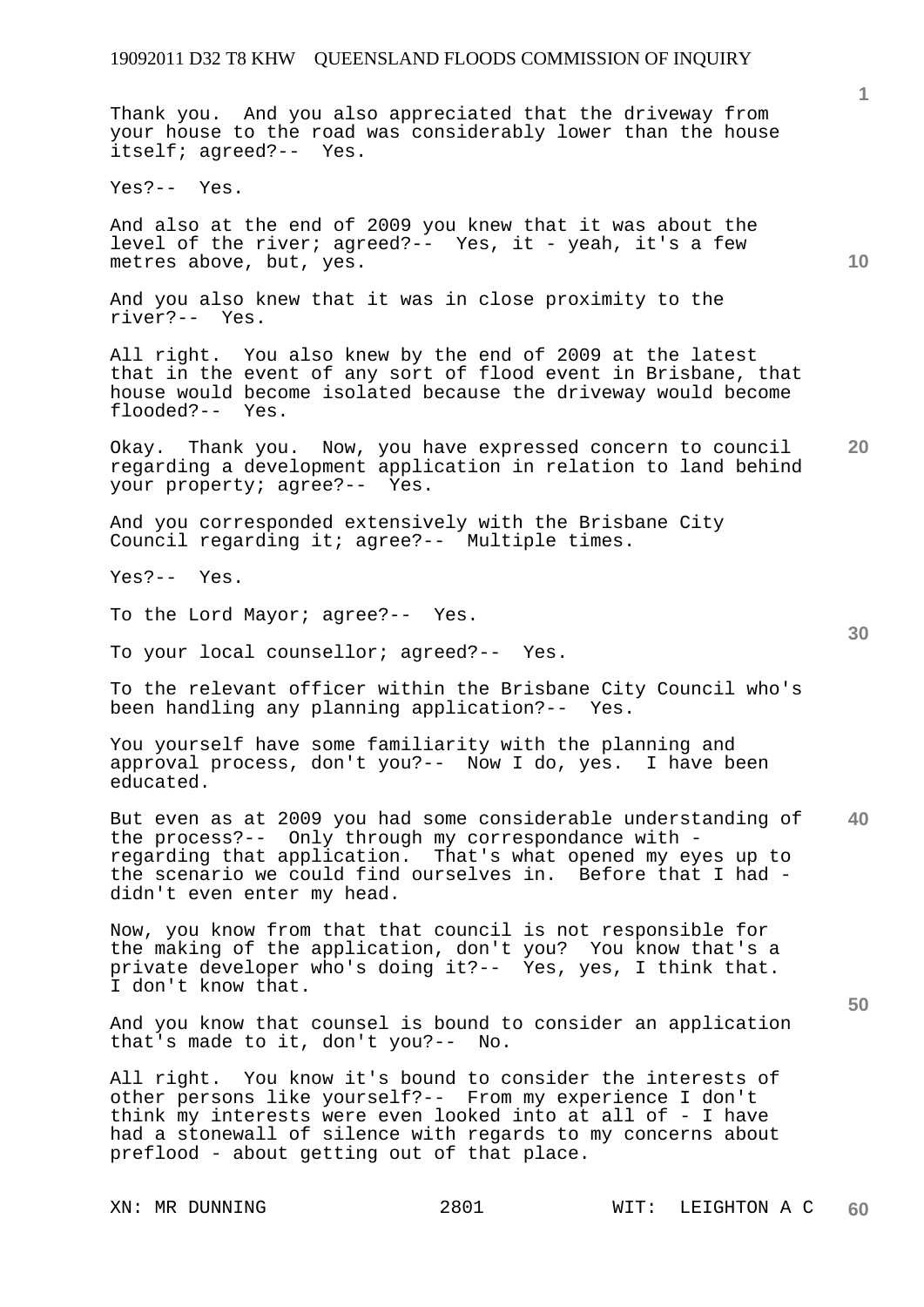Thank you. And you also appreciated that the driveway from your house to the road was considerably lower than the house itself; agreed?-- Yes.

Yes?-- Yes.

And also at the end of 2009 you knew that it was about the level of the river; agreed?-- Yes, it - yeah, it's a few metres above, but, yes.

And you also knew that it was in close proximity to the river?-- Yes.

All right. You also knew by the end of 2009 at the latest that in the event of any sort of flood event in Brisbane, that house would become isolated because the driveway would become flooded?-- Yes.

**20**  Okay. Thank you. Now, you have expressed concern to council regarding a development application in relation to land behind your property; agree?-- Yes.

And you corresponded extensively with the Brisbane City Council regarding it; agree?-- Multiple times.

Yes?-- Yes.

To the Lord Mayor; agree?-- Yes.

To your local counsellor; agreed?-- Yes.

To the relevant officer within the Brisbane City Council who's been handling any planning application?-- Yes.

You yourself have some familiarity with the planning and approval process, don't you?-- Now I do, yes. I have been educated.

**40**  But even as at 2009 you had some considerable understanding of the process?-- Only through my correspondance with regarding that application. That's what opened my eyes up to the scenario we could find ourselves in. Before that I had didn't even enter my head.

Now, you know from that that council is not responsible for the making of the application, don't you? You know that's a private developer who's doing it?-- Yes, yes, I think that. I don't know that.

And you know that counsel is bound to consider an application that's made to it, don't you?-- No. that's made to it, don't you?--

All right. You know it's bound to consider the interests of other persons like yourself?-- From my experience I don't think my interests were even looked into at all of - I have had a stonewall of silence with regards to my concerns about preflood - about getting out of that place.

**1**

**10** 

**30**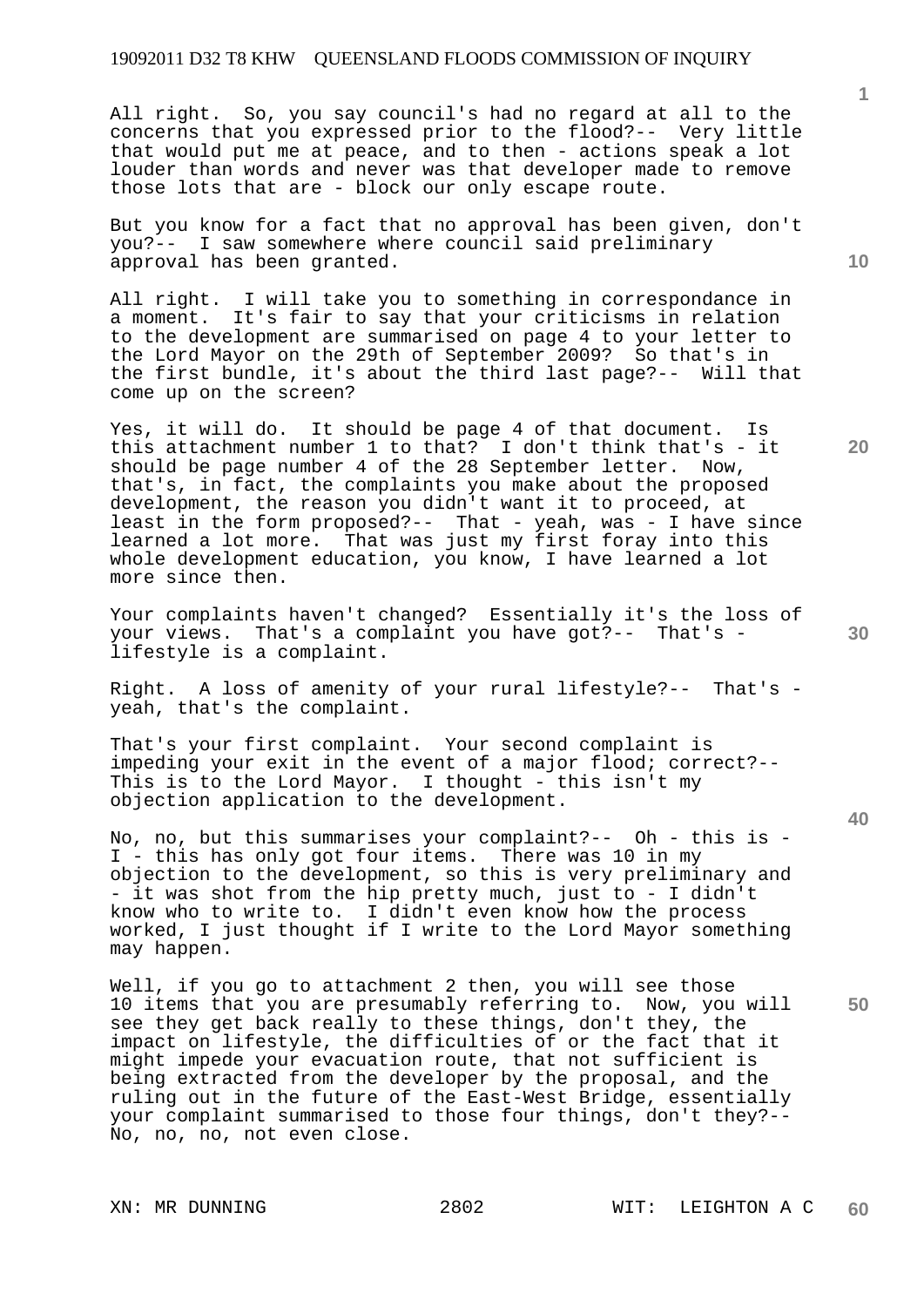All right. So, you say council's had no regard at all to the concerns that you expressed prior to the flood?-- Very little that would put me at peace, and to then - actions speak a lot louder than words and never was that developer made to remove those lots that are - block our only escape route.

But you know for a fact that no approval has been given, don't you?-- I saw somewhere where council said preliminary approval has been granted.

All right. I will take you to something in correspondance in a moment. It's fair to say that your criticisms in relation to the development are summarised on page 4 to your letter to the Lord Mayor on the 29th of September 2009? So that's in the first bundle, it's about the third last page?-- Will that come up on the screen?

Yes, it will do. It should be page 4 of that document. Is this attachment number 1 to that? I don't think that's - it should be page number 4 of the 28 September letter. Now, that's, in fact, the complaints you make about the proposed development, the reason you didn't want it to proceed, at least in the form proposed?-- That - yeah, was - I have since learned a lot more. That was just my first foray into this whole development education, you know, I have learned a lot more since then.

Your complaints haven't changed? Essentially it's the loss of your views. That's a complaint you have got?-- That's lifestyle is a complaint.

Right. A loss of amenity of your rural lifestyle?-- That's yeah, that's the complaint.

That's your first complaint. Your second complaint is impeding your exit in the event of a major flood; correct?-- This is to the Lord Mayor. I thought - this isn't my objection application to the development.

No, no, but this summarises your complaint?-- Oh - this is - I - this has only got four items. There was 10 in my objection to the development, so this is very preliminary and - it was shot from the hip pretty much, just to - I didn't know who to write to. I didn't even know how the process worked, I just thought if I write to the Lord Mayor something may happen.

Well, if you go to attachment 2 then, you will see those 10 items that you are presumably referring to. Now, you will see they get back really to these things, don't they, the impact on lifestyle, the difficulties of or the fact that it might impede your evacuation route, that not sufficient is being extracted from the developer by the proposal, and the ruling out in the future of the East-West Bridge, essentially your complaint summarised to those four things, don't they?-- No, no, no, not even close.

**1**

**10** 

**20** 

**40**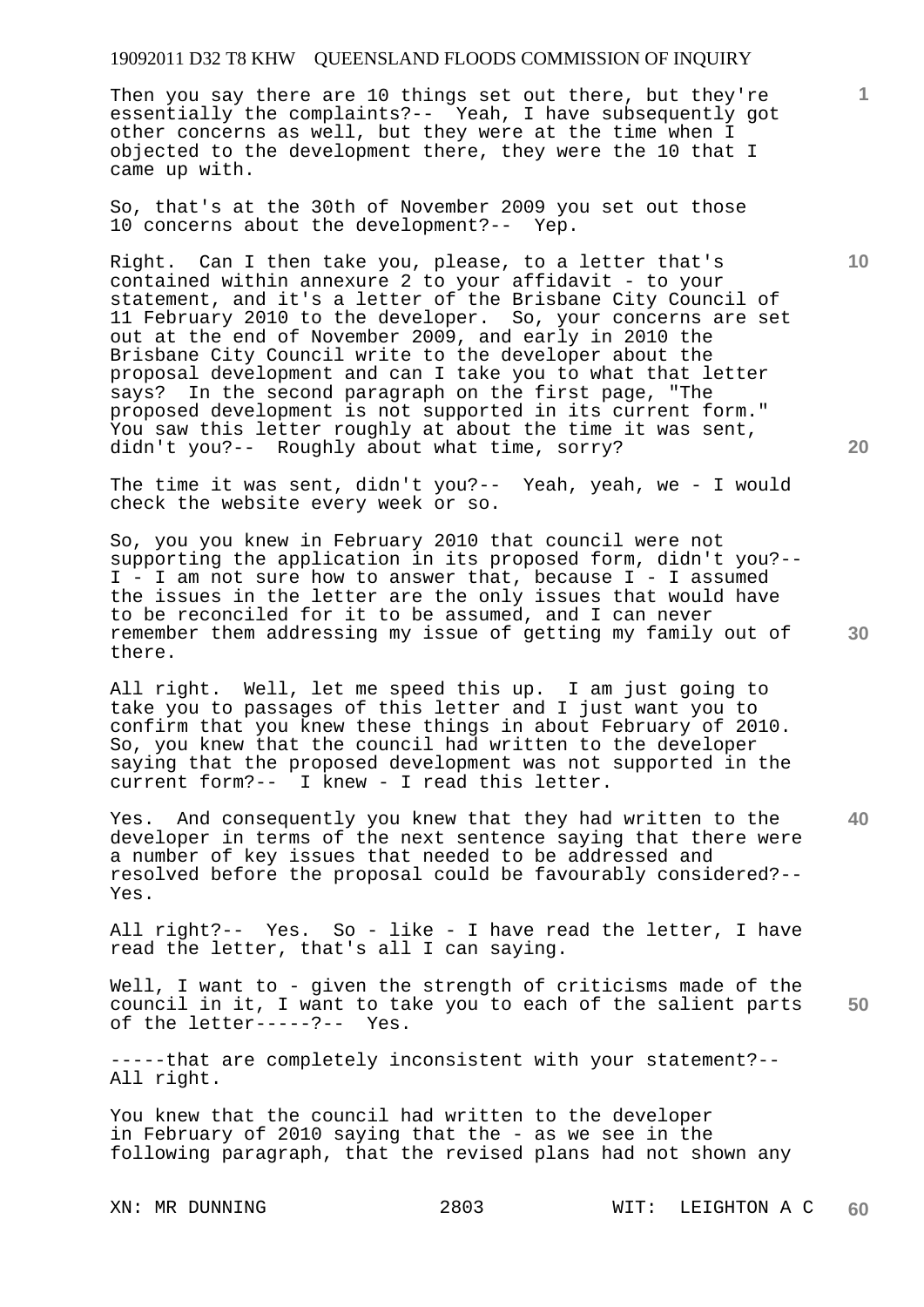Then you say there are 10 things set out there, but they're essentially the complaints?-- Yeah, I have subsequently got other concerns as well, but they were at the time when I objected to the development there, they were the 10 that I came up with.

So, that's at the 30th of November 2009 you set out those 10 concerns about the development?-- Yep.

Right. Can I then take you, please, to a letter that's contained within annexure 2 to your affidavit - to your statement, and it's a letter of the Brisbane City Council of 11 February 2010 to the developer. So, your concerns are set out at the end of November 2009, and early in 2010 the Brisbane City Council write to the developer about the proposal development and can I take you to what that letter says? In the second paragraph on the first page, "The proposed development is not supported in its current form." You saw this letter roughly at about the time it was sent, didn't you?-- Roughly about what time, sorry?

The time it was sent, didn't you?-- Yeah, yeah, we - I would check the website every week or so.

So, you you knew in February 2010 that council were not supporting the application in its proposed form, didn't you?-- I - I am not sure how to answer that, because I - I assumed the issues in the letter are the only issues that would have to be reconciled for it to be assumed, and I can never remember them addressing my issue of getting my family out of there.

All right. Well, let me speed this up. I am just going to take you to passages of this letter and I just want you to confirm that you knew these things in about February of 2010. So, you knew that the council had written to the developer saying that the proposed development was not supported in the current form?-- I knew - I read this letter.

**40**  Yes. And consequently you knew that they had written to the developer in terms of the next sentence saying that there were a number of key issues that needed to be addressed and resolved before the proposal could be favourably considered?-- Yes.

All right?-- Yes. So - like - I have read the letter, I have read the letter, that's all I can saying.

**50**  Well, I want to - given the strength of criticisms made of the council in it, I want to take you to each of the salient parts of the letter-----?-- Yes.

-----that are completely inconsistent with your statement?-- All right.

You knew that the council had written to the developer in February of 2010 saying that the - as we see in the following paragraph, that the revised plans had not shown any

**10**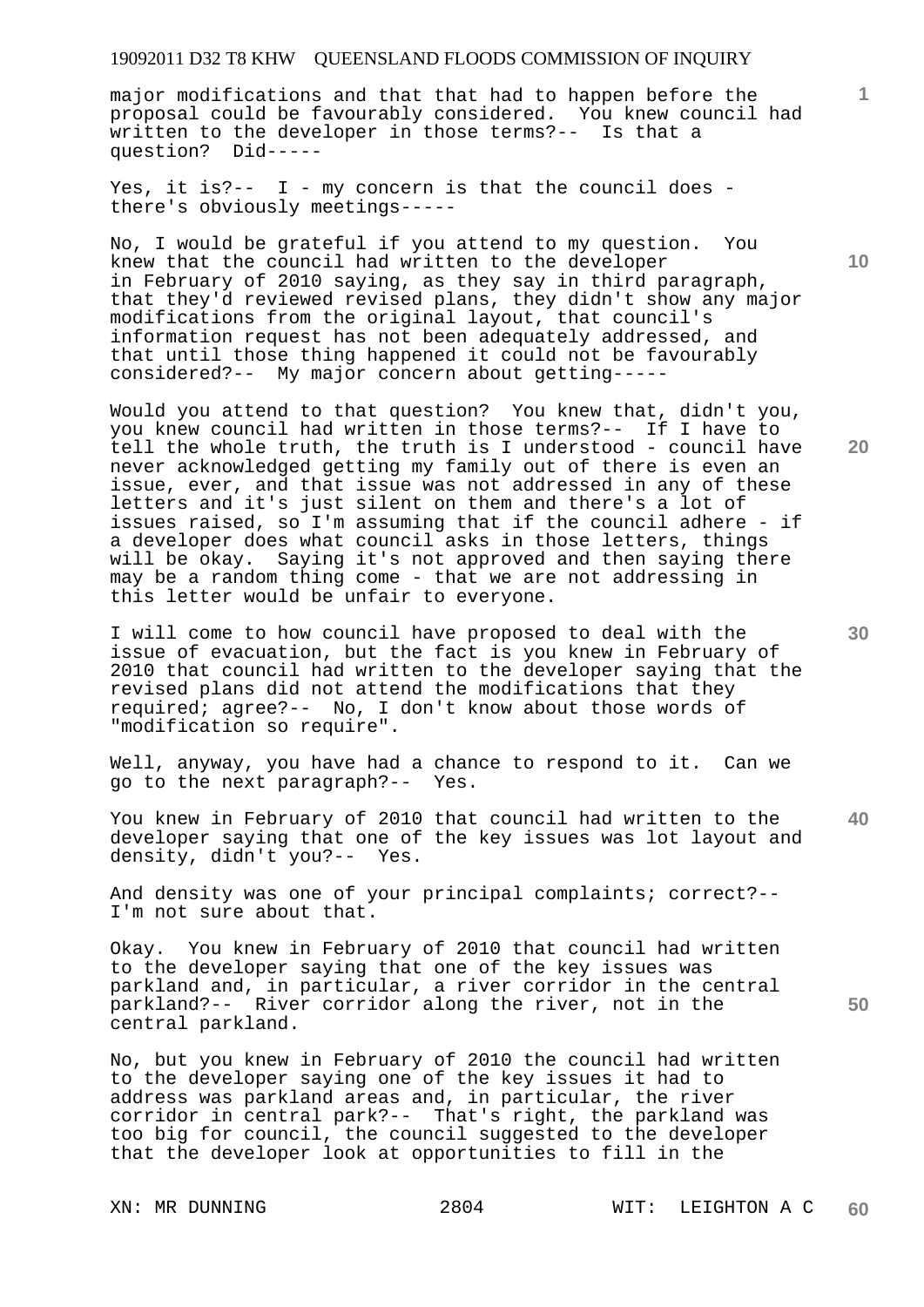major modifications and that that had to happen before the proposal could be favourably considered. You knew council had written to the developer in those terms?-- Is that a question? Did-----

Yes, it is?-- I - my concern is that the council does there's obviously meetings-----

No, I would be grateful if you attend to my question. You knew that the council had written to the developer in February of 2010 saying, as they say in third paragraph, that they'd reviewed revised plans, they didn't show any major modifications from the original layout, that council's information request has not been adequately addressed, and that until those thing happened it could not be favourably considered?-- My major concern about getting-----

Would you attend to that question? You knew that, didn't you, you knew council had written in those terms?-- If I have to tell the whole truth, the truth is I understood - council have never acknowledged getting my family out of there is even an issue, ever, and that issue was not addressed in any of these letters and it's just silent on them and there's a lot of issues raised, so I'm assuming that if the council adhere - if a developer does what council asks in those letters, things will be okay. Saying it's not approved and then saying there may be a random thing come - that we are not addressing in this letter would be unfair to everyone.

I will come to how council have proposed to deal with the issue of evacuation, but the fact is you knew in February of 2010 that council had written to the developer saying that the revised plans did not attend the modifications that they required; agree?-- No, I don't know about those words of "modification so require".

Well, anyway, you have had a chance to respond to it. Can we go to the next paragraph?-- Yes.

**40**  You knew in February of 2010 that council had written to the developer saying that one of the key issues was lot layout and density, didn't you?-- Yes.

And density was one of your principal complaints; correct?-- I'm not sure about that.

Okay. You knew in February of 2010 that council had written to the developer saying that one of the key issues was parkland and, in particular, a river corridor in the central parkland?-- River corridor along the river, not in the central parkland.

No, but you knew in February of 2010 the council had written to the developer saying one of the key issues it had to address was parkland areas and, in particular, the river corridor in central park?-- That's right, the parkland was too big for council, the council suggested to the developer that the developer look at opportunities to fill in the

**10** 

**1**

**30** 

**50**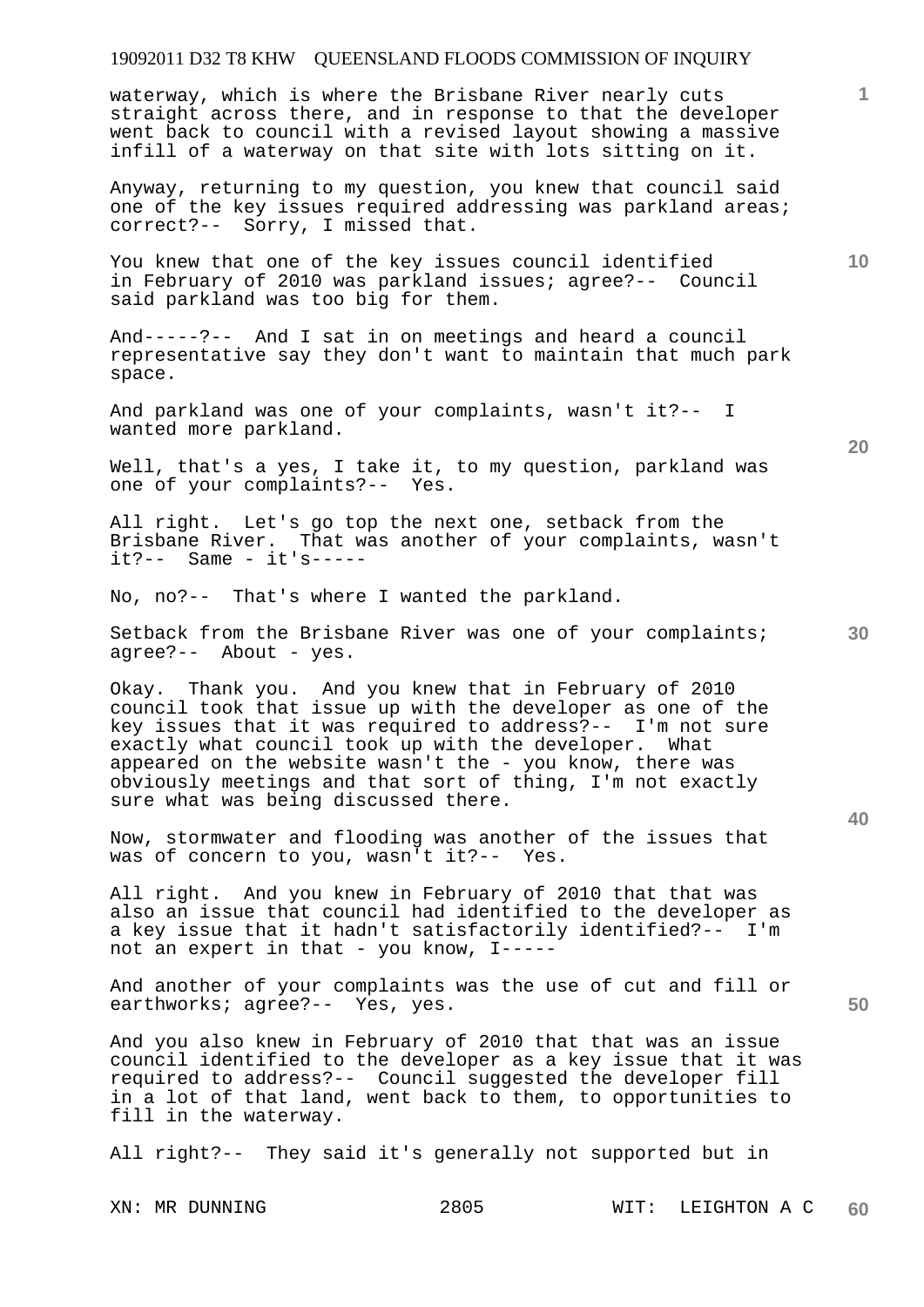waterway, which is where the Brisbane River nearly cuts straight across there, and in response to that the developer went back to council with a revised layout showing a massive infill of a waterway on that site with lots sitting on it.

Anyway, returning to my question, you knew that council said one of the key issues required addressing was parkland areas; correct?-- Sorry, I missed that.

You knew that one of the key issues council identified in February of 2010 was parkland issues; agree?-- Council said parkland was too big for them.

And-----?-- And I sat in on meetings and heard a council representative say they don't want to maintain that much park space.

And parkland was one of your complaints, wasn't it?-- I wanted more parkland.

Well, that's a yes, I take it, to my question, parkland was one of your complaints?-- Yes.

All right. Let's go top the next one, setback from the Brisbane River. That was another of your complaints, wasn't it?-- Same - it's-----

No, no?-- That's where I wanted the parkland.

Setback from the Brisbane River was one of your complaints; agree?-- About - yes.

Okay. Thank you. And you knew that in February of 2010 council took that issue up with the developer as one of the key issues that it was required to address?-- I'm not sure exactly what council took up with the developer. What appeared on the website wasn't the - you know, there was obviously meetings and that sort of thing, I'm not exactly sure what was being discussed there.

Now, stormwater and flooding was another of the issues that was of concern to you, wasn't it?-- Yes.

All right. And you knew in February of 2010 that that was also an issue that council had identified to the developer as a key issue that it hadn't satisfactorily identified?-- I'm not an expert in that - you know, I-----

And another of your complaints was the use of cut and fill or earthworks; agree?-- Yes, yes.

And you also knew in February of 2010 that that was an issue council identified to the developer as a key issue that it was required to address?-- Council suggested the developer fill in a lot of that land, went back to them, to opportunities to fill in the waterway.

All right?-- They said it's generally not supported but in

**20** 

**10** 

**40** 

**50**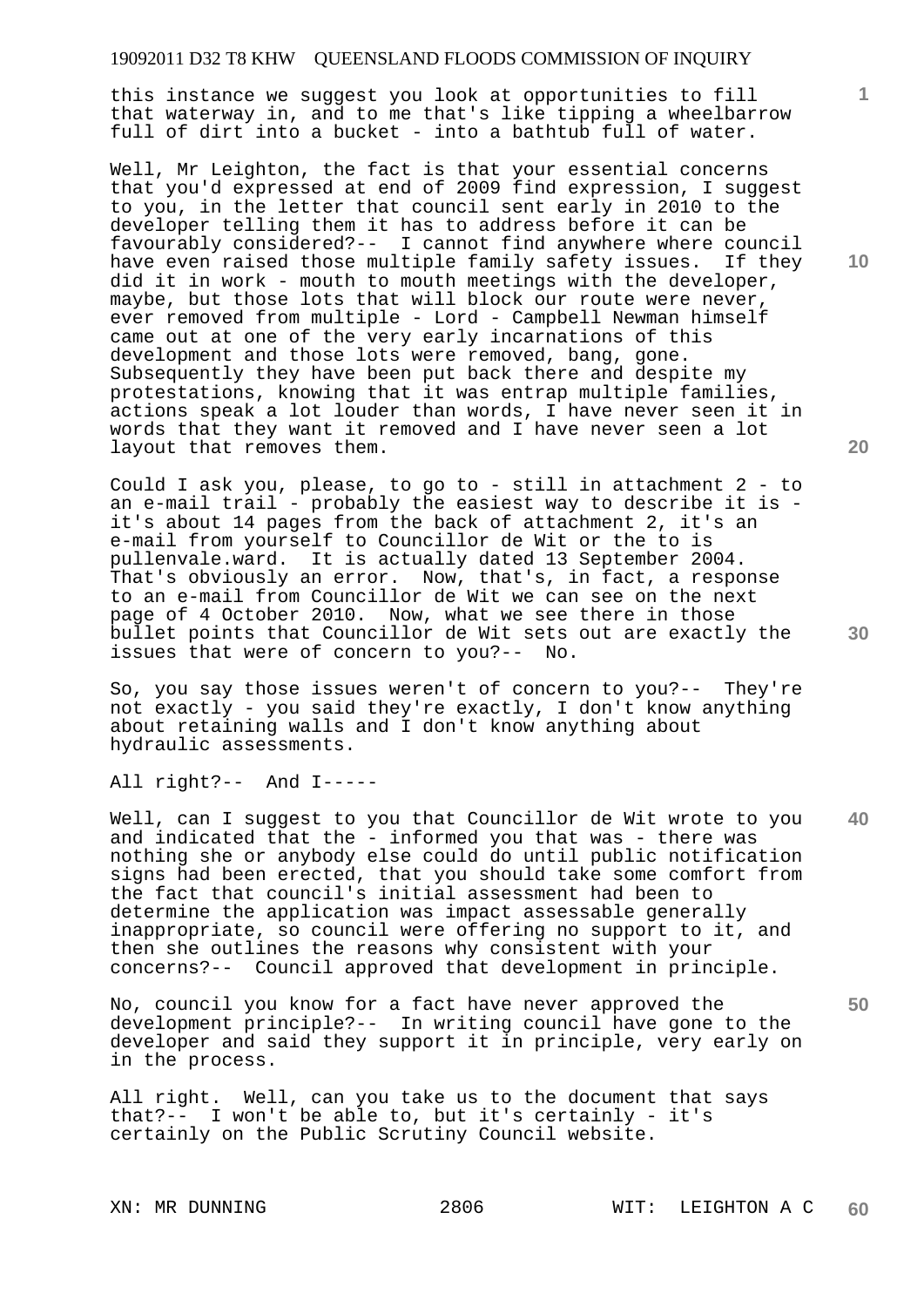this instance we suggest you look at opportunities to fill that waterway in, and to me that's like tipping a wheelbarrow full of dirt into a bucket - into a bathtub full of water.

Well, Mr Leighton, the fact is that your essential concerns that you'd expressed at end of 2009 find expression, I suggest to you, in the letter that council sent early in 2010 to the developer telling them it has to address before it can be favourably considered?-- I cannot find anywhere where council have even raised those multiple family safety issues. If they did it in work - mouth to mouth meetings with the developer, maybe, but those lots that will block our route were never, ever removed from multiple - Lord - Campbell Newman himself came out at one of the very early incarnations of this development and those lots were removed, bang, gone. Subsequently they have been put back there and despite my protestations, knowing that it was entrap multiple families, actions speak a lot louder than words, I have never seen it in words that they want it removed and I have never seen a lot layout that removes them.

Could I ask you, please, to go to - still in attachment 2 - to an e-mail trail - probably the easiest way to describe it is it's about 14 pages from the back of attachment 2, it's an e-mail from yourself to Councillor de Wit or the to is pullenvale.ward. It is actually dated 13 September 2004. That's obviously an error. Now, that's, in fact, a response to an e-mail from Councillor de Wit we can see on the next page of 4 October 2010. Now, what we see there in those bullet points that Councillor de Wit sets out are exactly the issues that were of concern to you?-- No.

So, you say those issues weren't of concern to you?-- They're not exactly - you said they're exactly, I don't know anything about retaining walls and I don't know anything about hydraulic assessments.

All right?-- And I-----

**40**  Well, can I suggest to you that Councillor de Wit wrote to you and indicated that the - informed you that was - there was nothing she or anybody else could do until public notification signs had been erected, that you should take some comfort from the fact that council's initial assessment had been to determine the application was impact assessable generally inappropriate, so council were offering no support to it, and then she outlines the reasons why consistent with your concerns?-- Council approved that development in principle.

No, council you know for a fact have never approved the development principle?-- In writing council have gone to the developer and said they support it in principle, very early on in the process.

All right. Well, can you take us to the document that says that?-- I won't be able to, but it's certainly - it's certainly on the Public Scrutiny Council website.

**10** 

**1**

**20**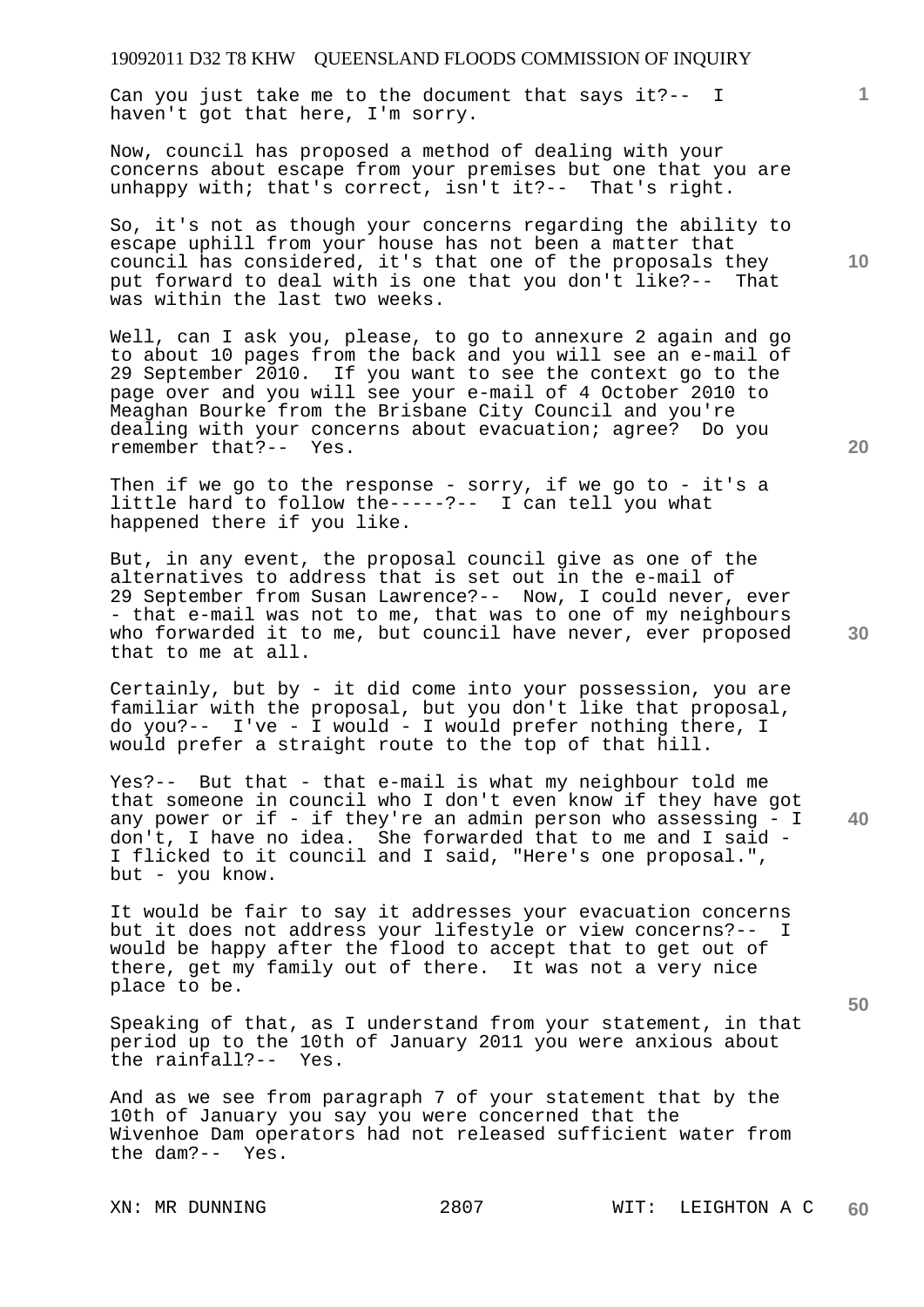Can you just take me to the document that says it?-- I haven't got that here, I'm sorry.

Now, council has proposed a method of dealing with your concerns about escape from your premises but one that you are unhappy with; that's correct, isn't it ?-- That's right.

So, it's not as though your concerns regarding the ability to escape uphill from your house has not been a matter that council has considered, it's that one of the proposals they put forward to deal with is one that you don't like?-- That was within the last two weeks.

Well, can I ask you, please, to go to annexure 2 again and go to about 10 pages from the back and you will see an e-mail of 29 September 2010. If you want to see the context go to the page over and you will see your e-mail of 4 October 2010 to Meaghan Bourke from the Brisbane City Council and you're dealing with your concerns about evacuation; agree? Do you remember that?-- Yes.

Then if we go to the response - sorry, if we go to - it's a little hard to follow the-----?-- I can tell you what happened there if you like.

But, in any event, the proposal council give as one of the alternatives to address that is set out in the e-mail of 29 September from Susan Lawrence?-- Now, I could never, ever - that e-mail was not to me, that was to one of my neighbours who forwarded it to me, but council have never, ever proposed that to me at all.

Certainly, but by - it did come into your possession, you are familiar with the proposal, but you don't like that proposal, do you?-- I've - I would - I would prefer nothing there, I would prefer a straight route to the top of that hill.

Yes?-- But that - that e-mail is what my neighbour told me that someone in council who I don't even know if they have got any power or if - if they're an admin person who assessing -  $I$ don't, I have no idea. She forwarded that to me and I said - I flicked to it council and I said, "Here's one proposal.", but - you know.

It would be fair to say it addresses your evacuation concerns but it does not address your lifestyle or view concerns?-- I would be happy after the flood to accept that to get out of there, get my family out of there. It was not a very nice place to be.

Speaking of that, as I understand from your statement, in that period up to the 10th of January 2011 you were anxious about the rainfall?-- Yes.

And as we see from paragraph 7 of your statement that by the 10th of January you say you were concerned that the Wivenhoe Dam operators had not released sufficient water from the dam?-- Yes.

**10** 

**1**

**40**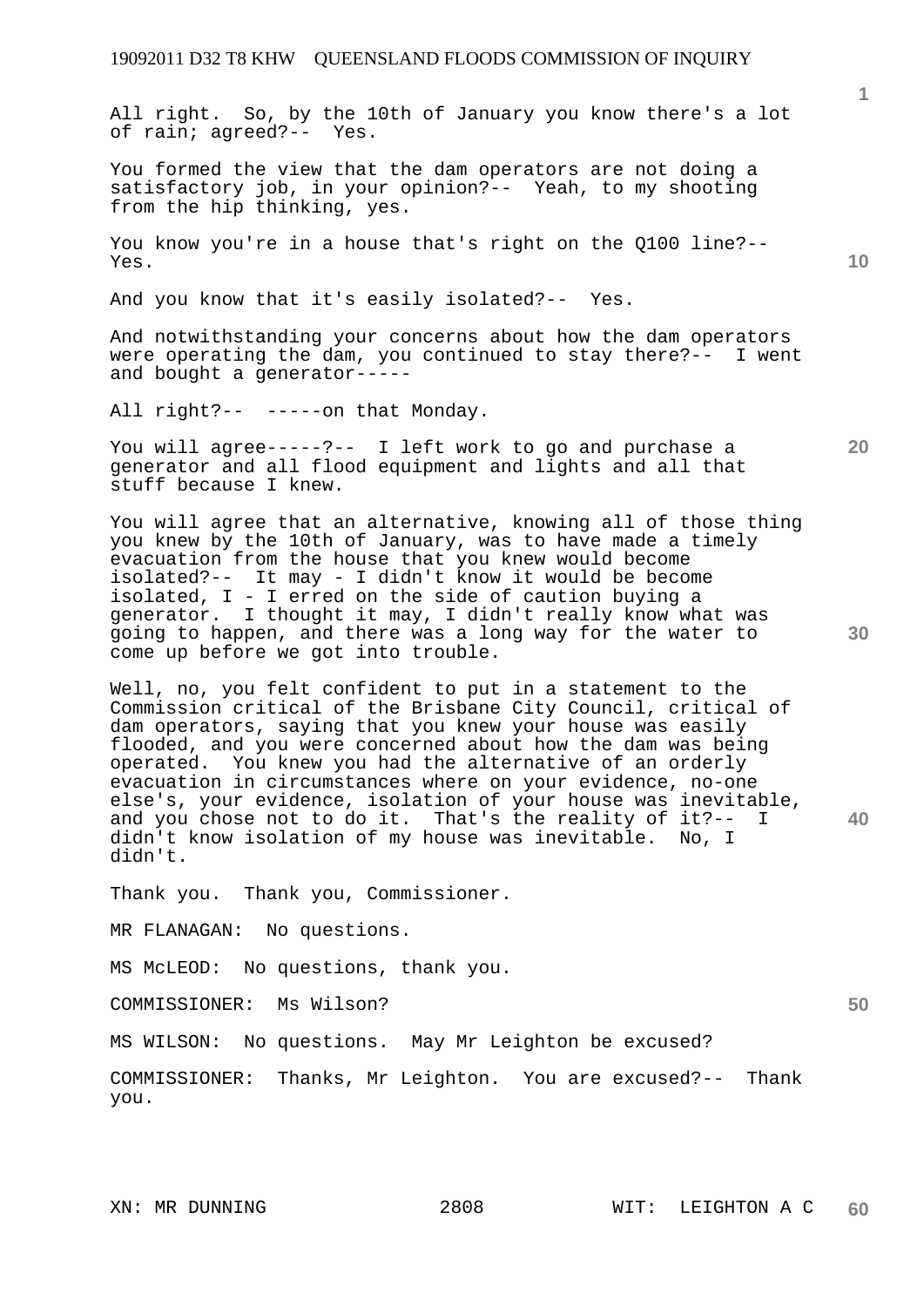All right. So, by the 10th of January you know there's a lot of rain; agreed?-- Yes.

You formed the view that the dam operators are not doing a satisfactory job, in your opinion?-- Yeah, to my shooting from the hip thinking, yes.

You know you're in a house that's right on the Q100 line?-- Yes.

And you know that it's easily isolated?-- Yes.

And notwithstanding your concerns about how the dam operators were operating the dam, you continued to stay there?-- I went and bought a generator-----

All right?-- -----on that Monday.

You will agree-----?-- I left work to go and purchase a generator and all flood equipment and lights and all that stuff because I knew.

You will agree that an alternative, knowing all of those thing you knew by the 10th of January, was to have made a timely evacuation from the house that you knew would become isolated?-- It may - I didn't know it would be become isolated, I - I erred on the side of caution buying a generator. I thought it may, I didn't really know what was going to happen, and there was a long way for the water to come up before we got into trouble.

Well, no, you felt confident to put in a statement to the Commission critical of the Brisbane City Council, critical of dam operators, saying that you knew your house was easily flooded, and you were concerned about how the dam was being operated. You knew you had the alternative of an orderly evacuation in circumstances where on your evidence, no-one else's, your evidence, isolation of your house was inevitable, and you chose not to do it. That's the reality of it?-- I didn't know isolation of my house was inevitable. No, I didn't.

Thank you. Thank you, Commissioner.

MR FLANAGAN: No questions.

MS McLEOD: No questions, thank you.

COMMISSIONER: Ms Wilson?

MS WILSON: No questions. May Mr Leighton be excused?

COMMISSIONER: Thanks, Mr Leighton. You are excused?-- Thank you.

**1**

**10** 

**20** 

**50**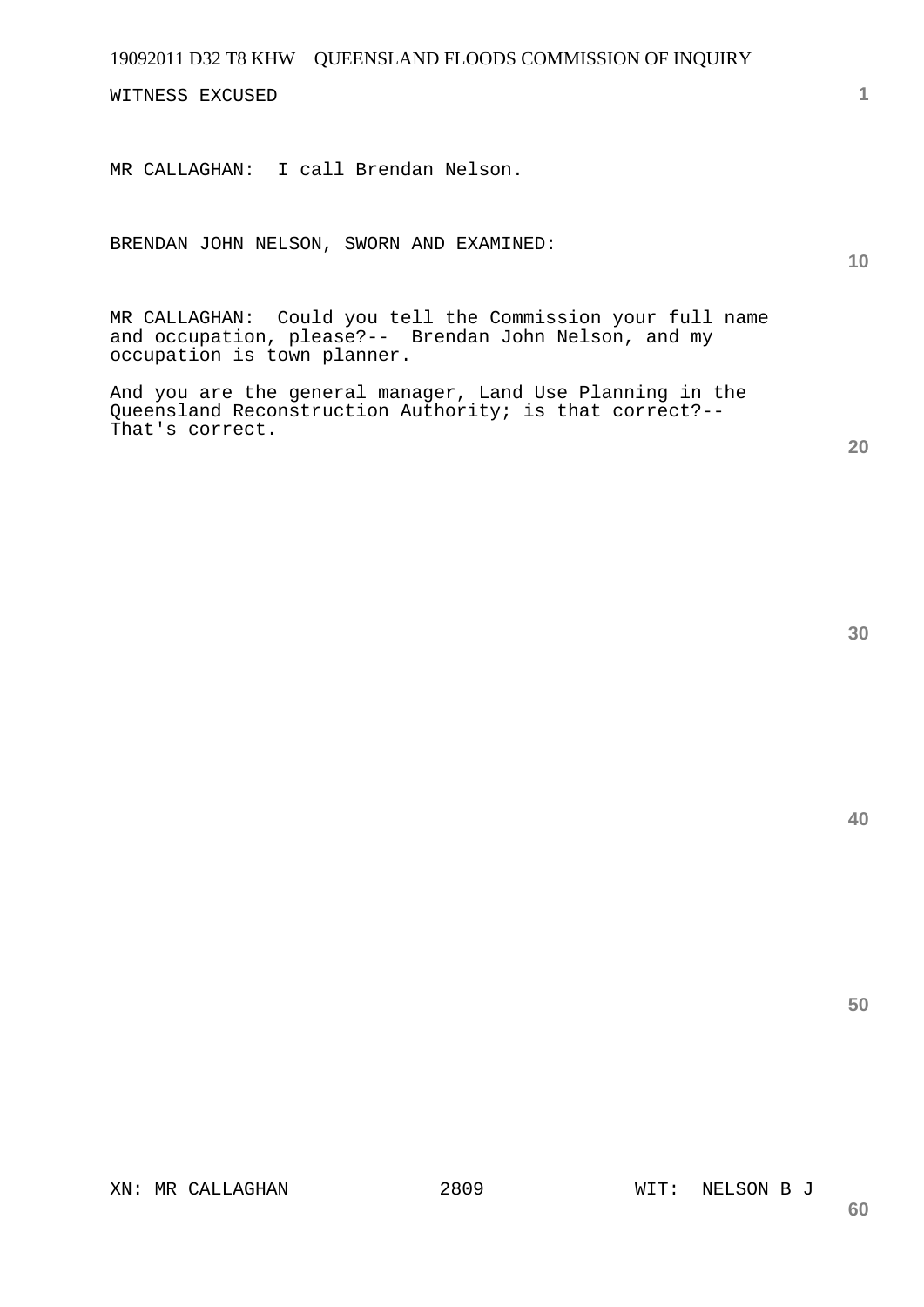WITNESS EXCUSED

MR CALLAGHAN: I call Brendan Nelson.

BRENDAN JOHN NELSON, SWORN AND EXAMINED:

MR CALLAGHAN: Could you tell the Commission your full name and occupation, please?-- Brendan John Nelson, and my occupation is town planner.

And you are the general manager, Land Use Planning in the Queensland Reconstruction Authority; is that correct?-- That's correct.

**20** 

**1**

**10** 

**40**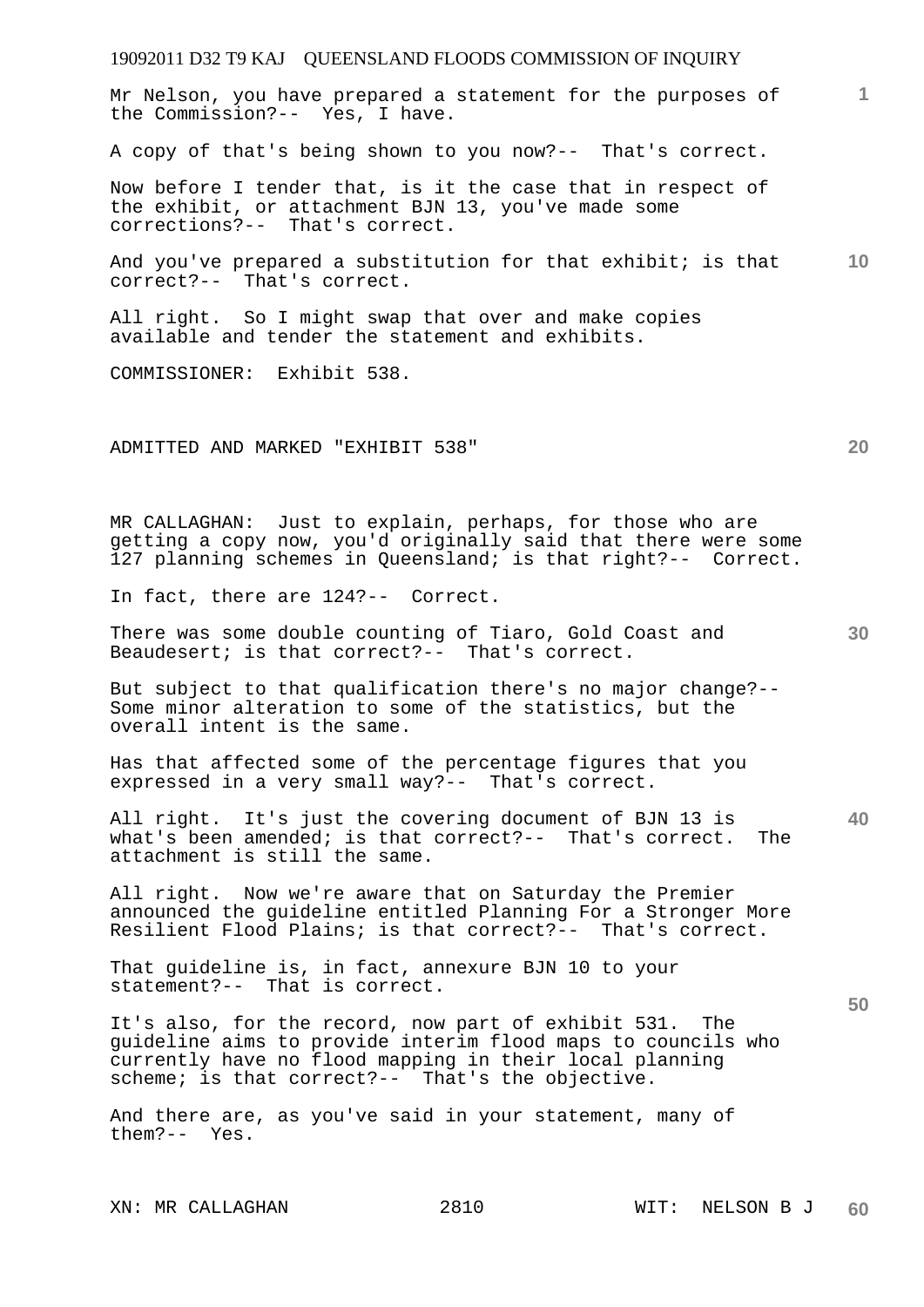19092011 D32 T9 KAJ QUEENSLAND FLOODS COMMISSION OF INQUIRY XN: MR CALLAGHAN 2810 WIT: NELSON B J **1 10 20 30 40 50 60**  Mr Nelson, you have prepared a statement for the purposes of the Commission?-- Yes, I have. A copy of that's being shown to you now?-- That's correct. Now before I tender that, is it the case that in respect of the exhibit, or attachment BJN 13, you've made some corrections?-- That's correct. And you've prepared a substitution for that exhibit; is that correct?-- That's correct. All right. So I might swap that over and make copies available and tender the statement and exhibits. COMMISSIONER: Exhibit 538. ADMITTED AND MARKED "EXHIBIT 538" MR CALLAGHAN: Just to explain, perhaps, for those who are getting a copy now, you'd originally said that there were some 127 planning schemes in Queensland; is that right?-- Correct. In fact, there are 124?-- Correct. There was some double counting of Tiaro, Gold Coast and Beaudesert; is that correct?-- That's correct. But subject to that qualification there's no major change?-- Some minor alteration to some of the statistics, but the overall intent is the same. Has that affected some of the percentage figures that you expressed in a very small way?-- That's correct. All right. It's just the covering document of BJN 13 is what's been amended; is that correct?-- That's correct. The attachment is still the same. All right. Now we're aware that on Saturday the Premier announced the guideline entitled Planning For a Stronger More Resilient Flood Plains; is that correct?-- That's correct. That guideline is, in fact, annexure BJN 10 to your statement?-- That is correct. It's also, for the record, now part of exhibit 531. The guideline aims to provide interim flood maps to councils who currently have no flood mapping in their local planning scheme; is that correct?-- That's the objective. And there are, as you've said in your statement, many of them?-- Yes.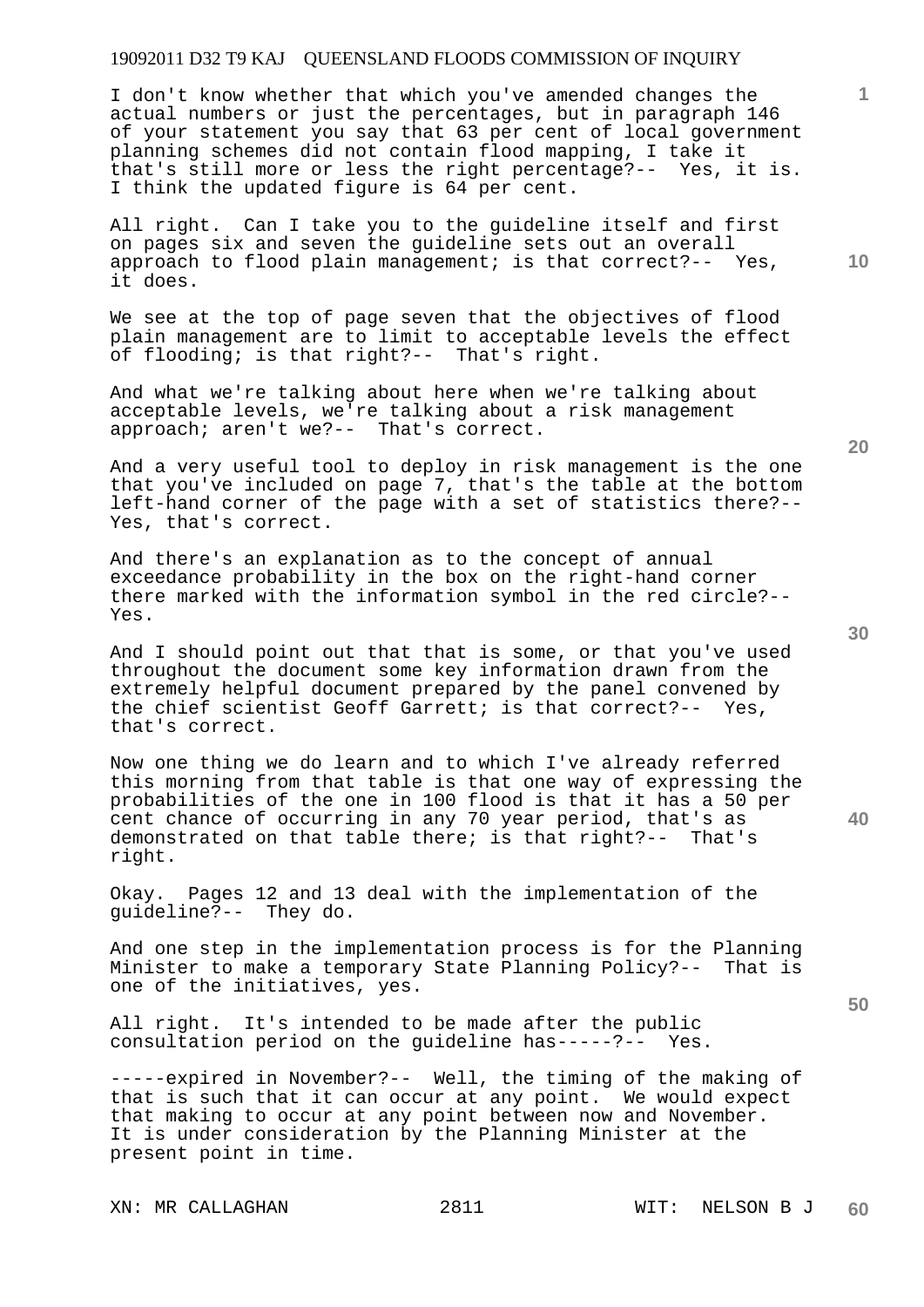I don't know whether that which you've amended changes the actual numbers or just the percentages, but in paragraph 146 of your statement you say that 63 per cent of local government planning schemes did not contain flood mapping, I take it that's still more or less the right percentage?-- Yes, it is. I think the updated figure is 64 per cent.

All right. Can I take you to the guideline itself and first on pages six and seven the guideline sets out an overall approach to flood plain management; is that correct?-- Yes, it does.

We see at the top of page seven that the objectives of flood plain management are to limit to acceptable levels the effect of flooding; is that right?-- That's right.

And what we're talking about here when we're talking about acceptable levels, we're talking about a risk management approach; aren't we?-- That's correct.

And a very useful tool to deploy in risk management is the one that you've included on page 7, that's the table at the bottom left-hand corner of the page with a set of statistics there?-- Yes, that's correct.

And there's an explanation as to the concept of annual exceedance probability in the box on the right-hand corner there marked with the information symbol in the red circle?-- Yes.

And I should point out that that is some, or that you've used throughout the document some key information drawn from the extremely helpful document prepared by the panel convened by the chief scientist Geoff Garrett; is that correct?-- Yes, that's correct.

Now one thing we do learn and to which I've already referred this morning from that table is that one way of expressing the probabilities of the one in 100 flood is that it has a 50 per cent chance of occurring in any 70 year period, that's as demonstrated on that table there; is that right?-- That's right.

Okay. Pages 12 and 13 deal with the implementation of the guideline?-- They do.

And one step in the implementation process is for the Planning Minister to make a temporary State Planning Policy?-- That is one of the initiatives, yes.

All right. It's intended to be made after the public consultation period on the quideline has-----?-- Yes. consultation period on the guideline has-----?--

-----expired in November?-- Well, the timing of the making of that is such that it can occur at any point. We would expect that making to occur at any point between now and November. It is under consideration by the Planning Minister at the present point in time.

XN: MR CALLAGHAN 2811 WIT: NELSON B J

**30** 

**20** 

**1**

**10** 

**50**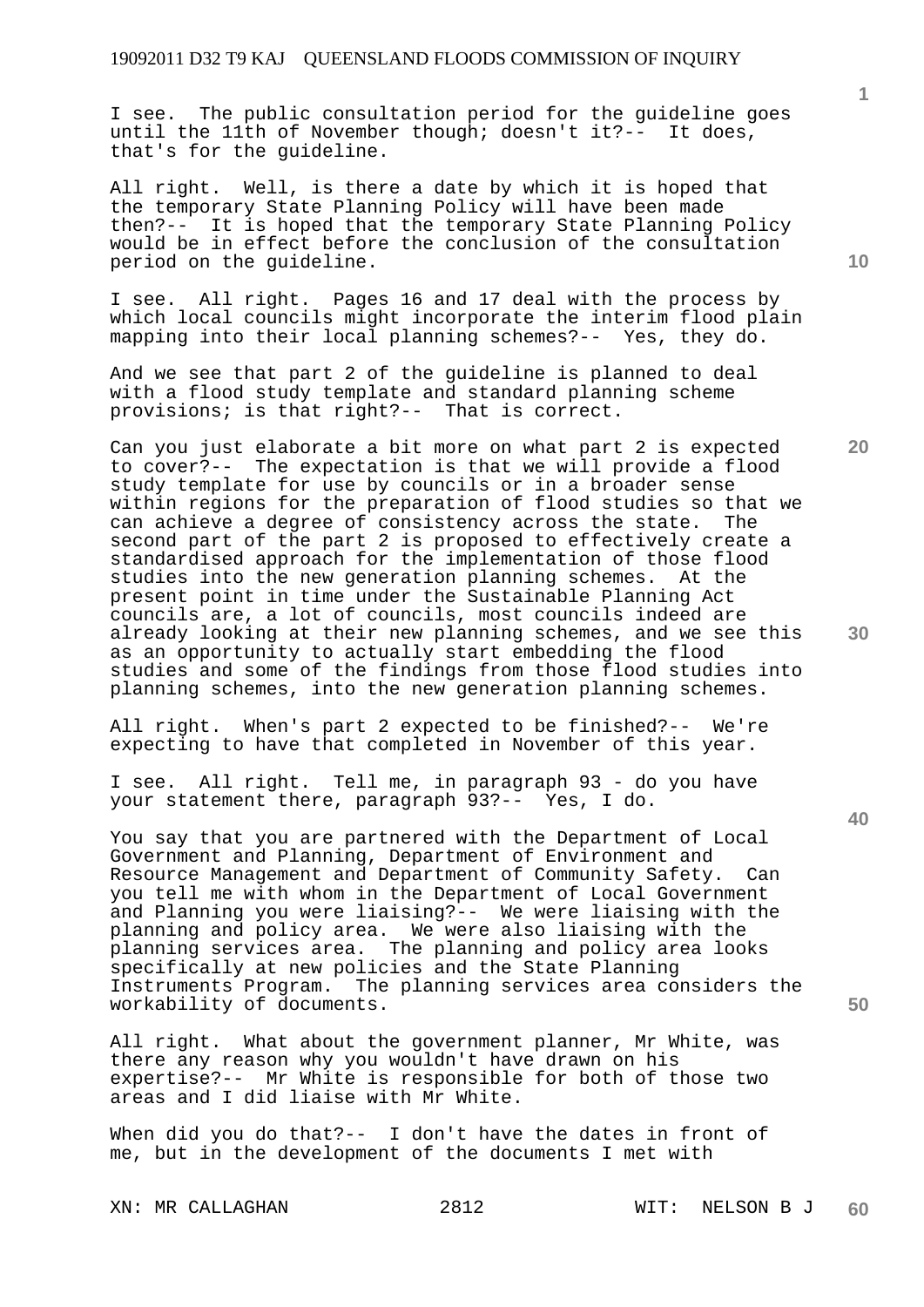I see. The public consultation period for the guideline goes until the 11th of November though; doesn't it?-- It does, that's for the guideline.

All right. Well, is there a date by which it is hoped that the temporary State Planning Policy will have been made then?-- It is hoped that the temporary State Planning Policy would be in effect before the conclusion of the consultation period on the guideline.

I see. All right. Pages 16 and 17 deal with the process by which local councils might incorporate the interim flood plain mapping into their local planning schemes?-- Yes, they do.

And we see that part 2 of the guideline is planned to deal with a flood study template and standard planning scheme provisions; is that right?-- That is correct.

Can you just elaborate a bit more on what part 2 is expected to cover?-- The expectation is that we will provide a flood study template for use by councils or in a broader sense within regions for the preparation of flood studies so that we can achieve a degree of consistency across the state. The second part of the part 2 is proposed to effectively create a standardised approach for the implementation of those flood studies into the new generation planning schemes. At the present point in time under the Sustainable Planning Act councils are, a lot of councils, most councils indeed are already looking at their new planning schemes, and we see this as an opportunity to actually start embedding the flood studies and some of the findings from those flood studies into planning schemes, into the new generation planning schemes.

All right. When's part 2 expected to be finished?-- We're expecting to have that completed in November of this year.

I see. All right. Tell me, in paragraph 93 - do you have your statement there, paragraph 93?-- Yes, I do.

You say that you are partnered with the Department of Local Government and Planning, Department of Environment and Resource Management and Department of Community Safety. Can you tell me with whom in the Department of Local Government and Planning you were liaising?-- We were liaising with the planning and policy area. We were also liaising with the planning services area. The planning and policy area looks specifically at new policies and the State Planning Instruments Program. The planning services area considers the workability of documents.

All right. What about the government planner, Mr White, was there any reason why you wouldn't have drawn on his expertise?-- Mr White is responsible for both of those two areas and I did liaise with Mr White.

When did you do that?-- I don't have the dates in front of me, but in the development of the documents I met with

XN: MR CALLAGHAN 2812 WIT: NELSON B J

**1**

**20** 

**30** 

**40**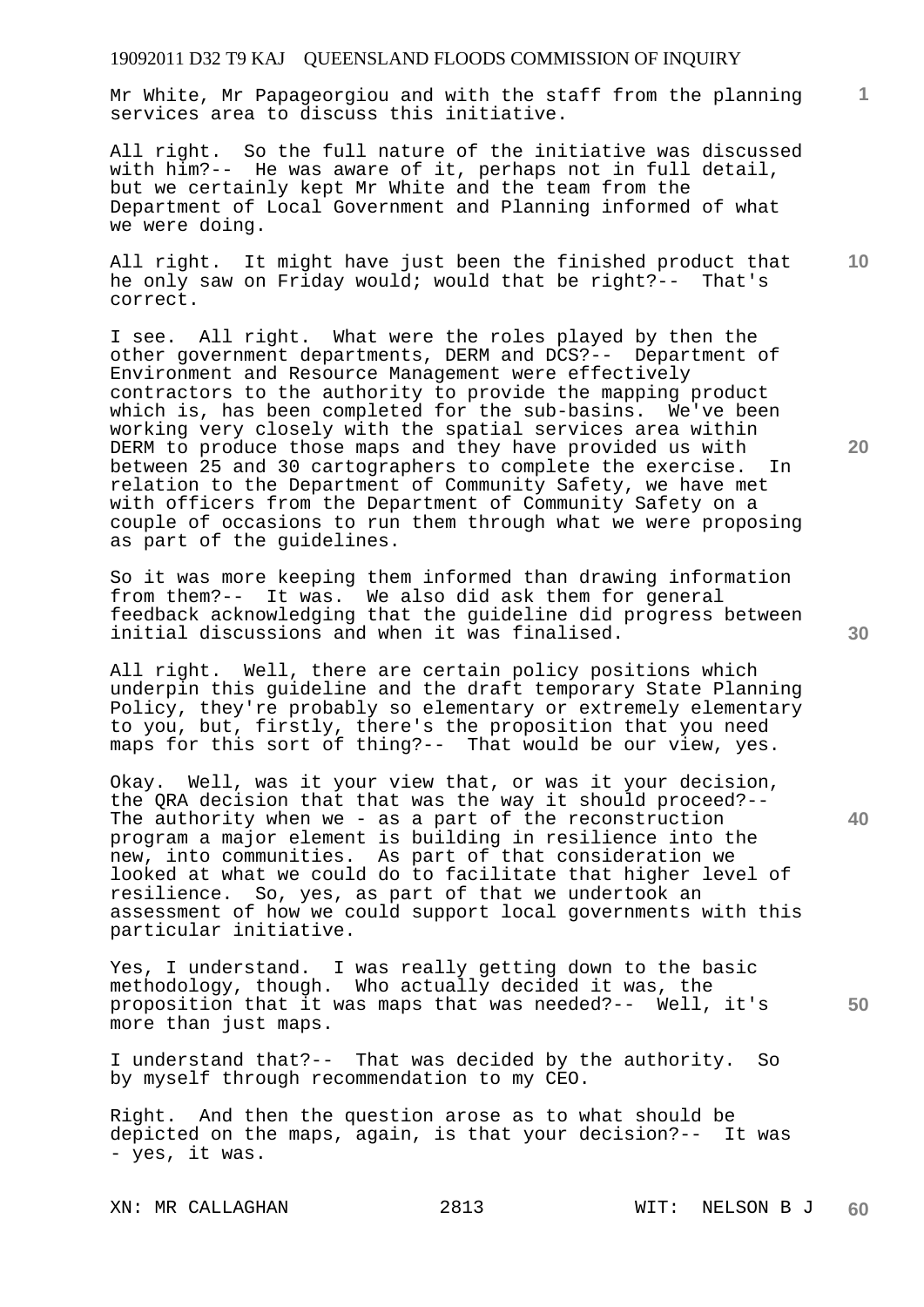Mr White, Mr Papageorgiou and with the staff from the planning services area to discuss this initiative.

All right. So the full nature of the initiative was discussed with him?-- He was aware of it, perhaps not in full detail, but we certainly kept Mr White and the team from the Department of Local Government and Planning informed of what we were doing.

All right. It might have just been the finished product that he only saw on Friday would; would that be right?-- That's correct.

I see. All right. What were the roles played by then the other government departments, DERM and DCS?-- Department of Environment and Resource Management were effectively contractors to the authority to provide the mapping product which is, has been completed for the sub-basins. We've been working very closely with the spatial services area within DERM to produce those maps and they have provided us with between 25 and 30 cartographers to complete the exercise. In relation to the Department of Community Safety, we have met with officers from the Department of Community Safety on a couple of occasions to run them through what we were proposing as part of the guidelines.

So it was more keeping them informed than drawing information from them?-- It was. We also did ask them for general feedback acknowledging that the guideline did progress between initial discussions and when it was finalised.

All right. Well, there are certain policy positions which underpin this guideline and the draft temporary State Planning Policy, they're probably so elementary or extremely elementary to you, but, firstly, there's the proposition that you need maps for this sort of thing?-- That would be our view, yes.

Okay. Well, was it your view that, or was it your decision, the QRA decision that that was the way it should proceed?-- The authority when we - as a part of the reconstruction program a major element is building in resilience into the new, into communities. As part of that consideration we looked at what we could do to facilitate that higher level of resilience. So, yes, as part of that we undertook an assessment of how we could support local governments with this particular initiative.

Yes, I understand. I was really getting down to the basic methodology, though. Who actually decided it was, the proposition that it was maps that was needed?-- Well, it's more than just maps.

I understand that?-- That was decided by the authority. So by myself through recommendation to my CEO.

Right. And then the question arose as to what should be depicted on the maps, again, is that your decision?-- It was - yes, it was.

XN: MR CALLAGHAN 2813 WIT: NELSON B J

**20** 

**10** 

**1**

**40**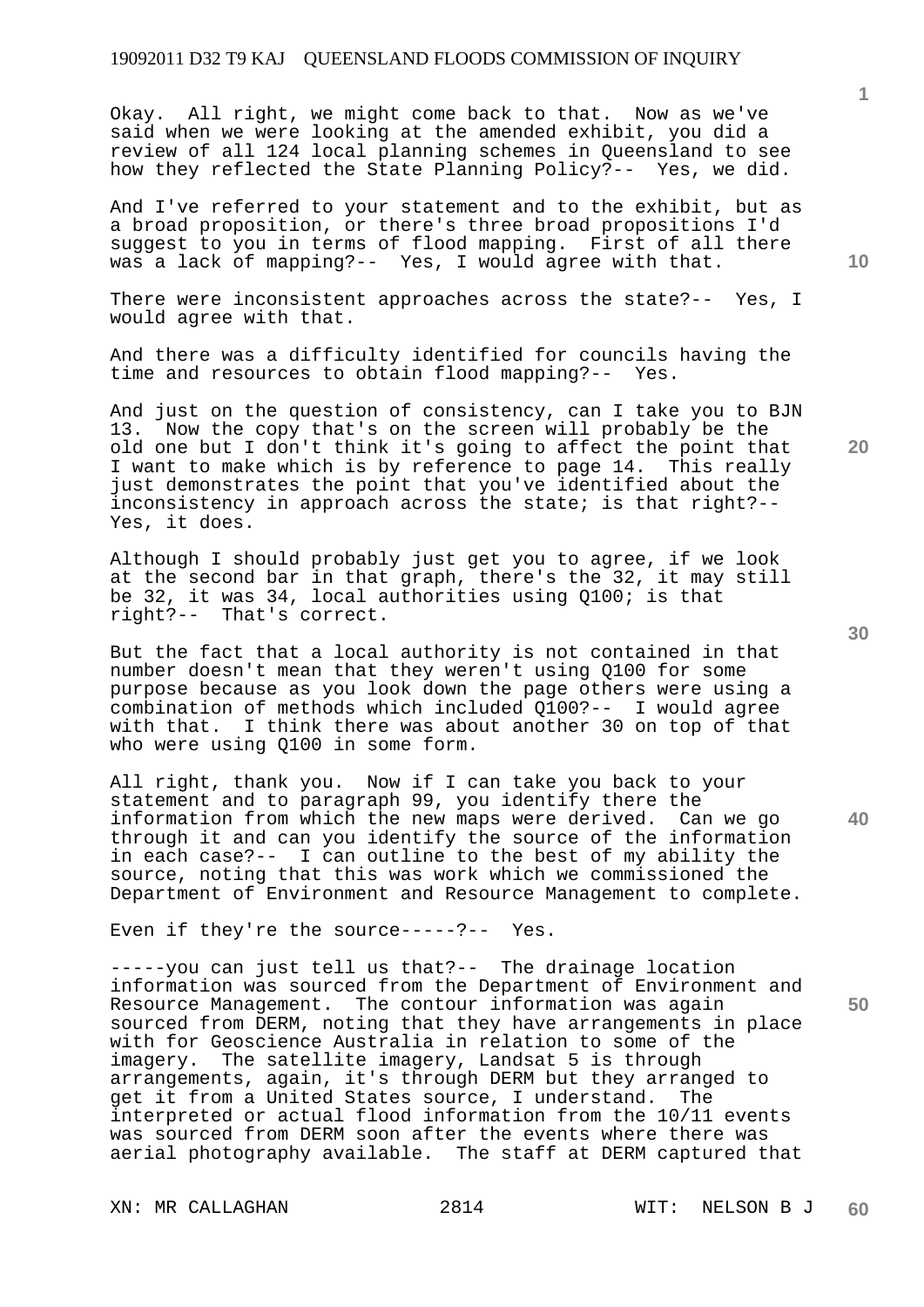Okay. All right, we might come back to that. Now as we've said when we were looking at the amended exhibit, you did a review of all 124 local planning schemes in Queensland to see how they reflected the State Planning Policy?-- Yes, we did.

And I've referred to your statement and to the exhibit, but as a broad proposition, or there's three broad propositions I'd suggest to you in terms of flood mapping. First of all there was a lack of mapping?-- Yes, I would agree with that.

There were inconsistent approaches across the state?-- Yes, I would agree with that.

And there was a difficulty identified for councils having the time and resources to obtain flood mapping?-- Yes.

And just on the question of consistency, can I take you to BJN 13. Now the copy that's on the screen will probably be the old one but I don't think it's going to affect the point that I want to make which is by reference to page 14. This really just demonstrates the point that you've identified about the inconsistency in approach across the state; is that right?-- Yes, it does.

Although I should probably just get you to agree, if we look at the second bar in that graph, there's the 32, it may still be 32, it was 34, local authorities using Q100; is that right?-- That's correct.

But the fact that a local authority is not contained in that number doesn't mean that they weren't using Q100 for some purpose because as you look down the page others were using a combination of methods which included Q100?-- I would agree with that. I think there was about another 30 on top of that who were using Q100 in some form.

All right, thank you. Now if I can take you back to your statement and to paragraph 99, you identify there the information from which the new maps were derived. Can we go through it and can you identify the source of the information in each case?-- I can outline to the best of my ability the source, noting that this was work which we commissioned the Department of Environment and Resource Management to complete.

Even if they're the source-----?-- Yes.

-----you can just tell us that?-- The drainage location information was sourced from the Department of Environment and Resource Management. The contour information was again sourced from DERM, noting that they have arrangements in place with for Geoscience Australia in relation to some of the imagery. The satellite imagery, Landsat 5 is through arrangements, again, it's through DERM but they arranged to get it from a United States source, I understand. The interpreted or actual flood information from the 10/11 events was sourced from DERM soon after the events where there was aerial photography available. The staff at DERM captured that

**10** 

**1**

**40** 

**50**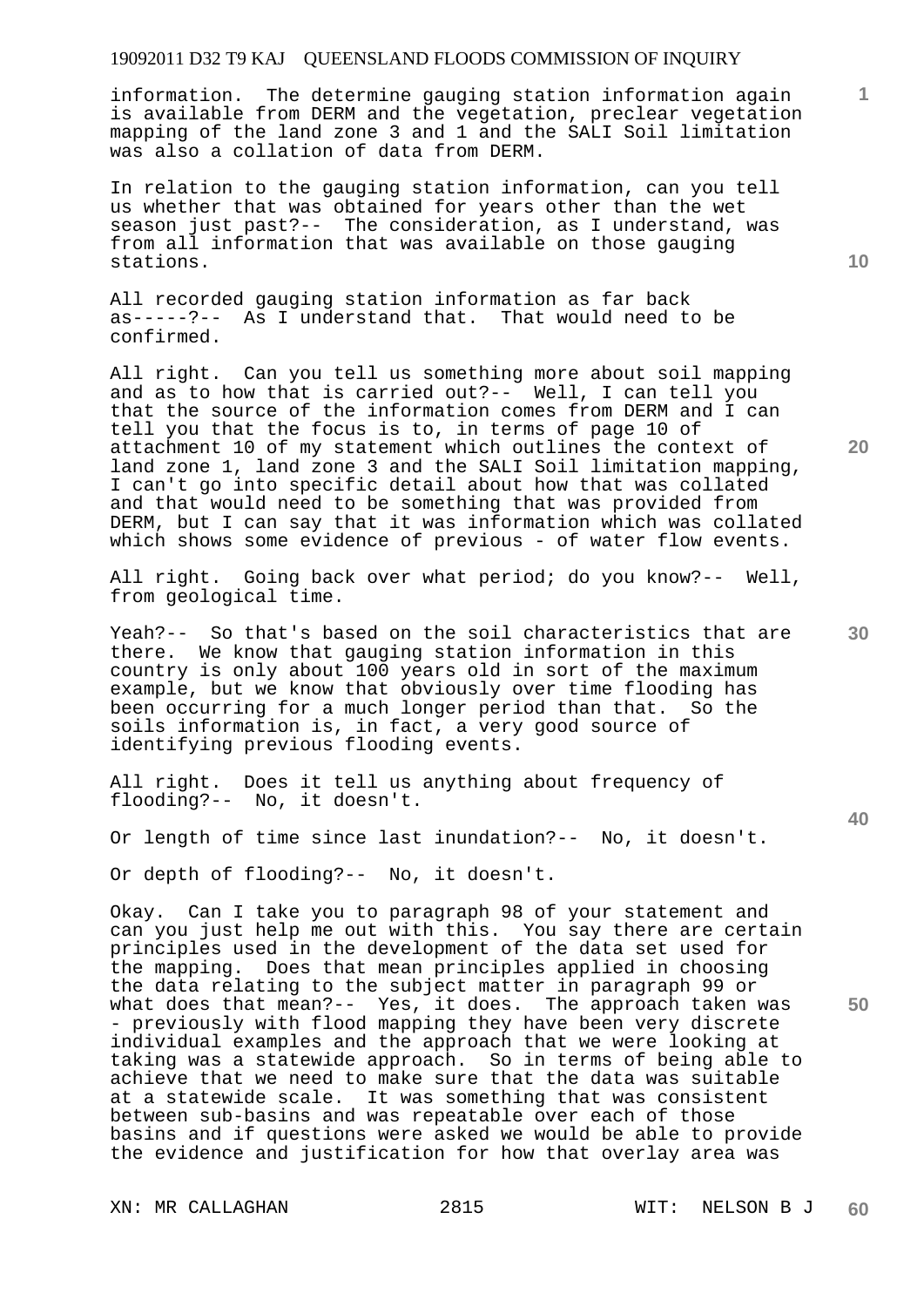information. The determine gauging station information again is available from DERM and the vegetation, preclear vegetation mapping of the land zone 3 and 1 and the SALI Soil limitation was also a collation of data from DERM.

In relation to the gauging station information, can you tell us whether that was obtained for years other than the wet season just past?-- The consideration, as I understand, was from all information that was available on those gauging stations.

All recorded gauging station information as far back as-----?-- As I understand that. That would need to be confirmed.

All right. Can you tell us something more about soil mapping and as to how that is carried out?-- Well, I can tell you that the source of the information comes from DERM and I can tell you that the focus is to, in terms of page 10 of attachment 10 of my statement which outlines the context of land zone 1, land zone 3 and the SALI Soil limitation mapping, I can't go into specific detail about how that was collated and that would need to be something that was provided from DERM, but I can say that it was information which was collated which shows some evidence of previous - of water flow events.

All right. Going back over what period; do you know?-- Well, from geological time.

Yeah?-- So that's based on the soil characteristics that are there. We know that gauging station information in this country is only about 100 years old in sort of the maximum example, but we know that obviously over time flooding has been occurring for a much longer period than that. So the soils information is, in fact, a very good source of identifying previous flooding events.

All right. Does it tell us anything about frequency of flooding?-- No, it doesn't.

Or length of time since last inundation?-- No, it doesn't.

Or depth of flooding?-- No, it doesn't.

Okay. Can I take you to paragraph 98 of your statement and can you just help me out with this. You say there are certain principles used in the development of the data set used for the mapping. Does that mean principles applied in choosing the data relating to the subject matter in paragraph 99 or what does that mean?-- Yes, it does. The approach taken was - previously with flood mapping they have been very discrete individual examples and the approach that we were looking at taking was a statewide approach. So in terms of being able to achieve that we need to make sure that the data was suitable at a statewide scale. It was something that was consistent between sub-basins and was repeatable over each of those basins and if questions were asked we would be able to provide the evidence and justification for how that overlay area was

**10** 

**20** 

**1**

**30** 

**40**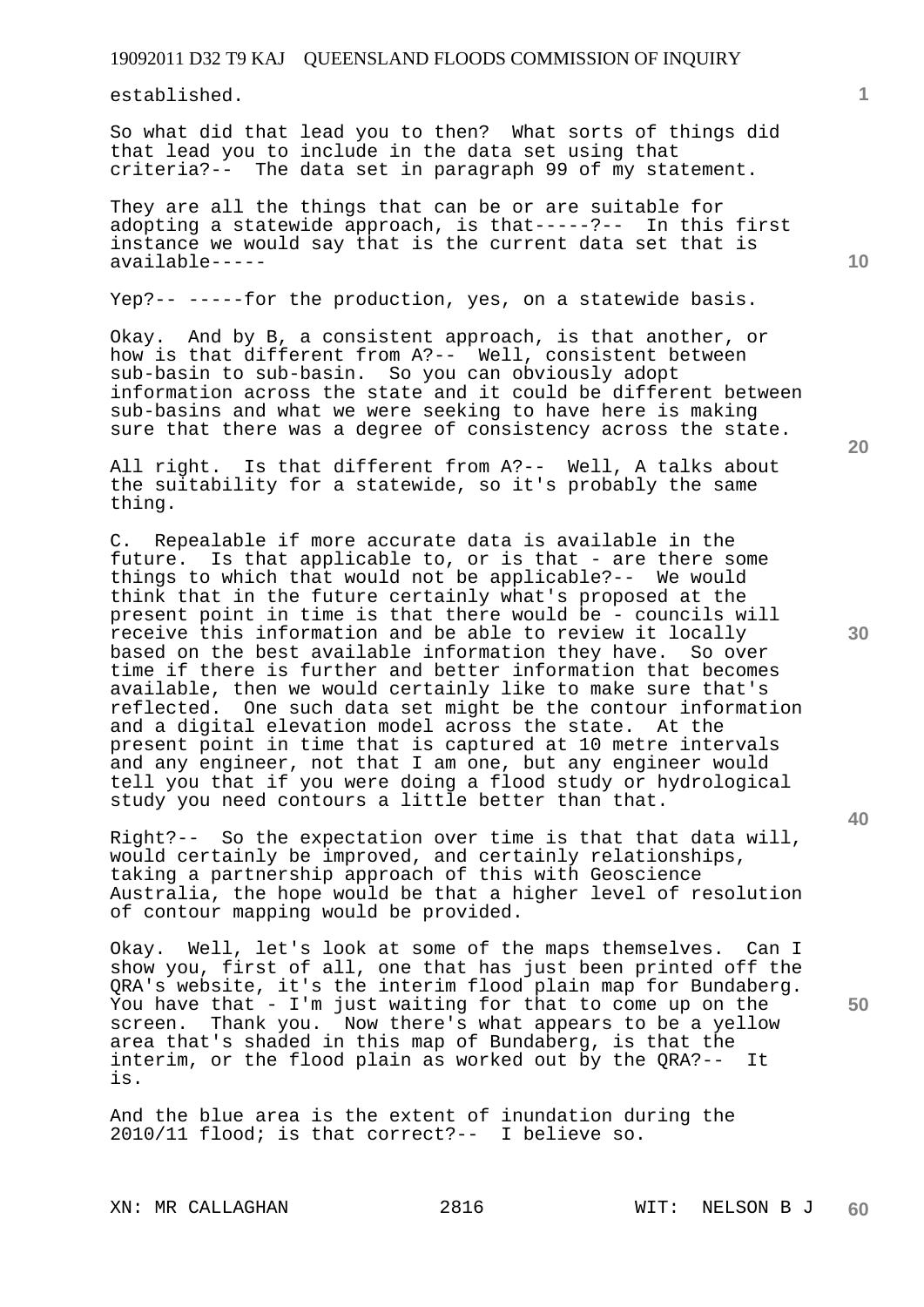established.

So what did that lead you to then? What sorts of things did that lead you to include in the data set using that criteria?-- The data set in paragraph 99 of my statement.

They are all the things that can be or are suitable for adopting a statewide approach, is that-----?-- In this first instance we would say that is the current data set that is available-----

Yep?-- -----for the production, yes, on a statewide basis.

Okay. And by B, a consistent approach, is that another, or how is that different from A?-- Well, consistent between sub-basin to sub-basin. So you can obviously adopt information across the state and it could be different between sub-basins and what we were seeking to have here is making sure that there was a degree of consistency across the state.

All right. Is that different from A?-- Well, A talks about the suitability for a statewide, so it's probably the same thing.

C. Repealable if more accurate data is available in the future. Is that applicable to, or is that - are there some things to which that would not be applicable?-- We would think that in the future certainly what's proposed at the present point in time is that there would be - councils will receive this information and be able to review it locally based on the best available information they have. So over time if there is further and better information that becomes available, then we would certainly like to make sure that's reflected. One such data set might be the contour information and a digital elevation model across the state. At the present point in time that is captured at 10 metre intervals and any engineer, not that I am one, but any engineer would tell you that if you were doing a flood study or hydrological study you need contours a little better than that.

Right?-- So the expectation over time is that that data will, would certainly be improved, and certainly relationships, taking a partnership approach of this with Geoscience Australia, the hope would be that a higher level of resolution of contour mapping would be provided.

Okay. Well, let's look at some of the maps themselves. Can I show you, first of all, one that has just been printed off the QRA's website, it's the interim flood plain map for Bundaberg. You have that - I'm just waiting for that to come up on the screen. Thank you. Now there's what appears to be a yellow area that's shaded in this map of Bundaberg, is that the interim, or the flood plain as worked out by the QRA?-- It is.

And the blue area is the extent of inundation during the 2010/11 flood; is that correct?-- I believe so.

XN: MR CALLAGHAN 2816 WIT: NELSON B J

**10** 

**1**

**20** 

**30** 

**40**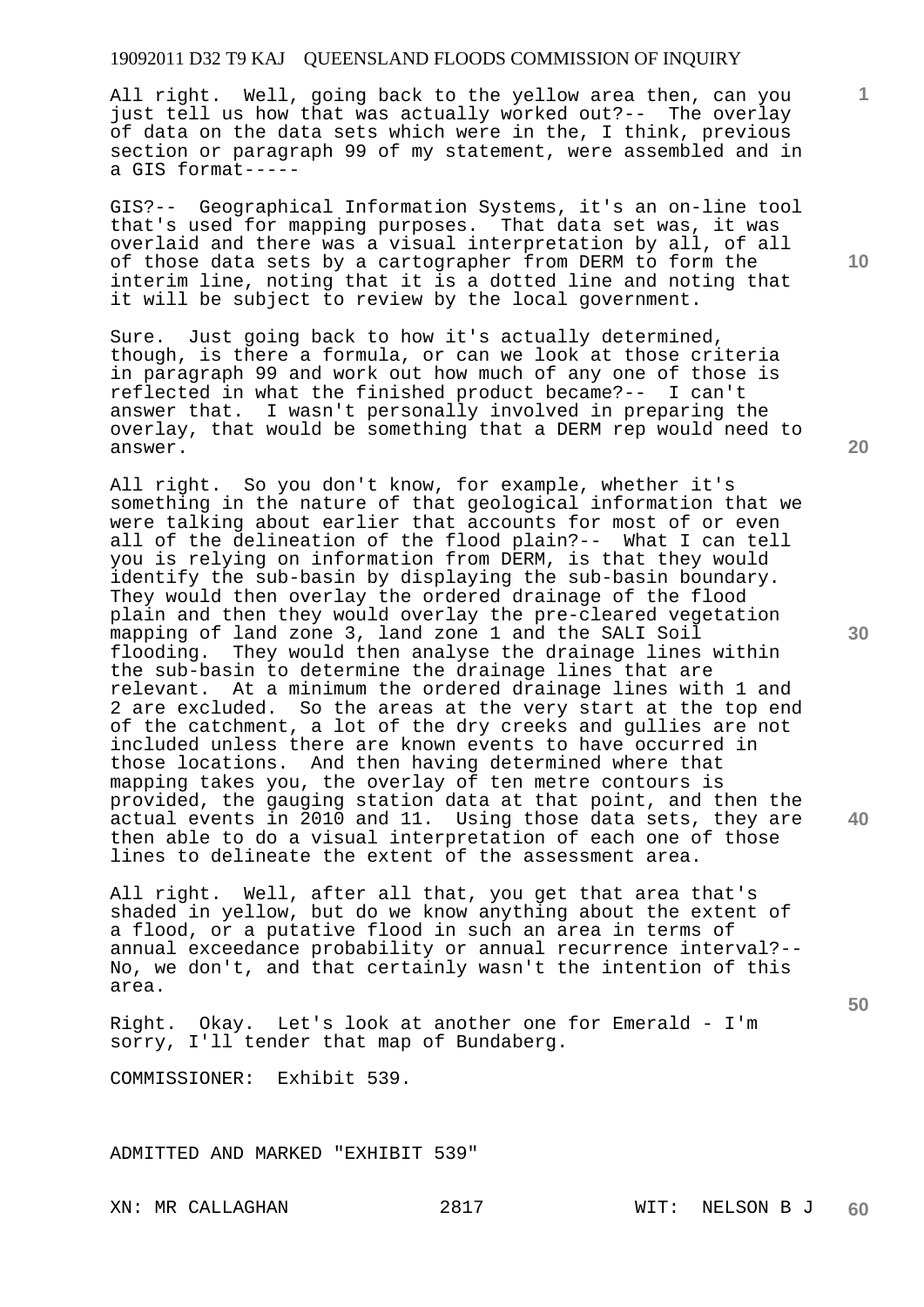All right. Well, going back to the yellow area then, can you just tell us how that was actually worked out?-- The overlay of data on the data sets which were in the, I think, previous section or paragraph 99 of my statement, were assembled and in a GIS format-----

GIS?-- Geographical Information Systems, it's an on-line tool that's used for mapping purposes. That data set was, it was overlaid and there was a visual interpretation by all, of all of those data sets by a cartographer from DERM to form the interim line, noting that it is a dotted line and noting that it will be subject to review by the local government.

Sure. Just going back to how it's actually determined, though, is there a formula, or can we look at those criteria in paragraph 99 and work out how much of any one of those is reflected in what the finished product became?-- I can't answer that. I wasn't personally involved in preparing the overlay, that would be something that a DERM rep would need to answer.

All right. So you don't know, for example, whether it's something in the nature of that geological information that we were talking about earlier that accounts for most of or even all of the delineation of the flood plain?-- What I can tell you is relying on information from DERM, is that they would identify the sub-basin by displaying the sub-basin boundary. They would then overlay the ordered drainage of the flood plain and then they would overlay the pre-cleared vegetation mapping of land zone 3, land zone 1 and the SALI Soil flooding. They would then analyse the drainage lines within the sub-basin to determine the drainage lines that are relevant. At a minimum the ordered drainage lines with 1 and 2 are excluded. So the areas at the very start at the top end of the catchment, a lot of the dry creeks and gullies are not included unless there are known events to have occurred in those locations. And then having determined where that mapping takes you, the overlay of ten metre contours is provided, the gauging station data at that point, and then the actual events in 2010 and 11. Using those data sets, they are then able to do a visual interpretation of each one of those lines to delineate the extent of the assessment area.

All right. Well, after all that, you get that area that's shaded in yellow, but do we know anything about the extent of a flood, or a putative flood in such an area in terms of annual exceedance probability or annual recurrence interval?-- No, we don't, and that certainly wasn't the intention of this area.

Right. Okay. Let's look at another one for Emerald - I'm sorry, I'll tender that map of Bundaberg.

COMMISSIONER: Exhibit 539.

ADMITTED AND MARKED "EXHIBIT 539"

XN: MR CALLAGHAN 2817 WIT: NELSON B J

**10** 

**1**

**20** 

**40** 

**30**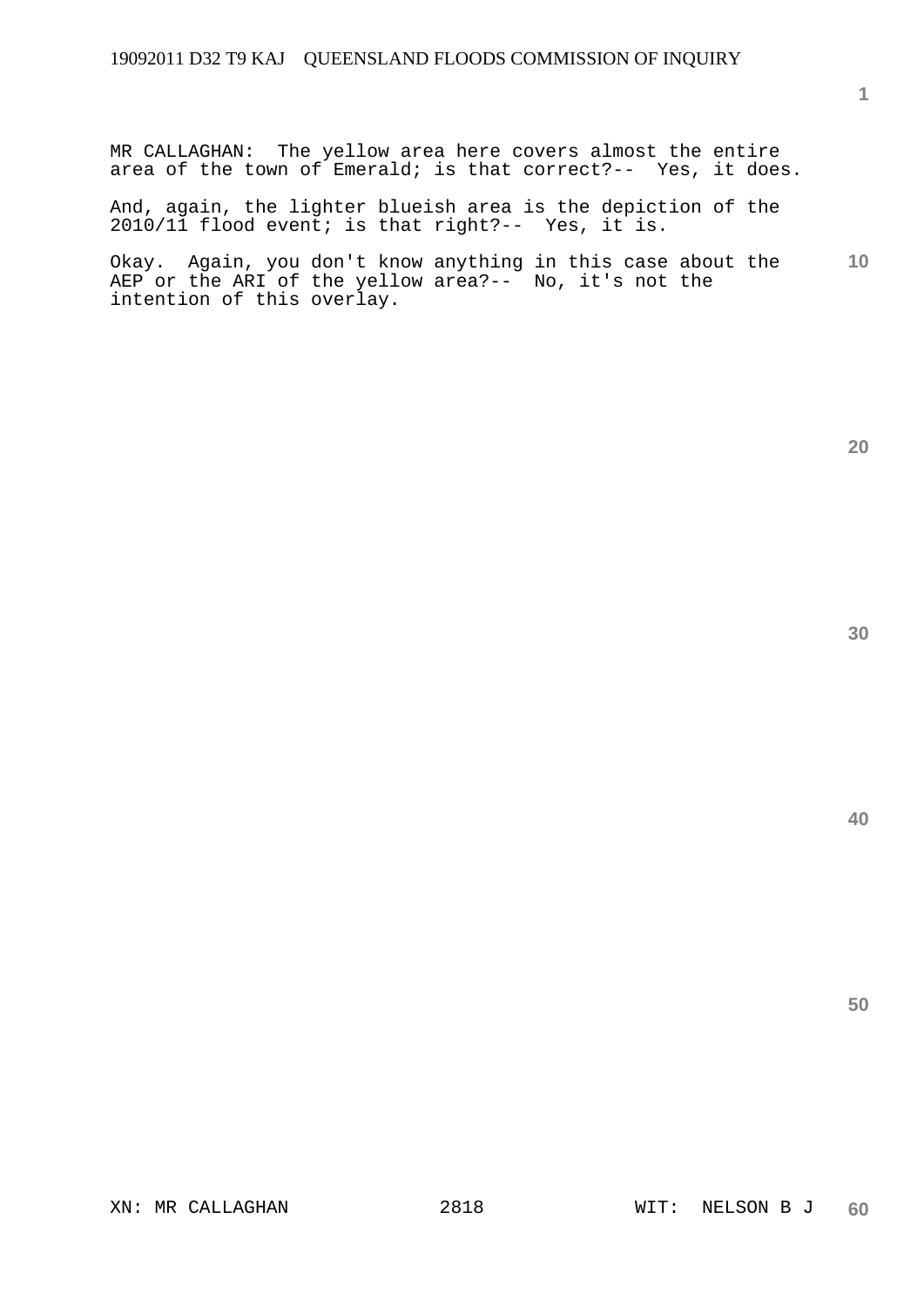MR CALLAGHAN: The yellow area here covers almost the entire area of the town of Emerald; is that correct?-- Yes, it does.

And, again, the lighter blueish area is the depiction of the 2010/11 flood event; is that right?-- Yes, it is.

**10**  Okay. Again, you don't know anything in this case about the AEP or the ARI of the yellow area?-- No, it's not the intention of this overlay.

**30** 

**20** 

**1**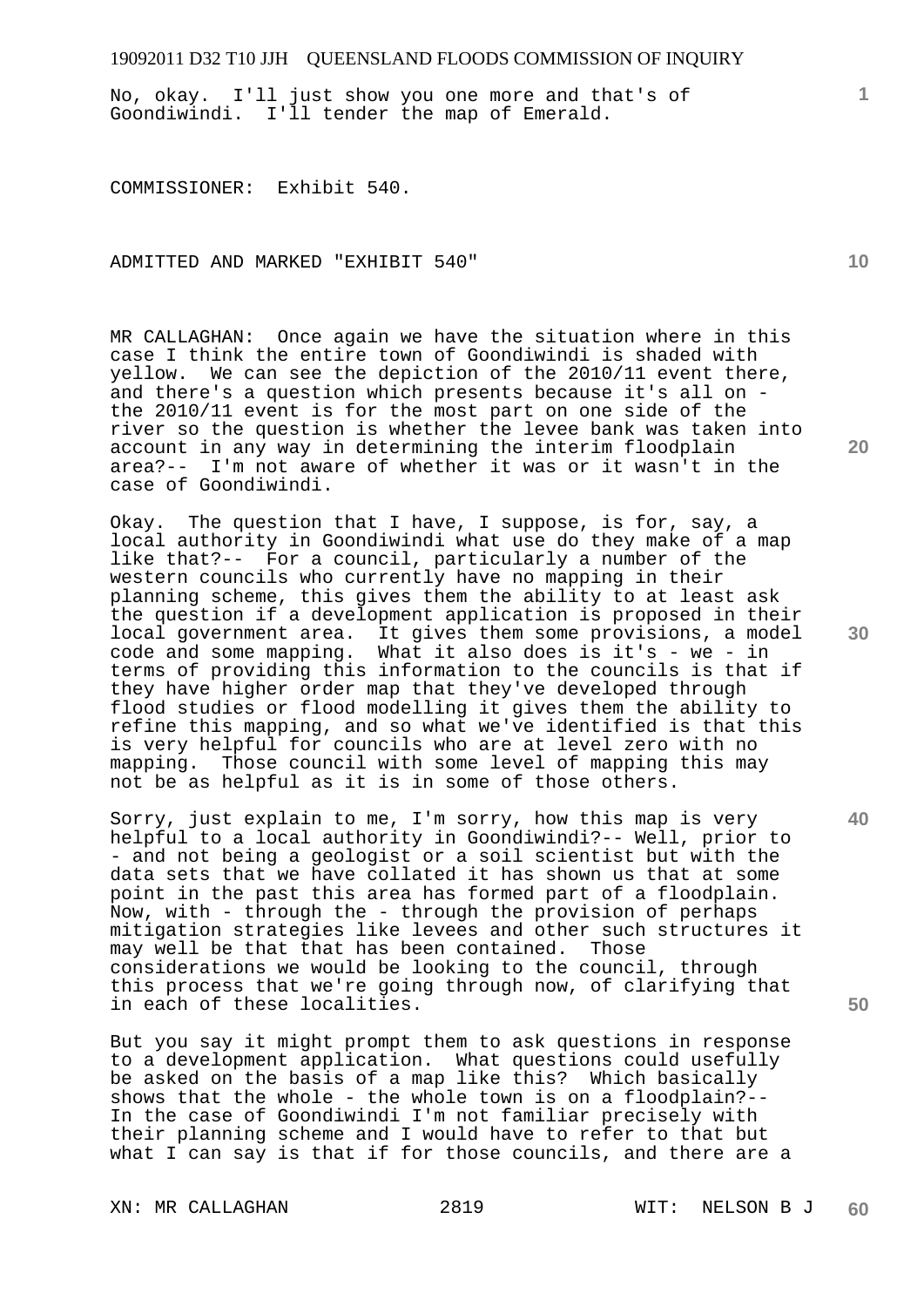No, okay. I'll just show you one more and that's of Goondiwindi. I'll tender the map of Emerald.

COMMISSIONER: Exhibit 540.

ADMITTED AND MARKED "EXHIBIT 540"

MR CALLAGHAN: Once again we have the situation where in this case I think the entire town of Goondiwindi is shaded with yellow. We can see the depiction of the 2010/11 event there, and there's a question which presents because it's all on the 2010/11 event is for the most part on one side of the river so the question is whether the levee bank was taken into account in any way in determining the interim floodplain area?-- I'm not aware of whether it was or it wasn't in the case of Goondiwindi.

Okay. The question that I have, I suppose, is for, say, a local authority in Goondiwindi what use do they make of a map like that?-- For a council, particularly a number of the western councils who currently have no mapping in their planning scheme, this gives them the ability to at least ask the question if a development application is proposed in their local government area. It gives them some provisions, a model code and some mapping. What it also does is it's - we - in terms of providing this information to the councils is that if they have higher order map that they've developed through flood studies or flood modelling it gives them the ability to refine this mapping, and so what we've identified is that this is very helpful for councils who are at level zero with no mapping. Those council with some level of mapping this may not be as helpful as it is in some of those others.

Sorry, just explain to me, I'm sorry, how this map is very helpful to a local authority in Goondiwindi?-- Well, prior to - and not being a geologist or a soil scientist but with the data sets that we have collated it has shown us that at some point in the past this area has formed part of a floodplain. Now, with - through the - through the provision of perhaps mitigation strategies like levees and other such structures it may well be that that has been contained. Those considerations we would be looking to the council, through this process that we're going through now, of clarifying that in each of these localities.

But you say it might prompt them to ask questions in response to a development application. What questions could usefully be asked on the basis of a map like this? Which basically shows that the whole - the whole town is on a floodplain?-- In the case of Goondiwindi I'm not familiar precisely with their planning scheme and I would have to refer to that but what I can say is that if for those councils, and there are a

XN: MR CALLAGHAN 2819 WIT: NELSON B J

**10** 

**1**

**20** 



**40**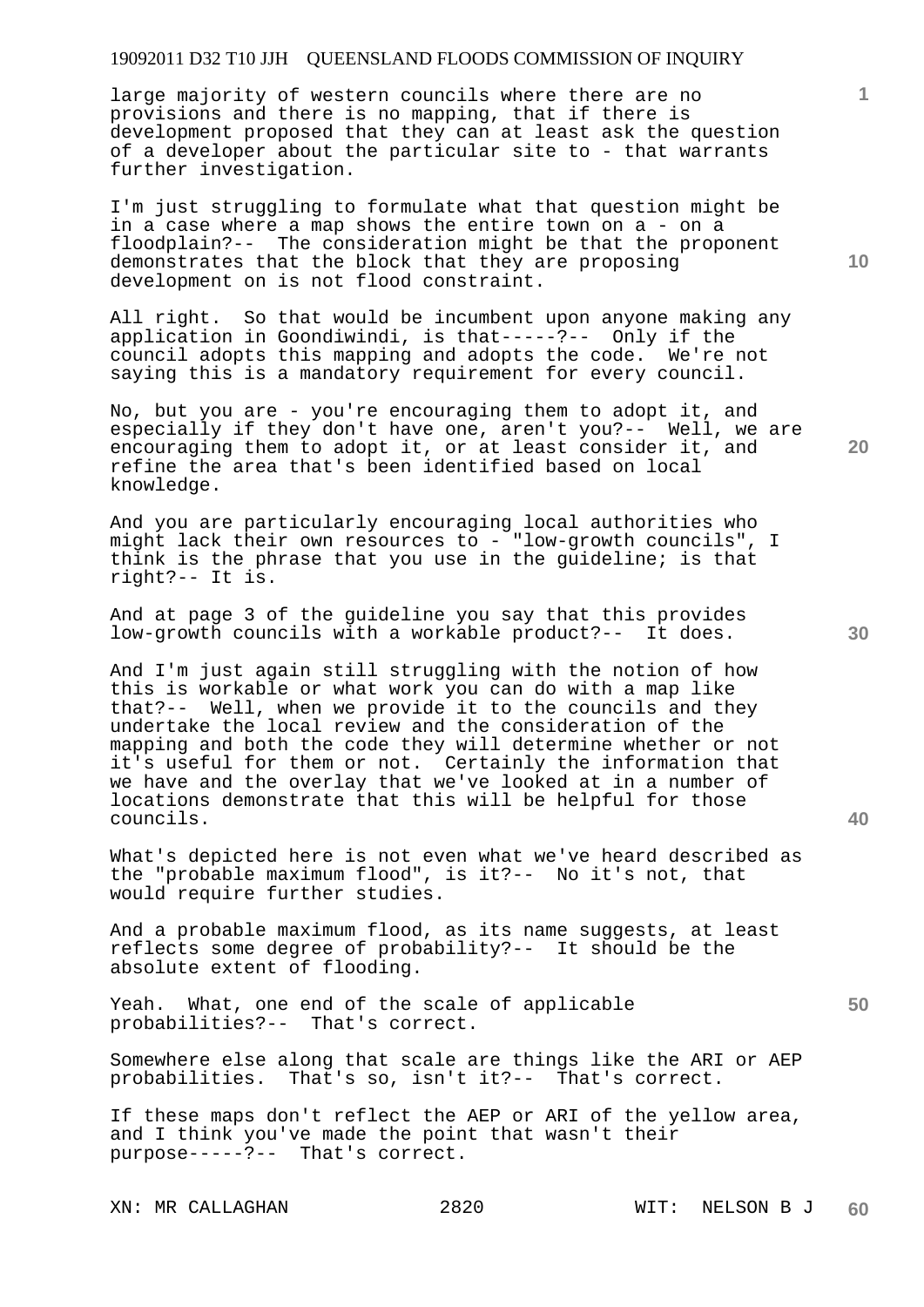large majority of western councils where there are no provisions and there is no mapping, that if there is development proposed that they can at least ask the question of a developer about the particular site to - that warrants further investigation.

I'm just struggling to formulate what that question might be in a case where a map shows the entire town on a - on a floodplain?-- The consideration might be that the proponent demonstrates that the block that they are proposing development on is not flood constraint.

All right. So that would be incumbent upon anyone making any application in Goondiwindi, is that-----?-- Only if the council adopts this mapping and adopts the code. We're not saying this is a mandatory requirement for every council.

No, but you are - you're encouraging them to adopt it, and especially if they don't have one, aren't you?-- Well, we are encouraging them to adopt it, or at least consider it, and refine the area that's been identified based on local knowledge.

And you are particularly encouraging local authorities who might lack their own resources to - "low-growth councils", I think is the phrase that you use in the guideline; is that right?-- It is.

And at page 3 of the guideline you say that this provides low-growth councils with a workable product?-- It does.

And I'm just again still struggling with the notion of how this is workable or what work you can do with a map like that?-- Well, when we provide it to the councils and they undertake the local review and the consideration of the mapping and both the code they will determine whether or not it's useful for them or not. Certainly the information that we have and the overlay that we've looked at in a number of locations demonstrate that this will be helpful for those councils.

What's depicted here is not even what we've heard described as the "probable maximum flood", is it?-- No it's not, that would require further studies.

And a probable maximum flood, as its name suggests, at least reflects some degree of probability?-- It should be the absolute extent of flooding.

Yeah. What, one end of the scale of applicable probabilities?-- That's correct.

Somewhere else along that scale are things like the ARI or AEP probabilities. That's so, isn't it?-- That's correct.

If these maps don't reflect the AEP or ARI of the yellow area, and I think you've made the point that wasn't their purpose-----?-- That's correct.

XN: MR CALLAGHAN 2820 WIT: NELSON B J

**60** 

**10** 

**1**

**20** 

**30**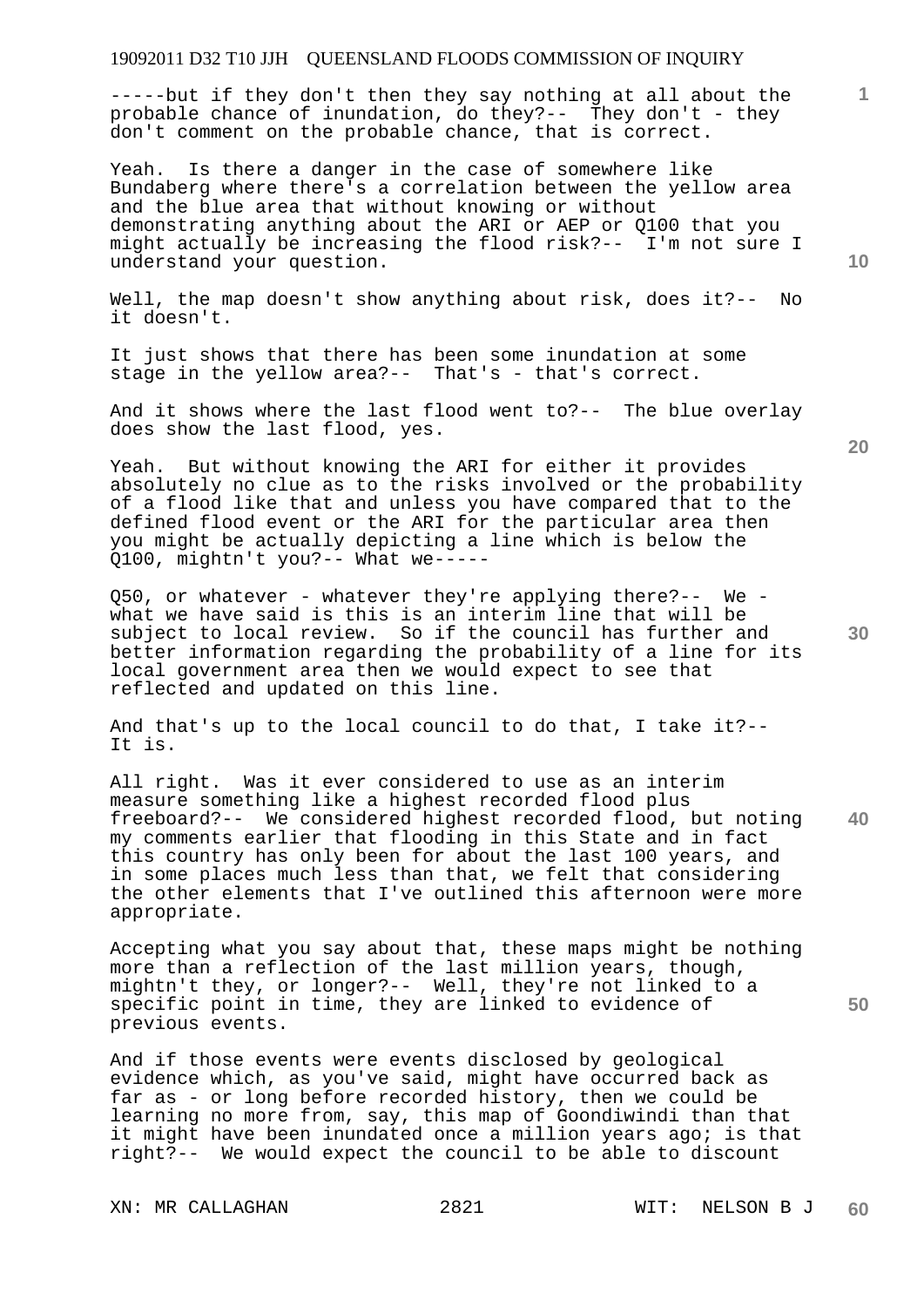-----but if they don't then they say nothing at all about the probable chance of inundation, do they?-- They don't - they don't comment on the probable chance, that is correct.

Yeah. Is there a danger in the case of somewhere like Bundaberg where there's a correlation between the yellow area and the blue area that without knowing or without demonstrating anything about the ARI or AEP or Q100 that you might actually be increasing the flood risk?-- I'm not sure I understand your question.

Well, the map doesn't show anything about risk, does it?-- No it doesn't.

It just shows that there has been some inundation at some stage in the yellow area?-- That's - that's correct.

And it shows where the last flood went to?-- The blue overlay does show the last flood, yes.

Yeah. But without knowing the ARI for either it provides absolutely no clue as to the risks involved or the probability of a flood like that and unless you have compared that to the defined flood event or the ARI for the particular area then you might be actually depicting a line which is below the Q100, mightn't you?-- What we-----

Q50, or whatever - whatever they're applying there?-- We what we have said is this is an interim line that will be subject to local review. So if the council has further and better information regarding the probability of a line for its local government area then we would expect to see that reflected and updated on this line.

And that's up to the local council to do that, I take it?-- It is.

**40**  All right. Was it ever considered to use as an interim measure something like a highest recorded flood plus freeboard?-- We considered highest recorded flood, but noting my comments earlier that flooding in this State and in fact this country has only been for about the last 100 years, and in some places much less than that, we felt that considering the other elements that I've outlined this afternoon were more appropriate.

Accepting what you say about that, these maps might be nothing more than a reflection of the last million years, though, mightn't they, or longer?-- Well, they're not linked to a specific point in time, they are linked to evidence of previous events.

And if those events were events disclosed by geological evidence which, as you've said, might have occurred back as far as - or long before recorded history, then we could be learning no more from, say, this map of Goondiwindi than that it might have been inundated once a million years ago; is that right?-- We would expect the council to be able to discount

**20** 

**10** 

**50**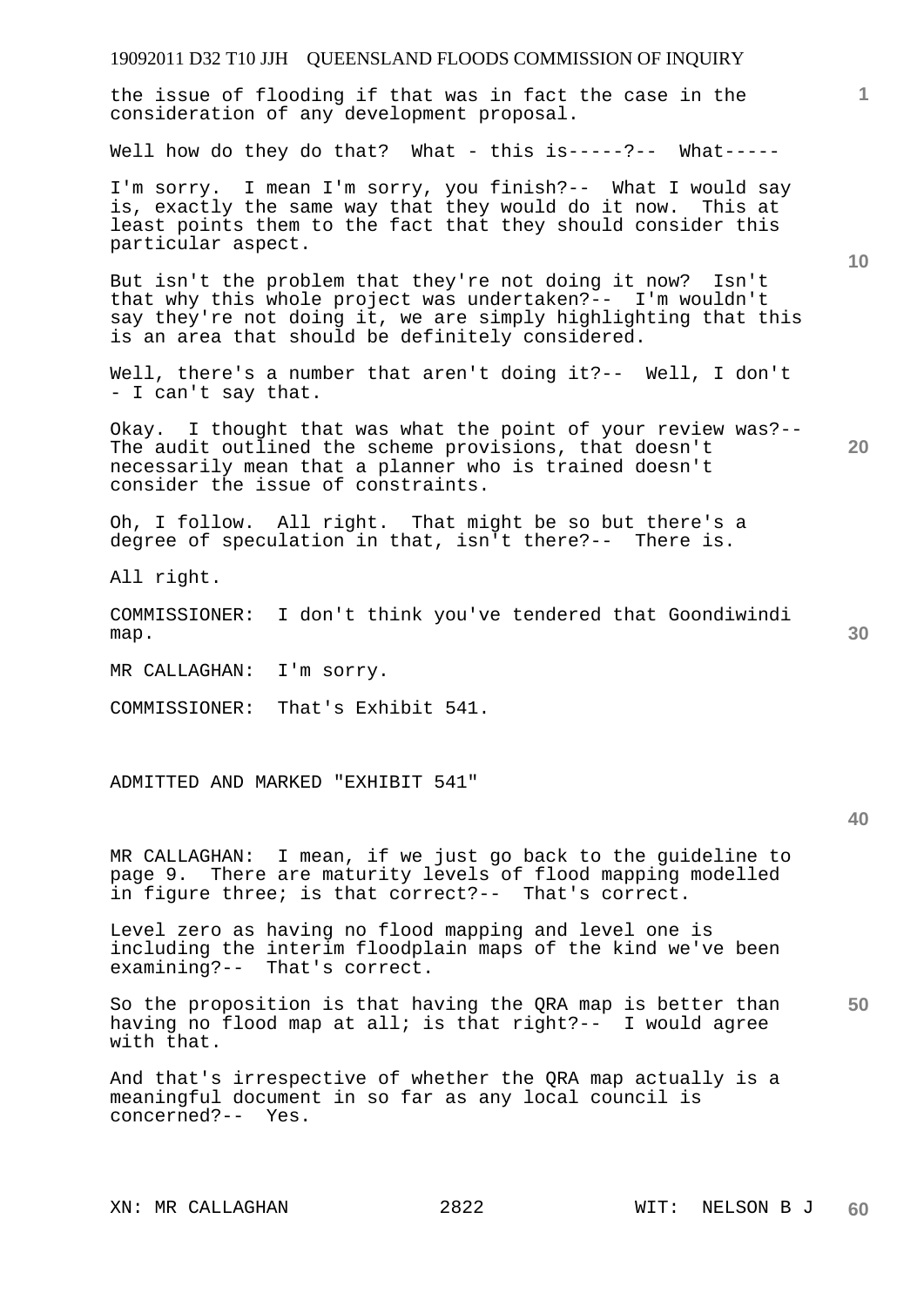| 19092011 D32 T10 JJH QUEENSLAND FLOODS COMMISSION OF INQUIRY                                                                                                                                                                                   |                 |
|------------------------------------------------------------------------------------------------------------------------------------------------------------------------------------------------------------------------------------------------|-----------------|
| the issue of flooding if that was in fact the case in the<br>consideration of any development proposal.                                                                                                                                        | $\mathbf{1}$    |
| Well how do they do that? What - this is-----?-- What-----                                                                                                                                                                                     |                 |
| I'm sorry. I mean I'm sorry, you finish?-- What I would say<br>is, exactly the same way that they would do it now. This at<br>least points them to the fact that they should consider this<br>particular aspect.                               | 10 <sup>°</sup> |
| But isn't the problem that they're not doing it now? Isn't<br>that why this whole project was undertaken?-- I'm wouldn't<br>say they're not doing it, we are simply highlighting that this<br>is an area that should be definitely considered. |                 |
| Well, there's a number that aren't doing it ?-- Well, I don't<br>- I can't say that.                                                                                                                                                           |                 |
| Okay. I thought that was what the point of your review was?--<br>The audit outlined the scheme provisions, that doesn't<br>necessarily mean that a planner who is trained doesn't<br>consider the issue of constraints.                        | 20              |
| Oh, I follow. All right. That might be so but there's a<br>degree of speculation in that, isn't there?-- There is.                                                                                                                             |                 |
| All right.                                                                                                                                                                                                                                     |                 |
| I don't think you've tendered that Goondiwindi<br>COMMISSIONER:<br>map.                                                                                                                                                                        | 30              |
| MR CALLAGHAN: I'm sorry.                                                                                                                                                                                                                       |                 |
| That's Exhibit 541.<br>COMMISSIONER:                                                                                                                                                                                                           |                 |
| ADMITTED AND MARKED "EXHIBIT 541"                                                                                                                                                                                                              | 40              |
| MR CALLAGHAN: I mean, if we just go back to the guideline to<br>page 9. There are maturity levels of flood mapping modelled<br>in figure three; is that correct?-- That's correct.                                                             |                 |

Level zero as having no flood mapping and level one is including the interim floodplain maps of the kind we've been examining?-- That's correct.

**50**  So the proposition is that having the QRA map is better than having no flood map at all; is that right?-- I would agree with that.

And that's irrespective of whether the QRA map actually is a meaningful document in so far as any local council is concerned?-- Yes.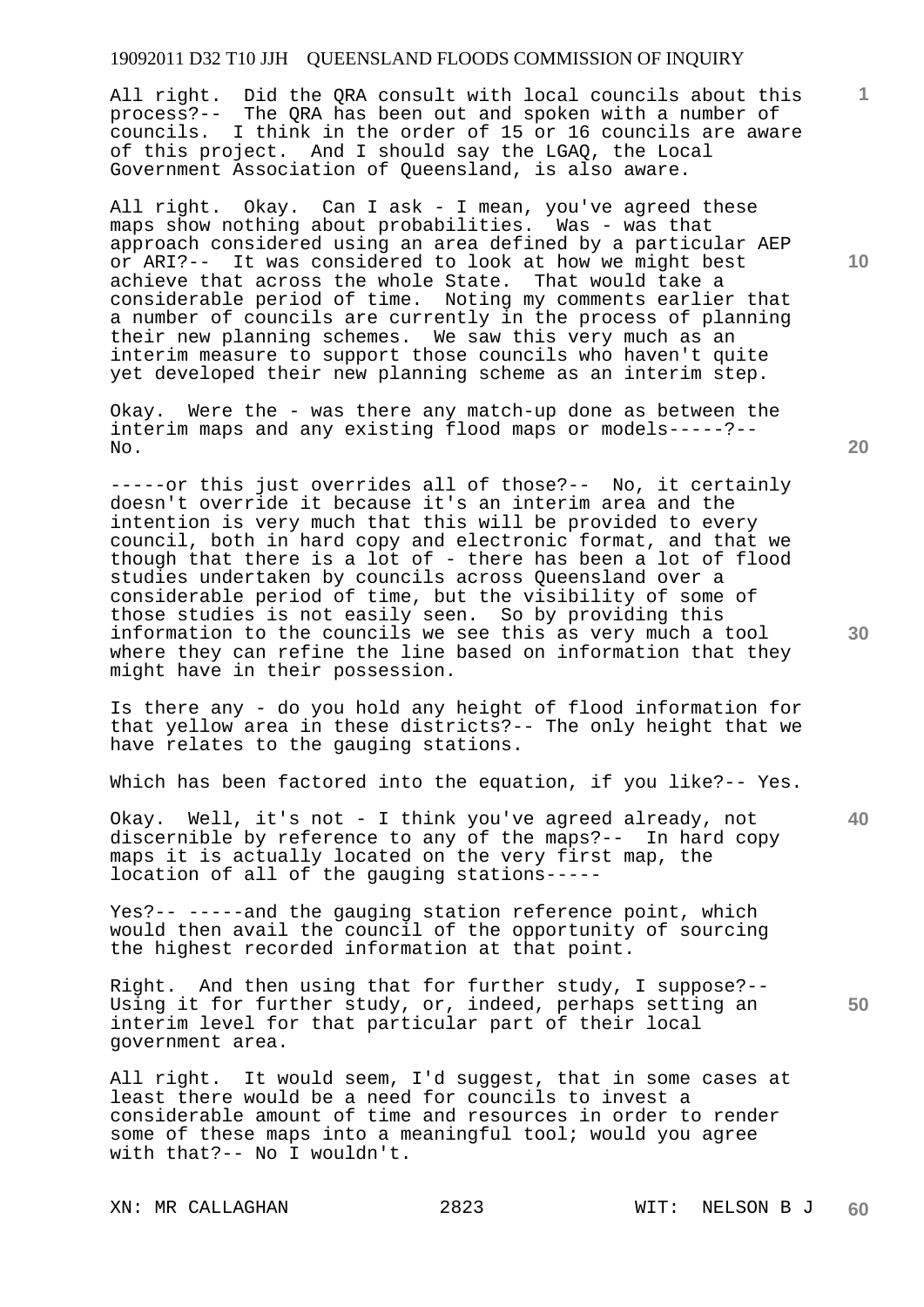All right. Did the QRA consult with local councils about this process?-- The QRA has been out and spoken with a number of councils. I think in the order of 15 or 16 councils are aware of this project. And I should say the LGAQ, the Local Government Association of Queensland, is also aware.

All right. Okay. Can I ask - I mean, you've agreed these maps show nothing about probabilities. Was - was that approach considered using an area defined by a particular AEP or ARI?-- It was considered to look at how we might best achieve that across the whole State. That would take a considerable period of time. Noting my comments earlier that a number of councils are currently in the process of planning their new planning schemes. We saw this very much as an interim measure to support those councils who haven't quite yet developed their new planning scheme as an interim step.

Okay. Were the - was there any match-up done as between the interim maps and any existing flood maps or models-----?--  $N_{\Omega}$ .

-----or this just overrides all of those?-- No, it certainly doesn't override it because it's an interim area and the intention is very much that this will be provided to every council, both in hard copy and electronic format, and that we though that there is a lot of - there has been a lot of flood studies undertaken by councils across Queensland over a considerable period of time, but the visibility of some of those studies is not easily seen. So by providing this information to the councils we see this as very much a tool where they can refine the line based on information that they might have in their possession.

Is there any - do you hold any height of flood information for that yellow area in these districts?-- The only height that we have relates to the gauging stations.

Which has been factored into the equation, if you like?-- Yes.

Okay. Well, it's not - I think you've agreed already, not discernible by reference to any of the maps?-- In hard copy maps it is actually located on the very first map, the location of all of the gauging stations-----

Yes?-- -----and the gauging station reference point, which would then avail the council of the opportunity of sourcing the highest recorded information at that point.

Right. And then using that for further study, I suppose?-- Using it for further study, or, indeed, perhaps setting an interim level for that particular part of their local government area.

All right. It would seem, I'd suggest, that in some cases at least there would be a need for councils to invest a considerable amount of time and resources in order to render some of these maps into a meaningful tool; would you agree with that?-- No I wouldn't.

XN: MR CALLAGHAN 2823 WIT: NELSON B J

**20** 

**40** 

**50** 

**10**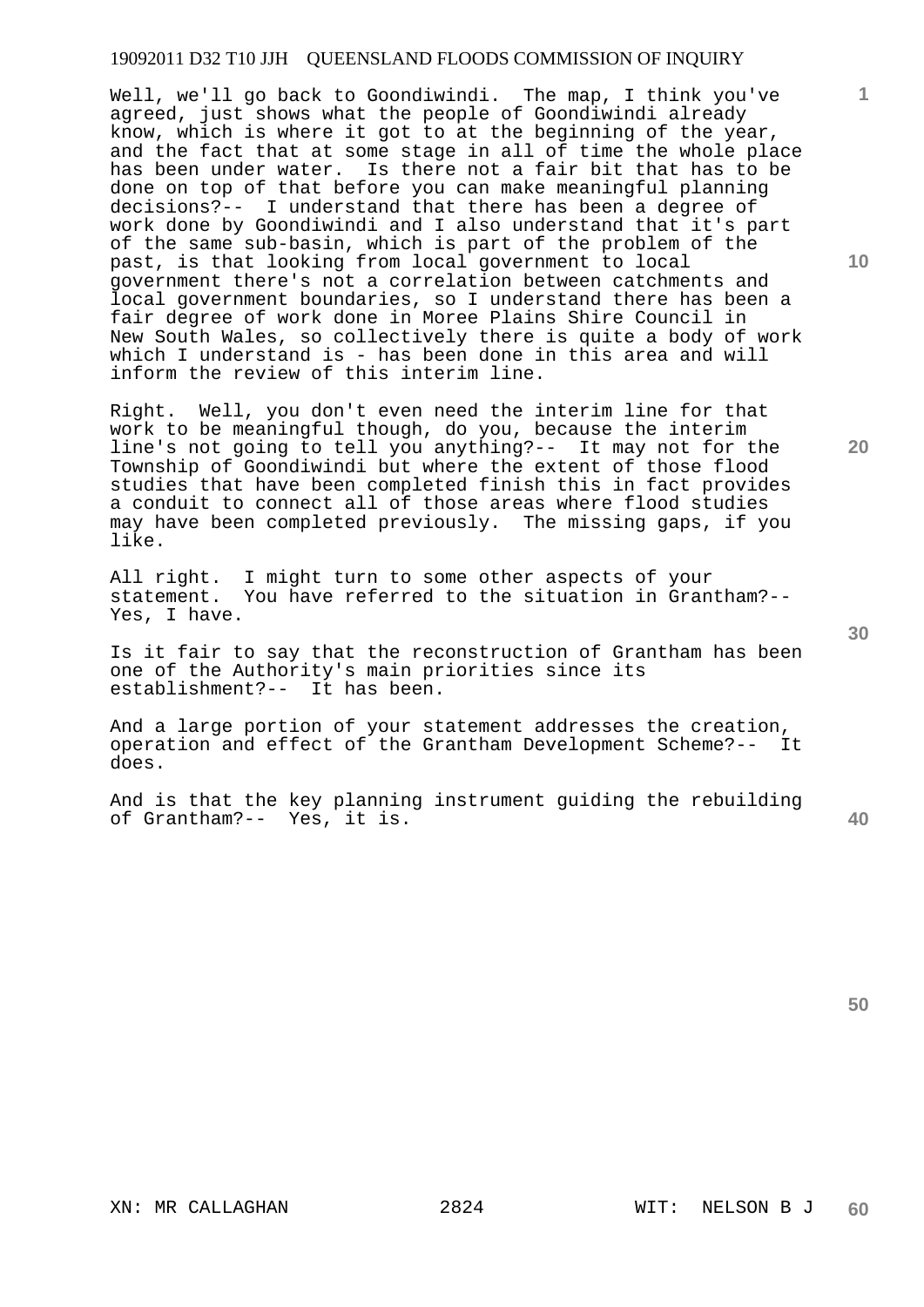Well, we'll go back to Goondiwindi. The map, I think you've agreed, just shows what the people of Goondiwindi already know, which is where it got to at the beginning of the year, and the fact that at some stage in all of time the whole place has been under water. Is there not a fair bit that has to be done on top of that before you can make meaningful planning decisions?-- I understand that there has been a degree of work done by Goondiwindi and I also understand that it's part of the same sub-basin, which is part of the problem of the past, is that looking from local government to local government there's not a correlation between catchments and local government boundaries, so I understand there has been a fair degree of work done in Moree Plains Shire Council in New South Wales, so collectively there is quite a body of work which I understand is - has been done in this area and will inform the review of this interim line.

Right. Well, you don't even need the interim line for that work to be meaningful though, do you, because the interim line's not going to tell you anything?-- It may not for the Township of Goondiwindi but where the extent of those flood studies that have been completed finish this in fact provides a conduit to connect all of those areas where flood studies may have been completed previously. The missing gaps, if you like.

All right. I might turn to some other aspects of your statement. You have referred to the situation in Grantham?-- Yes, I have.

Is it fair to say that the reconstruction of Grantham has been one of the Authority's main priorities since its establishment?-- It has been.

And a large portion of your statement addresses the creation, operation and effect of the Grantham Development Scheme?-- It does.

**40**  And is that the key planning instrument guiding the rebuilding of Grantham?-- Yes, it is.

**30** 

**50** 

**1**

**10**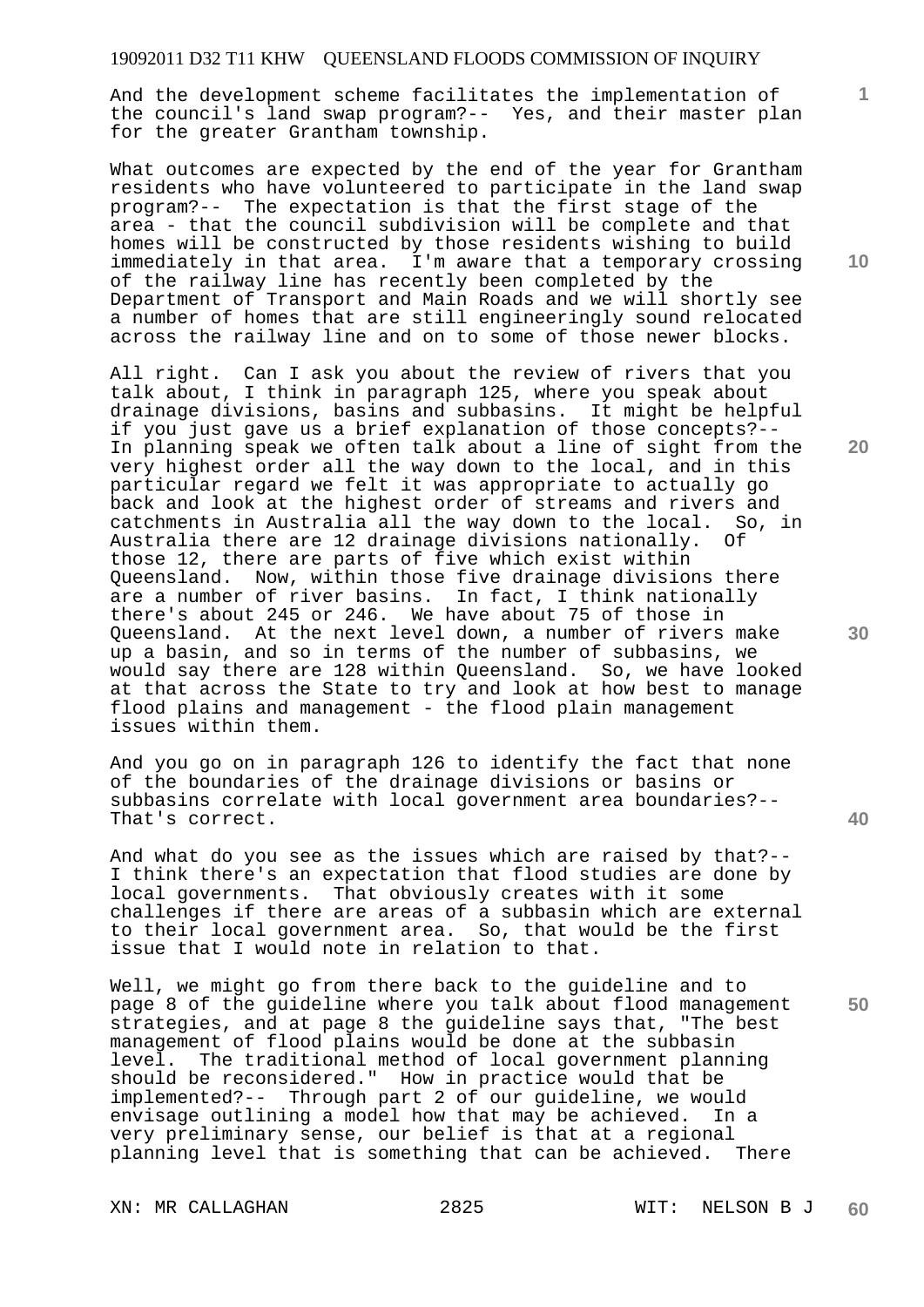And the development scheme facilitates the implementation of the council's land swap program?-- Yes, and their master plan for the greater Grantham township.

What outcomes are expected by the end of the year for Grantham residents who have volunteered to participate in the land swap program?-- The expectation is that the first stage of the area - that the council subdivision will be complete and that homes will be constructed by those residents wishing to build immediately in that area. I'm aware that a temporary crossing of the railway line has recently been completed by the Department of Transport and Main Roads and we will shortly see a number of homes that are still engineeringly sound relocated across the railway line and on to some of those newer blocks.

All right. Can I ask you about the review of rivers that you talk about, I think in paragraph 125, where you speak about drainage divisions, basins and subbasins. It might be helpful if you just gave us a brief explanation of those concepts?-- In planning speak we often talk about a line of sight from the very highest order all the way down to the local, and in this particular regard we felt it was appropriate to actually go back and look at the highest order of streams and rivers and catchments in Australia all the way down to the local. So, in Australia there are 12 drainage divisions nationally. Of those 12, there are parts of five which exist within Queensland. Now, within those five drainage divisions there are a number of river basins. In fact, I think nationally there's about 245 or 246. We have about 75 of those in Queensland. At the next level down, a number of rivers make up a basin, and so in terms of the number of subbasins, we would say there are 128 within Queensland. So, we have looked at that across the State to try and look at how best to manage flood plains and management - the flood plain management issues within them.

And you go on in paragraph 126 to identify the fact that none of the boundaries of the drainage divisions or basins or subbasins correlate with local government area boundaries?-- That's correct.

And what do you see as the issues which are raised by that?-- I think there's an expectation that flood studies are done by local governments. That obviously creates with it some challenges if there are areas of a subbasin which are external to their local government area. So, that would be the first issue that I would note in relation to that.

Well, we might go from there back to the guideline and to page 8 of the guideline where you talk about flood management strategies, and at page 8 the guideline says that, "The best management of flood plains would be done at the subbasin level. The traditional method of local government planning should be reconsidered." How in practice would that be implemented?-- Through part 2 of our guideline, we would envisage outlining a model how that may be achieved. In a very preliminary sense, our belief is that at a regional planning level that is something that can be achieved. There

**10** 

**1**

**30** 

**20**